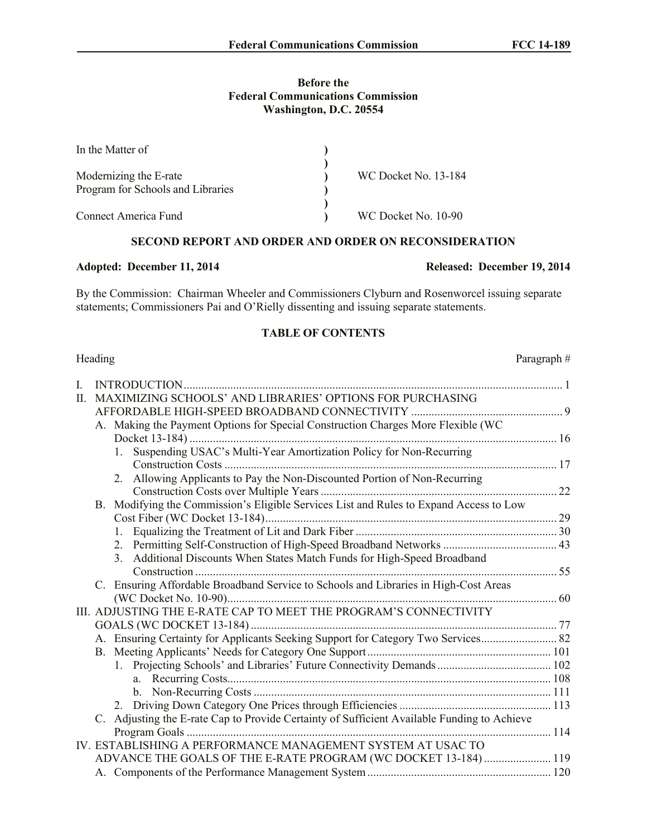#### **Before the Federal Communications Commission Washington, D.C. 20554**

| In the Matter of                  |                      |  |
|-----------------------------------|----------------------|--|
|                                   |                      |  |
| Modernizing the E-rate            | WC Docket No. 13-184 |  |
| Program for Schools and Libraries |                      |  |
|                                   |                      |  |
| <b>Connect America Fund</b>       | WC Docket No. 10-90  |  |

## **SECOND REPORT AND ORDER AND ORDER ON RECONSIDERATION**

By the Commission: Chairman Wheeler and Commissioners Clyburn and Rosenworcel issuing separate statements; Commissioners Pai and O'Rielly dissenting and issuing separate statements.

# **TABLE OF CONTENTS**

|    | Heading                                                                                     | Paragraph# |
|----|---------------------------------------------------------------------------------------------|------------|
| L. |                                                                                             |            |
| П. | MAXIMIZING SCHOOLS' AND LIBRARIES' OPTIONS FOR PURCHASING                                   |            |
|    |                                                                                             |            |
|    | A. Making the Payment Options for Special Construction Charges More Flexible (WC            |            |
|    |                                                                                             |            |
|    | Suspending USAC's Multi-Year Amortization Policy for Non-Recurring<br>1.                    |            |
|    |                                                                                             |            |
|    | 2. Allowing Applicants to Pay the Non-Discounted Portion of Non-Recurring                   |            |
|    |                                                                                             |            |
|    | B. Modifying the Commission's Eligible Services List and Rules to Expand Access to Low      |            |
|    |                                                                                             |            |
|    |                                                                                             |            |
|    | 2. Permitting Self-Construction of High-Speed Broadband Networks  43                        |            |
|    | 3. Additional Discounts When States Match Funds for High-Speed Broadband                    |            |
|    |                                                                                             |            |
|    | C. Ensuring Affordable Broadband Service to Schools and Libraries in High-Cost Areas        |            |
|    | III. ADJUSTING THE E-RATE CAP TO MEET THE PROGRAM'S CONNECTIVITY                            |            |
|    |                                                                                             |            |
|    | A. Ensuring Certainty for Applicants Seeking Support for Category Two Services 82           |            |
|    |                                                                                             |            |
|    |                                                                                             |            |
|    |                                                                                             |            |
|    |                                                                                             |            |
|    |                                                                                             |            |
|    | C. Adjusting the E-rate Cap to Provide Certainty of Sufficient Available Funding to Achieve |            |
|    |                                                                                             |            |
|    | IV. ESTABLISHING A PERFORMANCE MANAGEMENT SYSTEM AT USAC TO                                 |            |
|    | ADVANCE THE GOALS OF THE E-RATE PROGRAM (WC DOCKET 13-184) 119                              |            |
|    |                                                                                             |            |

#### **Adopted: December 11, 2014 Released: December 19, 2014**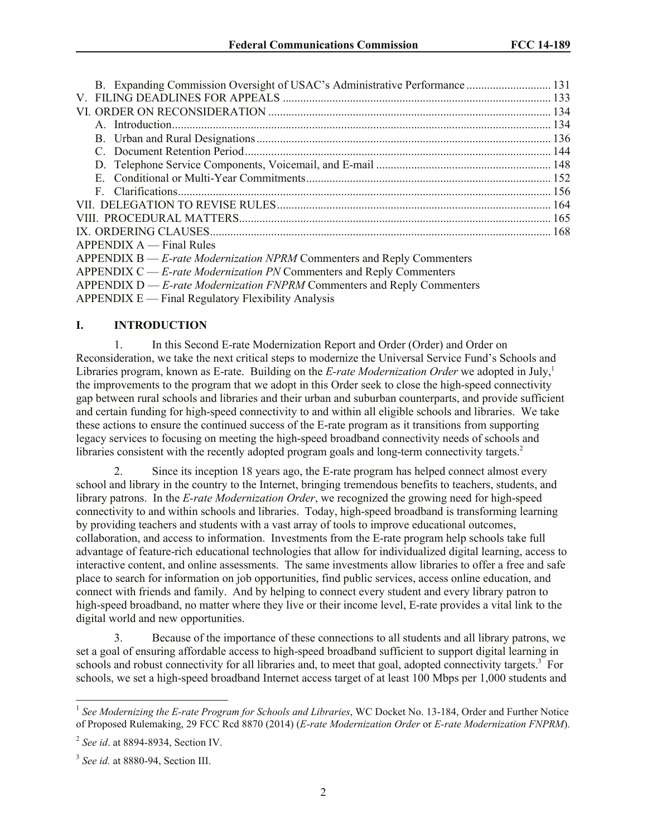| B. Expanding Commission Oversight of USAC's Administrative Performance  131 |  |
|-----------------------------------------------------------------------------|--|
|                                                                             |  |
|                                                                             |  |
|                                                                             |  |
|                                                                             |  |
|                                                                             |  |
|                                                                             |  |
|                                                                             |  |
|                                                                             |  |
|                                                                             |  |
|                                                                             |  |
|                                                                             |  |
| $APPENDIX A \rightarrow Find Rules$                                         |  |
| APPENDIX B — E-rate Modernization NPRM Commenters and Reply Commenters      |  |
| APPENDIX $C - E$ -rate Modernization PN Commenters and Reply Commenters     |  |

APPENDIX D — *E-rate Modernization FNPRM* Commenters and Reply Commenters

 $APPENDIX E — Final Regularory Flexibility Analysis$ 

## **I. INTRODUCTION**

1. In this Second E-rate Modernization Report and Order (Order) and Order on Reconsideration, we take the next critical steps to modernize the Universal Service Fund's Schools and Libraries program, known as E-rate. Building on the *E-rate Modernization Order* we adopted in July,<sup>1</sup> the improvements to the program that we adopt in this Order seek to close the high-speed connectivity gap between rural schools and libraries and their urban and suburban counterparts, and provide sufficient and certain funding for high-speed connectivity to and within all eligible schools and libraries. We take these actions to ensure the continued success of the E-rate program as it transitions from supporting legacy services to focusing on meeting the high-speed broadband connectivity needs of schools and libraries consistent with the recently adopted program goals and long-term connectivity targets.<sup>2</sup>

2. Since its inception 18 years ago, the E-rate program has helped connect almost every school and library in the country to the Internet, bringing tremendous benefits to teachers, students, and library patrons. In the *E-rate Modernization Order*, we recognized the growing need for high-speed connectivity to and within schools and libraries. Today, high-speed broadband is transforming learning by providing teachers and students with a vast array of tools to improve educational outcomes, collaboration, and access to information. Investments from the E-rate program help schools take full advantage of feature-rich educational technologies that allow for individualized digital learning, access to interactive content, and online assessments. The same investments allow libraries to offer a free and safe place to search for information on job opportunities, find public services, access online education, and connect with friends and family. And by helping to connect every student and every library patron to high-speed broadband, no matter where they live or their income level, E-rate provides a vital link to the digital world and new opportunities.

3. Because of the importance of these connections to all students and all library patrons, we set a goal of ensuring affordable access to high-speed broadband sufficient to support digital learning in schools and robust connectivity for all libraries and, to meet that goal, adopted connectivity targets.<sup>3</sup> For schools, we set a high-speed broadband Internet access target of at least 100 Mbps per 1,000 students and

 1 *See Modernizing the E-rate Program for Schools and Libraries*, WC Docket No. 13-184, Order and Further Notice of Proposed Rulemaking, 29 FCC Rcd 8870 (2014) (*E-rate Modernization Order* or *E-rate Modernization FNPRM*).

<sup>2</sup> *See id*. at 8894-8934, Section IV.

<sup>3</sup> *See id.* at 8880-94, Section III.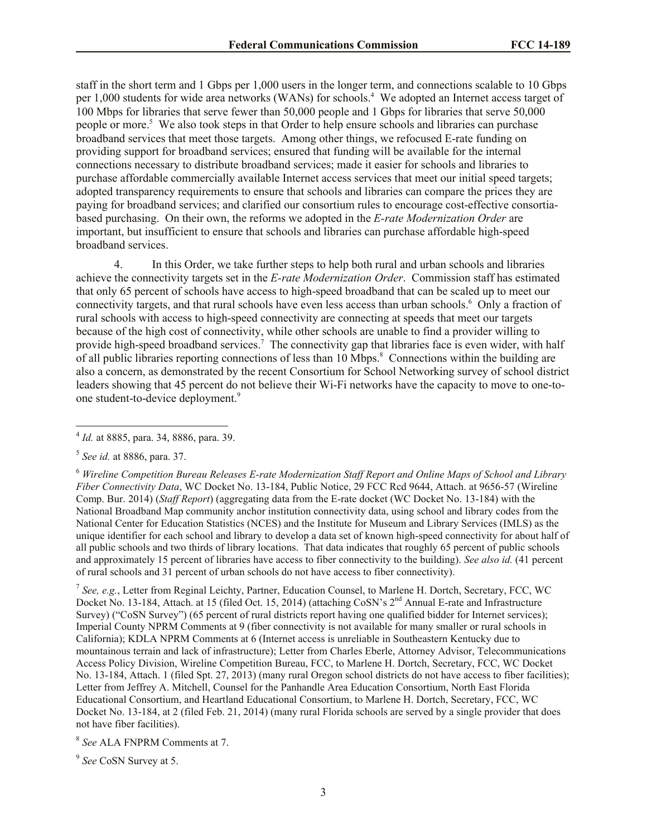staff in the short term and 1 Gbps per 1,000 users in the longer term, and connections scalable to 10 Gbps per 1,000 students for wide area networks (WANs) for schools.<sup>4</sup> We adopted an Internet access target of 100 Mbps for libraries that serve fewer than 50,000 people and 1 Gbps for libraries that serve 50,000 people or more.<sup>5</sup> We also took steps in that Order to help ensure schools and libraries can purchase broadband services that meet those targets. Among other things, we refocused E-rate funding on providing support for broadband services; ensured that funding will be available for the internal connections necessary to distribute broadband services; made it easier for schools and libraries to purchase affordable commercially available Internet access services that meet our initial speed targets; adopted transparency requirements to ensure that schools and libraries can compare the prices they are paying for broadband services; and clarified our consortium rules to encourage cost-effective consortiabased purchasing. On their own, the reforms we adopted in the *E-rate Modernization Order* are important, but insufficient to ensure that schools and libraries can purchase affordable high-speed broadband services.

4. In this Order, we take further steps to help both rural and urban schools and libraries achieve the connectivity targets set in the *E-rate Modernization Order*. Commission staff has estimated that only 65 percent of schools have access to high-speed broadband that can be scaled up to meet our connectivity targets, and that rural schools have even less access than urban schools.<sup>6</sup> Only a fraction of rural schools with access to high-speed connectivity are connecting at speeds that meet our targets because of the high cost of connectivity, while other schools are unable to find a provider willing to provide high-speed broadband services.<sup>7</sup> The connectivity gap that libraries face is even wider, with half of all public libraries reporting connections of less than 10 Mbps.<sup>8</sup> Connections within the building are also a concern, as demonstrated by the recent Consortium for School Networking survey of school district leaders showing that 45 percent do not believe their Wi-Fi networks have the capacity to move to one-toone student-to-device deployment.<sup>9</sup>

7 *See, e.g.*, Letter from Reginal Leichty, Partner, Education Counsel, to Marlene H. Dortch, Secretary, FCC, WC Docket No. 13-184, Attach. at 15 (filed Oct. 15, 2014) (attaching CoSN's 2<sup>nd</sup> Annual E-rate and Infrastructure Survey) ("CoSN Survey") (65 percent of rural districts report having one qualified bidder for Internet services); Imperial County NPRM Comments at 9 (fiber connectivity is not available for many smaller or rural schools in California); KDLA NPRM Comments at 6 (Internet access is unreliable in Southeastern Kentucky due to mountainous terrain and lack of infrastructure); Letter from Charles Eberle, Attorney Advisor, Telecommunications Access Policy Division, Wireline Competition Bureau, FCC, to Marlene H. Dortch, Secretary, FCC, WC Docket No. 13-184, Attach. 1 (filed Spt. 27, 2013) (many rural Oregon school districts do not have access to fiber facilities); Letter from Jeffrey A. Mitchell, Counsel for the Panhandle Area Education Consortium, North East Florida Educational Consortium, and Heartland Educational Consortium, to Marlene H. Dortch, Secretary, FCC, WC Docket No. 13-184, at 2 (filed Feb. 21, 2014) (many rural Florida schools are served by a single provider that does not have fiber facilities).

8 *See* ALA FNPRM Comments at 7.

9 *See* CoSN Survey at 5.

 4 *Id.* at 8885, para. 34, 8886, para. 39.

<sup>5</sup> *See id.* at 8886, para. 37.

<sup>6</sup> *Wireline Competition Bureau Releases E-rate Modernization Staff Report and Online Maps of School and Library Fiber Connectivity Data*, WC Docket No. 13-184, Public Notice, 29 FCC Rcd 9644, Attach. at 9656-57 (Wireline Comp. Bur. 2014) (*Staff Report*) (aggregating data from the E-rate docket (WC Docket No. 13-184) with the National Broadband Map community anchor institution connectivity data, using school and library codes from the National Center for Education Statistics (NCES) and the Institute for Museum and Library Services (IMLS) as the unique identifier for each school and library to develop a data set of known high-speed connectivity for about half of all public schools and two thirds of library locations. That data indicates that roughly 65 percent of public schools and approximately 15 percent of libraries have access to fiber connectivity to the building). *See also id.* (41 percent of rural schools and 31 percent of urban schools do not have access to fiber connectivity).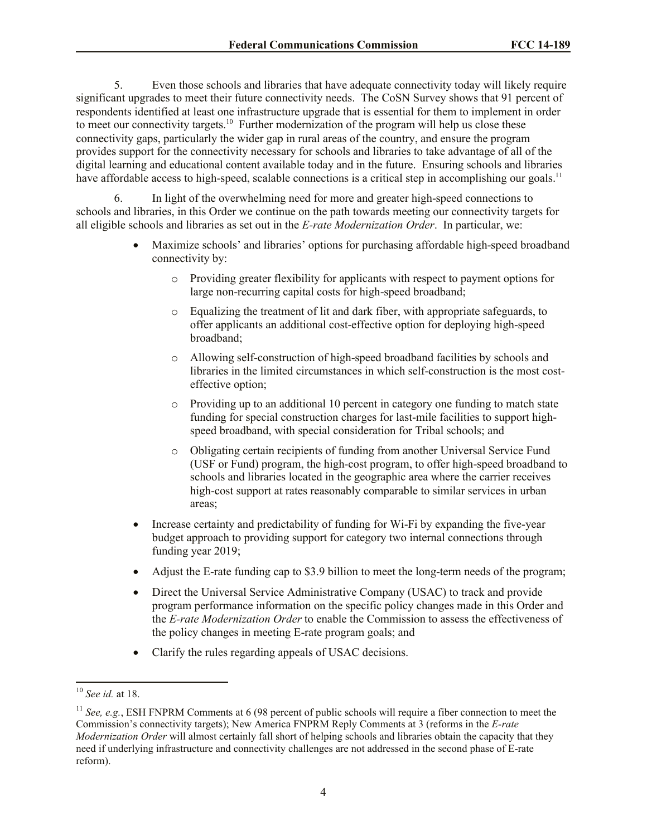5. Even those schools and libraries that have adequate connectivity today will likely require significant upgrades to meet their future connectivity needs. The CoSN Survey shows that 91 percent of respondents identified at least one infrastructure upgrade that is essential for them to implement in order to meet our connectivity targets.<sup>10</sup> Further modernization of the program will help us close these connectivity gaps, particularly the wider gap in rural areas of the country, and ensure the program provides support for the connectivity necessary for schools and libraries to take advantage of all of the digital learning and educational content available today and in the future. Ensuring schools and libraries have affordable access to high-speed, scalable connections is a critical step in accomplishing our goals.<sup>11</sup>

6. In light of the overwhelming need for more and greater high-speed connections to schools and libraries, in this Order we continue on the path towards meeting our connectivity targets for all eligible schools and libraries as set out in the *E-rate Modernization Order*. In particular, we:

- Maximize schools' and libraries' options for purchasing affordable high-speed broadband connectivity by:
	- o Providing greater flexibility for applicants with respect to payment options for large non-recurring capital costs for high-speed broadband;
	- o Equalizing the treatment of lit and dark fiber, with appropriate safeguards, to offer applicants an additional cost-effective option for deploying high-speed broadband;
	- o Allowing self-construction of high-speed broadband facilities by schools and libraries in the limited circumstances in which self-construction is the most costeffective option;
	- o Providing up to an additional 10 percent in category one funding to match state funding for special construction charges for last-mile facilities to support highspeed broadband, with special consideration for Tribal schools; and
	- o Obligating certain recipients of funding from another Universal Service Fund (USF or Fund) program, the high-cost program, to offer high-speed broadband to schools and libraries located in the geographic area where the carrier receives high-cost support at rates reasonably comparable to similar services in urban areas;
- Increase certainty and predictability of funding for Wi-Fi by expanding the five-year budget approach to providing support for category two internal connections through funding year 2019;
- Adjust the E-rate funding cap to \$3.9 billion to meet the long-term needs of the program;
- Direct the Universal Service Administrative Company (USAC) to track and provide program performance information on the specific policy changes made in this Order and the *E-rate Modernization Order* to enable the Commission to assess the effectiveness of the policy changes in meeting E-rate program goals; and
- Clarify the rules regarding appeals of USAC decisions.

 $\overline{a}$ 

<sup>10</sup> *See id.* at 18.

<sup>&</sup>lt;sup>11</sup> *See, e.g.*, ESH FNPRM Comments at 6 (98 percent of public schools will require a fiber connection to meet the Commission's connectivity targets); New America FNPRM Reply Comments at 3 (reforms in the *E-rate Modernization Order* will almost certainly fall short of helping schools and libraries obtain the capacity that they need if underlying infrastructure and connectivity challenges are not addressed in the second phase of E-rate reform).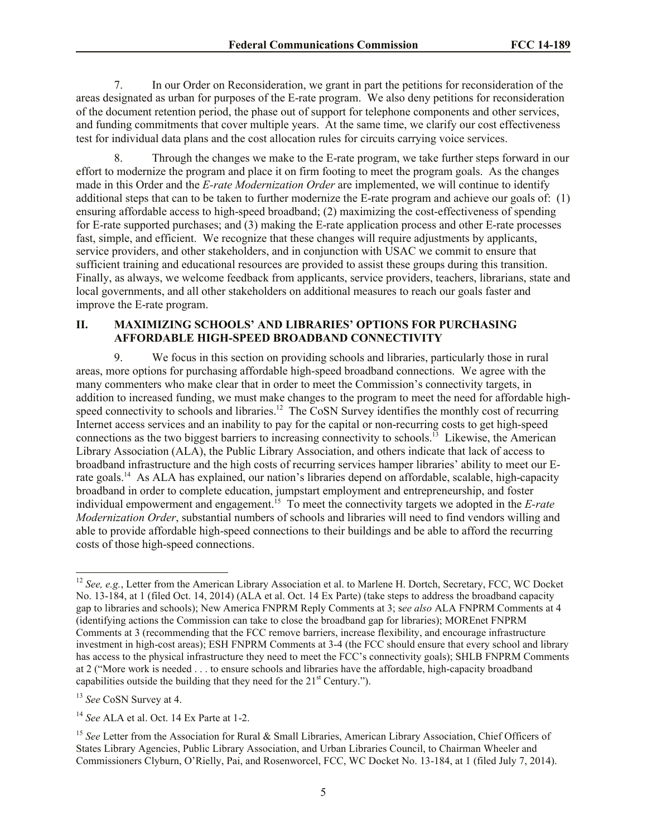7. In our Order on Reconsideration, we grant in part the petitions for reconsideration of the areas designated as urban for purposes of the E-rate program. We also deny petitions for reconsideration of the document retention period, the phase out of support for telephone components and other services, and funding commitments that cover multiple years. At the same time, we clarify our cost effectiveness test for individual data plans and the cost allocation rules for circuits carrying voice services.

8. Through the changes we make to the E-rate program, we take further steps forward in our effort to modernize the program and place it on firm footing to meet the program goals. As the changes made in this Order and the *E-rate Modernization Order* are implemented, we will continue to identify additional steps that can to be taken to further modernize the E-rate program and achieve our goals of: (1) ensuring affordable access to high-speed broadband; (2) maximizing the cost-effectiveness of spending for E-rate supported purchases; and (3) making the E-rate application process and other E-rate processes fast, simple, and efficient. We recognize that these changes will require adjustments by applicants, service providers, and other stakeholders, and in conjunction with USAC we commit to ensure that sufficient training and educational resources are provided to assist these groups during this transition. Finally, as always, we welcome feedback from applicants, service providers, teachers, librarians, state and local governments, and all other stakeholders on additional measures to reach our goals faster and improve the E-rate program.

#### **II. MAXIMIZING SCHOOLS' AND LIBRARIES' OPTIONS FOR PURCHASING AFFORDABLE HIGH-SPEED BROADBAND CONNECTIVITY**

9. We focus in this section on providing schools and libraries, particularly those in rural areas, more options for purchasing affordable high-speed broadband connections. We agree with the many commenters who make clear that in order to meet the Commission's connectivity targets, in addition to increased funding, we must make changes to the program to meet the need for affordable highspeed connectivity to schools and libraries.<sup>12</sup> The CoSN Survey identifies the monthly cost of recurring Internet access services and an inability to pay for the capital or non-recurring costs to get high-speed connections as the two biggest barriers to increasing connectivity to schools.<sup>13</sup> Likewise, the American Library Association (ALA), the Public Library Association, and others indicate that lack of access to broadband infrastructure and the high costs of recurring services hamper libraries' ability to meet our Erate goals.<sup>14</sup> As ALA has explained, our nation's libraries depend on affordable, scalable, high-capacity broadband in order to complete education, jumpstart employment and entrepreneurship, and foster individual empowerment and engagement. 15 To meet the connectivity targets we adopted in the *E-rate Modernization Order*, substantial numbers of schools and libraries will need to find vendors willing and able to provide affordable high-speed connections to their buildings and be able to afford the recurring costs of those high-speed connections.

 $\overline{a}$ 

<sup>&</sup>lt;sup>12</sup> See, e.g., Letter from the American Library Association et al. to Marlene H. Dortch, Secretary, FCC, WC Docket No. 13-184, at 1 (filed Oct. 14, 2014) (ALA et al. Oct. 14 Ex Parte) (take steps to address the broadband capacity gap to libraries and schools); New America FNPRM Reply Comments at 3; s*ee also* ALA FNPRM Comments at 4 (identifying actions the Commission can take to close the broadband gap for libraries); MOREnet FNPRM Comments at 3 (recommending that the FCC remove barriers, increase flexibility, and encourage infrastructure investment in high-cost areas); ESH FNPRM Comments at 3-4 (the FCC should ensure that every school and library has access to the physical infrastructure they need to meet the FCC's connectivity goals); SHLB FNPRM Comments at 2 ("More work is needed . . . to ensure schools and libraries have the affordable, high-capacity broadband capabilities outside the building that they need for the  $21<sup>st</sup>$  Century.").

<sup>13</sup> *See* CoSN Survey at 4.

<sup>14</sup> *See* ALA et al. Oct. 14 Ex Parte at 1-2.

<sup>&</sup>lt;sup>15</sup> See Letter from the Association for Rural & Small Libraries, American Library Association, Chief Officers of States Library Agencies, Public Library Association, and Urban Libraries Council, to Chairman Wheeler and Commissioners Clyburn, O'Rielly, Pai, and Rosenworcel, FCC, WC Docket No. 13-184, at 1 (filed July 7, 2014).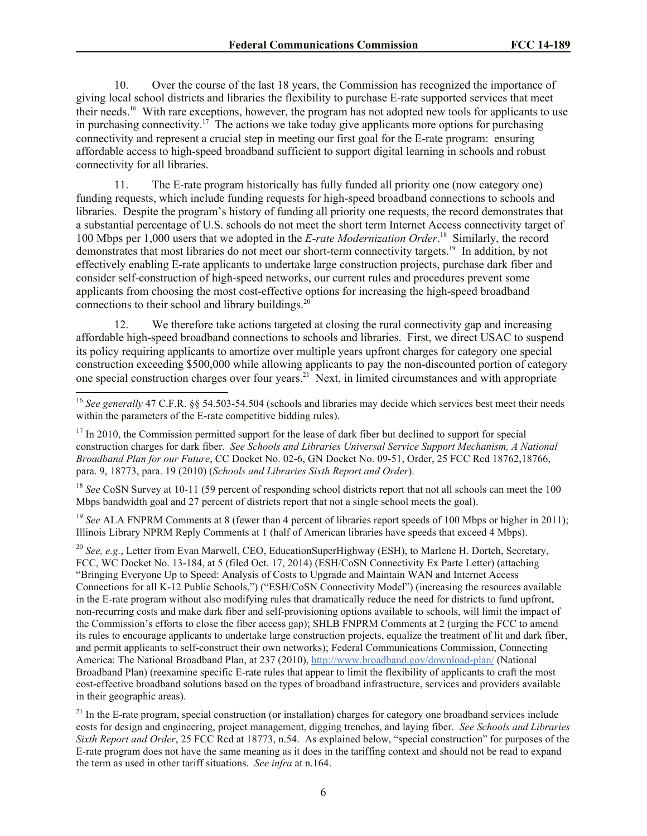10. Over the course of the last 18 years, the Commission has recognized the importance of giving local school districts and libraries the flexibility to purchase E-rate supported services that meet their needs.<sup>16</sup> With rare exceptions, however, the program has not adopted new tools for applicants to use in purchasing connectivity.<sup>17</sup> The actions we take today give applicants more options for purchasing connectivity and represent a crucial step in meeting our first goal for the E-rate program: ensuring affordable access to high-speed broadband sufficient to support digital learning in schools and robust connectivity for all libraries.

11. The E-rate program historically has fully funded all priority one (now category one) funding requests, which include funding requests for high-speed broadband connections to schools and libraries. Despite the program's history of funding all priority one requests, the record demonstrates that a substantial percentage of U.S. schools do not meet the short term Internet Access connectivity target of 100 Mbps per 1,000 users that we adopted in the *E-rate Modernization Order*. 18 Similarly, the record demonstrates that most libraries do not meet our short-term connectivity targets.<sup>19</sup> In addition, by not effectively enabling E-rate applicants to undertake large construction projects, purchase dark fiber and consider self-construction of high-speed networks, our current rules and procedures prevent some applicants from choosing the most cost-effective options for increasing the high-speed broadband connections to their school and library buildings.<sup>20</sup>

12. We therefore take actions targeted at closing the rural connectivity gap and increasing affordable high-speed broadband connections to schools and libraries. First, we direct USAC to suspend its policy requiring applicants to amortize over multiple years upfront charges for category one special construction exceeding \$500,000 while allowing applicants to pay the non-discounted portion of category one special construction charges over four years.<sup>21</sup> Next, in limited circumstances and with appropriate

 $\overline{a}$ 

<sup>18</sup> *See* CoSN Survey at 10-11 (59 percent of responding school districts report that not all schools can meet the 100 Mbps bandwidth goal and 27 percent of districts report that not a single school meets the goal).

<sup>19</sup> *See* ALA FNPRM Comments at 8 (fewer than 4 percent of libraries report speeds of 100 Mbps or higher in 2011); Illinois Library NPRM Reply Comments at 1 (half of American libraries have speeds that exceed 4 Mbps).

<sup>20</sup> *See, e.g.*, Letter from Evan Marwell, CEO, EducationSuperHighway (ESH), to Marlene H. Dortch, Secretary, FCC, WC Docket No. 13-184, at 5 (filed Oct. 17, 2014) (ESH/CoSN Connectivity Ex Parte Letter) (attaching "Bringing Everyone Up to Speed: Analysis of Costs to Upgrade and Maintain WAN and Internet Access Connections for all K-12 Public Schools,") ("ESH/CoSN Connectivity Model") (increasing the resources available in the E-rate program without also modifying rules that dramatically reduce the need for districts to fund upfront, non-recurring costs and make dark fiber and self-provisioning options available to schools, will limit the impact of the Commission's efforts to close the fiber access gap); SHLB FNPRM Comments at 2 (urging the FCC to amend its rules to encourage applicants to undertake large construction projects, equalize the treatment of lit and dark fiber, and permit applicants to self-construct their own networks); Federal Communications Commission, Connecting America: The National Broadband Plan, at 237 (2010), http://www.broadband.gov/download-plan/ (National Broadband Plan) (reexamine specific E-rate rules that appear to limit the flexibility of applicants to craft the most cost-effective broadband solutions based on the types of broadband infrastructure, services and providers available in their geographic areas).

<sup>21</sup> In the E-rate program, special construction (or installation) charges for category one broadband services include costs for design and engineering, project management, digging trenches, and laying fiber. *See Schools and Libraries Sixth Report and Order*, 25 FCC Rcd at 18773, n.54. As explained below, "special construction" for purposes of the E-rate program does not have the same meaning as it does in the tariffing context and should not be read to expand the term as used in other tariff situations. *See infra* at n.164.

<sup>&</sup>lt;sup>16</sup> See generally 47 C.F.R. §§ 54.503-54.504 (schools and libraries may decide which services best meet their needs within the parameters of the E-rate competitive bidding rules).

 $17$  In 2010, the Commission permitted support for the lease of dark fiber but declined to support for special construction charges for dark fiber. *See Schools and Libraries Universal Service Support Mechanism, A National Broadband Plan for our Future*, CC Docket No. 02-6, GN Docket No. 09-51, Order, 25 FCC Rcd 18762,18766, para. 9, 18773, para. 19 (2010) (*Schools and Libraries Sixth Report and Order*).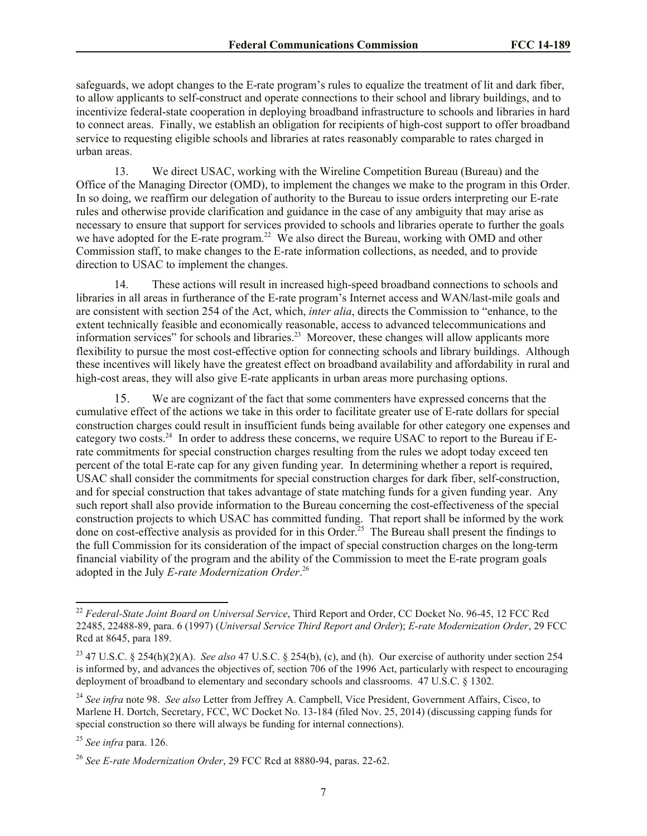safeguards, we adopt changes to the E-rate program's rules to equalize the treatment of lit and dark fiber, to allow applicants to self-construct and operate connections to their school and library buildings, and to incentivize federal-state cooperation in deploying broadband infrastructure to schools and libraries in hard to connect areas. Finally, we establish an obligation for recipients of high-cost support to offer broadband service to requesting eligible schools and libraries at rates reasonably comparable to rates charged in urban areas.

13. We direct USAC, working with the Wireline Competition Bureau (Bureau) and the Office of the Managing Director (OMD), to implement the changes we make to the program in this Order. In so doing, we reaffirm our delegation of authority to the Bureau to issue orders interpreting our E-rate rules and otherwise provide clarification and guidance in the case of any ambiguity that may arise as necessary to ensure that support for services provided to schools and libraries operate to further the goals we have adopted for the E-rate program.<sup>22</sup> We also direct the Bureau, working with OMD and other Commission staff, to make changes to the E-rate information collections, as needed, and to provide direction to USAC to implement the changes.

14. These actions will result in increased high-speed broadband connections to schools and libraries in all areas in furtherance of the E-rate program's Internet access and WAN/last-mile goals and are consistent with section 254 of the Act, which, *inter alia*, directs the Commission to "enhance, to the extent technically feasible and economically reasonable, access to advanced telecommunications and information services" for schools and libraries.<sup>23</sup> Moreover, these changes will allow applicants more flexibility to pursue the most cost-effective option for connecting schools and library buildings. Although these incentives will likely have the greatest effect on broadband availability and affordability in rural and high-cost areas, they will also give E-rate applicants in urban areas more purchasing options.

15. We are cognizant of the fact that some commenters have expressed concerns that the cumulative effect of the actions we take in this order to facilitate greater use of E-rate dollars for special construction charges could result in insufficient funds being available for other category one expenses and category two costs.<sup>24</sup> In order to address these concerns, we require USAC to report to the Bureau if Erate commitments for special construction charges resulting from the rules we adopt today exceed ten percent of the total E-rate cap for any given funding year. In determining whether a report is required, USAC shall consider the commitments for special construction charges for dark fiber, self-construction, and for special construction that takes advantage of state matching funds for a given funding year. Any such report shall also provide information to the Bureau concerning the cost-effectiveness of the special construction projects to which USAC has committed funding. That report shall be informed by the work done on cost-effective analysis as provided for in this Order.<sup>25</sup> The Bureau shall present the findings to the full Commission for its consideration of the impact of special construction charges on the long-term financial viability of the program and the ability of the Commission to meet the E-rate program goals adopted in the July *E-rate Modernization Order*. 26

 $\overline{a}$ 

<sup>22</sup> *Federal-State Joint Board on Universal Service*, Third Report and Order, CC Docket No. 96-45, 12 FCC Rcd 22485, 22488-89, para. 6 (1997) (*Universal Service Third Report and Order*); *E-rate Modernization Order*, 29 FCC Rcd at 8645, para 189.

<sup>23</sup> 47 U.S.C. § 254(h)(2)(A). *See also* 47 U.S.C. § 254(b), (c), and (h). Our exercise of authority under section 254 is informed by, and advances the objectives of, section 706 of the 1996 Act, particularly with respect to encouraging deployment of broadband to elementary and secondary schools and classrooms. 47 U.S.C. § 1302.

<sup>24</sup> *See infra* note 98. *See also* Letter from Jeffrey A. Campbell, Vice President, Government Affairs, Cisco, to Marlene H. Dortch, Secretary, FCC, WC Docket No. 13-184 (filed Nov. 25, 2014) (discussing capping funds for special construction so there will always be funding for internal connections).

<sup>25</sup> *See infra* para. 126.

<sup>26</sup> *See E-rate Modernization Order*, 29 FCC Rcd at 8880-94, paras. 22-62.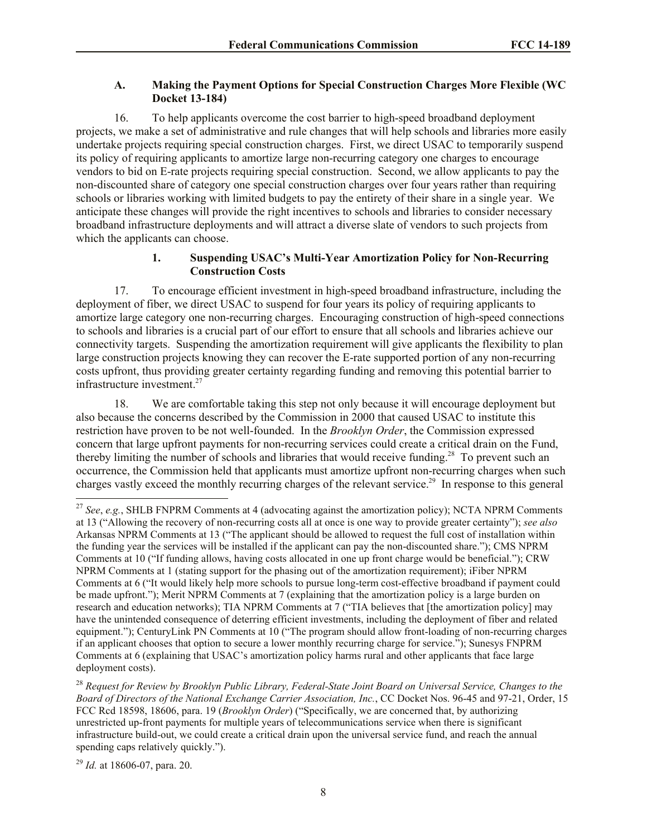# **A. Making the Payment Options for Special Construction Charges More Flexible (WC Docket 13-184)**

16. To help applicants overcome the cost barrier to high-speed broadband deployment projects, we make a set of administrative and rule changes that will help schools and libraries more easily undertake projects requiring special construction charges. First, we direct USAC to temporarily suspend its policy of requiring applicants to amortize large non-recurring category one charges to encourage vendors to bid on E-rate projects requiring special construction. Second, we allow applicants to pay the non-discounted share of category one special construction charges over four years rather than requiring schools or libraries working with limited budgets to pay the entirety of their share in a single year. We anticipate these changes will provide the right incentives to schools and libraries to consider necessary broadband infrastructure deployments and will attract a diverse slate of vendors to such projects from which the applicants can choose.

# **1. Suspending USAC's Multi-Year Amortization Policy for Non-Recurring Construction Costs**

17. To encourage efficient investment in high-speed broadband infrastructure, including the deployment of fiber, we direct USAC to suspend for four years its policy of requiring applicants to amortize large category one non-recurring charges. Encouraging construction of high-speed connections to schools and libraries is a crucial part of our effort to ensure that all schools and libraries achieve our connectivity targets. Suspending the amortization requirement will give applicants the flexibility to plan large construction projects knowing they can recover the E-rate supported portion of any non-recurring costs upfront, thus providing greater certainty regarding funding and removing this potential barrier to infrastructure investment.<sup>27</sup>

18. We are comfortable taking this step not only because it will encourage deployment but also because the concerns described by the Commission in 2000 that caused USAC to institute this restriction have proven to be not well-founded. In the *Brooklyn Order*, the Commission expressed concern that large upfront payments for non-recurring services could create a critical drain on the Fund, thereby limiting the number of schools and libraries that would receive funding.<sup>28</sup> To prevent such an occurrence, the Commission held that applicants must amortize upfront non-recurring charges when such charges vastly exceed the monthly recurring charges of the relevant service.<sup>29</sup> In response to this general

 $\overline{a}$ 

<sup>27</sup> *See*, *e.g.*, SHLB FNPRM Comments at 4 (advocating against the amortization policy); NCTA NPRM Comments at 13 ("Allowing the recovery of non-recurring costs all at once is one way to provide greater certainty"); *see also*  Arkansas NPRM Comments at 13 ("The applicant should be allowed to request the full cost of installation within the funding year the services will be installed if the applicant can pay the non-discounted share."); CMS NPRM Comments at 10 ("If funding allows, having costs allocated in one up front charge would be beneficial."); CRW NPRM Comments at 1 (stating support for the phasing out of the amortization requirement); iFiber NPRM Comments at 6 ("It would likely help more schools to pursue long-term cost-effective broadband if payment could be made upfront."); Merit NPRM Comments at 7 (explaining that the amortization policy is a large burden on research and education networks); TIA NPRM Comments at 7 ("TIA believes that [the amortization policy] may have the unintended consequence of deterring efficient investments, including the deployment of fiber and related equipment."); CenturyLink PN Comments at 10 ("The program should allow front-loading of non-recurring charges if an applicant chooses that option to secure a lower monthly recurring charge for service."); Sunesys FNPRM Comments at 6 (explaining that USAC's amortization policy harms rural and other applicants that face large deployment costs).

<sup>28</sup> *Request for Review by Brooklyn Public Library, Federal-State Joint Board on Universal Service, Changes to the Board of Directors of the National Exchange Carrier Association, Inc.*, CC Docket Nos. 96-45 and 97-21, Order, 15 FCC Rcd 18598, 18606, para. 19 (*Brooklyn Order*) ("Specifically, we are concerned that, by authorizing unrestricted up-front payments for multiple years of telecommunications service when there is significant infrastructure build-out, we could create a critical drain upon the universal service fund, and reach the annual spending caps relatively quickly.").

<sup>29</sup> *Id.* at 18606-07, para. 20.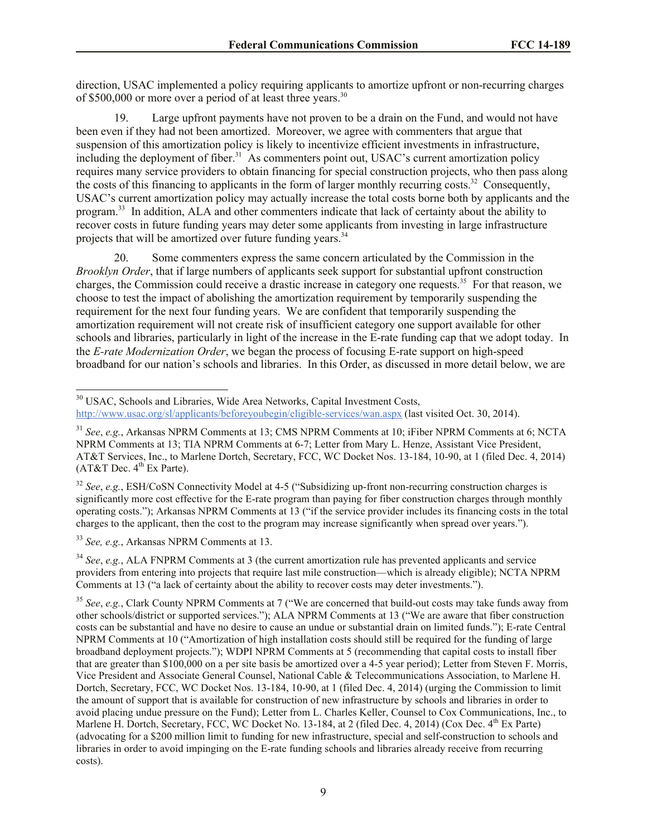direction, USAC implemented a policy requiring applicants to amortize upfront or non-recurring charges of \$500,000 or more over a period of at least three years.<sup>30</sup>

19. Large upfront payments have not proven to be a drain on the Fund, and would not have been even if they had not been amortized. Moreover, we agree with commenters that argue that suspension of this amortization policy is likely to incentivize efficient investments in infrastructure, including the deployment of fiber.<sup>31</sup> As commenters point out, USAC's current amortization policy requires many service providers to obtain financing for special construction projects, who then pass along the costs of this financing to applicants in the form of larger monthly recurring costs.<sup>32</sup> Consequently, USAC's current amortization policy may actually increase the total costs borne both by applicants and the program.<sup>33</sup> In addition, ALA and other commenters indicate that lack of certainty about the ability to recover costs in future funding years may deter some applicants from investing in large infrastructure projects that will be amortized over future funding years.<sup>34</sup>

20. Some commenters express the same concern articulated by the Commission in the *Brooklyn Order*, that if large numbers of applicants seek support for substantial upfront construction charges, the Commission could receive a drastic increase in category one requests.<sup>35</sup> For that reason, we choose to test the impact of abolishing the amortization requirement by temporarily suspending the requirement for the next four funding years. We are confident that temporarily suspending the amortization requirement will not create risk of insufficient category one support available for other schools and libraries, particularly in light of the increase in the E-rate funding cap that we adopt today. In the *E-rate Modernization Order*, we began the process of focusing E-rate support on high-speed broadband for our nation's schools and libraries. In this Order, as discussed in more detail below, we are

<sup>32</sup> *See*, *e.g.*, ESH/CoSN Connectivity Model at 4-5 ("Subsidizing up-front non-recurring construction charges is significantly more cost effective for the E-rate program than paying for fiber construction charges through monthly operating costs."); Arkansas NPRM Comments at 13 ("if the service provider includes its financing costs in the total charges to the applicant, then the cost to the program may increase significantly when spread over years.").

<sup>33</sup> *See, e.g.*, Arkansas NPRM Comments at 13.

 $\overline{\phantom{a}}$ 

<sup>34</sup> *See*, *e.g.*, ALA FNPRM Comments at 3 (the current amortization rule has prevented applicants and service providers from entering into projects that require last mile construction—which is already eligible); NCTA NPRM Comments at 13 ("a lack of certainty about the ability to recover costs may deter investments.").

<sup>&</sup>lt;sup>30</sup> USAC, Schools and Libraries, Wide Area Networks, Capital Investment Costs, http://www.usac.org/sl/applicants/beforeyoubegin/eligible-services/wan.aspx (last visited Oct. 30, 2014).

<sup>31</sup> *See*, *e.g.*, Arkansas NPRM Comments at 13; CMS NPRM Comments at 10; iFiber NPRM Comments at 6; NCTA NPRM Comments at 13; TIA NPRM Comments at 6-7; Letter from Mary L. Henze, Assistant Vice President, AT&T Services, Inc., to Marlene Dortch, Secretary, FCC, WC Docket Nos. 13-184, 10-90, at 1 (filed Dec. 4, 2014)  $(AT&T$  Dec.  $4<sup>th</sup>$  Ex Parte).

<sup>35</sup> *See*, *e.g.*, Clark County NPRM Comments at 7 ("We are concerned that build-out costs may take funds away from other schools/district or supported services."); ALA NPRM Comments at 13 ("We are aware that fiber construction costs can be substantial and have no desire to cause an undue or substantial drain on limited funds."); E-rate Central NPRM Comments at 10 ("Amortization of high installation costs should still be required for the funding of large broadband deployment projects."); WDPI NPRM Comments at 5 (recommending that capital costs to install fiber that are greater than \$100,000 on a per site basis be amortized over a 4-5 year period); Letter from Steven F. Morris, Vice President and Associate General Counsel, National Cable & Telecommunications Association, to Marlene H. Dortch, Secretary, FCC, WC Docket Nos. 13-184, 10-90, at 1 (filed Dec. 4, 2014) (urging the Commission to limit the amount of support that is available for construction of new infrastructure by schools and libraries in order to avoid placing undue pressure on the Fund); Letter from L. Charles Keller, Counsel to Cox Communications, Inc., to Marlene H. Dortch, Secretary, FCC, WC Docket No. 13-184, at 2 (filed Dec. 4, 2014) (Cox Dec. 4<sup>th</sup> Ex Parte) (advocating for a \$200 million limit to funding for new infrastructure, special and self-construction to schools and libraries in order to avoid impinging on the E-rate funding schools and libraries already receive from recurring costs).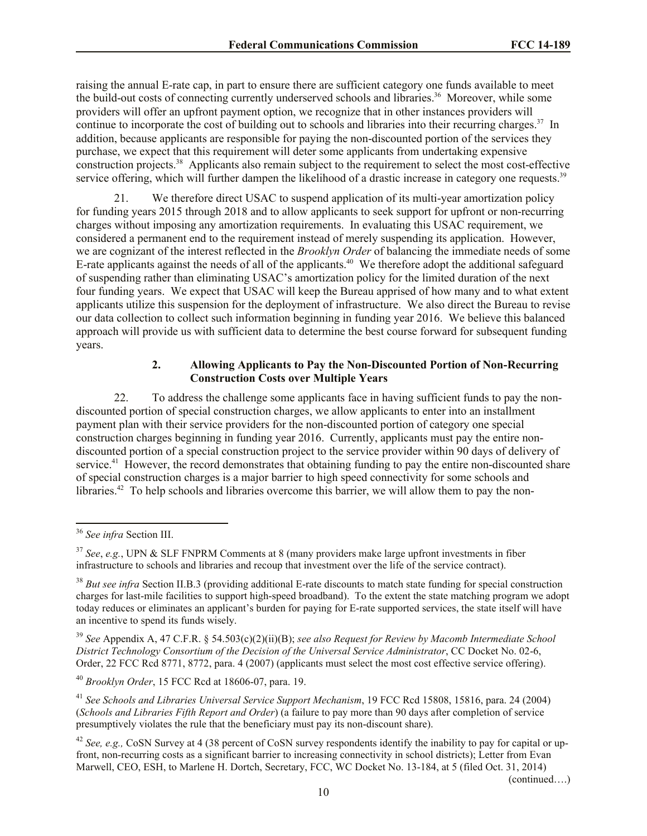raising the annual E-rate cap, in part to ensure there are sufficient category one funds available to meet the build-out costs of connecting currently underserved schools and libraries.<sup>36</sup> Moreover, while some providers will offer an upfront payment option, we recognize that in other instances providers will continue to incorporate the cost of building out to schools and libraries into their recurring charges.<sup>37</sup> In addition, because applicants are responsible for paying the non-discounted portion of the services they purchase, we expect that this requirement will deter some applicants from undertaking expensive construction projects.<sup>38</sup> Applicants also remain subject to the requirement to select the most cost-effective service offering, which will further dampen the likelihood of a drastic increase in category one requests.<sup>39</sup>

21. We therefore direct USAC to suspend application of its multi-year amortization policy for funding years 2015 through 2018 and to allow applicants to seek support for upfront or non-recurring charges without imposing any amortization requirements. In evaluating this USAC requirement, we considered a permanent end to the requirement instead of merely suspending its application. However, we are cognizant of the interest reflected in the *Brooklyn Order* of balancing the immediate needs of some E-rate applicants against the needs of all of the applicants.<sup>40</sup> We therefore adopt the additional safeguard of suspending rather than eliminating USAC's amortization policy for the limited duration of the next four funding years. We expect that USAC will keep the Bureau apprised of how many and to what extent applicants utilize this suspension for the deployment of infrastructure. We also direct the Bureau to revise our data collection to collect such information beginning in funding year 2016. We believe this balanced approach will provide us with sufficient data to determine the best course forward for subsequent funding years.

#### **2. Allowing Applicants to Pay the Non-Discounted Portion of Non-Recurring Construction Costs over Multiple Years**

22. To address the challenge some applicants face in having sufficient funds to pay the nondiscounted portion of special construction charges, we allow applicants to enter into an installment payment plan with their service providers for the non-discounted portion of category one special construction charges beginning in funding year 2016. Currently, applicants must pay the entire nondiscounted portion of a special construction project to the service provider within 90 days of delivery of service.<sup>41</sup> However, the record demonstrates that obtaining funding to pay the entire non-discounted share of special construction charges is a major barrier to high speed connectivity for some schools and libraries.<sup>42</sup> To help schools and libraries overcome this barrier, we will allow them to pay the non-

 $\overline{a}$ 

(continued….)

<sup>36</sup> *See infra* Section III.

<sup>37</sup> *See*, *e.g.*, UPN & SLF FNPRM Comments at 8 (many providers make large upfront investments in fiber infrastructure to schools and libraries and recoup that investment over the life of the service contract).

<sup>&</sup>lt;sup>38</sup> *But see infra* Section II.B.3 (providing additional E-rate discounts to match state funding for special construction charges for last-mile facilities to support high-speed broadband). To the extent the state matching program we adopt today reduces or eliminates an applicant's burden for paying for E-rate supported services, the state itself will have an incentive to spend its funds wisely.

<sup>39</sup> *See* Appendix A, 47 C.F.R. § 54.503(c)(2)(ii)(B); *see also Request for Review by Macomb Intermediate School District Technology Consortium of the Decision of the Universal Service Administrator*, CC Docket No. 02-6, Order, 22 FCC Rcd 8771, 8772, para. 4 (2007) (applicants must select the most cost effective service offering).

<sup>40</sup> *Brooklyn Order*, 15 FCC Rcd at 18606-07, para. 19.

<sup>41</sup> *See Schools and Libraries Universal Service Support Mechanism*, 19 FCC Rcd 15808, 15816, para. 24 (2004) (*Schools and Libraries Fifth Report and Order*) (a failure to pay more than 90 days after completion of service presumptively violates the rule that the beneficiary must pay its non-discount share).

<sup>&</sup>lt;sup>42</sup> *See, e.g.,* CoSN Survey at 4 (38 percent of CoSN survey respondents identify the inability to pay for capital or upfront, non-recurring costs as a significant barrier to increasing connectivity in school districts); Letter from Evan Marwell, CEO, ESH, to Marlene H. Dortch, Secretary, FCC, WC Docket No. 13-184, at 5 (filed Oct. 31, 2014)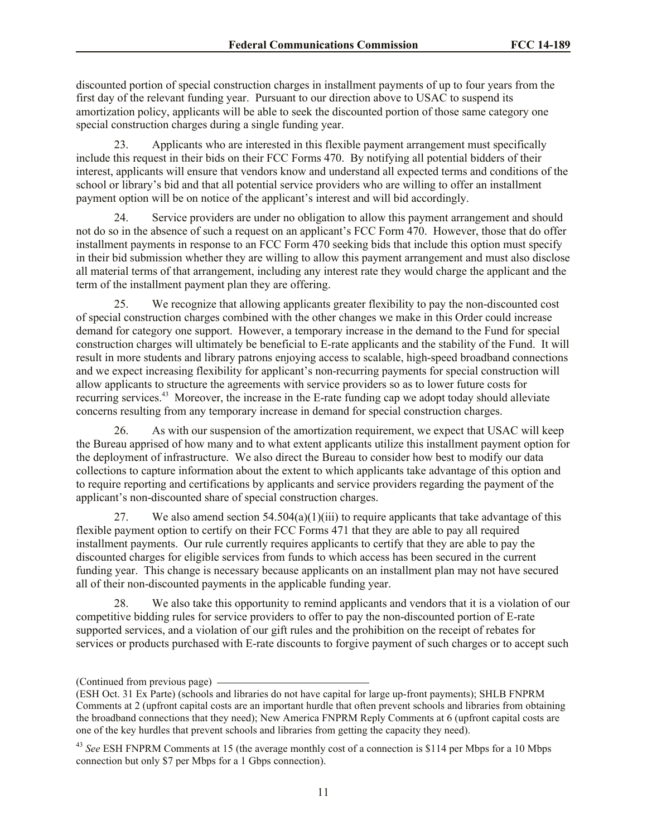discounted portion of special construction charges in installment payments of up to four years from the first day of the relevant funding year. Pursuant to our direction above to USAC to suspend its amortization policy, applicants will be able to seek the discounted portion of those same category one special construction charges during a single funding year.

23. Applicants who are interested in this flexible payment arrangement must specifically include this request in their bids on their FCC Forms 470. By notifying all potential bidders of their interest, applicants will ensure that vendors know and understand all expected terms and conditions of the school or library's bid and that all potential service providers who are willing to offer an installment payment option will be on notice of the applicant's interest and will bid accordingly.

Service providers are under no obligation to allow this payment arrangement and should not do so in the absence of such a request on an applicant's FCC Form 470. However, those that do offer installment payments in response to an FCC Form 470 seeking bids that include this option must specify in their bid submission whether they are willing to allow this payment arrangement and must also disclose all material terms of that arrangement, including any interest rate they would charge the applicant and the term of the installment payment plan they are offering.

25. We recognize that allowing applicants greater flexibility to pay the non-discounted cost of special construction charges combined with the other changes we make in this Order could increase demand for category one support. However, a temporary increase in the demand to the Fund for special construction charges will ultimately be beneficial to E-rate applicants and the stability of the Fund. It will result in more students and library patrons enjoying access to scalable, high-speed broadband connections and we expect increasing flexibility for applicant's non-recurring payments for special construction will allow applicants to structure the agreements with service providers so as to lower future costs for recurring services.<sup>43</sup> Moreover, the increase in the E-rate funding cap we adopt today should alleviate concerns resulting from any temporary increase in demand for special construction charges.

26. As with our suspension of the amortization requirement, we expect that USAC will keep the Bureau apprised of how many and to what extent applicants utilize this installment payment option for the deployment of infrastructure. We also direct the Bureau to consider how best to modify our data collections to capture information about the extent to which applicants take advantage of this option and to require reporting and certifications by applicants and service providers regarding the payment of the applicant's non-discounted share of special construction charges.

27. We also amend section  $54.504(a)(1)(iii)$  to require applicants that take advantage of this flexible payment option to certify on their FCC Forms 471 that they are able to pay all required installment payments. Our rule currently requires applicants to certify that they are able to pay the discounted charges for eligible services from funds to which access has been secured in the current funding year. This change is necessary because applicants on an installment plan may not have secured all of their non-discounted payments in the applicable funding year.

28. We also take this opportunity to remind applicants and vendors that it is a violation of our competitive bidding rules for service providers to offer to pay the non-discounted portion of E-rate supported services, and a violation of our gift rules and the prohibition on the receipt of rebates for services or products purchased with E-rate discounts to forgive payment of such charges or to accept such

<sup>(</sup>Continued from previous page)

<sup>(</sup>ESH Oct. 31 Ex Parte) (schools and libraries do not have capital for large up-front payments); SHLB FNPRM Comments at 2 (upfront capital costs are an important hurdle that often prevent schools and libraries from obtaining the broadband connections that they need); New America FNPRM Reply Comments at 6 (upfront capital costs are one of the key hurdles that prevent schools and libraries from getting the capacity they need).

<sup>43</sup> *See* ESH FNPRM Comments at 15 (the average monthly cost of a connection is \$114 per Mbps for a 10 Mbps connection but only \$7 per Mbps for a 1 Gbps connection).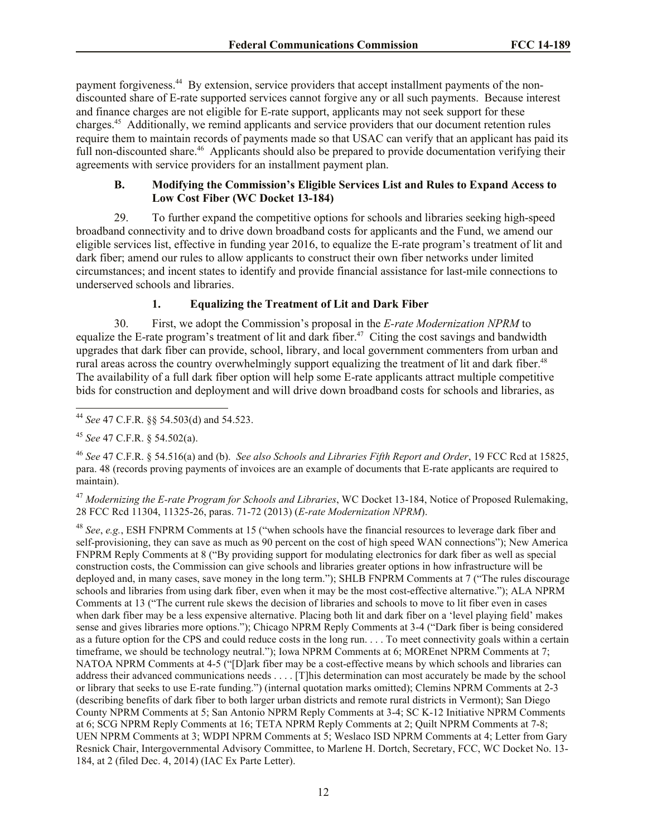payment forgiveness.<sup>44</sup> By extension, service providers that accept installment payments of the nondiscounted share of E-rate supported services cannot forgive any or all such payments. Because interest and finance charges are not eligible for E-rate support, applicants may not seek support for these charges.<sup>45</sup> Additionally, we remind applicants and service providers that our document retention rules require them to maintain records of payments made so that USAC can verify that an applicant has paid its full non-discounted share.<sup>46</sup> Applicants should also be prepared to provide documentation verifying their agreements with service providers for an installment payment plan.

# **B. Modifying the Commission's Eligible Services List and Rules to Expand Access to Low Cost Fiber (WC Docket 13-184)**

29. To further expand the competitive options for schools and libraries seeking high-speed broadband connectivity and to drive down broadband costs for applicants and the Fund, we amend our eligible services list, effective in funding year 2016, to equalize the E-rate program's treatment of lit and dark fiber; amend our rules to allow applicants to construct their own fiber networks under limited circumstances; and incent states to identify and provide financial assistance for last-mile connections to underserved schools and libraries.

# **1. Equalizing the Treatment of Lit and Dark Fiber**

30. First, we adopt the Commission's proposal in the *E-rate Modernization NPRM* to equalize the E-rate program's treatment of lit and dark fiber.<sup>47</sup> Citing the cost savings and bandwidth upgrades that dark fiber can provide, school, library, and local government commenters from urban and rural areas across the country overwhelmingly support equalizing the treatment of lit and dark fiber.<sup>48</sup> The availability of a full dark fiber option will help some E-rate applicants attract multiple competitive bids for construction and deployment and will drive down broadband costs for schools and libraries, as

<sup>47</sup> *Modernizing the E-rate Program for Schools and Libraries*, WC Docket 13-184, Notice of Proposed Rulemaking, 28 FCC Rcd 11304, 11325-26, paras. 71-72 (2013) (*E-rate Modernization NPRM*).

<sup>48</sup> *See*, *e.g.*, ESH FNPRM Comments at 15 ("when schools have the financial resources to leverage dark fiber and self-provisioning, they can save as much as 90 percent on the cost of high speed WAN connections"); New America FNPRM Reply Comments at 8 ("By providing support for modulating electronics for dark fiber as well as special construction costs, the Commission can give schools and libraries greater options in how infrastructure will be deployed and, in many cases, save money in the long term."); SHLB FNPRM Comments at 7 ("The rules discourage schools and libraries from using dark fiber, even when it may be the most cost-effective alternative."); ALA NPRM Comments at 13 ("The current rule skews the decision of libraries and schools to move to lit fiber even in cases when dark fiber may be a less expensive alternative. Placing both lit and dark fiber on a 'level playing field' makes sense and gives libraries more options."); Chicago NPRM Reply Comments at 3-4 ("Dark fiber is being considered as a future option for the CPS and could reduce costs in the long run. . . . To meet connectivity goals within a certain timeframe, we should be technology neutral."); Iowa NPRM Comments at 6; MOREnet NPRM Comments at 7; NATOA NPRM Comments at 4-5 ("[D]ark fiber may be a cost-effective means by which schools and libraries can address their advanced communications needs . . . . [T]his determination can most accurately be made by the school or library that seeks to use E-rate funding.") (internal quotation marks omitted); Clemins NPRM Comments at 2-3 (describing benefits of dark fiber to both larger urban districts and remote rural districts in Vermont); San Diego County NPRM Comments at 5; San Antonio NPRM Reply Comments at 3-4; SC K-12 Initiative NPRM Comments at 6; SCG NPRM Reply Comments at 16; TETA NPRM Reply Comments at 2; Quilt NPRM Comments at 7-8; UEN NPRM Comments at 3; WDPI NPRM Comments at 5; Weslaco ISD NPRM Comments at 4; Letter from Gary Resnick Chair, Intergovernmental Advisory Committee, to Marlene H. Dortch, Secretary, FCC, WC Docket No. 13- 184, at 2 (filed Dec. 4, 2014) (IAC Ex Parte Letter).

 $\overline{\phantom{a}}$ <sup>44</sup> *See* 47 C.F.R. §§ 54.503(d) and 54.523.

<sup>45</sup> *See* 47 C.F.R. § 54.502(a).

<sup>46</sup> *See* 47 C.F.R. § 54.516(a) and (b). *See also Schools and Libraries Fifth Report and Order*, 19 FCC Rcd at 15825, para. 48 (records proving payments of invoices are an example of documents that E-rate applicants are required to maintain).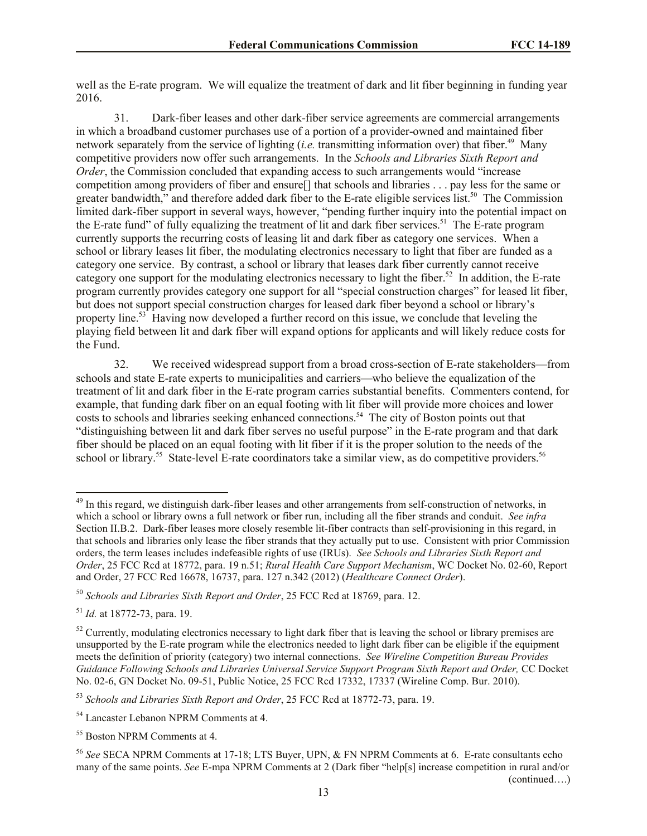well as the E-rate program. We will equalize the treatment of dark and lit fiber beginning in funding year 2016.

31. Dark-fiber leases and other dark-fiber service agreements are commercial arrangements in which a broadband customer purchases use of a portion of a provider-owned and maintained fiber network separately from the service of lighting  $(i.e.$  transmitting information over) that fiber.<sup>49</sup> Many competitive providers now offer such arrangements. In the *Schools and Libraries Sixth Report and Order*, the Commission concluded that expanding access to such arrangements would "increase" competition among providers of fiber and ensure[] that schools and libraries . . . pay less for the same or greater bandwidth," and therefore added dark fiber to the E-rate eligible services list.<sup>50</sup> The Commission limited dark-fiber support in several ways, however, "pending further inquiry into the potential impact on the E-rate fund" of fully equalizing the treatment of lit and dark fiber services.<sup>51</sup> The E-rate program currently supports the recurring costs of leasing lit and dark fiber as category one services. When a school or library leases lit fiber, the modulating electronics necessary to light that fiber are funded as a category one service. By contrast, a school or library that leases dark fiber currently cannot receive category one support for the modulating electronics necessary to light the fiber.<sup>52</sup> In addition, the E-rate program currently provides category one support for all "special construction charges" for leased lit fiber, but does not support special construction charges for leased dark fiber beyond a school or library's property line.<sup>53</sup> Having now developed a further record on this issue, we conclude that leveling the playing field between lit and dark fiber will expand options for applicants and will likely reduce costs for the Fund.

32. We received widespread support from a broad cross-section of E-rate stakeholders—from schools and state E-rate experts to municipalities and carriers—who believe the equalization of the treatment of lit and dark fiber in the E-rate program carries substantial benefits. Commenters contend, for example, that funding dark fiber on an equal footing with lit fiber will provide more choices and lower costs to schools and libraries seeking enhanced connections. 54 The city of Boston points out that "distinguishing between lit and dark fiber serves no useful purpose" in the E-rate program and that dark fiber should be placed on an equal footing with lit fiber if it is the proper solution to the needs of the school or library.<sup>55</sup> State-level E-rate coordinators take a similar view, as do competitive providers.<sup>56</sup>

 $\overline{\phantom{a}}$ 

<sup>&</sup>lt;sup>49</sup> In this regard, we distinguish dark-fiber leases and other arrangements from self-construction of networks, in which a school or library owns a full network or fiber run, including all the fiber strands and conduit. *See infra* Section II.B.2. Dark-fiber leases more closely resemble lit-fiber contracts than self-provisioning in this regard, in that schools and libraries only lease the fiber strands that they actually put to use. Consistent with prior Commission orders, the term leases includes indefeasible rights of use (IRUs). *See Schools and Libraries Sixth Report and Order*, 25 FCC Rcd at 18772, para. 19 n.51; *Rural Health Care Support Mechanism*, WC Docket No. 02-60, Report and Order, 27 FCC Rcd 16678, 16737, para. 127 n.342 (2012) (*Healthcare Connect Order*).

<sup>50</sup> *Schools and Libraries Sixth Report and Order*, 25 FCC Rcd at 18769, para. 12.

<sup>51</sup> *Id.* at 18772-73, para. 19.

 $52$  Currently, modulating electronics necessary to light dark fiber that is leaving the school or library premises are unsupported by the E-rate program while the electronics needed to light dark fiber can be eligible if the equipment meets the definition of priority (category) two internal connections. *See Wireline Competition Bureau Provides Guidance Following Schools and Libraries Universal Service Support Program Sixth Report and Order,* CC Docket No. 02-6, GN Docket No. 09-51, Public Notice, 25 FCC Rcd 17332, 17337 (Wireline Comp. Bur. 2010).

<sup>53</sup> *Schools and Libraries Sixth Report and Order*, 25 FCC Rcd at 18772-73, para. 19.

<sup>54</sup> Lancaster Lebanon NPRM Comments at 4.

<sup>55</sup> Boston NPRM Comments at 4.

<sup>56</sup> *See* SECA NPRM Comments at 17-18; LTS Buyer, UPN, & FN NPRM Comments at 6. E-rate consultants echo many of the same points. *See* E-mpa NPRM Comments at 2 (Dark fiber "help[s] increase competition in rural and/or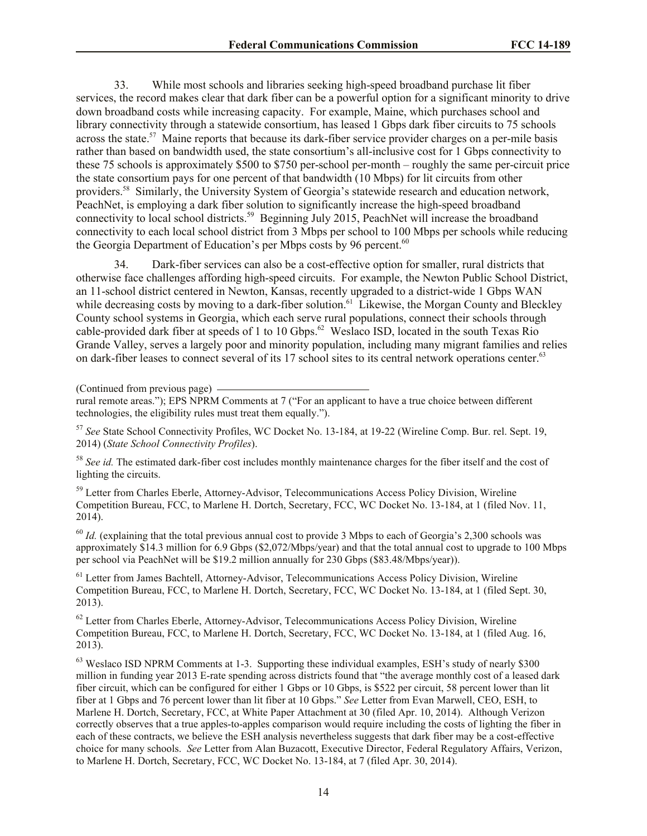33. While most schools and libraries seeking high-speed broadband purchase lit fiber services, the record makes clear that dark fiber can be a powerful option for a significant minority to drive down broadband costs while increasing capacity. For example, Maine, which purchases school and library connectivity through a statewide consortium, has leased 1 Gbps dark fiber circuits to 75 schools across the state.<sup>57</sup> Maine reports that because its dark-fiber service provider charges on a per-mile basis rather than based on bandwidth used, the state consortium's all-inclusive cost for 1 Gbps connectivity to these 75 schools is approximately \$500 to \$750 per-school per-month – roughly the same per-circuit price the state consortium pays for one percent of that bandwidth (10 Mbps) for lit circuits from other providers.<sup>58</sup> Similarly, the University System of Georgia's statewide research and education network, PeachNet, is employing a dark fiber solution to significantly increase the high-speed broadband connectivity to local school districts.<sup>59</sup> Beginning July 2015, PeachNet will increase the broadband connectivity to each local school district from 3 Mbps per school to 100 Mbps per schools while reducing the Georgia Department of Education's per Mbps costs by 96 percent.<sup>60</sup>

34. Dark-fiber services can also be a cost-effective option for smaller, rural districts that otherwise face challenges affording high-speed circuits. For example, the Newton Public School District, an 11-school district centered in Newton, Kansas, recently upgraded to a district-wide 1 Gbps WAN while decreasing costs by moving to a dark-fiber solution.<sup>61</sup> Likewise, the Morgan County and Bleckley County school systems in Georgia, which each serve rural populations, connect their schools through cable-provided dark fiber at speeds of 1 to 10 Gbps. 62 Weslaco ISD, located in the south Texas Rio Grande Valley, serves a largely poor and minority population, including many migrant families and relies on dark-fiber leases to connect several of its 17 school sites to its central network operations center.<sup>63</sup>

(Continued from previous page)

<sup>57</sup> *See* State School Connectivity Profiles, WC Docket No. 13-184, at 19-22 (Wireline Comp. Bur. rel. Sept. 19, 2014) (*State School Connectivity Profiles*).

<sup>58</sup> See id. The estimated dark-fiber cost includes monthly maintenance charges for the fiber itself and the cost of lighting the circuits.

<sup>59</sup> Letter from Charles Eberle, Attorney-Advisor, Telecommunications Access Policy Division, Wireline Competition Bureau, FCC, to Marlene H. Dortch, Secretary, FCC, WC Docket No. 13-184, at 1 (filed Nov. 11, 2014).

 $^{60}$  *Id.* (explaining that the total previous annual cost to provide 3 Mbps to each of Georgia's 2,300 schools was approximately \$14.3 million for 6.9 Gbps (\$2,072/Mbps/year) and that the total annual cost to upgrade to 100 Mbps per school via PeachNet will be \$19.2 million annually for 230 Gbps (\$83.48/Mbps/year)).

<sup>61</sup> Letter from James Bachtell, Attorney-Advisor, Telecommunications Access Policy Division, Wireline Competition Bureau, FCC, to Marlene H. Dortch, Secretary, FCC, WC Docket No. 13-184, at 1 (filed Sept. 30, 2013).

 $62$  Letter from Charles Eberle, Attorney-Advisor, Telecommunications Access Policy Division, Wireline Competition Bureau, FCC, to Marlene H. Dortch, Secretary, FCC, WC Docket No. 13-184, at 1 (filed Aug. 16, 2013).

 $63$  Weslaco ISD NPRM Comments at 1-3. Supporting these individual examples, ESH's study of nearly \$300 million in funding year 2013 E-rate spending across districts found that "the average monthly cost of a leased dark fiber circuit, which can be configured for either 1 Gbps or 10 Gbps, is \$522 per circuit, 58 percent lower than lit fiber at 1 Gbps and 76 percent lower than lit fiber at 10 Gbps." *See* Letter from Evan Marwell, CEO, ESH, to Marlene H. Dortch, Secretary, FCC, at White Paper Attachment at 30 (filed Apr. 10, 2014). Although Verizon correctly observes that a true apples-to-apples comparison would require including the costs of lighting the fiber in each of these contracts, we believe the ESH analysis nevertheless suggests that dark fiber may be a cost-effective choice for many schools. *See* Letter from Alan Buzacott, Executive Director, Federal Regulatory Affairs, Verizon, to Marlene H. Dortch, Secretary, FCC, WC Docket No. 13-184, at 7 (filed Apr. 30, 2014).

rural remote areas."); EPS NPRM Comments at 7 ("For an applicant to have a true choice between different technologies, the eligibility rules must treat them equally.").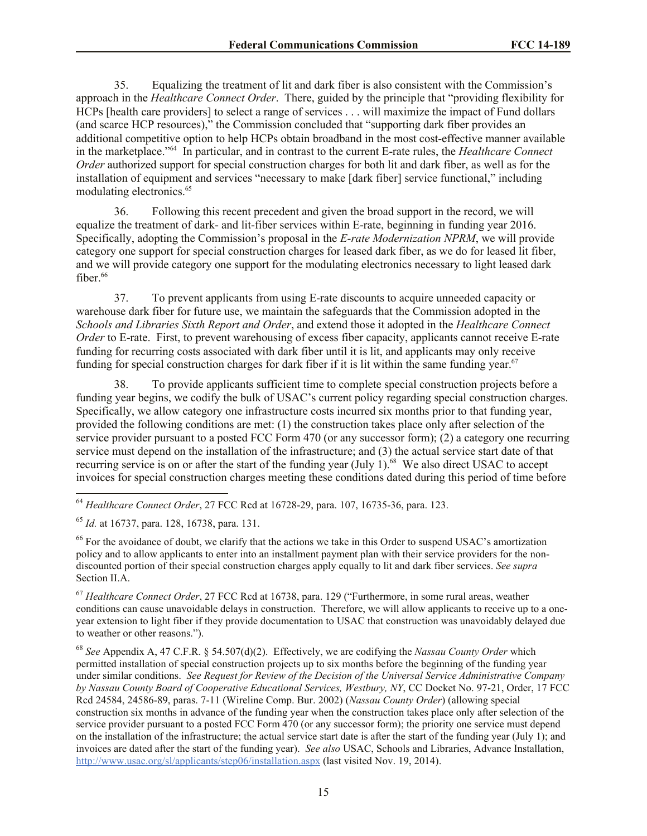35. Equalizing the treatment of lit and dark fiber is also consistent with the Commission's approach in the *Healthcare Connect Order*. There, guided by the principle that "providing flexibility for HCPs [health care providers] to select a range of services . . . will maximize the impact of Fund dollars (and scarce HCP resources)," the Commission concluded that "supporting dark fiber provides an additional competitive option to help HCPs obtain broadband in the most cost-effective manner available in the marketplace."<sup>64</sup> In particular, and in contrast to the current E-rate rules, the *Healthcare Connect Order* authorized support for special construction charges for both lit and dark fiber, as well as for the installation of equipment and services "necessary to make [dark fiber] service functional," including modulating electronics.<sup>65</sup>

36. Following this recent precedent and given the broad support in the record, we will equalize the treatment of dark- and lit-fiber services within E-rate, beginning in funding year 2016. Specifically, adopting the Commission's proposal in the *E-rate Modernization NPRM*, we will provide category one support for special construction charges for leased dark fiber, as we do for leased lit fiber, and we will provide category one support for the modulating electronics necessary to light leased dark fiber. $66$ 

37. To prevent applicants from using E-rate discounts to acquire unneeded capacity or warehouse dark fiber for future use, we maintain the safeguards that the Commission adopted in the *Schools and Libraries Sixth Report and Order*, and extend those it adopted in the *Healthcare Connect Order* to E-rate. First, to prevent warehousing of excess fiber capacity, applicants cannot receive E-rate funding for recurring costs associated with dark fiber until it is lit, and applicants may only receive funding for special construction charges for dark fiber if it is lit within the same funding year.<sup>67</sup>

38. To provide applicants sufficient time to complete special construction projects before a funding year begins, we codify the bulk of USAC's current policy regarding special construction charges. Specifically, we allow category one infrastructure costs incurred six months prior to that funding year, provided the following conditions are met: (1) the construction takes place only after selection of the service provider pursuant to a posted FCC Form 470 (or any successor form); (2) a category one recurring service must depend on the installation of the infrastructure; and (3) the actual service start date of that recurring service is on or after the start of the funding year (July 1).<sup>68</sup> We also direct USAC to accept invoices for special construction charges meeting these conditions dated during this period of time before

<sup>64</sup> *Healthcare Connect Order*, 27 FCC Rcd at 16728-29, para. 107, 16735-36, para. 123.

<sup>65</sup> *Id.* at 16737, para. 128, 16738, para. 131.

 $\overline{a}$ 

<sup>66</sup> For the avoidance of doubt, we clarify that the actions we take in this Order to suspend USAC's amortization policy and to allow applicants to enter into an installment payment plan with their service providers for the nondiscounted portion of their special construction charges apply equally to lit and dark fiber services. *See supra* Section II.A.

<sup>67</sup> *Healthcare Connect Order*, 27 FCC Rcd at 16738, para. 129 ("Furthermore, in some rural areas, weather conditions can cause unavoidable delays in construction. Therefore, we will allow applicants to receive up to a oneyear extension to light fiber if they provide documentation to USAC that construction was unavoidably delayed due to weather or other reasons.").

<sup>68</sup> *See* Appendix A, 47 C.F.R. § 54.507(d)(2). Effectively, we are codifying the *Nassau County Order* which permitted installation of special construction projects up to six months before the beginning of the funding year under similar conditions. *See Request for Review of the Decision of the Universal Service Administrative Company by Nassau County Board of Cooperative Educational Services, Westbury, NY*, CC Docket No. 97-21, Order, 17 FCC Rcd 24584, 24586-89, paras. 7-11 (Wireline Comp. Bur. 2002) (*Nassau County Order*) (allowing special construction six months in advance of the funding year when the construction takes place only after selection of the service provider pursuant to a posted FCC Form 470 (or any successor form); the priority one service must depend on the installation of the infrastructure; the actual service start date is after the start of the funding year (July 1); and invoices are dated after the start of the funding year). *See also* USAC, Schools and Libraries, Advance Installation, http://www.usac.org/sl/applicants/step06/installation.aspx (last visited Nov. 19, 2014).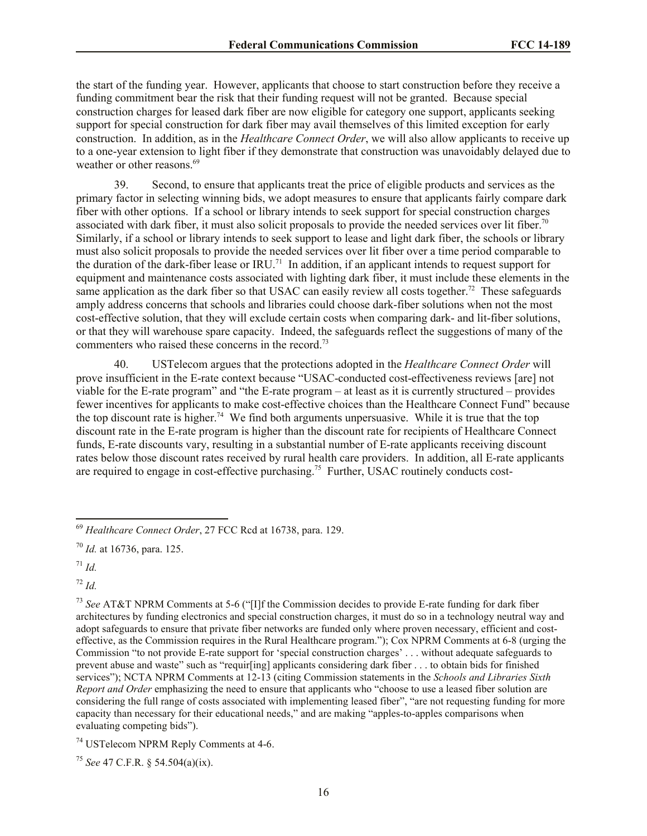the start of the funding year. However, applicants that choose to start construction before they receive a funding commitment bear the risk that their funding request will not be granted. Because special construction charges for leased dark fiber are now eligible for category one support, applicants seeking support for special construction for dark fiber may avail themselves of this limited exception for early construction. In addition, as in the *Healthcare Connect Order*, we will also allow applicants to receive up to a one-year extension to light fiber if they demonstrate that construction was unavoidably delayed due to weather or other reasons.<sup>69</sup>

39. Second, to ensure that applicants treat the price of eligible products and services as the primary factor in selecting winning bids, we adopt measures to ensure that applicants fairly compare dark fiber with other options. If a school or library intends to seek support for special construction charges associated with dark fiber, it must also solicit proposals to provide the needed services over lit fiber.<sup>70</sup> Similarly, if a school or library intends to seek support to lease and light dark fiber, the schools or library must also solicit proposals to provide the needed services over lit fiber over a time period comparable to the duration of the dark-fiber lease or IRU.<sup>71</sup> In addition, if an applicant intends to request support for equipment and maintenance costs associated with lighting dark fiber, it must include these elements in the same application as the dark fiber so that USAC can easily review all costs together.<sup>72</sup> These safeguards amply address concerns that schools and libraries could choose dark-fiber solutions when not the most cost-effective solution, that they will exclude certain costs when comparing dark- and lit-fiber solutions, or that they will warehouse spare capacity. Indeed, the safeguards reflect the suggestions of many of the commenters who raised these concerns in the record.<sup>73</sup>

40. USTelecom argues that the protections adopted in the *Healthcare Connect Order* will prove insufficient in the E-rate context because "USAC-conducted cost-effectiveness reviews [are] not viable for the E-rate program" and "the E-rate program – at least as it is currently structured – provides fewer incentives for applicants to make cost-effective choices than the Healthcare Connect Fund" because the top discount rate is higher.<sup>74</sup> We find both arguments unpersuasive. While it is true that the top discount rate in the E-rate program is higher than the discount rate for recipients of Healthcare Connect funds, E-rate discounts vary, resulting in a substantial number of E-rate applicants receiving discount rates below those discount rates received by rural health care providers. In addition, all E-rate applicants are required to engage in cost-effective purchasing.<sup>75</sup> Further, USAC routinely conducts cost-

 $\overline{a}$ 

<sup>72</sup> *Id.*

<sup>69</sup> *Healthcare Connect Order*, 27 FCC Rcd at 16738, para. 129.

<sup>70</sup> *Id.* at 16736, para. 125.

 $17^{1}$  *Id.* 

<sup>73</sup> *See* AT&T NPRM Comments at 5-6 ("[I]f the Commission decides to provide E-rate funding for dark fiber architectures by funding electronics and special construction charges, it must do so in a technology neutral way and adopt safeguards to ensure that private fiber networks are funded only where proven necessary, efficient and costeffective, as the Commission requires in the Rural Healthcare program."); Cox NPRM Comments at 6-8 (urging the Commission "to not provide E-rate support for 'special construction charges' . . . without adequate safeguards to prevent abuse and waste" such as "requir[ing] applicants considering dark fiber . . . to obtain bids for finished services"); NCTA NPRM Comments at 12-13 (citing Commission statements in the *Schools and Libraries Sixth Report and Order* emphasizing the need to ensure that applicants who "choose to use a leased fiber solution are considering the full range of costs associated with implementing leased fiber", "are not requesting funding for more capacity than necessary for their educational needs," and are making "apples-to-apples comparisons when evaluating competing bids").

<sup>74</sup> USTelecom NPRM Reply Comments at 4-6.

<sup>75</sup> *See* 47 C.F.R. § 54.504(a)(ix).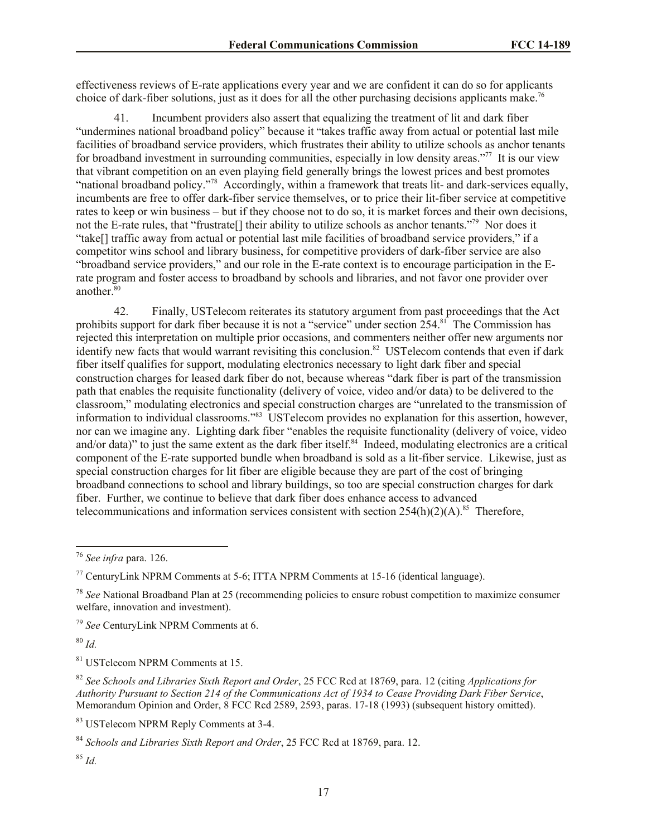effectiveness reviews of E-rate applications every year and we are confident it can do so for applicants choice of dark-fiber solutions, just as it does for all the other purchasing decisions applicants make.<sup>76</sup>

41. Incumbent providers also assert that equalizing the treatment of lit and dark fiber "undermines national broadband policy" because it "takes traffic away from actual or potential last mile facilities of broadband service providers, which frustrates their ability to utilize schools as anchor tenants for broadband investment in surrounding communities, especially in low density areas."<sup>77</sup> It is our view that vibrant competition on an even playing field generally brings the lowest prices and best promotes "national broadband policy."<sup>78</sup> Accordingly, within a framework that treats lit- and dark-services equally, incumbents are free to offer dark-fiber service themselves, or to price their lit-fiber service at competitive rates to keep or win business – but if they choose not to do so, it is market forces and their own decisions, not the E-rate rules, that "frustrate<sup>[]</sup> their ability to utilize schools as anchor tenants."<sup>79</sup> Nor does it "take[] traffic away from actual or potential last mile facilities of broadband service providers," if a competitor wins school and library business, for competitive providers of dark-fiber service are also "broadband service providers," and our role in the E-rate context is to encourage participation in the Erate program and foster access to broadband by schools and libraries, and not favor one provider over another.<sup>80</sup>

42. Finally, USTelecom reiterates its statutory argument from past proceedings that the Act prohibits support for dark fiber because it is not a "service" under section 254.<sup>81</sup> The Commission has rejected this interpretation on multiple prior occasions, and commenters neither offer new arguments nor identify new facts that would warrant revisiting this conclusion.<sup>82</sup> USTelecom contends that even if dark fiber itself qualifies for support, modulating electronics necessary to light dark fiber and special construction charges for leased dark fiber do not, because whereas "dark fiber is part of the transmission path that enables the requisite functionality (delivery of voice, video and/or data) to be delivered to the classroom," modulating electronics and special construction charges are "unrelated to the transmission of information to individual classrooms." 83 USTelecom provides no explanation for this assertion, however, nor can we imagine any. Lighting dark fiber "enables the requisite functionality (delivery of voice, video and/or data)" to just the same extent as the dark fiber itself.<sup>84</sup> Indeed, modulating electronics are a critical component of the E-rate supported bundle when broadband is sold as a lit-fiber service. Likewise, just as special construction charges for lit fiber are eligible because they are part of the cost of bringing broadband connections to school and library buildings, so too are special construction charges for dark fiber. Further, we continue to believe that dark fiber does enhance access to advanced telecommunications and information services consistent with section  $254(h)(2)(A)$ .<sup>85</sup> Therefore,

<sup>79</sup> *See* CenturyLink NPRM Comments at 6.

<sup>80</sup> *Id.*

 $\overline{\phantom{a}}$ 

<sup>81</sup> USTelecom NPRM Comments at 15.

<sup>82</sup> *See Schools and Libraries Sixth Report and Order*, 25 FCC Rcd at 18769, para. 12 (citing *Applications for Authority Pursuant to Section 214 of the Communications Act of 1934 to Cease Providing Dark Fiber Service*, Memorandum Opinion and Order,  $\overline{8}$  FCC Rcd 2589, 2593, paras. 17-18 (1993) (subsequent history omitted).

<sup>83</sup> USTelecom NPRM Reply Comments at 3-4.

<sup>76</sup> *See infra* para. 126.

 $77$  CenturyLink NPRM Comments at 5-6; ITTA NPRM Comments at 15-16 (identical language).

<sup>78</sup> *See* National Broadband Plan at 25 (recommending policies to ensure robust competition to maximize consumer welfare, innovation and investment).

<sup>84</sup> *Schools and Libraries Sixth Report and Order*, 25 FCC Rcd at 18769, para. 12.

<sup>85</sup> *Id.*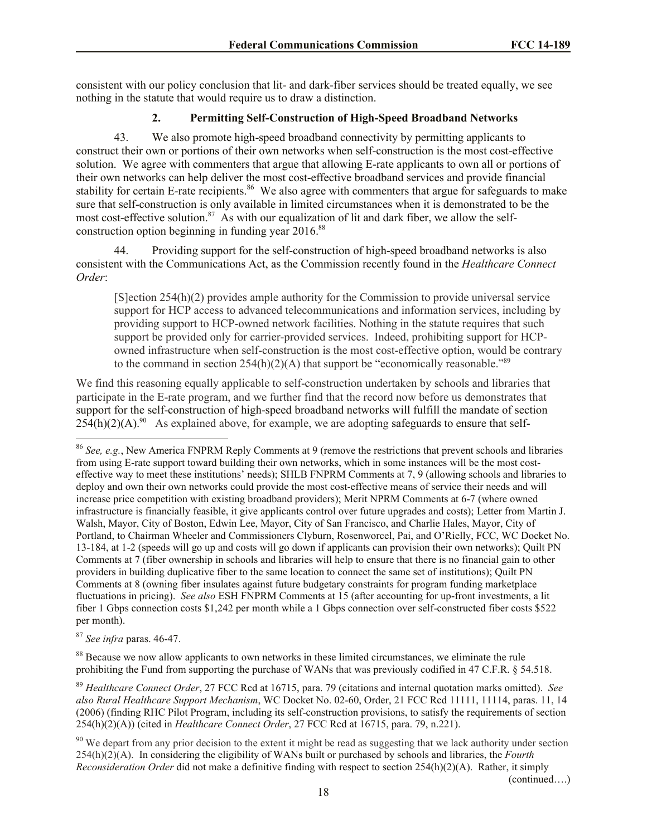consistent with our policy conclusion that lit- and dark-fiber services should be treated equally, we see nothing in the statute that would require us to draw a distinction.

#### **2. Permitting Self-Construction of High-Speed Broadband Networks**

43. We also promote high-speed broadband connectivity by permitting applicants to construct their own or portions of their own networks when self-construction is the most cost-effective solution. We agree with commenters that argue that allowing E-rate applicants to own all or portions of their own networks can help deliver the most cost-effective broadband services and provide financial stability for certain E-rate recipients.<sup>86</sup> We also agree with commenters that argue for safeguards to make sure that self-construction is only available in limited circumstances when it is demonstrated to be the most cost-effective solution.<sup>87</sup> As with our equalization of lit and dark fiber, we allow the selfconstruction option beginning in funding year 2016.<sup>88</sup>

44. Providing support for the self-construction of high-speed broadband networks is also consistent with the Communications Act, as the Commission recently found in the *Healthcare Connect Order*:

[S]ection 254(h)(2) provides ample authority for the Commission to provide universal service support for HCP access to advanced telecommunications and information services, including by providing support to HCP-owned network facilities. Nothing in the statute requires that such support be provided only for carrier-provided services. Indeed, prohibiting support for HCPowned infrastructure when self-construction is the most cost-effective option, would be contrary to the command in section  $254(h)(2)(A)$  that support be "economically reasonable."<sup>89</sup>

We find this reasoning equally applicable to self-construction undertaken by schools and libraries that participate in the E-rate program, and we further find that the record now before us demonstrates that support for the self-construction of high-speed broadband networks will fulfill the mandate of section  $254(h)(2)(A)$ .<sup>90</sup> As explained above, for example, we are adopting safeguards to ensure that self-

<sup>87</sup> *See infra* paras. 46-47.

 $\overline{\phantom{a}}$ 

<sup>88</sup> Because we now allow applicants to own networks in these limited circumstances, we eliminate the rule prohibiting the Fund from supporting the purchase of WANs that was previously codified in 47 C.F.R. § 54.518.

<sup>89</sup> *Healthcare Connect Order*, 27 FCC Rcd at 16715, para. 79 (citations and internal quotation marks omitted). *See also Rural Healthcare Support Mechanism*, WC Docket No. 02-60, Order, 21 FCC Rcd 11111, 11114, paras. 11, 14 (2006) (finding RHC Pilot Program, including its self-construction provisions, to satisfy the requirements of section 254(h)(2)(A)) (cited in *Healthcare Connect Order*, 27 FCC Rcd at 16715, para. 79, n.221).

<sup>90</sup> We depart from any prior decision to the extent it might be read as suggesting that we lack authority under section 254(h)(2)(A). In considering the eligibility of WANs built or purchased by schools and libraries, the *Fourth Reconsideration Order* did not make a definitive finding with respect to section 254(h)(2)(A). Rather, it simply

(continued….)

<sup>86</sup> *See, e.g.*, New America FNPRM Reply Comments at 9 (remove the restrictions that prevent schools and libraries from using E-rate support toward building their own networks, which in some instances will be the most costeffective way to meet these institutions' needs); SHLB FNPRM Comments at 7, 9 (allowing schools and libraries to deploy and own their own networks could provide the most cost-effective means of service their needs and will increase price competition with existing broadband providers); Merit NPRM Comments at 6-7 (where owned infrastructure is financially feasible, it give applicants control over future upgrades and costs); Letter from Martin J. Walsh, Mayor, City of Boston, Edwin Lee, Mayor, City of San Francisco, and Charlie Hales, Mayor, City of Portland, to Chairman Wheeler and Commissioners Clyburn, Rosenworcel, Pai, and O'Rielly, FCC, WC Docket No. 13-184, at 1-2 (speeds will go up and costs will go down if applicants can provision their own networks); Quilt PN Comments at 7 (fiber ownership in schools and libraries will help to ensure that there is no financial gain to other providers in building duplicative fiber to the same location to connect the same set of institutions); Quilt PN Comments at 8 (owning fiber insulates against future budgetary constraints for program funding marketplace fluctuations in pricing). *See also* ESH FNPRM Comments at 15 (after accounting for up-front investments, a lit fiber 1 Gbps connection costs \$1,242 per month while a 1 Gbps connection over self-constructed fiber costs \$522 per month).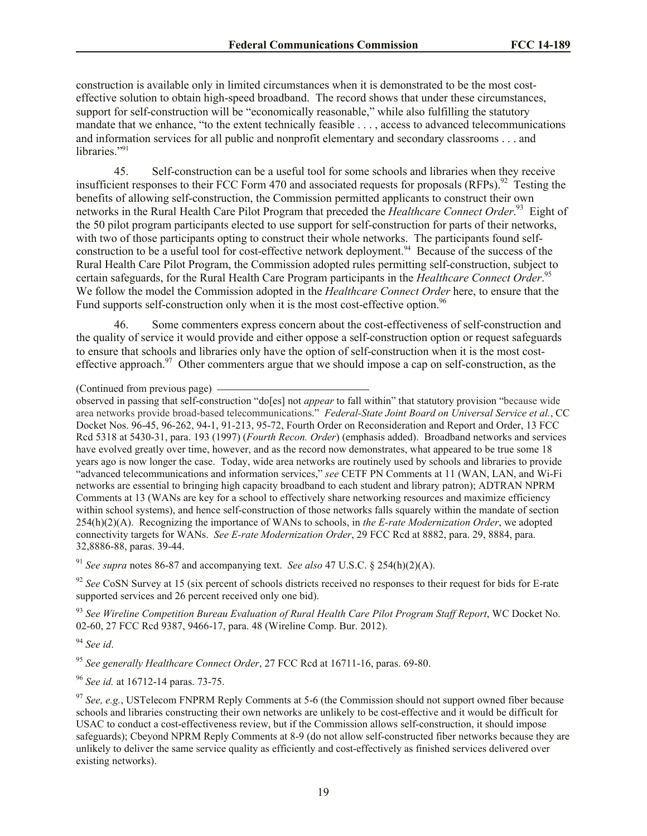construction is available only in limited circumstances when it is demonstrated to be the most costeffective solution to obtain high-speed broadband. The record shows that under these circumstances, support for self-construction will be "economically reasonable," while also fulfilling the statutory mandate that we enhance, "to the extent technically feasible . . . , access to advanced telecommunications and information services for all public and nonprofit elementary and secondary classrooms . . . and libraries."<sup>91</sup>

45. Self-construction can be a useful tool for some schools and libraries when they receive insufficient responses to their FCC Form 470 and associated requests for proposals (RFPs).<sup>92</sup> Testing the benefits of allowing self-construction, the Commission permitted applicants to construct their own networks in the Rural Health Care Pilot Program that preceded the *Healthcare Connect Order*. 93 Eight of the 50 pilot program participants elected to use support for self-construction for parts of their networks, with two of those participants opting to construct their whole networks. The participants found selfconstruction to be a useful tool for cost-effective network deployment.<sup>94</sup> Because of the success of the Rural Health Care Pilot Program, the Commission adopted rules permitting self-construction, subject to certain safeguards, for the Rural Health Care Program participants in the *Healthcare Connect Order*. 95 We follow the model the Commission adopted in the *Healthcare Connect Order* here, to ensure that the Fund supports self-construction only when it is the most cost-effective option.<sup>96</sup>

46. Some commenters express concern about the cost-effectiveness of self-construction and the quality of service it would provide and either oppose a self-construction option or request safeguards to ensure that schools and libraries only have the option of self-construction when it is the most costeffective approach.<sup>97</sup> Other commenters argue that we should impose a cap on self-construction, as the

observed in passing that self-construction "do[es] not *appear* to fall within" that statutory provision "because wide area networks provide broad-based telecommunications." *Federal-State Joint Board on Universal Service et al.*, CC Docket Nos. 96-45, 96-262, 94-1, 91-213, 95-72, Fourth Order on Reconsideration and Report and Order, 13 FCC Rcd 5318 at 5430-31, para. 193 (1997) (*Fourth Recon. Order*) (emphasis added). Broadband networks and services have evolved greatly over time, however, and as the record now demonstrates, what appeared to be true some 18 years ago is now longer the case. Today, wide area networks are routinely used by schools and libraries to provide "advanced telecommunications and information services," *see* CETF PN Comments at 11 (WAN, LAN, and Wi-Fi networks are essential to bringing high capacity broadband to each student and library patron); ADTRAN NPRM Comments at 13 (WANs are key for a school to effectively share networking resources and maximize efficiency within school systems), and hence self-construction of those networks falls squarely within the mandate of section 254(h)(2)(A). Recognizing the importance of WANs to schools, in *the E-rate Modernization Order*, we adopted connectivity targets for WANs. *See E-rate Modernization Order*, 29 FCC Rcd at 8882, para. 29, 8884, para. 32,8886-88, paras. 39-44.

<sup>91</sup> *See supra* notes 86-87 and accompanying text. *See also* 47 U.S.C. § 254(h)(2)(A).

<sup>92</sup> See CoSN Survey at 15 (six percent of schools districts received no responses to their request for bids for E-rate supported services and 26 percent received only one bid).

<sup>93</sup> *See Wireline Competition Bureau Evaluation of Rural Health Care Pilot Program Staff Report*, WC Docket No. 02-60, 27 FCC Rcd 9387, 9466-17, para. 48 (Wireline Comp. Bur. 2012).

<sup>94</sup> *See id*.

<sup>95</sup> *See generally Healthcare Connect Order*, 27 FCC Rcd at 16711-16, paras. 69-80.

<sup>96</sup> *See id.* at 16712-14 paras. 73-75.

<sup>(</sup>Continued from previous page)

<sup>&</sup>lt;sup>97</sup> See, e.g., USTelecom FNPRM Reply Comments at 5-6 (the Commission should not support owned fiber because schools and libraries constructing their own networks are unlikely to be cost-effective and it would be difficult for USAC to conduct a cost-effectiveness review, but if the Commission allows self-construction, it should impose safeguards); Cbeyond NPRM Reply Comments at 8-9 (do not allow self-constructed fiber networks because they are unlikely to deliver the same service quality as efficiently and cost-effectively as finished services delivered over existing networks).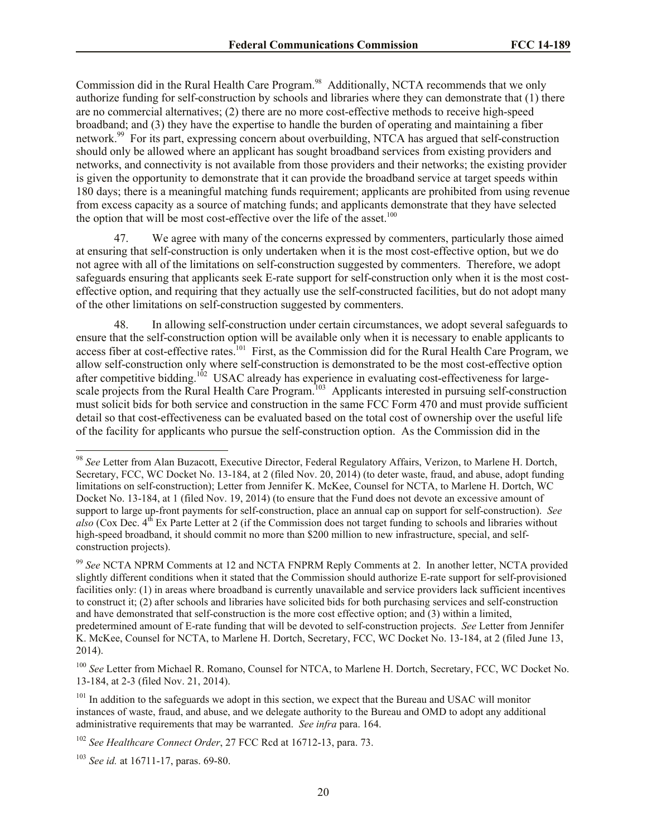Commission did in the Rural Health Care Program.<sup>98</sup> Additionally, NCTA recommends that we only authorize funding for self-construction by schools and libraries where they can demonstrate that (1) there are no commercial alternatives; (2) there are no more cost-effective methods to receive high-speed broadband; and (3) they have the expertise to handle the burden of operating and maintaining a fiber network.<sup>99</sup> For its part, expressing concern about overbuilding, NTCA has argued that self-construction should only be allowed where an applicant has sought broadband services from existing providers and networks, and connectivity is not available from those providers and their networks; the existing provider is given the opportunity to demonstrate that it can provide the broadband service at target speeds within 180 days; there is a meaningful matching funds requirement; applicants are prohibited from using revenue from excess capacity as a source of matching funds; and applicants demonstrate that they have selected the option that will be most cost-effective over the life of the asset.<sup>100</sup>

47. We agree with many of the concerns expressed by commenters, particularly those aimed at ensuring that self-construction is only undertaken when it is the most cost-effective option, but we do not agree with all of the limitations on self-construction suggested by commenters. Therefore, we adopt safeguards ensuring that applicants seek E-rate support for self-construction only when it is the most costeffective option, and requiring that they actually use the self-constructed facilities, but do not adopt many of the other limitations on self-construction suggested by commenters.

48. In allowing self-construction under certain circumstances, we adopt several safeguards to ensure that the self-construction option will be available only when it is necessary to enable applicants to access fiber at cost-effective rates.<sup>101</sup> First, as the Commission did for the Rural Health Care Program, we allow self-construction only where self-construction is demonstrated to be the most cost-effective option after competitive bidding.<sup>102</sup> USAC already has experience in evaluating cost-effectiveness for largescale projects from the Rural Health Care Program.<sup>103</sup> Applicants interested in pursuing self-construction must solicit bids for both service and construction in the same FCC Form 470 and must provide sufficient detail so that cost-effectiveness can be evaluated based on the total cost of ownership over the useful life of the facility for applicants who pursue the self-construction option. As the Commission did in the

<sup>98</sup> *See* Letter from Alan Buzacott, Executive Director, Federal Regulatory Affairs, Verizon, to Marlene H. Dortch, Secretary, FCC, WC Docket No. 13-184, at 2 (filed Nov. 20, 2014) (to deter waste, fraud, and abuse, adopt funding limitations on self-construction); Letter from Jennifer K. McKee, Counsel for NCTA, to Marlene H. Dortch, WC Docket No. 13-184, at 1 (filed Nov. 19, 2014) (to ensure that the Fund does not devote an excessive amount of support to large up-front payments for self-construction, place an annual cap on support for self-construction). *See*  also (Cox Dec. 4<sup>th</sup> Ex Parte Letter at 2 (if the Commission does not target funding to schools and libraries without high-speed broadband, it should commit no more than \$200 million to new infrastructure, special, and selfconstruction projects).

<sup>99</sup> *See* NCTA NPRM Comments at 12 and NCTA FNPRM Reply Comments at 2. In another letter, NCTA provided slightly different conditions when it stated that the Commission should authorize E-rate support for self-provisioned facilities only: (1) in areas where broadband is currently unavailable and service providers lack sufficient incentives to construct it; (2) after schools and libraries have solicited bids for both purchasing services and self-construction and have demonstrated that self-construction is the more cost effective option; and (3) within a limited, predetermined amount of E-rate funding that will be devoted to self-construction projects. *See* Letter from Jennifer K. McKee, Counsel for NCTA, to Marlene H. Dortch, Secretary, FCC, WC Docket No. 13-184, at 2 (filed June 13, 2014).

<sup>&</sup>lt;sup>100</sup> See Letter from Michael R. Romano, Counsel for NTCA, to Marlene H. Dortch, Secretary, FCC, WC Docket No. 13-184, at 2-3 (filed Nov. 21, 2014).

<sup>&</sup>lt;sup>101</sup> In addition to the safeguards we adopt in this section, we expect that the Bureau and USAC will monitor instances of waste, fraud, and abuse, and we delegate authority to the Bureau and OMD to adopt any additional administrative requirements that may be warranted. *See infra* para. 164.

<sup>102</sup> *See Healthcare Connect Order*, 27 FCC Rcd at 16712-13, para. 73.

<sup>103</sup> *See id.* at 16711-17, paras. 69-80.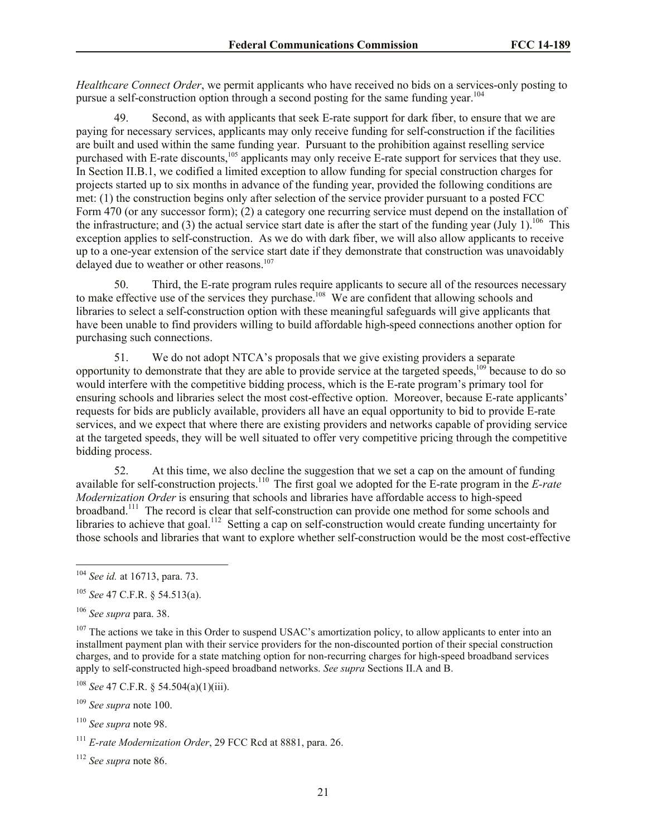*Healthcare Connect Order*, we permit applicants who have received no bids on a services-only posting to pursue a self-construction option through a second posting for the same funding year.<sup>104</sup>

49. Second, as with applicants that seek E-rate support for dark fiber, to ensure that we are paying for necessary services, applicants may only receive funding for self-construction if the facilities are built and used within the same funding year. Pursuant to the prohibition against reselling service purchased with E-rate discounts,<sup>105</sup> applicants may only receive  $\vec{E}$ -rate support for services that they use. In Section II.B.1, we codified a limited exception to allow funding for special construction charges for projects started up to six months in advance of the funding year, provided the following conditions are met: (1) the construction begins only after selection of the service provider pursuant to a posted FCC Form 470 (or any successor form); (2) a category one recurring service must depend on the installation of the infrastructure; and (3) the actual service start date is after the start of the funding year (July 1).<sup>106</sup> This exception applies to self-construction. As we do with dark fiber, we will also allow applicants to receive up to a one-year extension of the service start date if they demonstrate that construction was unavoidably delayed due to weather or other reasons.<sup>107</sup>

50. Third, the E-rate program rules require applicants to secure all of the resources necessary to make effective use of the services they purchase.<sup>108</sup> We are confident that allowing schools and libraries to select a self-construction option with these meaningful safeguards will give applicants that have been unable to find providers willing to build affordable high-speed connections another option for purchasing such connections.

51. We do not adopt NTCA's proposals that we give existing providers a separate opportunity to demonstrate that they are able to provide service at the targeted speeds,<sup>109</sup> because to do so would interfere with the competitive bidding process, which is the E-rate program's primary tool for ensuring schools and libraries select the most cost-effective option. Moreover, because E-rate applicants' requests for bids are publicly available, providers all have an equal opportunity to bid to provide E-rate services, and we expect that where there are existing providers and networks capable of providing service at the targeted speeds, they will be well situated to offer very competitive pricing through the competitive bidding process.

52. At this time, we also decline the suggestion that we set a cap on the amount of funding available for self-construction projects.<sup>110</sup> The first goal we adopted for the E-rate program in the *E-rate Modernization Order* is ensuring that schools and libraries have affordable access to high-speed broadband.<sup>111</sup> The record is clear that self-construction can provide one method for some schools and libraries to achieve that goal.<sup>112</sup> Setting a cap on self-construction would create funding uncertainty for those schools and libraries that want to explore whether self-construction would be the most cost-effective

<sup>104</sup> *See id.* at 16713, para. 73.

<sup>105</sup> *See* 47 C.F.R. § 54.513(a).

<sup>106</sup> *See supra* para. 38.

 $107$  The actions we take in this Order to suspend USAC's amortization policy, to allow applicants to enter into an installment payment plan with their service providers for the non-discounted portion of their special construction charges, and to provide for a state matching option for non-recurring charges for high-speed broadband services apply to self-constructed high-speed broadband networks. *See supra* Sections II.A and B.

<sup>108</sup> *See* 47 C.F.R. § 54.504(a)(1)(iii).

<sup>109</sup> *See supra* note 100.

<sup>110</sup> *See supra* note 98.

<sup>111</sup> *E-rate Modernization Order*, 29 FCC Rcd at 8881, para. 26.

<sup>112</sup> *See supra* note 86.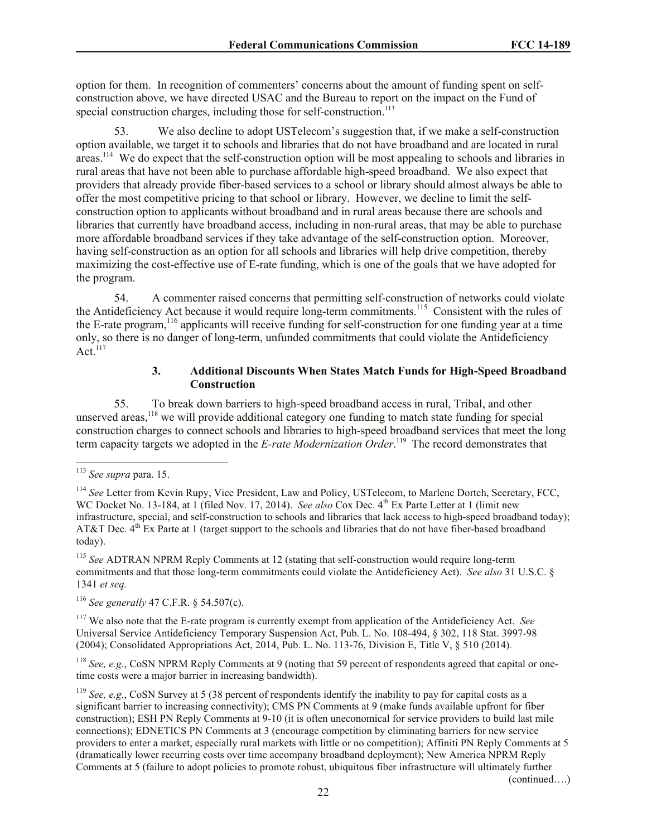option for them. In recognition of commenters' concerns about the amount of funding spent on selfconstruction above, we have directed USAC and the Bureau to report on the impact on the Fund of special construction charges, including those for self-construction.<sup>113</sup>

We also decline to adopt USTelecom's suggestion that, if we make a self-construction option available, we target it to schools and libraries that do not have broadband and are located in rural areas.<sup>114</sup> We do expect that the self-construction option will be most appealing to schools and libraries in rural areas that have not been able to purchase affordable high-speed broadband. We also expect that providers that already provide fiber-based services to a school or library should almost always be able to offer the most competitive pricing to that school or library. However, we decline to limit the selfconstruction option to applicants without broadband and in rural areas because there are schools and libraries that currently have broadband access, including in non-rural areas, that may be able to purchase more affordable broadband services if they take advantage of the self-construction option. Moreover, having self-construction as an option for all schools and libraries will help drive competition, thereby maximizing the cost-effective use of E-rate funding, which is one of the goals that we have adopted for the program.

54. A commenter raised concerns that permitting self-construction of networks could violate the Antideficiency Act because it would require long-term commitments.<sup>115</sup> Consistent with the rules of the E-rate program,<sup>116</sup> applicants will receive funding for self-construction for one funding year at a time only, so there is no danger of long-term, unfunded commitments that could violate the Antideficiency Act. $117$ 

#### **3. Additional Discounts When States Match Funds for High-Speed Broadband Construction**

55. To break down barriers to high-speed broadband access in rural, Tribal, and other unserved areas,<sup>118</sup> we will provide additional category one funding to match state funding for special construction charges to connect schools and libraries to high-speed broadband services that meet the long term capacity targets we adopted in the *E-rate Modernization Order*. 119 The record demonstrates that

l

<sup>115</sup> *See* ADTRAN NPRM Reply Comments at 12 (stating that self-construction would require long-term commitments and that those long-term commitments could violate the Antideficiency Act). *See also* 31 U.S.C. § 1341 *et seq.*

<sup>116</sup> *See generally* 47 C.F.R. § 54.507(c).

<sup>117</sup> We also note that the E-rate program is currently exempt from application of the Antideficiency Act. *See*  Universal Service Antideficiency Temporary Suspension Act, Pub. L. No. 108-494, § 302, 118 Stat. 3997-98 (2004); Consolidated Appropriations Act, 2014, Pub. L. No. 113-76, Division E, Title V, § 510 (2014).

<sup>118</sup> *See, e.g.*, CoSN NPRM Reply Comments at 9 (noting that 59 percent of respondents agreed that capital or onetime costs were a major barrier in increasing bandwidth).

<sup>119</sup> *See, e.g.*, CoSN Survey at 5 (38 percent of respondents identify the inability to pay for capital costs as a significant barrier to increasing connectivity); CMS PN Comments at 9 (make funds available upfront for fiber construction); ESH PN Reply Comments at 9-10 (it is often uneconomical for service providers to build last mile connections); EDNETICS PN Comments at 3 (encourage competition by eliminating barriers for new service providers to enter a market, especially rural markets with little or no competition); Affiniti PN Reply Comments at 5 (dramatically lower recurring costs over time accompany broadband deployment); New America NPRM Reply Comments at 5 (failure to adopt policies to promote robust, ubiquitous fiber infrastructure will ultimately further

(continued….)

<sup>113</sup> *See supra* para. 15.

<sup>&</sup>lt;sup>114</sup> See Letter from Kevin Rupy, Vice President, Law and Policy, USTelecom, to Marlene Dortch, Secretary, FCC, WC Docket No. 13-184, at 1 (filed Nov. 17, 2014). *See also* Cox Dec. 4<sup>th</sup> Ex Parte Letter at 1 (limit new infrastructure, special, and self-construction to schools and libraries that lack access to high-speed broadband today); AT&T Dec.  $4<sup>th</sup>$  Ex Parte at 1 (target support to the schools and libraries that do not have fiber-based broadband today).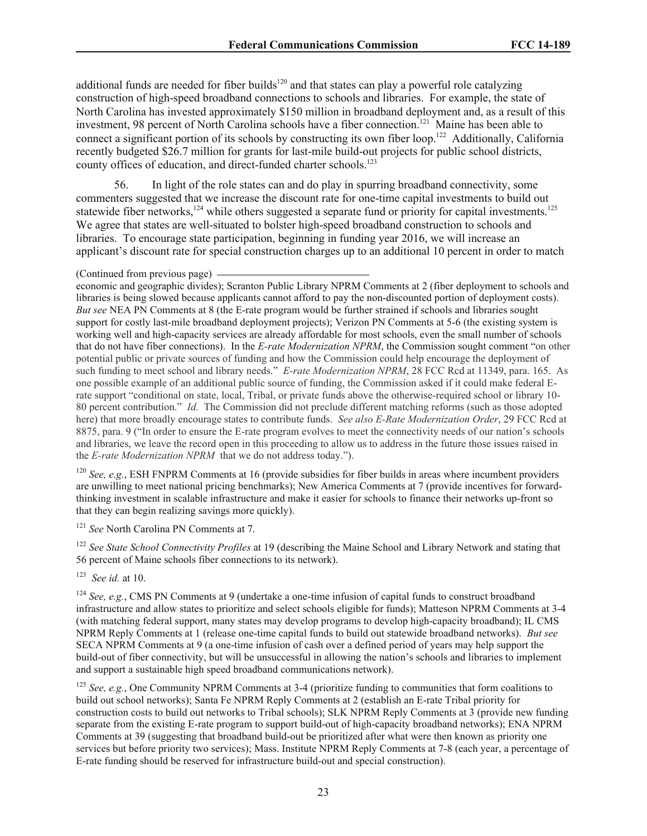additional funds are needed for fiber builds<sup>120</sup> and that states can play a powerful role catalyzing construction of high-speed broadband connections to schools and libraries. For example, the state of North Carolina has invested approximately \$150 million in broadband deployment and, as a result of this investment, 98 percent of North Carolina schools have a fiber connection.<sup>121</sup> Maine has been able to connect a significant portion of its schools by constructing its own fiber loop.<sup>122</sup> Additionally, California recently budgeted \$26.7 million for grants for last-mile build-out projects for public school districts, county offices of education, and direct-funded charter schools.<sup>123</sup>

56. In light of the role states can and do play in spurring broadband connectivity, some commenters suggested that we increase the discount rate for one-time capital investments to build out statewide fiber networks,<sup>124</sup> while others suggested a separate fund or priority for capital investments.<sup>125</sup> We agree that states are well-situated to bolster high-speed broadband construction to schools and libraries. To encourage state participation, beginning in funding year 2016, we will increase an applicant's discount rate for special construction charges up to an additional 10 percent in order to match

#### (Continued from previous page)

economic and geographic divides); Scranton Public Library NPRM Comments at 2 (fiber deployment to schools and libraries is being slowed because applicants cannot afford to pay the non-discounted portion of deployment costs). *But see* NEA PN Comments at 8 (the E-rate program would be further strained if schools and libraries sought support for costly last-mile broadband deployment projects); Verizon PN Comments at 5-6 (the existing system is working well and high-capacity services are already affordable for most schools, even the small number of schools that do not have fiber connections). In the *E-rate Modernization NPRM*, the Commission sought comment "on other potential public or private sources of funding and how the Commission could help encourage the deployment of such funding to meet school and library needs." *E-rate Modernization NPRM*, 28 FCC Rcd at 11349, para. 165. As one possible example of an additional public source of funding, the Commission asked if it could make federal Erate support "conditional on state, local, Tribal, or private funds above the otherwise-required school or library 10- 80 percent contribution." *Id.* The Commission did not preclude different matching reforms (such as those adopted here) that more broadly encourage states to contribute funds. *See also E-Rate Modernization Order*, 29 FCC Rcd at 8875, para. 9 ("In order to ensure the E-rate program evolves to meet the connectivity needs of our nation's schools and libraries, we leave the record open in this proceeding to allow us to address in the future those issues raised in the *E-rate Modernization NPRM* that we do not address today.").

<sup>120</sup> *See, e.g.*, ESH FNPRM Comments at 16 (provide subsidies for fiber builds in areas where incumbent providers are unwilling to meet national pricing benchmarks); New America Comments at 7 (provide incentives for forwardthinking investment in scalable infrastructure and make it easier for schools to finance their networks up-front so that they can begin realizing savings more quickly).

<sup>121</sup> *See* North Carolina PN Comments at 7.

<sup>122</sup> *See State School Connectivity Profiles* at 19 (describing the Maine School and Library Network and stating that 56 percent of Maine schools fiber connections to its network).

123 *See id.* at 10.

<sup>124</sup> *See, e.g.*, CMS PN Comments at 9 (undertake a one-time infusion of capital funds to construct broadband infrastructure and allow states to prioritize and select schools eligible for funds); Matteson NPRM Comments at 3-4 (with matching federal support, many states may develop programs to develop high-capacity broadband); IL CMS NPRM Reply Comments at 1 (release one-time capital funds to build out statewide broadband networks). *But see* SECA NPRM Comments at 9 (a one-time infusion of cash over a defined period of years may help support the build-out of fiber connectivity, but will be unsuccessful in allowing the nation's schools and libraries to implement and support a sustainable high speed broadband communications network).

<sup>125</sup> *See, e.g.*, One Community NPRM Comments at 3-4 (prioritize funding to communities that form coalitions to build out school networks); Santa Fe NPRM Reply Comments at 2 (establish an E-rate Tribal priority for construction costs to build out networks to Tribal schools); SLK NPRM Reply Comments at 3 (provide new funding separate from the existing E-rate program to support build-out of high-capacity broadband networks); ENA NPRM Comments at 39 (suggesting that broadband build-out be prioritized after what were then known as priority one services but before priority two services); Mass. Institute NPRM Reply Comments at 7-8 (each year, a percentage of E-rate funding should be reserved for infrastructure build-out and special construction).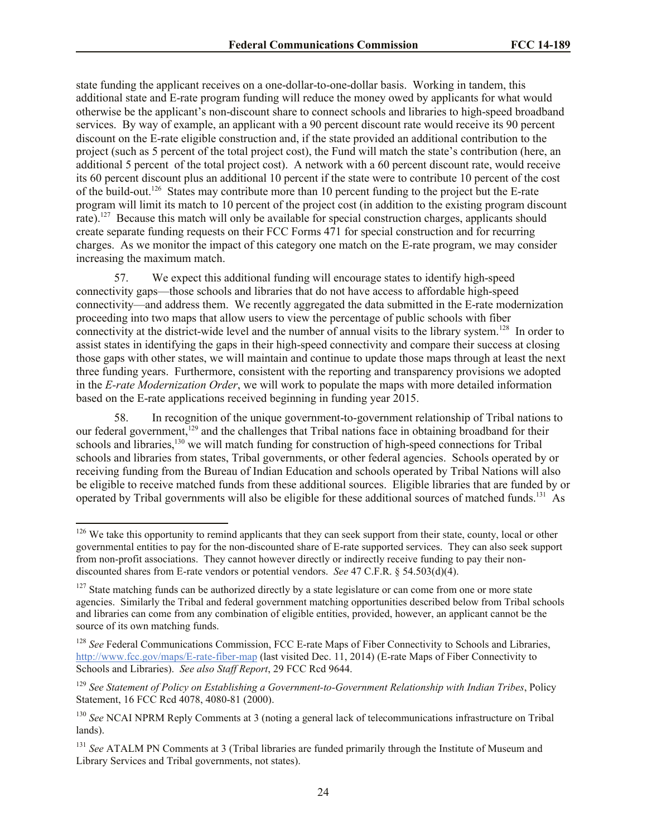state funding the applicant receives on a one-dollar-to-one-dollar basis. Working in tandem, this additional state and E-rate program funding will reduce the money owed by applicants for what would otherwise be the applicant's non-discount share to connect schools and libraries to high-speed broadband services. By way of example, an applicant with a 90 percent discount rate would receive its 90 percent discount on the E-rate eligible construction and, if the state provided an additional contribution to the project (such as 5 percent of the total project cost), the Fund will match the state's contribution (here, an additional 5 percent of the total project cost). A network with a 60 percent discount rate, would receive its 60 percent discount plus an additional 10 percent if the state were to contribute 10 percent of the cost of the build-out.<sup>126</sup> States may contribute more than 10 percent funding to the project but the E-rate program will limit its match to 10 percent of the project cost (in addition to the existing program discount rate).<sup>127</sup> Because this match will only be available for special construction charges, applicants should create separate funding requests on their FCC Forms 471 for special construction and for recurring charges. As we monitor the impact of this category one match on the E-rate program, we may consider increasing the maximum match.

57. We expect this additional funding will encourage states to identify high-speed connectivity gaps—those schools and libraries that do not have access to affordable high-speed connectivity—and address them. We recently aggregated the data submitted in the E-rate modernization proceeding into two maps that allow users to view the percentage of public schools with fiber connectivity at the district-wide level and the number of annual visits to the library system.<sup>128</sup> In order to assist states in identifying the gaps in their high-speed connectivity and compare their success at closing those gaps with other states, we will maintain and continue to update those maps through at least the next three funding years. Furthermore, consistent with the reporting and transparency provisions we adopted in the *E-rate Modernization Order*, we will work to populate the maps with more detailed information based on the E-rate applications received beginning in funding year 2015.

58. In recognition of the unique government-to-government relationship of Tribal nations to our federal government,<sup>129</sup> and the challenges that Tribal nations face in obtaining broadband for their schools and libraries,<sup>130</sup> we will match funding for construction of high-speed connections for Tribal schools and libraries from states, Tribal governments, or other federal agencies. Schools operated by or receiving funding from the Bureau of Indian Education and schools operated by Tribal Nations will also be eligible to receive matched funds from these additional sources. Eligible libraries that are funded by or operated by Tribal governments will also be eligible for these additional sources of matched funds.<sup>131</sup> As

 $126$  We take this opportunity to remind applicants that they can seek support from their state, county, local or other governmental entities to pay for the non-discounted share of E-rate supported services. They can also seek support from non-profit associations. They cannot however directly or indirectly receive funding to pay their nondiscounted shares from E-rate vendors or potential vendors. *See* 47 C.F.R. § 54.503(d)(4).

<sup>&</sup>lt;sup>127</sup> State matching funds can be authorized directly by a state legislature or can come from one or more state agencies. Similarly the Tribal and federal government matching opportunities described below from Tribal schools and libraries can come from any combination of eligible entities, provided, however, an applicant cannot be the source of its own matching funds.

<sup>&</sup>lt;sup>128</sup> See Federal Communications Commission, FCC E-rate Maps of Fiber Connectivity to Schools and Libraries, http://www.fcc.gov/maps/E-rate-fiber-map (last visited Dec. 11, 2014) (E-rate Maps of Fiber Connectivity to Schools and Libraries). *See also Staff Report*, 29 FCC Rcd 9644.

<sup>129</sup> *See Statement of Policy on Establishing a Government-to-Government Relationship with Indian Tribes*, Policy Statement, 16 FCC Rcd 4078, 4080-81 (2000).

<sup>130</sup> *See* NCAI NPRM Reply Comments at 3 (noting a general lack of telecommunications infrastructure on Tribal lands).

<sup>131</sup> *See* ATALM PN Comments at 3 (Tribal libraries are funded primarily through the Institute of Museum and Library Services and Tribal governments, not states).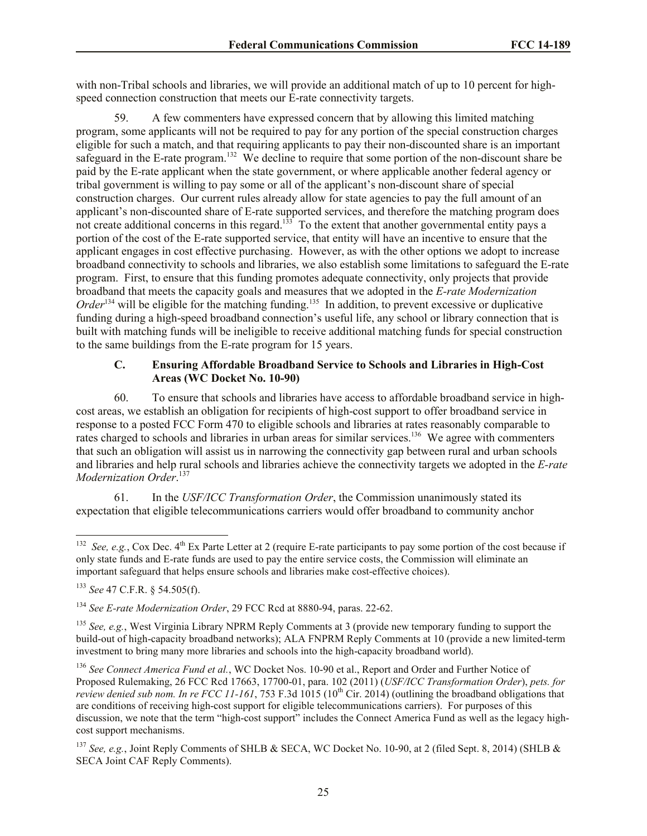with non-Tribal schools and libraries, we will provide an additional match of up to 10 percent for highspeed connection construction that meets our E-rate connectivity targets.

59. A few commenters have expressed concern that by allowing this limited matching program, some applicants will not be required to pay for any portion of the special construction charges eligible for such a match, and that requiring applicants to pay their non-discounted share is an important safeguard in the E-rate program.<sup>132</sup> We decline to require that some portion of the non-discount share be paid by the E-rate applicant when the state government, or where applicable another federal agency or tribal government is willing to pay some or all of the applicant's non-discount share of special construction charges. Our current rules already allow for state agencies to pay the full amount of an applicant's non-discounted share of E-rate supported services, and therefore the matching program does not create additional concerns in this regard.<sup>133</sup> To the extent that another governmental entity pays a portion of the cost of the E-rate supported service, that entity will have an incentive to ensure that the applicant engages in cost effective purchasing. However, as with the other options we adopt to increase broadband connectivity to schools and libraries, we also establish some limitations to safeguard the E-rate program. First, to ensure that this funding promotes adequate connectivity, only projects that provide broadband that meets the capacity goals and measures that we adopted in the *E-rate Modernization*  Order<sup>134</sup> will be eligible for the matching funding.<sup>135</sup> In addition, to prevent excessive or duplicative funding during a high-speed broadband connection's useful life, any school or library connection that is built with matching funds will be ineligible to receive additional matching funds for special construction to the same buildings from the E-rate program for 15 years.

#### **C. Ensuring Affordable Broadband Service to Schools and Libraries in High-Cost Areas (WC Docket No. 10-90)**

60. To ensure that schools and libraries have access to affordable broadband service in highcost areas, we establish an obligation for recipients of high-cost support to offer broadband service in response to a posted FCC Form 470 to eligible schools and libraries at rates reasonably comparable to rates charged to schools and libraries in urban areas for similar services.<sup>136</sup> We agree with commenters that such an obligation will assist us in narrowing the connectivity gap between rural and urban schools and libraries and help rural schools and libraries achieve the connectivity targets we adopted in the *E-rate Modernization Order*. 137

61. In the *USF/ICC Transformation Order*, the Commission unanimously stated its expectation that eligible telecommunications carriers would offer broadband to community anchor

<sup>&</sup>lt;sup>132</sup> *See, e.g.*, Cox Dec. 4<sup>th</sup> Ex Parte Letter at 2 (require E-rate participants to pay some portion of the cost because if only state funds and E-rate funds are used to pay the entire service costs, the Commission will eliminate an important safeguard that helps ensure schools and libraries make cost-effective choices).

<sup>133</sup> *See* 47 C.F.R. § 54.505(f).

<sup>134</sup> *See E-rate Modernization Order*, 29 FCC Rcd at 8880-94, paras. 22-62.

<sup>135</sup> *See, e.g.*, West Virginia Library NPRM Reply Comments at 3 (provide new temporary funding to support the build-out of high-capacity broadband networks); ALA FNPRM Reply Comments at 10 (provide a new limited-term investment to bring many more libraries and schools into the high-capacity broadband world).

<sup>136</sup> *See Connect America Fund et al.*, WC Docket Nos. 10-90 et al., Report and Order and Further Notice of Proposed Rulemaking, 26 FCC Rcd 17663, 17700-01, para. 102 (2011) (*USF/ICC Transformation Order*), *pets. for review denied sub nom. In re FCC 11-161*, 753 F.3d 1015 (10<sup>th</sup> Cir. 2014) (outlining the broadband obligations that are conditions of receiving high-cost support for eligible telecommunications carriers). For purposes of this discussion, we note that the term "high-cost support" includes the Connect America Fund as well as the legacy highcost support mechanisms.

<sup>137</sup> *See, e.g.*, Joint Reply Comments of SHLB & SECA, WC Docket No. 10-90, at 2 (filed Sept. 8, 2014) (SHLB & SECA Joint CAF Reply Comments).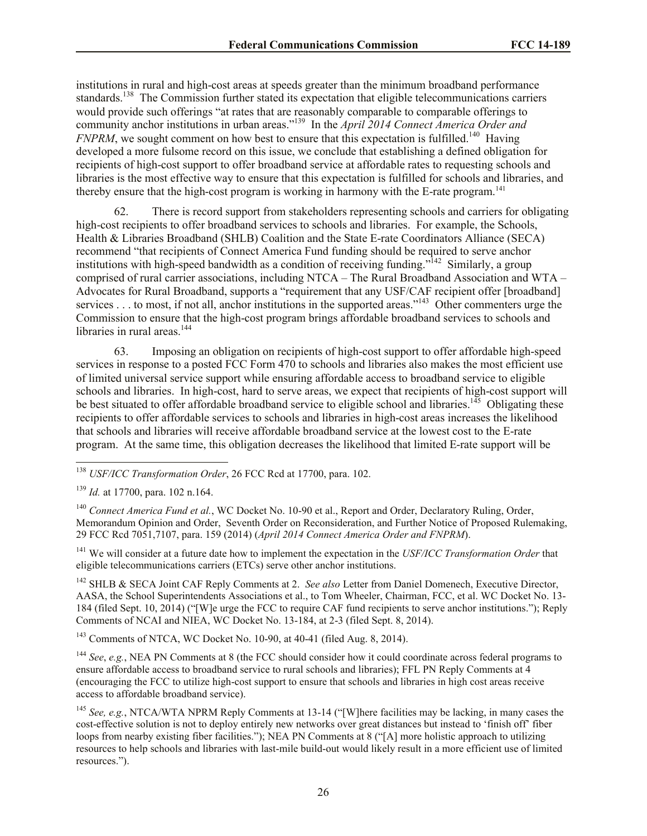institutions in rural and high-cost areas at speeds greater than the minimum broadband performance standards.<sup>138</sup> The Commission further stated its expectation that eligible telecommunications carriers would provide such offerings "at rates that are reasonably comparable to comparable offerings to community anchor institutions in urban areas."<sup>139</sup> In the *April 2014 Connect America Order and FNPRM*, we sought comment on how best to ensure that this expectation is fulfilled.<sup>140</sup> Having developed a more fulsome record on this issue, we conclude that establishing a defined obligation for recipients of high-cost support to offer broadband service at affordable rates to requesting schools and libraries is the most effective way to ensure that this expectation is fulfilled for schools and libraries, and thereby ensure that the high-cost program is working in harmony with the E-rate program.<sup>141</sup>

62. There is record support from stakeholders representing schools and carriers for obligating high-cost recipients to offer broadband services to schools and libraries. For example, the Schools, Health & Libraries Broadband (SHLB) Coalition and the State E-rate Coordinators Alliance (SECA) recommend "that recipients of Connect America Fund funding should be required to serve anchor institutions with high-speed bandwidth as a condition of receiving funding."<sup>142</sup> Similarly, a group comprised of rural carrier associations, including NTCA – The Rural Broadband Association and WTA – Advocates for Rural Broadband, supports a "requirement that any USF/CAF recipient offer [broadband] services . . . to most, if not all, anchor institutions in the supported areas."<sup>143</sup> Other commenters urge the Commission to ensure that the high-cost program brings affordable broadband services to schools and libraries in rural areas.<sup>144</sup>

63. Imposing an obligation on recipients of high-cost support to offer affordable high-speed services in response to a posted FCC Form 470 to schools and libraries also makes the most efficient use of limited universal service support while ensuring affordable access to broadband service to eligible schools and libraries. In high-cost, hard to serve areas, we expect that recipients of high-cost support will be best situated to offer affordable broadband service to eligible school and libraries.<sup>145</sup> Obligating these recipients to offer affordable services to schools and libraries in high-cost areas increases the likelihood that schools and libraries will receive affordable broadband service at the lowest cost to the E-rate program. At the same time, this obligation decreases the likelihood that limited E-rate support will be

l

<sup>140</sup> *Connect America Fund et al.*, WC Docket No. 10-90 et al., Report and Order, Declaratory Ruling, Order, Memorandum Opinion and Order, Seventh Order on Reconsideration, and Further Notice of Proposed Rulemaking, 29 FCC Rcd 7051,7107, para. 159 (2014) (*April 2014 Connect America Order and FNPRM*).

<sup>141</sup> We will consider at a future date how to implement the expectation in the *USF/ICC Transformation Order* that eligible telecommunications carriers (ETCs) serve other anchor institutions.

<sup>142</sup> SHLB & SECA Joint CAF Reply Comments at 2. *See also* Letter from Daniel Domenech, Executive Director, AASA, the School Superintendents Associations et al., to Tom Wheeler, Chairman, FCC, et al. WC Docket No. 13- 184 (filed Sept. 10, 2014) ("[W]e urge the FCC to require CAF fund recipients to serve anchor institutions."); Reply Comments of NCAI and NIEA, WC Docket No. 13-184, at 2-3 (filed Sept. 8, 2014).

<sup>143</sup> Comments of NTCA, WC Docket No. 10-90, at 40-41 (filed Aug. 8, 2014).

<sup>144</sup> *See*, *e.g.*, NEA PN Comments at 8 (the FCC should consider how it could coordinate across federal programs to ensure affordable access to broadband service to rural schools and libraries); FFL PN Reply Comments at 4 (encouraging the FCC to utilize high-cost support to ensure that schools and libraries in high cost areas receive access to affordable broadband service).

<sup>145</sup> *See, e.g.*, NTCA/WTA NPRM Reply Comments at 13-14 ("[W]here facilities may be lacking, in many cases the cost-effective solution is not to deploy entirely new networks over great distances but instead to 'finish off' fiber loops from nearby existing fiber facilities."); NEA PN Comments at 8 ("[A] more holistic approach to utilizing resources to help schools and libraries with last-mile build-out would likely result in a more efficient use of limited resources.").

<sup>138</sup> *USF/ICC Transformation Order*, 26 FCC Rcd at 17700, para. 102.

<sup>139</sup> *Id.* at 17700, para. 102 n.164.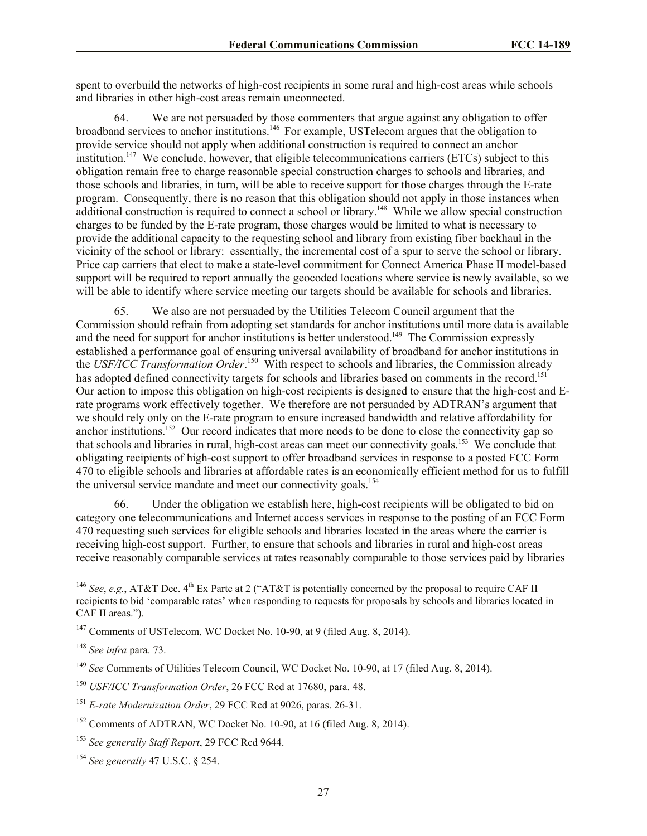spent to overbuild the networks of high-cost recipients in some rural and high-cost areas while schools and libraries in other high-cost areas remain unconnected.

64. We are not persuaded by those commenters that argue against any obligation to offer broadband services to anchor institutions.<sup>146</sup> For example, USTelecom argues that the obligation to provide service should not apply when additional construction is required to connect an anchor institution.<sup>147</sup> We conclude, however, that eligible telecommunications carriers (ETCs) subject to this obligation remain free to charge reasonable special construction charges to schools and libraries, and those schools and libraries, in turn, will be able to receive support for those charges through the E-rate program. Consequently, there is no reason that this obligation should not apply in those instances when additional construction is required to connect a school or library.<sup>148</sup> While we allow special construction charges to be funded by the E-rate program, those charges would be limited to what is necessary to provide the additional capacity to the requesting school and library from existing fiber backhaul in the vicinity of the school or library: essentially, the incremental cost of a spur to serve the school or library. Price cap carriers that elect to make a state-level commitment for Connect America Phase II model-based support will be required to report annually the geocoded locations where service is newly available, so we will be able to identify where service meeting our targets should be available for schools and libraries.

65. We also are not persuaded by the Utilities Telecom Council argument that the Commission should refrain from adopting set standards for anchor institutions until more data is available and the need for support for anchor institutions is better understood.<sup>149</sup> The Commission expressly established a performance goal of ensuring universal availability of broadband for anchor institutions in the *USF/ICC Transformation Order*. 150 With respect to schools and libraries, the Commission already has adopted defined connectivity targets for schools and libraries based on comments in the record.<sup>151</sup> Our action to impose this obligation on high-cost recipients is designed to ensure that the high-cost and Erate programs work effectively together. We therefore are not persuaded by ADTRAN's argument that we should rely only on the E-rate program to ensure increased bandwidth and relative affordability for anchor institutions.<sup>152</sup> Our record indicates that more needs to be done to close the connectivity gap so that schools and libraries in rural, high-cost areas can meet our connectivity goals.<sup>153</sup> We conclude that obligating recipients of high-cost support to offer broadband services in response to a posted FCC Form 470 to eligible schools and libraries at affordable rates is an economically efficient method for us to fulfill the universal service mandate and meet our connectivity goals.<sup>154</sup>

66. Under the obligation we establish here, high-cost recipients will be obligated to bid on category one telecommunications and Internet access services in response to the posting of an FCC Form 470 requesting such services for eligible schools and libraries located in the areas where the carrier is receiving high-cost support. Further, to ensure that schools and libraries in rural and high-cost areas receive reasonably comparable services at rates reasonably comparable to those services paid by libraries

<sup>&</sup>lt;sup>146</sup> *See*, *e.g.*, AT&T Dec.  $4^{\text{th}}$  Ex Parte at 2 ("AT&T is potentially concerned by the proposal to require CAF II recipients to bid 'comparable rates' when responding to requests for proposals by schools and libraries located in CAF II areas.").

 $147$  Comments of USTelecom, WC Docket No. 10-90, at 9 (filed Aug. 8, 2014).

<sup>148</sup> *See infra* para. 73.

<sup>149</sup> *See* Comments of Utilities Telecom Council, WC Docket No. 10-90, at 17 (filed Aug. 8, 2014).

<sup>150</sup> *USF/ICC Transformation Order*, 26 FCC Rcd at 17680, para. 48.

<sup>151</sup> *E-rate Modernization Order*, 29 FCC Rcd at 9026, paras. 26-31.

<sup>&</sup>lt;sup>152</sup> Comments of ADTRAN, WC Docket No. 10-90, at 16 (filed Aug. 8, 2014).

<sup>153</sup> *See generally Staff Report*, 29 FCC Rcd 9644.

<sup>154</sup> *See generally* 47 U.S.C. § 254.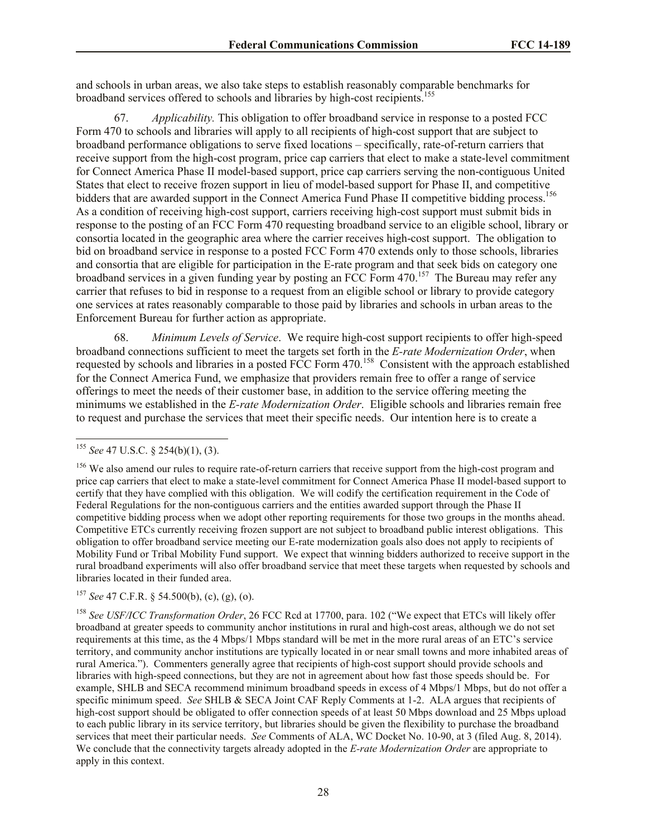and schools in urban areas, we also take steps to establish reasonably comparable benchmarks for broadband services offered to schools and libraries by high-cost recipients.<sup>155</sup>

67. *Applicability.* This obligation to offer broadband service in response to a posted FCC Form 470 to schools and libraries will apply to all recipients of high-cost support that are subject to broadband performance obligations to serve fixed locations – specifically, rate-of-return carriers that receive support from the high-cost program, price cap carriers that elect to make a state-level commitment for Connect America Phase II model-based support, price cap carriers serving the non-contiguous United States that elect to receive frozen support in lieu of model-based support for Phase II, and competitive bidders that are awarded support in the Connect America Fund Phase II competitive bidding process.<sup>156</sup> As a condition of receiving high-cost support, carriers receiving high-cost support must submit bids in response to the posting of an FCC Form 470 requesting broadband service to an eligible school, library or consortia located in the geographic area where the carrier receives high-cost support. The obligation to bid on broadband service in response to a posted FCC Form 470 extends only to those schools, libraries and consortia that are eligible for participation in the E-rate program and that seek bids on category one broadband services in a given funding year by posting an FCC Form 470.<sup>157</sup> The Bureau may refer any carrier that refuses to bid in response to a request from an eligible school or library to provide category one services at rates reasonably comparable to those paid by libraries and schools in urban areas to the Enforcement Bureau for further action as appropriate.

68. *Minimum Levels of Service*. We require high-cost support recipients to offer high-speed broadband connections sufficient to meet the targets set forth in the *E-rate Modernization Order*, when requested by schools and libraries in a posted FCC Form 470.<sup>158</sup> Consistent with the approach established for the Connect America Fund, we emphasize that providers remain free to offer a range of service offerings to meet the needs of their customer base, in addition to the service offering meeting the minimums we established in the *E-rate Modernization Order*. Eligible schools and libraries remain free to request and purchase the services that meet their specific needs. Our intention here is to create a

l

<sup>157</sup> *See* 47 C.F.R. § 54.500(b), (c), (g), (o).

<sup>158</sup> *See USF/ICC Transformation Order*, 26 FCC Rcd at 17700, para. 102 ("We expect that ETCs will likely offer broadband at greater speeds to community anchor institutions in rural and high-cost areas, although we do not set requirements at this time, as the 4 Mbps/1 Mbps standard will be met in the more rural areas of an ETC's service territory, and community anchor institutions are typically located in or near small towns and more inhabited areas of rural America."). Commenters generally agree that recipients of high-cost support should provide schools and libraries with high-speed connections, but they are not in agreement about how fast those speeds should be. For example, SHLB and SECA recommend minimum broadband speeds in excess of 4 Mbps/1 Mbps, but do not offer a specific minimum speed. *See* SHLB & SECA Joint CAF Reply Comments at 1-2. ALA argues that recipients of high-cost support should be obligated to offer connection speeds of at least 50 Mbps download and 25 Mbps upload to each public library in its service territory, but libraries should be given the flexibility to purchase the broadband services that meet their particular needs. *See* Comments of ALA, WC Docket No. 10-90, at 3 (filed Aug. 8, 2014). We conclude that the connectivity targets already adopted in the *E-rate Modernization Order* are appropriate to apply in this context.

<sup>155</sup> *See* 47 U.S.C. § 254(b)(1), (3).

<sup>&</sup>lt;sup>156</sup> We also amend our rules to require rate-of-return carriers that receive support from the high-cost program and price cap carriers that elect to make a state-level commitment for Connect America Phase II model-based support to certify that they have complied with this obligation. We will codify the certification requirement in the Code of Federal Regulations for the non-contiguous carriers and the entities awarded support through the Phase II competitive bidding process when we adopt other reporting requirements for those two groups in the months ahead. Competitive ETCs currently receiving frozen support are not subject to broadband public interest obligations. This obligation to offer broadband service meeting our E-rate modernization goals also does not apply to recipients of Mobility Fund or Tribal Mobility Fund support. We expect that winning bidders authorized to receive support in the rural broadband experiments will also offer broadband service that meet these targets when requested by schools and libraries located in their funded area.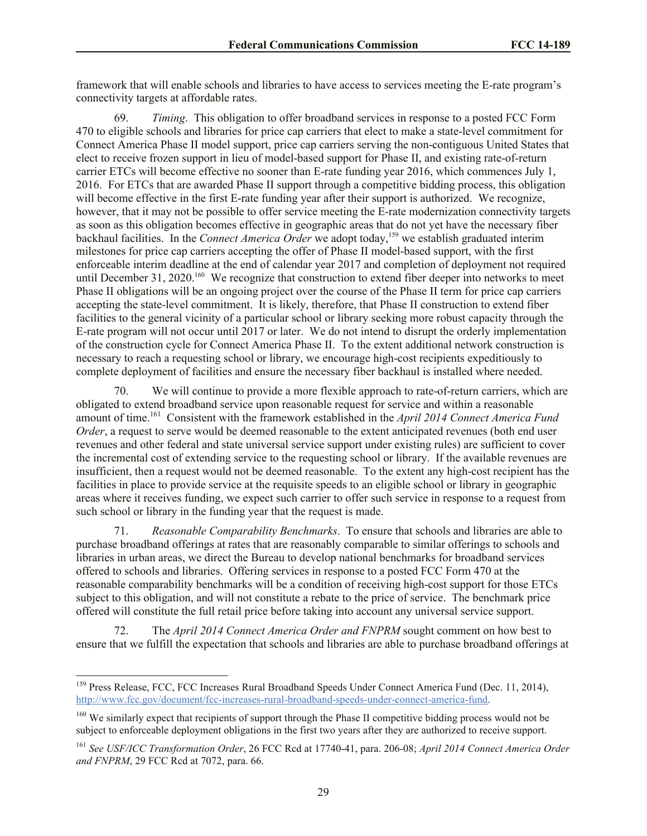framework that will enable schools and libraries to have access to services meeting the E-rate program's connectivity targets at affordable rates.

69. *Timing*. This obligation to offer broadband services in response to a posted FCC Form 470 to eligible schools and libraries for price cap carriers that elect to make a state-level commitment for Connect America Phase II model support, price cap carriers serving the non-contiguous United States that elect to receive frozen support in lieu of model-based support for Phase II, and existing rate-of-return carrier ETCs will become effective no sooner than E-rate funding year 2016, which commences July 1, 2016. For ETCs that are awarded Phase II support through a competitive bidding process, this obligation will become effective in the first E-rate funding year after their support is authorized. We recognize, however, that it may not be possible to offer service meeting the E-rate modernization connectivity targets as soon as this obligation becomes effective in geographic areas that do not yet have the necessary fiber backhaul facilities. In the *Connect America Order* we adopt today,<sup>159</sup> we establish graduated interim milestones for price cap carriers accepting the offer of Phase II model-based support, with the first enforceable interim deadline at the end of calendar year 2017 and completion of deployment not required until December 31, 2020.<sup>160</sup> We recognize that construction to extend fiber deeper into networks to meet Phase II obligations will be an ongoing project over the course of the Phase II term for price cap carriers accepting the state-level commitment. It is likely, therefore, that Phase II construction to extend fiber facilities to the general vicinity of a particular school or library seeking more robust capacity through the E-rate program will not occur until 2017 or later. We do not intend to disrupt the orderly implementation of the construction cycle for Connect America Phase II. To the extent additional network construction is necessary to reach a requesting school or library, we encourage high-cost recipients expeditiously to complete deployment of facilities and ensure the necessary fiber backhaul is installed where needed.

70. We will continue to provide a more flexible approach to rate-of-return carriers, which are obligated to extend broadband service upon reasonable request for service and within a reasonable amount of time.<sup>161</sup> Consistent with the framework established in the *April 2014 Connect America Fund Order*, a request to serve would be deemed reasonable to the extent anticipated revenues (both end user revenues and other federal and state universal service support under existing rules) are sufficient to cover the incremental cost of extending service to the requesting school or library. If the available revenues are insufficient, then a request would not be deemed reasonable. To the extent any high-cost recipient has the facilities in place to provide service at the requisite speeds to an eligible school or library in geographic areas where it receives funding, we expect such carrier to offer such service in response to a request from such school or library in the funding year that the request is made.

71. *Reasonable Comparability Benchmarks*. To ensure that schools and libraries are able to purchase broadband offerings at rates that are reasonably comparable to similar offerings to schools and libraries in urban areas, we direct the Bureau to develop national benchmarks for broadband services offered to schools and libraries. Offering services in response to a posted FCC Form 470 at the reasonable comparability benchmarks will be a condition of receiving high-cost support for those ETCs subject to this obligation, and will not constitute a rebate to the price of service. The benchmark price offered will constitute the full retail price before taking into account any universal service support.

72. The *April 2014 Connect America Order and FNPRM* sought comment on how best to ensure that we fulfill the expectation that schools and libraries are able to purchase broadband offerings at

<sup>&</sup>lt;sup>159</sup> Press Release, FCC, FCC Increases Rural Broadband Speeds Under Connect America Fund (Dec. 11, 2014), http://www.fcc.gov/document/fcc-increases-rural-broadband-speeds-under-connect-america-fund.

<sup>&</sup>lt;sup>160</sup> We similarly expect that recipients of support through the Phase II competitive bidding process would not be subject to enforceable deployment obligations in the first two years after they are authorized to receive support.

<sup>161</sup> *See USF/ICC Transformation Order*, 26 FCC Rcd at 17740-41, para. 206-08; *April 2014 Connect America Order and FNPRM*, 29 FCC Rcd at 7072, para. 66.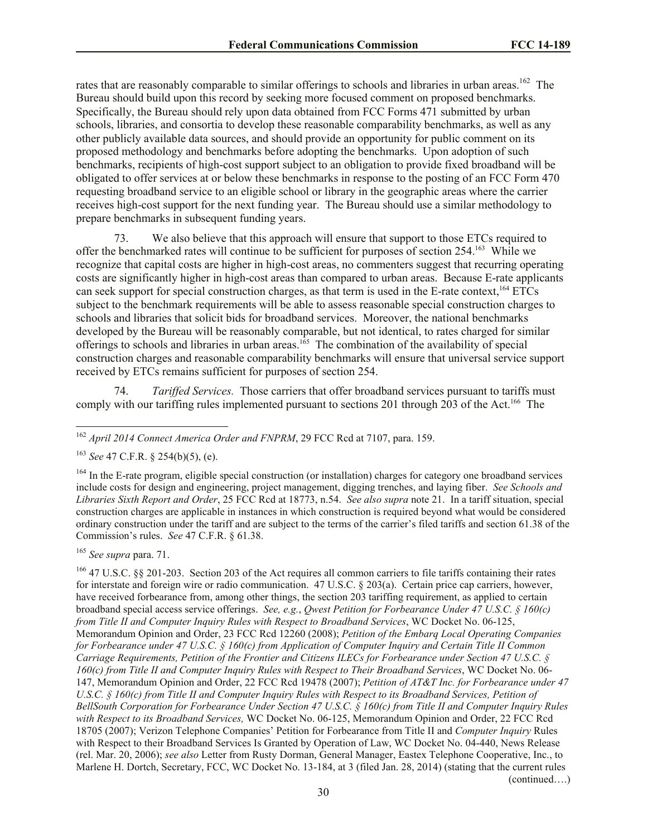rates that are reasonably comparable to similar offerings to schools and libraries in urban areas.<sup>162</sup> The Bureau should build upon this record by seeking more focused comment on proposed benchmarks. Specifically, the Bureau should rely upon data obtained from FCC Forms 471 submitted by urban schools, libraries, and consortia to develop these reasonable comparability benchmarks, as well as any other publicly available data sources, and should provide an opportunity for public comment on its proposed methodology and benchmarks before adopting the benchmarks. Upon adoption of such benchmarks, recipients of high-cost support subject to an obligation to provide fixed broadband will be obligated to offer services at or below these benchmarks in response to the posting of an FCC Form 470 requesting broadband service to an eligible school or library in the geographic areas where the carrier receives high-cost support for the next funding year. The Bureau should use a similar methodology to prepare benchmarks in subsequent funding years.

73. We also believe that this approach will ensure that support to those ETCs required to offer the benchmarked rates will continue to be sufficient for purposes of section 254.<sup>163</sup> While we recognize that capital costs are higher in high-cost areas, no commenters suggest that recurring operating costs are significantly higher in high-cost areas than compared to urban areas. Because E-rate applicants can seek support for special construction charges, as that term is used in the E-rate context,<sup>164</sup> ETCs subject to the benchmark requirements will be able to assess reasonable special construction charges to schools and libraries that solicit bids for broadband services. Moreover, the national benchmarks developed by the Bureau will be reasonably comparable, but not identical, to rates charged for similar offerings to schools and libraries in urban areas.<sup>165</sup> The combination of the availability of special construction charges and reasonable comparability benchmarks will ensure that universal service support received by ETCs remains sufficient for purposes of section 254.

74. *Tariffed Services.* Those carriers that offer broadband services pursuant to tariffs must comply with our tariffing rules implemented pursuant to sections 201 through 203 of the Act.<sup>166</sup> The

<sup>165</sup> *See supra* para. 71.

l

(continued….)

<sup>162</sup> *April 2014 Connect America Order and FNPRM*, 29 FCC Rcd at 7107, para. 159.

<sup>163</sup> *See* 47 C.F.R. § 254(b)(5), (e).

<sup>&</sup>lt;sup>164</sup> In the E-rate program, eligible special construction (or installation) charges for category one broadband services include costs for design and engineering, project management, digging trenches, and laying fiber. *See Schools and Libraries Sixth Report and Order*, 25 FCC Rcd at 18773, n.54. *See also supra* note 21. In a tariff situation, special construction charges are applicable in instances in which construction is required beyond what would be considered ordinary construction under the tariff and are subject to the terms of the carrier's filed tariffs and section 61.38 of the Commission's rules. *See* 47 C.F.R. § 61.38.

<sup>&</sup>lt;sup>166</sup> 47 U.S.C. §§ 201-203. Section 203 of the Act requires all common carriers to file tariffs containing their rates for interstate and foreign wire or radio communication. 47 U.S.C. § 203(a). Certain price cap carriers, however, have received forbearance from, among other things, the section 203 tariffing requirement, as applied to certain broadband special access service offerings. *See, e.g.*, *Qwest Petition for Forbearance Under 47 U.S.C. § 160(c) from Title II and Computer Inquiry Rules with Respect to Broadband Services*, WC Docket No. 06-125, Memorandum Opinion and Order, 23 FCC Rcd 12260 (2008); *Petition of the Embarq Local Operating Companies for Forbearance under 47 U.S.C. § 160(c) from Application of Computer Inquiry and Certain Title II Common Carriage Requirements, Petition of the Frontier and Citizens ILECs for Forbearance under Section 47 U.S.C. § 160(c) from Title II and Computer Inquiry Rules with Respect to Their Broadband Services*, WC Docket No. 06- 147, Memorandum Opinion and Order, 22 FCC Rcd 19478 (2007); *Petition of AT&T Inc. for Forbearance under 47 U.S.C. § 160(c) from Title II and Computer Inquiry Rules with Respect to its Broadband Services, Petition of BellSouth Corporation for Forbearance Under Section 47 U.S.C. § 160(c) from Title II and Computer Inquiry Rules with Respect to its Broadband Services,* WC Docket No. 06-125, Memorandum Opinion and Order, 22 FCC Rcd 18705 (2007); Verizon Telephone Companies' Petition for Forbearance from Title II and *Computer Inquiry* Rules with Respect to their Broadband Services Is Granted by Operation of Law, WC Docket No. 04-440, News Release (rel. Mar. 20, 2006); *see also* Letter from Rusty Dorman, General Manager, Eastex Telephone Cooperative, Inc., to Marlene H. Dortch, Secretary, FCC, WC Docket No. 13-184, at 3 (filed Jan. 28, 2014) (stating that the current rules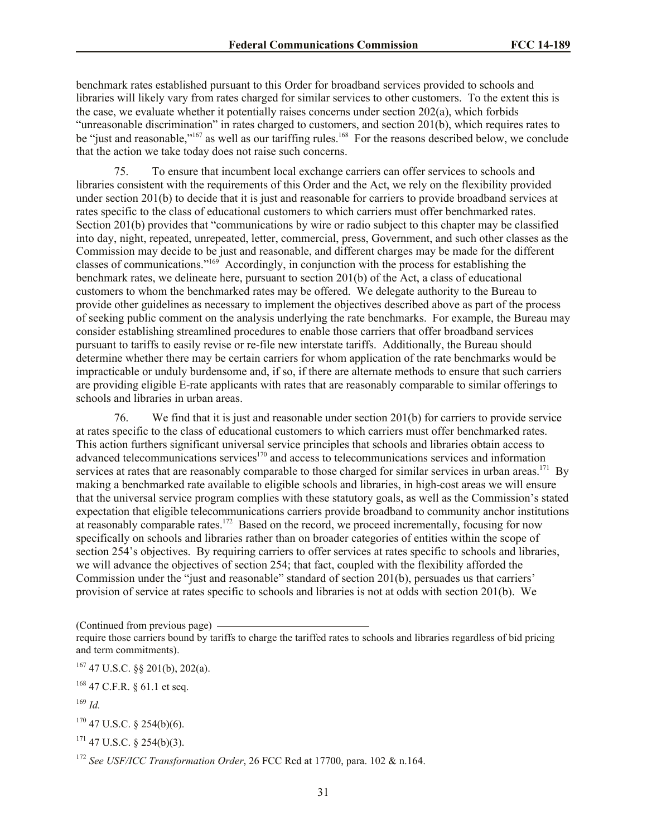benchmark rates established pursuant to this Order for broadband services provided to schools and libraries will likely vary from rates charged for similar services to other customers. To the extent this is the case, we evaluate whether it potentially raises concerns under section 202(a), which forbids "unreasonable discrimination" in rates charged to customers, and section 201(b), which requires rates to be "just and reasonable,"<sup>167</sup> as well as our tariffing rules.<sup>168</sup> For the reasons described below, we conclude that the action we take today does not raise such concerns.

75. To ensure that incumbent local exchange carriers can offer services to schools and libraries consistent with the requirements of this Order and the Act, we rely on the flexibility provided under section 201(b) to decide that it is just and reasonable for carriers to provide broadband services at rates specific to the class of educational customers to which carriers must offer benchmarked rates. Section 201(b) provides that "communications by wire or radio subject to this chapter may be classified into day, night, repeated, unrepeated, letter, commercial, press, Government, and such other classes as the Commission may decide to be just and reasonable, and different charges may be made for the different classes of communications."<sup>169</sup> Accordingly, in conjunction with the process for establishing the benchmark rates, we delineate here, pursuant to section 201(b) of the Act, a class of educational customers to whom the benchmarked rates may be offered. We delegate authority to the Bureau to provide other guidelines as necessary to implement the objectives described above as part of the process of seeking public comment on the analysis underlying the rate benchmarks. For example, the Bureau may consider establishing streamlined procedures to enable those carriers that offer broadband services pursuant to tariffs to easily revise or re-file new interstate tariffs. Additionally, the Bureau should determine whether there may be certain carriers for whom application of the rate benchmarks would be impracticable or unduly burdensome and, if so, if there are alternate methods to ensure that such carriers are providing eligible E-rate applicants with rates that are reasonably comparable to similar offerings to schools and libraries in urban areas.

76. We find that it is just and reasonable under section 201(b) for carriers to provide service at rates specific to the class of educational customers to which carriers must offer benchmarked rates. This action furthers significant universal service principles that schools and libraries obtain access to advanced telecommunications services $170$  and access to telecommunications services and information services at rates that are reasonably comparable to those charged for similar services in urban areas.<sup>171</sup> By making a benchmarked rate available to eligible schools and libraries, in high-cost areas we will ensure that the universal service program complies with these statutory goals, as well as the Commission's stated expectation that eligible telecommunications carriers provide broadband to community anchor institutions at reasonably comparable rates.<sup>172</sup> Based on the record, we proceed incrementally, focusing for now specifically on schools and libraries rather than on broader categories of entities within the scope of section 254's objectives. By requiring carriers to offer services at rates specific to schools and libraries, we will advance the objectives of section 254; that fact, coupled with the flexibility afforded the Commission under the "just and reasonable" standard of section 201(b), persuades us that carriers' provision of service at rates specific to schools and libraries is not at odds with section 201(b). We

(Continued from previous page)

 $170$  47 U.S.C. § 254(b)(6).

 $171$  47 U.S.C. § 254(b)(3).

require those carriers bound by tariffs to charge the tariffed rates to schools and libraries regardless of bid pricing and term commitments).

 $167$  47 U.S.C. §§ 201(b), 202(a).

<sup>168</sup> 47 C.F.R. § 61.1 et seq.

<sup>169</sup> *Id.*

<sup>172</sup> *See USF/ICC Transformation Order*, 26 FCC Rcd at 17700, para. 102 & n.164.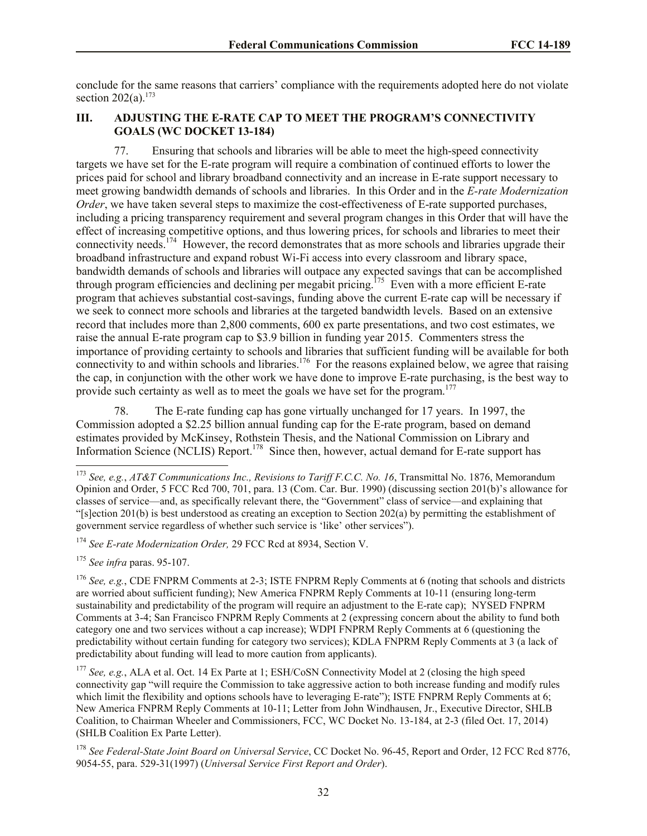conclude for the same reasons that carriers' compliance with the requirements adopted here do not violate section  $202(a)$ <sup>173</sup>

# **III. ADJUSTING THE E-RATE CAP TO MEET THE PROGRAM'S CONNECTIVITY GOALS (WC DOCKET 13-184)**

77. Ensuring that schools and libraries will be able to meet the high-speed connectivity targets we have set for the E-rate program will require a combination of continued efforts to lower the prices paid for school and library broadband connectivity and an increase in E-rate support necessary to meet growing bandwidth demands of schools and libraries. In this Order and in the *E-rate Modernization Order*, we have taken several steps to maximize the cost-effectiveness of E-rate supported purchases, including a pricing transparency requirement and several program changes in this Order that will have the effect of increasing competitive options, and thus lowering prices, for schools and libraries to meet their connectivity needs.<sup>174</sup> However, the record demonstrates that as more schools and libraries upgrade their broadband infrastructure and expand robust Wi-Fi access into every classroom and library space, bandwidth demands of schools and libraries will outpace any expected savings that can be accomplished through program efficiencies and declining per megabit pricing.<sup>175</sup> Even with a more efficient E-rate program that achieves substantial cost-savings, funding above the current E-rate cap will be necessary if we seek to connect more schools and libraries at the targeted bandwidth levels. Based on an extensive record that includes more than 2,800 comments, 600 ex parte presentations, and two cost estimates, we raise the annual E-rate program cap to \$3.9 billion in funding year 2015. Commenters stress the importance of providing certainty to schools and libraries that sufficient funding will be available for both connectivity to and within schools and libraries.<sup>176</sup> For the reasons explained below, we agree that raising the cap, in conjunction with the other work we have done to improve E-rate purchasing, is the best way to provide such certainty as well as to meet the goals we have set for the program.<sup>177</sup>

78. The E-rate funding cap has gone virtually unchanged for 17 years. In 1997, the Commission adopted a \$2.25 billion annual funding cap for the E-rate program, based on demand estimates provided by McKinsey, Rothstein Thesis, and the National Commission on Library and Information Science (NCLIS) Report.<sup>178</sup> Since then, however, actual demand for E-rate support has l

<sup>175</sup> *See infra* paras. 95-107.

<sup>173</sup> *See, e.g.*, *AT&T Communications Inc., Revisions to Tariff F.C.C. No. 16*, Transmittal No. 1876, Memorandum Opinion and Order, 5 FCC Rcd 700, 701, para. 13 (Com. Car. Bur. 1990) (discussing section 201(b)'s allowance for classes of service—and, as specifically relevant there, the "Government" class of service—and explaining that "[s]ection 201(b) is best understood as creating an exception to Section 202(a) by permitting the establishment of government service regardless of whether such service is 'like' other services").

<sup>174</sup> *See E-rate Modernization Order,* 29 FCC Rcd at 8934, Section V.

<sup>&</sup>lt;sup>176</sup> *See, e.g.*, CDE FNPRM Comments at 2-3; ISTE FNPRM Reply Comments at 6 (noting that schools and districts are worried about sufficient funding); New America FNPRM Reply Comments at 10-11 (ensuring long-term sustainability and predictability of the program will require an adjustment to the E-rate cap); NYSED FNPRM Comments at 3-4; San Francisco FNPRM Reply Comments at 2 (expressing concern about the ability to fund both category one and two services without a cap increase); WDPI FNPRM Reply Comments at 6 (questioning the predictability without certain funding for category two services); KDLA FNPRM Reply Comments at 3 (a lack of predictability about funding will lead to more caution from applicants).

<sup>&</sup>lt;sup>177</sup> *See, e.g.*, ALA et al. Oct. 14 Ex Parte at 1; ESH/CoSN Connectivity Model at 2 (closing the high speed connectivity gap "will require the Commission to take aggressive action to both increase funding and modify rules which limit the flexibility and options schools have to leveraging E-rate"); ISTE FNPRM Reply Comments at 6; New America FNPRM Reply Comments at 10-11; Letter from John Windhausen, Jr., Executive Director, SHLB Coalition, to Chairman Wheeler and Commissioners, FCC, WC Docket No. 13-184, at 2-3 (filed Oct. 17, 2014) (SHLB Coalition Ex Parte Letter).

<sup>178</sup> *See Federal-State Joint Board on Universal Service*, CC Docket No. 96-45, Report and Order, 12 FCC Rcd 8776, 9054-55, para. 529-31(1997) (*Universal Service First Report and Order*).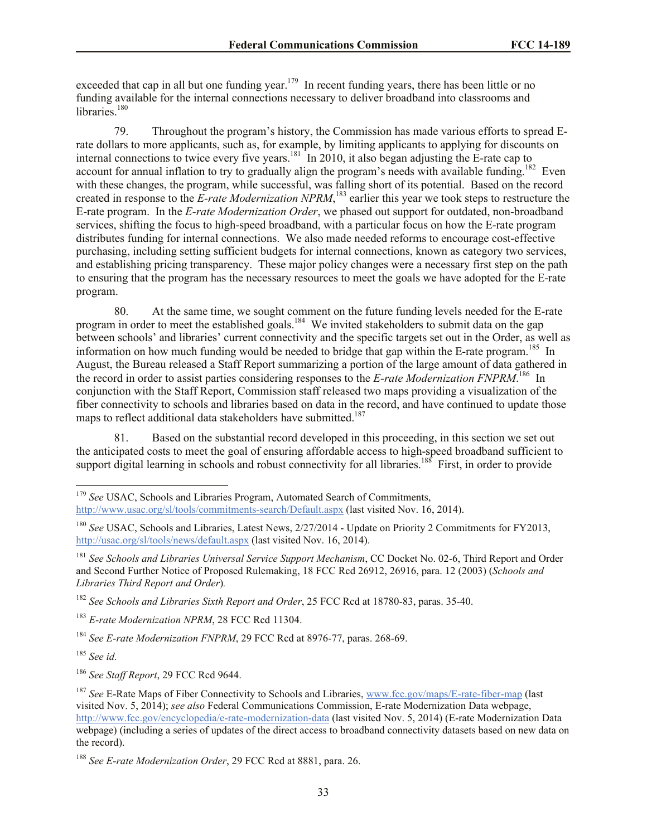exceeded that cap in all but one funding year.<sup>179</sup> In recent funding years, there has been little or no funding available for the internal connections necessary to deliver broadband into classrooms and libraries.<sup>180</sup>

79. Throughout the program's history, the Commission has made various efforts to spread Erate dollars to more applicants, such as, for example, by limiting applicants to applying for discounts on internal connections to twice every five years.<sup>181</sup> In 2010, it also began adjusting the E-rate cap to account for annual inflation to try to gradually align the program's needs with available funding.<sup>182</sup> Even with these changes, the program, while successful, was falling short of its potential. Based on the record created in response to the *E-rate Modernization NPRM*, <sup>183</sup> earlier this year we took steps to restructure the E-rate program. In the *E-rate Modernization Order*, we phased out support for outdated, non-broadband services, shifting the focus to high-speed broadband, with a particular focus on how the E-rate program distributes funding for internal connections. We also made needed reforms to encourage cost-effective purchasing, including setting sufficient budgets for internal connections, known as category two services, and establishing pricing transparency. These major policy changes were a necessary first step on the path to ensuring that the program has the necessary resources to meet the goals we have adopted for the E-rate program.

80. At the same time, we sought comment on the future funding levels needed for the E-rate program in order to meet the established goals.<sup>184</sup> We invited stakeholders to submit data on the gap between schools' and libraries' current connectivity and the specific targets set out in the Order, as well as information on how much funding would be needed to bridge that gap within the E-rate program.<sup>185</sup> In August, the Bureau released a Staff Report summarizing a portion of the large amount of data gathered in the record in order to assist parties considering responses to the *E-rate Modernization FNPRM*.<sup>186</sup> In conjunction with the Staff Report, Commission staff released two maps providing a visualization of the fiber connectivity to schools and libraries based on data in the record, and have continued to update those maps to reflect additional data stakeholders have submitted.<sup>187</sup>

81. Based on the substantial record developed in this proceeding, in this section we set out the anticipated costs to meet the goal of ensuring affordable access to high-speed broadband sufficient to support digital learning in schools and robust connectivity for all libraries.<sup>188</sup> First, in order to provide

<sup>185</sup> *See id.*

<sup>&</sup>lt;sup>179</sup> See USAC, Schools and Libraries Program, Automated Search of Commitments, http://www.usac.org/sl/tools/commitments-search/Default.aspx (last visited Nov. 16, 2014).

<sup>&</sup>lt;sup>180</sup> *See* USAC, Schools and Libraries, Latest News, 2/27/2014 - Update on Priority 2 Commitments for FY2013, http://usac.org/sl/tools/news/default.aspx (last visited Nov. 16, 2014).

<sup>181</sup> *See Schools and Libraries Universal Service Support Mechanism*, CC Docket No. 02-6, Third Report and Order and Second Further Notice of Proposed Rulemaking, 18 FCC Rcd 26912, 26916, para. 12 (2003) (*Schools and Libraries Third Report and Order*)*.*

<sup>182</sup> *See Schools and Libraries Sixth Report and Order*, 25 FCC Rcd at 18780-83, paras. 35-40.

<sup>183</sup> *E-rate Modernization NPRM*, 28 FCC Rcd 11304.

<sup>184</sup> *See E-rate Modernization FNPRM*, 29 FCC Rcd at 8976-77, paras. 268-69.

<sup>186</sup> *See Staff Report*, 29 FCC Rcd 9644.

<sup>187</sup> *See* E-Rate Maps of Fiber Connectivity to Schools and Libraries, www.fcc.gov/maps/E-rate-fiber-map (last visited Nov. 5, 2014); *see also* Federal Communications Commission, E-rate Modernization Data webpage, http://www.fcc.gov/encyclopedia/e-rate-modernization-data (last visited Nov. 5, 2014) (E-rate Modernization Data webpage) (including a series of updates of the direct access to broadband connectivity datasets based on new data on the record).

<sup>188</sup> *See E-rate Modernization Order*, 29 FCC Rcd at 8881, para. 26.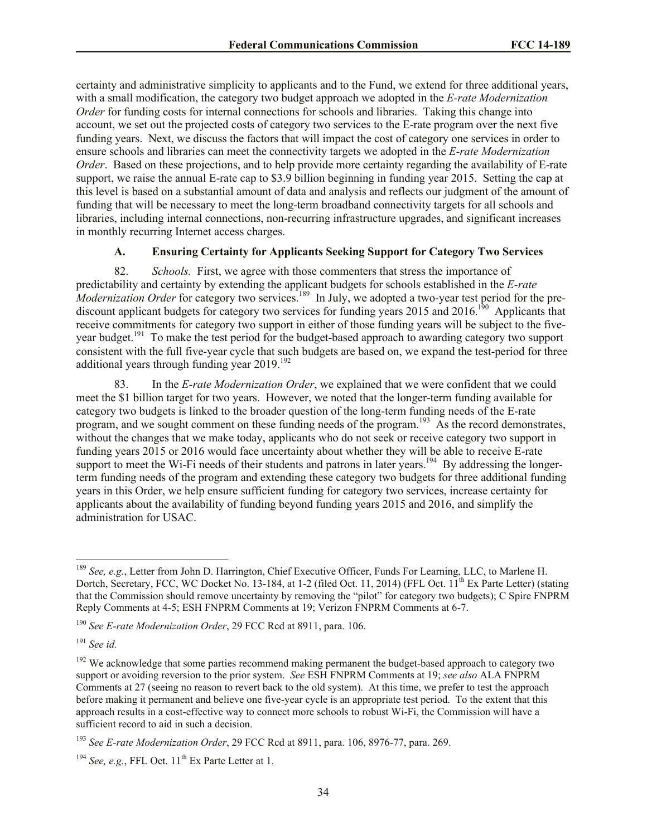certainty and administrative simplicity to applicants and to the Fund, we extend for three additional years, with a small modification, the category two budget approach we adopted in the *E-rate Modernization Order* for funding costs for internal connections for schools and libraries. Taking this change into account, we set out the projected costs of category two services to the E-rate program over the next five funding years. Next, we discuss the factors that will impact the cost of category one services in order to ensure schools and libraries can meet the connectivity targets we adopted in the *E-rate Modernization Order*. Based on these projections, and to help provide more certainty regarding the availability of E-rate support, we raise the annual E-rate cap to \$3.9 billion beginning in funding year 2015. Setting the cap at this level is based on a substantial amount of data and analysis and reflects our judgment of the amount of funding that will be necessary to meet the long-term broadband connectivity targets for all schools and libraries, including internal connections, non-recurring infrastructure upgrades, and significant increases in monthly recurring Internet access charges.

#### **A. Ensuring Certainty for Applicants Seeking Support for Category Two Services**

82. *Schools.* First, we agree with those commenters that stress the importance of predictability and certainty by extending the applicant budgets for schools established in the *E-rate Modernization Order* for category two services.<sup>189</sup> In July, we adopted a two-year test period for the prediscount applicant budgets for category two services for funding years 2015 and 2016.<sup>190</sup> Applicants that receive commitments for category two support in either of those funding years will be subject to the fiveyear budget.<sup>191</sup> To make the test period for the budget-based approach to awarding category two support consistent with the full five-year cycle that such budgets are based on, we expand the test-period for three additional years through funding year  $2019$ <sup>192</sup>

83. In the *E-rate Modernization Order*, we explained that we were confident that we could meet the \$1 billion target for two years. However, we noted that the longer-term funding available for category two budgets is linked to the broader question of the long-term funding needs of the E-rate program, and we sought comment on these funding needs of the program.<sup>193</sup> As the record demonstrates, without the changes that we make today, applicants who do not seek or receive category two support in funding years 2015 or 2016 would face uncertainty about whether they will be able to receive E-rate support to meet the Wi-Fi needs of their students and patrons in later years.<sup>194</sup> By addressing the longerterm funding needs of the program and extending these category two budgets for three additional funding years in this Order, we help ensure sufficient funding for category two services, increase certainty for applicants about the availability of funding beyond funding years 2015 and 2016, and simplify the administration for USAC.

<sup>189</sup> *See, e.g.*, Letter from John D. Harrington, Chief Executive Officer, Funds For Learning, LLC, to Marlene H. Dortch, Secretary, FCC, WC Docket No. 13-184, at 1-2 (filed Oct. 11, 2014) (FFL Oct.  $11^{th}$  Ex Parte Letter) (stating that the Commission should remove uncertainty by removing the "pilot" for category two budgets); C Spire FNPRM Reply Comments at 4-5; ESH FNPRM Comments at 19; Verizon FNPRM Comments at 6-7.

<sup>190</sup> *See E-rate Modernization Order*, 29 FCC Rcd at 8911, para. 106.

<sup>191</sup> *See id.*

<sup>&</sup>lt;sup>192</sup> We acknowledge that some parties recommend making permanent the budget-based approach to category two support or avoiding reversion to the prior system. *See* ESH FNPRM Comments at 19; *see also* ALA FNPRM Comments at 27 (seeing no reason to revert back to the old system). At this time, we prefer to test the approach before making it permanent and believe one five-year cycle is an appropriate test period. To the extent that this approach results in a cost-effective way to connect more schools to robust Wi-Fi, the Commission will have a sufficient record to aid in such a decision.

<sup>193</sup> *See E-rate Modernization Order*, 29 FCC Rcd at 8911, para. 106, 8976-77, para. 269.

<sup>&</sup>lt;sup>194</sup> See, e.g., FFL Oct.  $11<sup>th</sup>$  Ex Parte Letter at 1.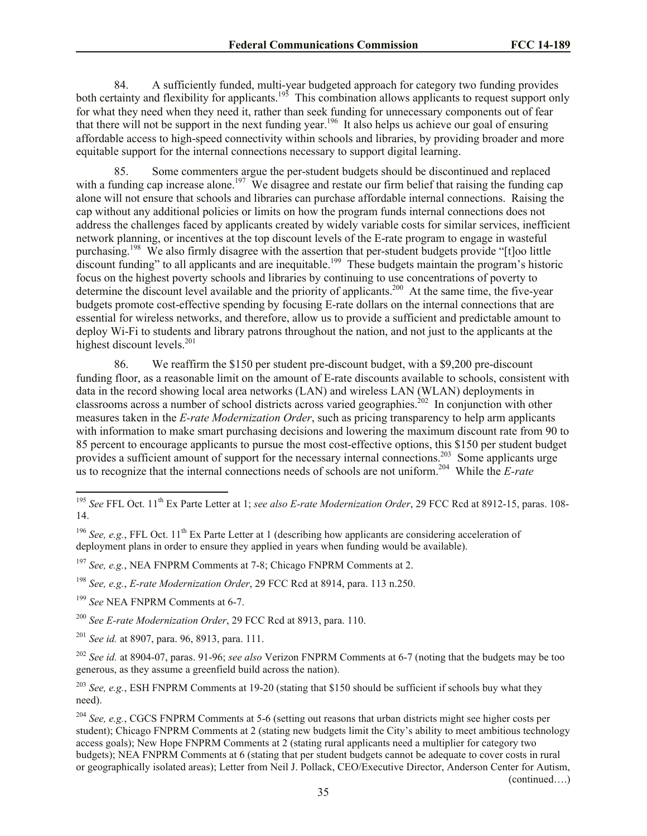84. A sufficiently funded, multi-year budgeted approach for category two funding provides both certainty and flexibility for applicants.<sup>195</sup> This combination allows applicants to request support only for what they need when they need it, rather than seek funding for unnecessary components out of fear that there will not be support in the next funding year.<sup>196</sup> It also helps us achieve our goal of ensuring affordable access to high-speed connectivity within schools and libraries, by providing broader and more equitable support for the internal connections necessary to support digital learning.

85. Some commenters argue the per-student budgets should be discontinued and replaced with a funding cap increase alone.<sup>197</sup> We disagree and restate our firm belief that raising the funding cap alone will not ensure that schools and libraries can purchase affordable internal connections. Raising the cap without any additional policies or limits on how the program funds internal connections does not address the challenges faced by applicants created by widely variable costs for similar services, inefficient network planning, or incentives at the top discount levels of the E-rate program to engage in wasteful purchasing.<sup>198</sup> We also firmly disagree with the assertion that per-student budgets provide "[t]oo little discount funding" to all applicants and are inequitable.<sup>199</sup> These budgets maintain the program's historic focus on the highest poverty schools and libraries by continuing to use concentrations of poverty to determine the discount level available and the priority of applicants.<sup>200</sup> At the same time, the five-year budgets promote cost-effective spending by focusing E-rate dollars on the internal connections that are essential for wireless networks, and therefore, allow us to provide a sufficient and predictable amount to deploy Wi-Fi to students and library patrons throughout the nation, and not just to the applicants at the highest discount levels.<sup>201</sup>

86. We reaffirm the \$150 per student pre-discount budget, with a \$9,200 pre-discount funding floor, as a reasonable limit on the amount of E-rate discounts available to schools, consistent with data in the record showing local area networks (LAN) and wireless LAN (WLAN) deployments in classrooms across a number of school districts across varied geographies.<sup>202</sup> In conjunction with other measures taken in the *E-rate Modernization Order*, such as pricing transparency to help arm applicants with information to make smart purchasing decisions and lowering the maximum discount rate from 90 to 85 percent to encourage applicants to pursue the most cost-effective options, this \$150 per student budget provides a sufficient amount of support for the necessary internal connections.<sup>203</sup> Some applicants urge us to recognize that the internal connections needs of schools are not uniform.<sup>204</sup> While the *E-rate* 

<sup>&</sup>lt;sup>195</sup> See FFL Oct. 11<sup>th</sup> Ex Parte Letter at 1; *see also E-rate Modernization Order*, 29 FCC Rcd at 8912-15, paras. 108-14.

<sup>&</sup>lt;sup>196</sup> *See, e.g.*, FFL Oct. 11<sup>th</sup> Ex Parte Letter at 1 (describing how applicants are considering acceleration of deployment plans in order to ensure they applied in years when funding would be available).

<sup>197</sup> *See, e.g.*, NEA FNPRM Comments at 7-8; Chicago FNPRM Comments at 2.

<sup>198</sup> *See, e.g.*, *E-rate Modernization Order*, 29 FCC Rcd at 8914, para. 113 n.250.

<sup>199</sup> *See* NEA FNPRM Comments at 6-7.

<sup>200</sup> *See E-rate Modernization Order*, 29 FCC Rcd at 8913, para. 110.

<sup>201</sup> *See id.* at 8907, para. 96, 8913, para. 111.

<sup>202</sup> *See id.* at 8904-07, paras. 91-96; *see also* Verizon FNPRM Comments at 6-7 (noting that the budgets may be too generous, as they assume a greenfield build across the nation).

<sup>203</sup> *See, e.g.*, ESH FNPRM Comments at 19-20 (stating that \$150 should be sufficient if schools buy what they need).

<sup>204</sup> *See, e.g.*, CGCS FNPRM Comments at 5-6 (setting out reasons that urban districts might see higher costs per student); Chicago FNPRM Comments at 2 (stating new budgets limit the City's ability to meet ambitious technology access goals); New Hope FNPRM Comments at 2 (stating rural applicants need a multiplier for category two budgets); NEA FNPRM Comments at 6 (stating that per student budgets cannot be adequate to cover costs in rural or geographically isolated areas); Letter from Neil J. Pollack, CEO/Executive Director, Anderson Center for Autism, (continued….)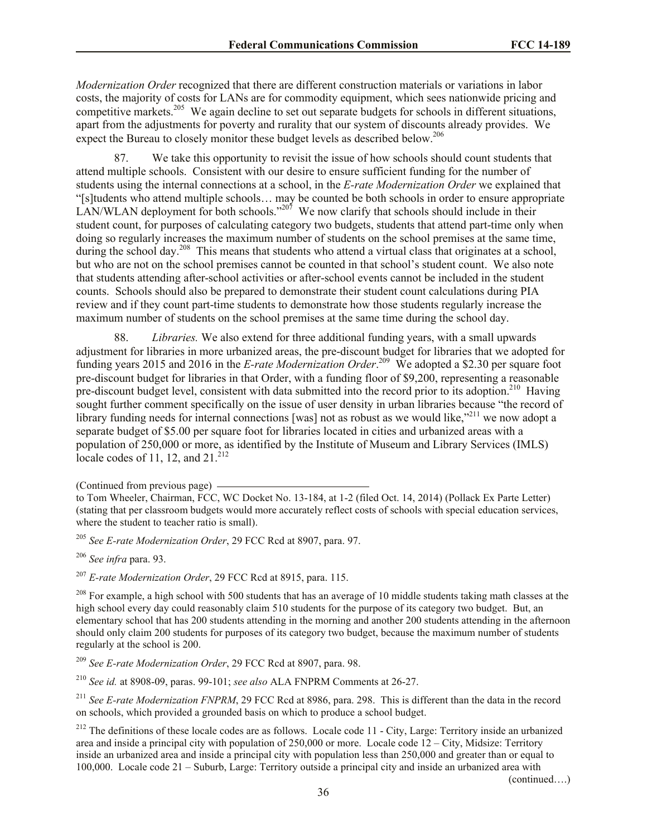*Modernization Order* recognized that there are different construction materials or variations in labor costs, the majority of costs for LANs are for commodity equipment, which sees nationwide pricing and competitive markets.<sup>205</sup> We again decline to set out separate budgets for schools in different situations, apart from the adjustments for poverty and rurality that our system of discounts already provides. We expect the Bureau to closely monitor these budget levels as described below.<sup>206</sup>

87. We take this opportunity to revisit the issue of how schools should count students that attend multiple schools. Consistent with our desire to ensure sufficient funding for the number of students using the internal connections at a school, in the *E-rate Modernization Order* we explained that "[s]tudents who attend multiple schools… may be counted be both schools in order to ensure appropriate LAN/WLAN deployment for both schools."<sup>207</sup> We now clarify that schools should include in their student count, for purposes of calculating category two budgets, students that attend part-time only when doing so regularly increases the maximum number of students on the school premises at the same time, during the school day.<sup>208</sup> This means that students who attend a virtual class that originates at a school, but who are not on the school premises cannot be counted in that school's student count. We also note that students attending after-school activities or after-school events cannot be included in the student counts. Schools should also be prepared to demonstrate their student count calculations during PIA review and if they count part-time students to demonstrate how those students regularly increase the maximum number of students on the school premises at the same time during the school day.

88. *Libraries.* We also extend for three additional funding years, with a small upwards adjustment for libraries in more urbanized areas, the pre-discount budget for libraries that we adopted for funding years 2015 and 2016 in the *E-rate Modernization Order*.<sup>209</sup> We adopted a \$2.30 per square foot pre-discount budget for libraries in that Order, with a funding floor of \$9,200, representing a reasonable pre-discount budget level, consistent with data submitted into the record prior to its adoption.<sup>210</sup> Having sought further comment specifically on the issue of user density in urban libraries because "the record of library funding needs for internal connections [was] not as robust as we would like,<sup> $211$ </sup> we now adopt a separate budget of \$5.00 per square foot for libraries located in cities and urbanized areas with a population of 250,000 or more, as identified by the Institute of Museum and Library Services (IMLS) locale codes of 11, 12, and  $21^{212}$ 

<sup>205</sup> *See E-rate Modernization Order*, 29 FCC Rcd at 8907, para. 97.

<sup>206</sup> *See infra* para. 93.

<sup>207</sup> *E-rate Modernization Order*, 29 FCC Rcd at 8915, para. 115.

 $208$  For example, a high school with 500 students that has an average of 10 middle students taking math classes at the high school every day could reasonably claim 510 students for the purpose of its category two budget. But, an elementary school that has 200 students attending in the morning and another 200 students attending in the afternoon should only claim 200 students for purposes of its category two budget, because the maximum number of students regularly at the school is 200.

<sup>209</sup> *See E-rate Modernization Order*, 29 FCC Rcd at 8907, para. 98.

<sup>210</sup> *See id.* at 8908-09, paras. 99-101; *see also* ALA FNPRM Comments at 26-27.

<sup>211</sup> See E-rate Modernization FNPRM, 29 FCC Rcd at 8986, para. 298. This is different than the data in the record on schools, which provided a grounded basis on which to produce a school budget.

 $212$  The definitions of these locale codes are as follows. Locale code 11 - City, Large: Territory inside an urbanized area and inside a principal city with population of 250,000 or more. Locale code 12 – City, Midsize: Territory inside an urbanized area and inside a principal city with population less than 250,000 and greater than or equal to 100,000. Locale code 21 – Suburb, Large: Territory outside a principal city and inside an urbanized area with

(continued….)

<sup>(</sup>Continued from previous page)

to Tom Wheeler, Chairman, FCC, WC Docket No. 13-184, at 1-2 (filed Oct. 14, 2014) (Pollack Ex Parte Letter) (stating that per classroom budgets would more accurately reflect costs of schools with special education services, where the student to teacher ratio is small).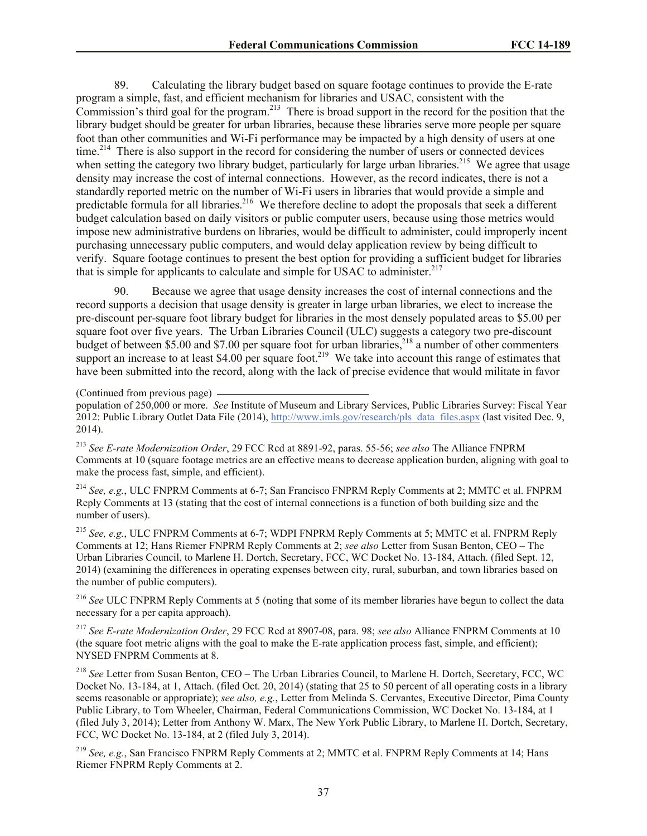89. Calculating the library budget based on square footage continues to provide the E-rate program a simple, fast, and efficient mechanism for libraries and USAC, consistent with the Commission's third goal for the program.<sup>213</sup> There is broad support in the record for the position that the library budget should be greater for urban libraries, because these libraries serve more people per square foot than other communities and Wi-Fi performance may be impacted by a high density of users at one time.<sup>214</sup> There is also support in the record for considering the number of users or connected devices when setting the category two library budget, particularly for large urban libraries.<sup>215</sup> We agree that usage density may increase the cost of internal connections. However, as the record indicates, there is not a standardly reported metric on the number of Wi-Fi users in libraries that would provide a simple and predictable formula for all libraries.<sup>216</sup> We therefore decline to adopt the proposals that seek a different budget calculation based on daily visitors or public computer users, because using those metrics would impose new administrative burdens on libraries, would be difficult to administer, could improperly incent purchasing unnecessary public computers, and would delay application review by being difficult to verify. Square footage continues to present the best option for providing a sufficient budget for libraries that is simple for applicants to calculate and simple for USAC to administer.<sup>217</sup>

90. Because we agree that usage density increases the cost of internal connections and the record supports a decision that usage density is greater in large urban libraries, we elect to increase the pre-discount per-square foot library budget for libraries in the most densely populated areas to \$5.00 per square foot over five years. The Urban Libraries Council (ULC) suggests a category two pre-discount budget of between \$5.00 and \$7.00 per square foot for urban libraries,<sup>218</sup> a number of other commenters support an increase to at least  $$4.00$  per square foot.<sup>219</sup> We take into account this range of estimates that have been submitted into the record, along with the lack of precise evidence that would militate in favor

(Continued from previous page)

<sup>213</sup> *See E-rate Modernization Order*, 29 FCC Rcd at 8891-92, paras. 55-56; *see also* The Alliance FNPRM Comments at 10 (square footage metrics are an effective means to decrease application burden, aligning with goal to make the process fast, simple, and efficient).

<sup>214</sup> *See, e.g.*, ULC FNPRM Comments at 6-7; San Francisco FNPRM Reply Comments at 2; MMTC et al. FNPRM Reply Comments at 13 (stating that the cost of internal connections is a function of both building size and the number of users).

<sup>215</sup> *See, e.g.*, ULC FNPRM Comments at 6-7; WDPI FNPRM Reply Comments at 5; MMTC et al. FNPRM Reply Comments at 12; Hans Riemer FNPRM Reply Comments at 2; *see also* Letter from Susan Benton, CEO – The Urban Libraries Council, to Marlene H. Dortch, Secretary, FCC, WC Docket No. 13-184, Attach. (filed Sept. 12, 2014) (examining the differences in operating expenses between city, rural, suburban, and town libraries based on the number of public computers).

<sup>216</sup> See ULC FNPRM Reply Comments at 5 (noting that some of its member libraries have begun to collect the data necessary for a per capita approach).

<sup>217</sup> *See E-rate Modernization Order*, 29 FCC Rcd at 8907-08, para. 98; *see also* Alliance FNPRM Comments at 10 (the square foot metric aligns with the goal to make the E-rate application process fast, simple, and efficient); NYSED FNPRM Comments at 8.

<sup>218</sup> *See* Letter from Susan Benton, CEO – The Urban Libraries Council, to Marlene H. Dortch, Secretary, FCC, WC Docket No. 13-184, at 1, Attach. (filed Oct. 20, 2014) (stating that 25 to 50 percent of all operating costs in a library seems reasonable or appropriate); *see also, e.g.*, Letter from Melinda S. Cervantes, Executive Director, Pima County Public Library, to Tom Wheeler, Chairman, Federal Communications Commission, WC Docket No. 13-184, at 1 (filed July 3, 2014); Letter from Anthony W. Marx, The New York Public Library, to Marlene H. Dortch, Secretary, FCC, WC Docket No. 13-184, at 2 (filed July 3, 2014).

<sup>219</sup> *See, e.g.*, San Francisco FNPRM Reply Comments at 2; MMTC et al. FNPRM Reply Comments at 14; Hans Riemer FNPRM Reply Comments at 2.

population of 250,000 or more. *See* Institute of Museum and Library Services, Public Libraries Survey: Fiscal Year 2012: Public Library Outlet Data File (2014), http://www.imls.gov/research/pls\_data\_files.aspx (last visited Dec. 9, 2014).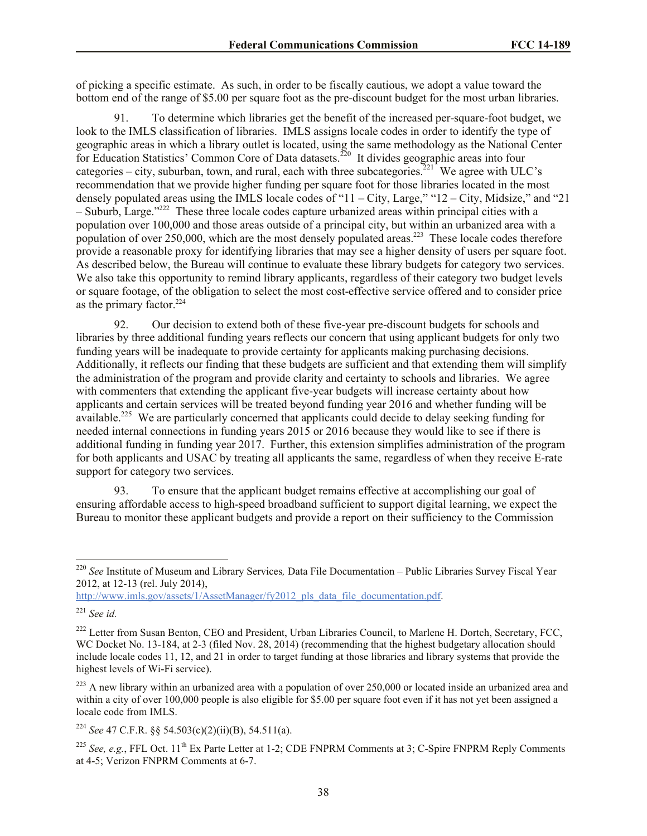of picking a specific estimate. As such, in order to be fiscally cautious, we adopt a value toward the bottom end of the range of \$5.00 per square foot as the pre-discount budget for the most urban libraries.

91. To determine which libraries get the benefit of the increased per-square-foot budget, we look to the IMLS classification of libraries. IMLS assigns locale codes in order to identify the type of geographic areas in which a library outlet is located, using the same methodology as the National Center for Education Statistics' Common Core of Data datasets.<sup>220</sup> It divides geographic areas into four categories – city, suburban, town, and rural, each with three subcategories.<sup>221</sup> We agree with ULC's recommendation that we provide higher funding per square foot for those libraries located in the most densely populated areas using the IMLS locale codes of "11 – City, Large," "12 – City, Midsize," and "21 – Suburb, Large."<sup>222</sup> These three locale codes capture urbanized areas within principal cities with a population over 100,000 and those areas outside of a principal city, but within an urbanized area with a population of over  $250,000$ , which are the most densely populated areas.<sup>223</sup> These locale codes therefore provide a reasonable proxy for identifying libraries that may see a higher density of users per square foot. As described below, the Bureau will continue to evaluate these library budgets for category two services. We also take this opportunity to remind library applicants, regardless of their category two budget levels or square footage, of the obligation to select the most cost-effective service offered and to consider price as the primary factor.<sup>224</sup>

92. Our decision to extend both of these five-year pre-discount budgets for schools and libraries by three additional funding years reflects our concern that using applicant budgets for only two funding years will be inadequate to provide certainty for applicants making purchasing decisions. Additionally, it reflects our finding that these budgets are sufficient and that extending them will simplify the administration of the program and provide clarity and certainty to schools and libraries. We agree with commenters that extending the applicant five-year budgets will increase certainty about how applicants and certain services will be treated beyond funding year 2016 and whether funding will be available.<sup>225</sup> We are particularly concerned that applicants could decide to delay seeking funding for needed internal connections in funding years 2015 or 2016 because they would like to see if there is additional funding in funding year 2017. Further, this extension simplifies administration of the program for both applicants and USAC by treating all applicants the same, regardless of when they receive E-rate support for category two services.

93. To ensure that the applicant budget remains effective at accomplishing our goal of ensuring affordable access to high-speed broadband sufficient to support digital learning, we expect the Bureau to monitor these applicant budgets and provide a report on their sufficiency to the Commission

http://www.imls.gov/assets/1/AssetManager/fy2012\_pls\_data\_file\_documentation.pdf.

<sup>220</sup> *See* Institute of Museum and Library Services*,* Data File Documentation – Public Libraries Survey Fiscal Year 2012, at 12-13 (rel. July 2014),

<sup>221</sup> *See id.*

<sup>&</sup>lt;sup>222</sup> Letter from Susan Benton, CEO and President, Urban Libraries Council, to Marlene H. Dortch, Secretary, FCC, WC Docket No. 13-184, at 2-3 (filed Nov. 28, 2014) (recommending that the highest budgetary allocation should include locale codes 11, 12, and 21 in order to target funding at those libraries and library systems that provide the highest levels of Wi-Fi service).

 $^{223}$  A new library within an urbanized area with a population of over 250,000 or located inside an urbanized area and within a city of over 100,000 people is also eligible for \$5.00 per square foot even if it has not yet been assigned a locale code from IMLS.

<sup>224</sup> *See* 47 C.F.R. §§ 54.503(c)(2)(ii)(B), 54.511(a).

<sup>&</sup>lt;sup>225</sup> See, e.g., FFL Oct. 11<sup>th</sup> Ex Parte Letter at 1-2; CDE FNPRM Comments at 3; C-Spire FNPRM Reply Comments at 4-5; Verizon FNPRM Comments at 6-7.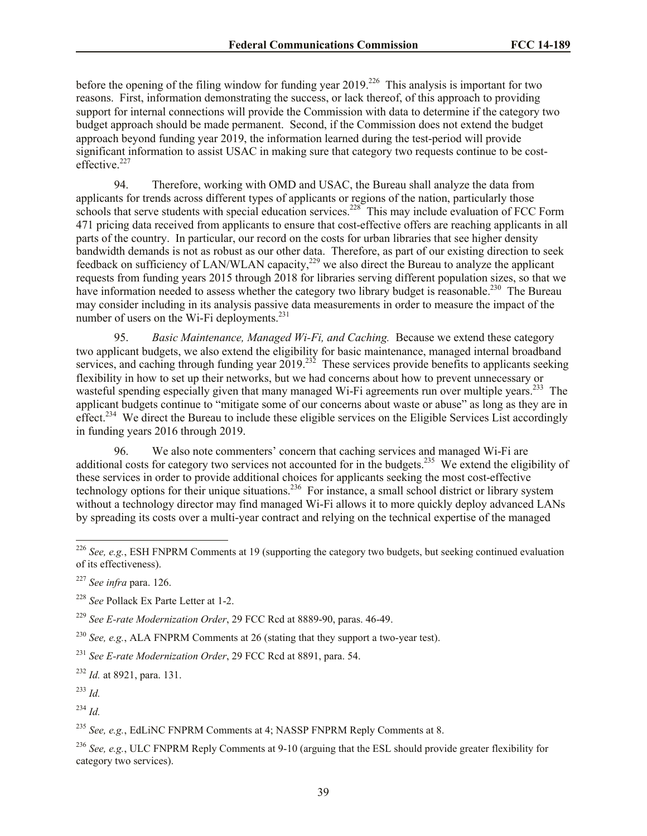before the opening of the filing window for funding year 2019.<sup>226</sup> This analysis is important for two reasons. First, information demonstrating the success, or lack thereof, of this approach to providing support for internal connections will provide the Commission with data to determine if the category two budget approach should be made permanent. Second, if the Commission does not extend the budget approach beyond funding year 2019, the information learned during the test-period will provide significant information to assist USAC in making sure that category two requests continue to be costeffective<sup>227</sup>

94. Therefore, working with OMD and USAC, the Bureau shall analyze the data from applicants for trends across different types of applicants or regions of the nation, particularly those schools that serve students with special education services.<sup>228</sup> This may include evaluation of FCC Form 471 pricing data received from applicants to ensure that cost-effective offers are reaching applicants in all parts of the country. In particular, our record on the costs for urban libraries that see higher density bandwidth demands is not as robust as our other data. Therefore, as part of our existing direction to seek feedback on sufficiency of LAN/WLAN capacity,<sup>229</sup> we also direct the Bureau to analyze the applicant requests from funding years 2015 through 2018 for libraries serving different population sizes, so that we have information needed to assess whether the category two library budget is reasonable.<sup>230</sup> The Bureau may consider including in its analysis passive data measurements in order to measure the impact of the number of users on the Wi-Fi deployments. $^{231}$ 

95. *Basic Maintenance, Managed Wi-Fi, and Caching.* Because we extend these category two applicant budgets, we also extend the eligibility for basic maintenance, managed internal broadband services, and caching through funding year  $2019$ <sup>232</sup> These services provide benefits to applicants seeking flexibility in how to set up their networks, but we had concerns about how to prevent unnecessary or wasteful spending especially given that many managed Wi-Fi agreements run over multiple years.<sup>233</sup> The applicant budgets continue to "mitigate some of our concerns about waste or abuse" as long as they are in effect.<sup>234</sup> We direct the Bureau to include these eligible services on the Eligible Services List accordingly in funding years 2016 through 2019.

96. We also note commenters' concern that caching services and managed Wi-Fi are additional costs for category two services not accounted for in the budgets.<sup>235</sup> We extend the eligibility of these services in order to provide additional choices for applicants seeking the most cost-effective technology options for their unique situations.<sup>236</sup> For instance, a small school district or library system without a technology director may find managed Wi-Fi allows it to more quickly deploy advanced LANs by spreading its costs over a multi-year contract and relying on the technical expertise of the managed

<sup>229</sup> *See E-rate Modernization Order*, 29 FCC Rcd at 8889-90, paras. 46-49.

<sup>230</sup> *See, e.g.*, ALA FNPRM Comments at 26 (stating that they support a two-year test).

<sup>231</sup> *See E-rate Modernization Order*, 29 FCC Rcd at 8891, para. 54.

<sup>232</sup> *Id.* at 8921, para. 131.

<sup>233</sup> *Id.*

l

<sup>234</sup> *Id.*

<sup>235</sup> *See, e.g.*, EdLiNC FNPRM Comments at 4; NASSP FNPRM Reply Comments at 8.

<sup>236</sup> *See, e.g.*, ULC FNPRM Reply Comments at 9-10 (arguing that the ESL should provide greater flexibility for category two services).

<sup>226</sup> *See, e.g.*, ESH FNPRM Comments at 19 (supporting the category two budgets, but seeking continued evaluation of its effectiveness).

<sup>227</sup> *See infra* para. 126.

<sup>228</sup> *See* Pollack Ex Parte Letter at 1-2.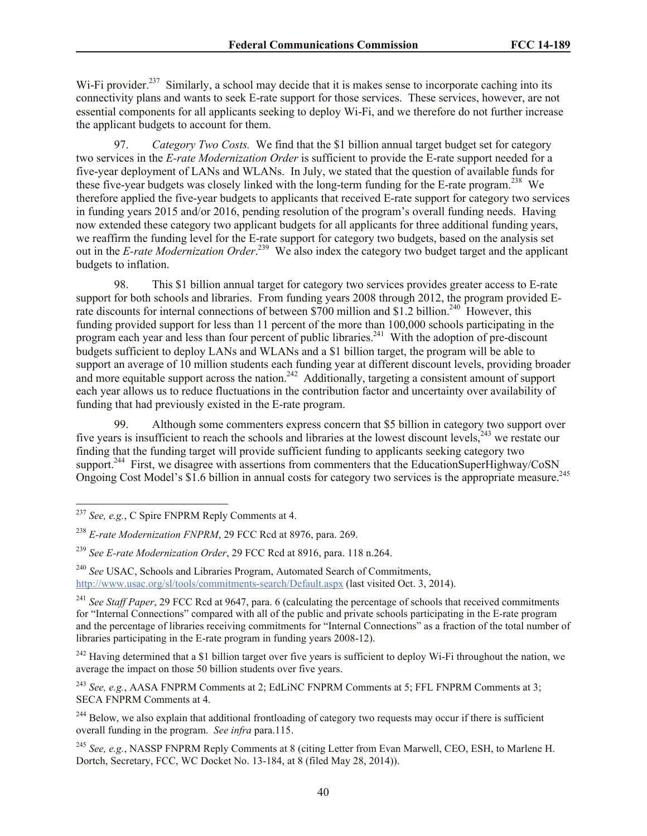Wi-Fi provider.<sup>237</sup> Similarly, a school may decide that it is makes sense to incorporate caching into its connectivity plans and wants to seek E-rate support for those services. These services, however, are not essential components for all applicants seeking to deploy Wi-Fi, and we therefore do not further increase the applicant budgets to account for them.

97. *Category Two Costs.* We find that the \$1 billion annual target budget set for category two services in the *E-rate Modernization Order* is sufficient to provide the E-rate support needed for a five-year deployment of LANs and WLANs. In July, we stated that the question of available funds for these five-year budgets was closely linked with the long-term funding for the E-rate program.<sup>238</sup> We therefore applied the five-year budgets to applicants that received E-rate support for category two services in funding years 2015 and/or 2016, pending resolution of the program's overall funding needs. Having now extended these category two applicant budgets for all applicants for three additional funding years, we reaffirm the funding level for the E-rate support for category two budgets, based on the analysis set out in the *E-rate Modernization Order*.<sup>239</sup> We also index the category two budget target and the applicant budgets to inflation.

98. This \$1 billion annual target for category two services provides greater access to E-rate support for both schools and libraries. From funding years 2008 through 2012, the program provided Erate discounts for internal connections of between \$700 million and \$1.2 billion.<sup>240</sup> However, this funding provided support for less than 11 percent of the more than 100,000 schools participating in the program each year and less than four percent of public libraries.<sup>241</sup> With the adoption of pre-discount budgets sufficient to deploy LANs and WLANs and a \$1 billion target, the program will be able to support an average of 10 million students each funding year at different discount levels, providing broader and more equitable support across the nation.<sup>242</sup> Additionally, targeting a consistent amount of support each year allows us to reduce fluctuations in the contribution factor and uncertainty over availability of funding that had previously existed in the E-rate program.

99. Although some commenters express concern that \$5 billion in category two support over five years is insufficient to reach the schools and libraries at the lowest discount levels, $243$  we restate our finding that the funding target will provide sufficient funding to applicants seeking category two support.<sup>244</sup> First, we disagree with assertions from commenters that the EducationSuperHighway/CoSN Ongoing Cost Model's \$1.6 billion in annual costs for category two services is the appropriate measure.<sup>245</sup>

<sup>237</sup> *See, e.g.*, C Spire FNPRM Reply Comments at 4.

<sup>238</sup> *E-rate Modernization FNPRM*, 29 FCC Rcd at 8976, para. 269.

<sup>239</sup> *See E-rate Modernization Order*, 29 FCC Rcd at 8916, para. 118 n.264.

<sup>240</sup> *See* USAC, Schools and Libraries Program, Automated Search of Commitments, http://www.usac.org/sl/tools/commitments-search/Default.aspx (last visited Oct. 3, 2014).

<sup>&</sup>lt;sup>241</sup> See Staff Paper, 29 FCC Rcd at 9647, para. 6 (calculating the percentage of schools that received commitments for "Internal Connections" compared with all of the public and private schools participating in the E-rate program and the percentage of libraries receiving commitments for "Internal Connections" as a fraction of the total number of libraries participating in the E-rate program in funding years 2008-12).

<sup>&</sup>lt;sup>242</sup> Having determined that a \$1 billion target over five years is sufficient to deploy Wi-Fi throughout the nation, we average the impact on those 50 billion students over five years.

<sup>243</sup> *See, e.g.*, AASA FNPRM Comments at 2; EdLiNC FNPRM Comments at 5; FFL FNPRM Comments at 3; SECA FNPRM Comments at 4.

<sup>&</sup>lt;sup>244</sup> Below, we also explain that additional frontloading of category two requests may occur if there is sufficient overall funding in the program. *See infra* para.115.

<sup>245</sup> *See, e.g.*, NASSP FNPRM Reply Comments at 8 (citing Letter from Evan Marwell, CEO, ESH, to Marlene H. Dortch, Secretary, FCC, WC Docket No. 13-184, at 8 (filed May 28, 2014)).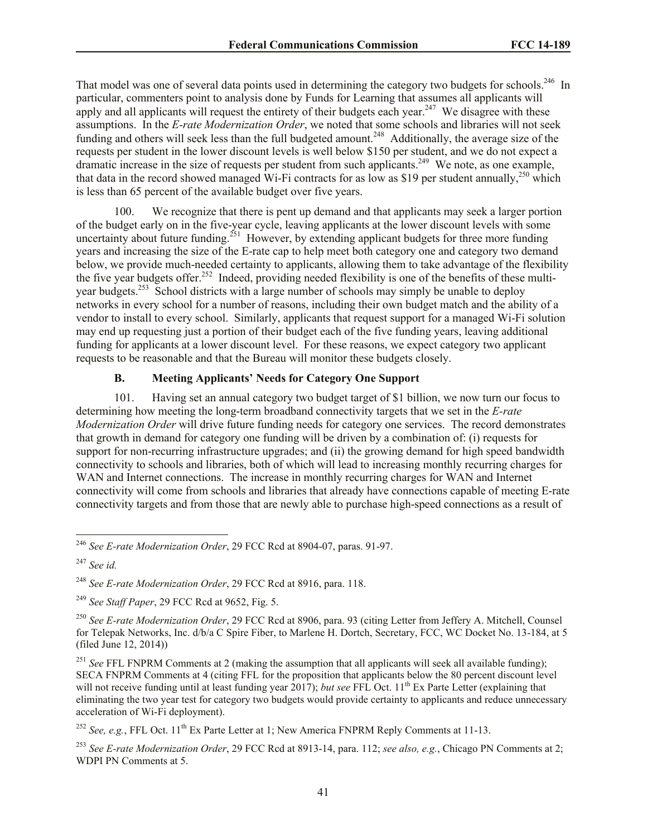That model was one of several data points used in determining the category two budgets for schools.<sup>246</sup> In particular, commenters point to analysis done by Funds for Learning that assumes all applicants will apply and all applicants will request the entirety of their budgets each year.<sup>247</sup> We disagree with these assumptions. In the *E-rate Modernization Order*, we noted that some schools and libraries will not seek funding and others will seek less than the full budgeted amount.<sup>248</sup> Additionally, the average size of the requests per student in the lower discount levels is well below \$150 per student, and we do not expect a dramatic increase in the size of requests per student from such applicants.<sup>249</sup> We note, as one example, that data in the record showed managed Wi-Fi contracts for as low as \$19 per student annually,<sup>250</sup> which is less than 65 percent of the available budget over five years.

100. We recognize that there is pent up demand and that applicants may seek a larger portion of the budget early on in the five-year cycle, leaving applicants at the lower discount levels with some uncertainty about future funding.<sup>251</sup> However, by extending applicant budgets for three more funding years and increasing the size of the E-rate cap to help meet both category one and category two demand below, we provide much-needed certainty to applicants, allowing them to take advantage of the flexibility the five year budgets offer.<sup>252</sup> Indeed, providing needed flexibility is one of the benefits of these multiyear budgets.<sup>253</sup> School districts with a large number of schools may simply be unable to deploy networks in every school for a number of reasons, including their own budget match and the ability of a vendor to install to every school. Similarly, applicants that request support for a managed Wi-Fi solution may end up requesting just a portion of their budget each of the five funding years, leaving additional funding for applicants at a lower discount level. For these reasons, we expect category two applicant requests to be reasonable and that the Bureau will monitor these budgets closely.

## **B. Meeting Applicants' Needs for Category One Support**

101. Having set an annual category two budget target of \$1 billion, we now turn our focus to determining how meeting the long-term broadband connectivity targets that we set in the *E-rate Modernization Order* will drive future funding needs for category one services. The record demonstrates that growth in demand for category one funding will be driven by a combination of: (i) requests for support for non-recurring infrastructure upgrades; and (ii) the growing demand for high speed bandwidth connectivity to schools and libraries, both of which will lead to increasing monthly recurring charges for WAN and Internet connections. The increase in monthly recurring charges for WAN and Internet connectivity will come from schools and libraries that already have connections capable of meeting E-rate connectivity targets and from those that are newly able to purchase high-speed connections as a result of

<sup>246</sup> *See E-rate Modernization Order*, 29 FCC Rcd at 8904-07, paras. 91-97.

<sup>247</sup> *See id.*

<sup>248</sup> *See E-rate Modernization Order*, 29 FCC Rcd at 8916, para. 118.

<sup>249</sup> *See Staff Paper*, 29 FCC Rcd at 9652, Fig. 5.

<sup>250</sup> *See E-rate Modernization Order*, 29 FCC Rcd at 8906, para. 93 (citing Letter from Jeffery A. Mitchell, Counsel for Telepak Networks, Inc. d/b/a C Spire Fiber, to Marlene H. Dortch, Secretary, FCC, WC Docket No. 13-184, at 5 (filed June 12, 2014))

<sup>&</sup>lt;sup>251</sup> See FFL FNPRM Comments at 2 (making the assumption that all applicants will seek all available funding); SECA FNPRM Comments at 4 (citing FFL for the proposition that applicants below the 80 percent discount level will not receive funding until at least funding year 2017); *but see* FFL Oct. 11<sup>th</sup> Ex Parte Letter (explaining that eliminating the two year test for category two budgets would provide certainty to applicants and reduce unnecessary acceleration of Wi-Fi deployment).

<sup>&</sup>lt;sup>252</sup> *See, e.g.*, FFL Oct.  $11^{th}$  Ex Parte Letter at 1; New America FNPRM Reply Comments at 11-13.

<sup>253</sup> *See E-rate Modernization Order*, 29 FCC Rcd at 8913-14, para. 112; *see also, e.g.*, Chicago PN Comments at 2; WDPI PN Comments at 5.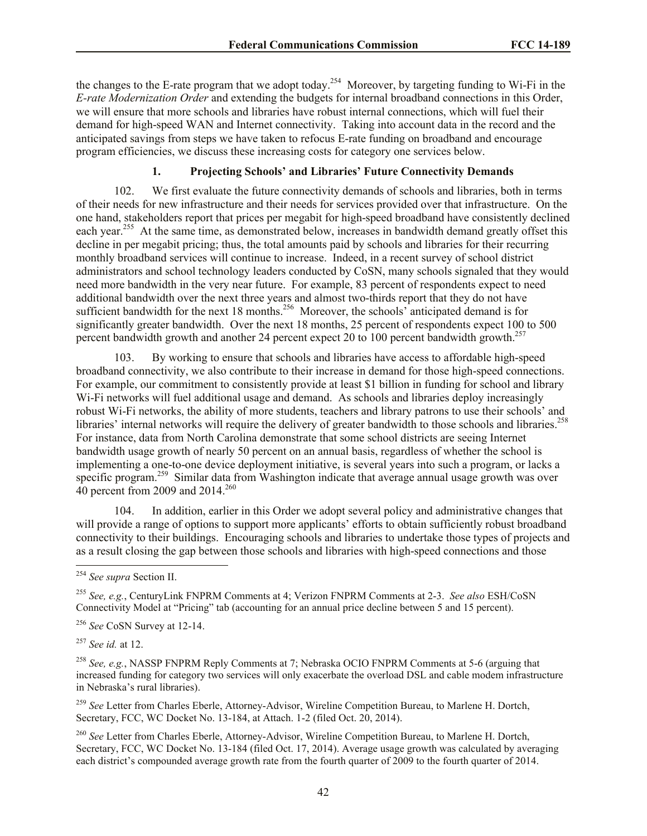the changes to the E-rate program that we adopt today.<sup>254</sup> Moreover, by targeting funding to Wi-Fi in the *E-rate Modernization Order* and extending the budgets for internal broadband connections in this Order, we will ensure that more schools and libraries have robust internal connections, which will fuel their demand for high-speed WAN and Internet connectivity. Taking into account data in the record and the anticipated savings from steps we have taken to refocus E-rate funding on broadband and encourage program efficiencies, we discuss these increasing costs for category one services below.

## **1. Projecting Schools' and Libraries' Future Connectivity Demands**

102. We first evaluate the future connectivity demands of schools and libraries, both in terms of their needs for new infrastructure and their needs for services provided over that infrastructure. On the one hand, stakeholders report that prices per megabit for high-speed broadband have consistently declined each year.<sup>255</sup> At the same time, as demonstrated below, increases in bandwidth demand greatly offset this decline in per megabit pricing; thus, the total amounts paid by schools and libraries for their recurring monthly broadband services will continue to increase. Indeed, in a recent survey of school district administrators and school technology leaders conducted by CoSN, many schools signaled that they would need more bandwidth in the very near future. For example, 83 percent of respondents expect to need additional bandwidth over the next three years and almost two-thirds report that they do not have sufficient bandwidth for the next 18 months.<sup>256</sup> Moreover, the schools' anticipated demand is for significantly greater bandwidth. Over the next 18 months, 25 percent of respondents expect 100 to 500 percent bandwidth growth and another 24 percent expect 20 to 100 percent bandwidth growth.<sup>257</sup>

103. By working to ensure that schools and libraries have access to affordable high-speed broadband connectivity, we also contribute to their increase in demand for those high-speed connections. For example, our commitment to consistently provide at least \$1 billion in funding for school and library Wi-Fi networks will fuel additional usage and demand. As schools and libraries deploy increasingly robust Wi-Fi networks, the ability of more students, teachers and library patrons to use their schools' and libraries' internal networks will require the delivery of greater bandwidth to those schools and libraries.<sup>258</sup> For instance, data from North Carolina demonstrate that some school districts are seeing Internet bandwidth usage growth of nearly 50 percent on an annual basis, regardless of whether the school is implementing a one-to-one device deployment initiative, is several years into such a program, or lacks a specific program.<sup>259</sup> Similar data from Washington indicate that average annual usage growth was over 40 percent from 2009 and 2014.<sup>260</sup>

104. In addition, earlier in this Order we adopt several policy and administrative changes that will provide a range of options to support more applicants' efforts to obtain sufficiently robust broadband connectivity to their buildings. Encouraging schools and libraries to undertake those types of projects and as a result closing the gap between those schools and libraries with high-speed connections and those

<sup>255</sup> *See, e.g.*, CenturyLink FNPRM Comments at 4; Verizon FNPRM Comments at 2-3. *See also* ESH/CoSN Connectivity Model at "Pricing" tab (accounting for an annual price decline between 5 and 15 percent).

<sup>256</sup> *See* CoSN Survey at 12-14.

<sup>257</sup> *See id.* at 12.

l

<sup>258</sup> *See, e.g.*, NASSP FNPRM Reply Comments at 7; Nebraska OCIO FNPRM Comments at 5-6 (arguing that increased funding for category two services will only exacerbate the overload DSL and cable modem infrastructure in Nebraska's rural libraries).

<sup>259</sup> *See* Letter from Charles Eberle, Attorney-Advisor, Wireline Competition Bureau, to Marlene H. Dortch, Secretary, FCC, WC Docket No. 13-184, at Attach. 1-2 (filed Oct. 20, 2014).

<sup>260</sup> *See* Letter from Charles Eberle, Attorney-Advisor, Wireline Competition Bureau, to Marlene H. Dortch, Secretary, FCC, WC Docket No. 13-184 (filed Oct. 17, 2014). Average usage growth was calculated by averaging each district's compounded average growth rate from the fourth quarter of 2009 to the fourth quarter of 2014.

<sup>254</sup> *See supra* Section II.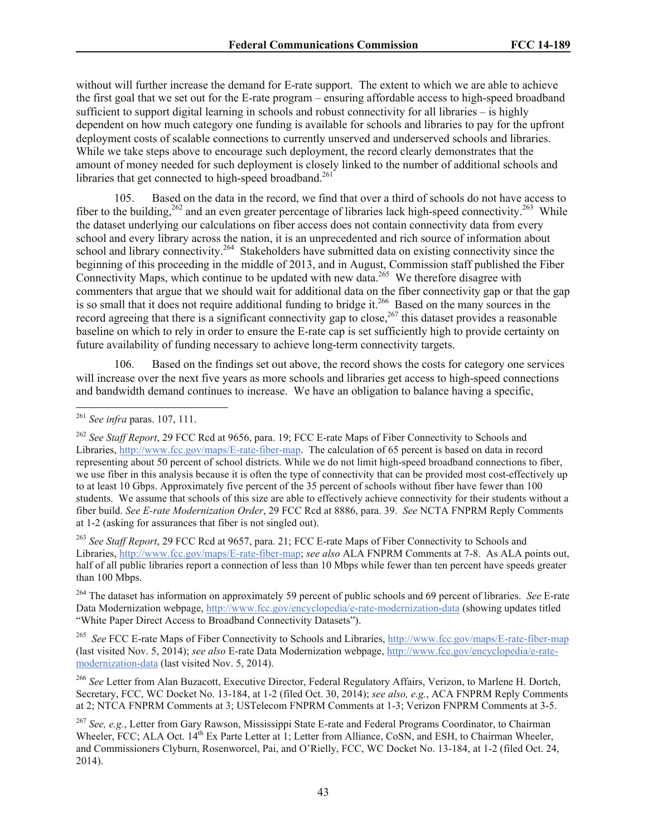without will further increase the demand for E-rate support. The extent to which we are able to achieve the first goal that we set out for the E-rate program – ensuring affordable access to high-speed broadband sufficient to support digital learning in schools and robust connectivity for all libraries – is highly dependent on how much category one funding is available for schools and libraries to pay for the upfront deployment costs of scalable connections to currently unserved and underserved schools and libraries. While we take steps above to encourage such deployment, the record clearly demonstrates that the amount of money needed for such deployment is closely linked to the number of additional schools and libraries that get connected to high-speed broadband.<sup>261</sup>

105. Based on the data in the record, we find that over a third of schools do not have access to fiber to the building,  $262$  and an even greater percentage of libraries lack high-speed connectivity.  $263$  While the dataset underlying our calculations on fiber access does not contain connectivity data from every school and every library across the nation, it is an unprecedented and rich source of information about school and library connectivity.<sup>264</sup> Stakeholders have submitted data on existing connectivity since the beginning of this proceeding in the middle of 2013, and in August, Commission staff published the Fiber Connectivity Maps, which continue to be updated with new data.<sup>265</sup> We therefore disagree with commenters that argue that we should wait for additional data on the fiber connectivity gap or that the gap is so small that it does not require additional funding to bridge it.<sup>266</sup> Based on the many sources in the record agreeing that there is a significant connectivity gap to close,<sup>267</sup> this dataset provides a reasonable baseline on which to rely in order to ensure the E-rate cap is set sufficiently high to provide certainty on future availability of funding necessary to achieve long-term connectivity targets.

106. Based on the findings set out above, the record shows the costs for category one services will increase over the next five years as more schools and libraries get access to high-speed connections and bandwidth demand continues to increase. We have an obligation to balance having a specific,

l

<sup>263</sup> *See Staff Report*, 29 FCC Rcd at 9657, para. 21; FCC E-rate Maps of Fiber Connectivity to Schools and Libraries, http://www.fcc.gov/maps/E-rate-fiber-map; *see also* ALA FNPRM Comments at 7-8. As ALA points out, half of all public libraries report a connection of less than 10 Mbps while fewer than ten percent have speeds greater than 100 Mbps.

<sup>264</sup> The dataset has information on approximately 59 percent of public schools and 69 percent of libraries. *See* E-rate Data Modernization webpage, http://www.fcc.gov/encyclopedia/e-rate-modernization-data (showing updates titled "White Paper Direct Access to Broadband Connectivity Datasets").

265 *See* FCC E-rate Maps of Fiber Connectivity to Schools and Libraries, http://www.fcc.gov/maps/E-rate-fiber-map (last visited Nov. 5, 2014); *see also* E-rate Data Modernization webpage, http://www.fcc.gov/encyclopedia/e-ratemodernization-data (last visited Nov. 5, 2014).

<sup>266</sup> *See* Letter from Alan Buzacott, Executive Director, Federal Regulatory Affairs, Verizon, to Marlene H. Dortch, Secretary, FCC, WC Docket No. 13-184, at 1-2 (filed Oct. 30, 2014); *see also, e.g.*, ACA FNPRM Reply Comments at 2; NTCA FNPRM Comments at 3; USTelecom FNPRM Comments at 1-3; Verizon FNPRM Comments at 3-5.

<sup>267</sup> *See, e.g.*, Letter from Gary Rawson, Mississippi State E-rate and Federal Programs Coordinator, to Chairman Wheeler, FCC; ALA Oct. 14<sup>th</sup> Ex Parte Letter at 1; Letter from Alliance, CoSN, and ESH, to Chairman Wheeler, and Commissioners Clyburn, Rosenworcel, Pai, and O'Rielly, FCC, WC Docket No. 13-184, at 1-2 (filed Oct. 24, 2014).

<sup>261</sup> *See infra* paras. 107, 111.

<sup>262</sup> *See Staff Report*, 29 FCC Rcd at 9656, para. 19; FCC E-rate Maps of Fiber Connectivity to Schools and Libraries, http://www.fcc.gov/maps/E-rate-fiber-map. The calculation of 65 percent is based on data in record representing about 50 percent of school districts. While we do not limit high-speed broadband connections to fiber, we use fiber in this analysis because it is often the type of connectivity that can be provided most cost-effectively up to at least 10 Gbps. Approximately five percent of the 35 percent of schools without fiber have fewer than 100 students. We assume that schools of this size are able to effectively achieve connectivity for their students without a fiber build. *See E-rate Modernization Order*, 29 FCC Rcd at 8886, para. 39. *See* NCTA FNPRM Reply Comments at 1-2 (asking for assurances that fiber is not singled out).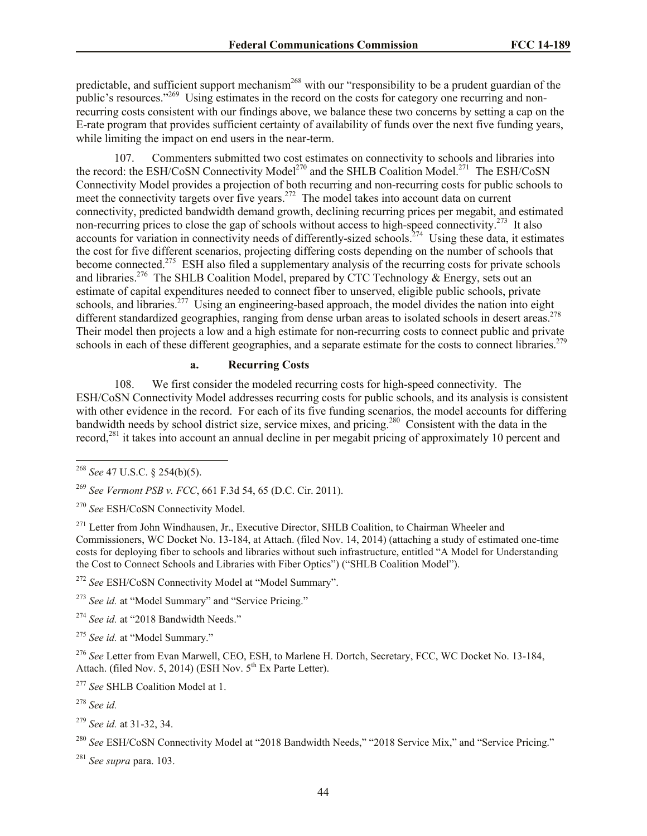predictable, and sufficient support mechanism<sup>268</sup> with our "responsibility to be a prudent guardian of the public's resources."<sup>269</sup> Using estimates in the record on the costs for category one recurring and nonrecurring costs consistent with our findings above, we balance these two concerns by setting a cap on the E-rate program that provides sufficient certainty of availability of funds over the next five funding years, while limiting the impact on end users in the near-term.

107. Commenters submitted two cost estimates on connectivity to schools and libraries into the record: the ESH/CoSN Connectivity Model<sup>270</sup> and the SHLB Coalition Model.<sup>271</sup> The ESH/CoSN Connectivity Model provides a projection of both recurring and non-recurring costs for public schools to meet the connectivity targets over five years.<sup>272</sup> The model takes into account data on current connectivity, predicted bandwidth demand growth, declining recurring prices per megabit, and estimated non-recurring prices to close the gap of schools without access to high-speed connectivity.<sup>273</sup> It also accounts for variation in connectivity needs of differently-sized schools.<sup>274</sup> Using these data, it estimates the cost for five different scenarios, projecting differing costs depending on the number of schools that become connected.<sup>275</sup> ESH also filed a supplementary analysis of the recurring costs for private schools and libraries.<sup>276</sup> The SHLB Coalition Model, prepared by CTC Technology & Energy, sets out an estimate of capital expenditures needed to connect fiber to unserved, eligible public schools, private schools, and libraries.<sup>277</sup> Using an engineering-based approach, the model divides the nation into eight different standardized geographies, ranging from dense urban areas to isolated schools in desert areas.<sup>278</sup> Their model then projects a low and a high estimate for non-recurring costs to connect public and private schools in each of these different geographies, and a separate estimate for the costs to connect libraries.<sup>279</sup>

## **a. Recurring Costs**

108. We first consider the modeled recurring costs for high-speed connectivity. The ESH/CoSN Connectivity Model addresses recurring costs for public schools, and its analysis is consistent with other evidence in the record. For each of its five funding scenarios, the model accounts for differing bandwidth needs by school district size, service mixes, and pricing.<sup>280</sup> Consistent with the data in the record,<sup>281</sup> it takes into account an annual decline in per megabit pricing of approximately 10 percent and

l

<sup>272</sup> *See* ESH/CoSN Connectivity Model at "Model Summary".

<sup>273</sup> See id. at "Model Summary" and "Service Pricing."

<sup>274</sup> See id. at "2018 Bandwidth Needs."

<sup>275</sup> *See id.* at "Model Summary."

<sup>276</sup> *See* Letter from Evan Marwell, CEO, ESH, to Marlene H. Dortch, Secretary, FCC, WC Docket No. 13-184, Attach. (filed Nov. 5, 2014) (ESH Nov.  $5<sup>th</sup>$  Ex Parte Letter).

<sup>277</sup> *See* SHLB Coalition Model at 1.

<sup>278</sup> *See id.*

<sup>281</sup> *See supra* para. 103.

<sup>268</sup> *See* 47 U.S.C. § 254(b)(5).

<sup>269</sup> *See Vermont PSB v. FCC*, 661 F.3d 54, 65 (D.C. Cir. 2011).

<sup>270</sup> *See* ESH/CoSN Connectivity Model.

<sup>&</sup>lt;sup>271</sup> Letter from John Windhausen, Jr., Executive Director, SHLB Coalition, to Chairman Wheeler and Commissioners, WC Docket No. 13-184, at Attach. (filed Nov. 14, 2014) (attaching a study of estimated one-time costs for deploying fiber to schools and libraries without such infrastructure, entitled "A Model for Understanding the Cost to Connect Schools and Libraries with Fiber Optics") ("SHLB Coalition Model").

<sup>279</sup> *See id.* at 31-32, 34.

<sup>&</sup>lt;sup>280</sup> See ESH/CoSN Connectivity Model at "2018 Bandwidth Needs," "2018 Service Mix," and "Service Pricing."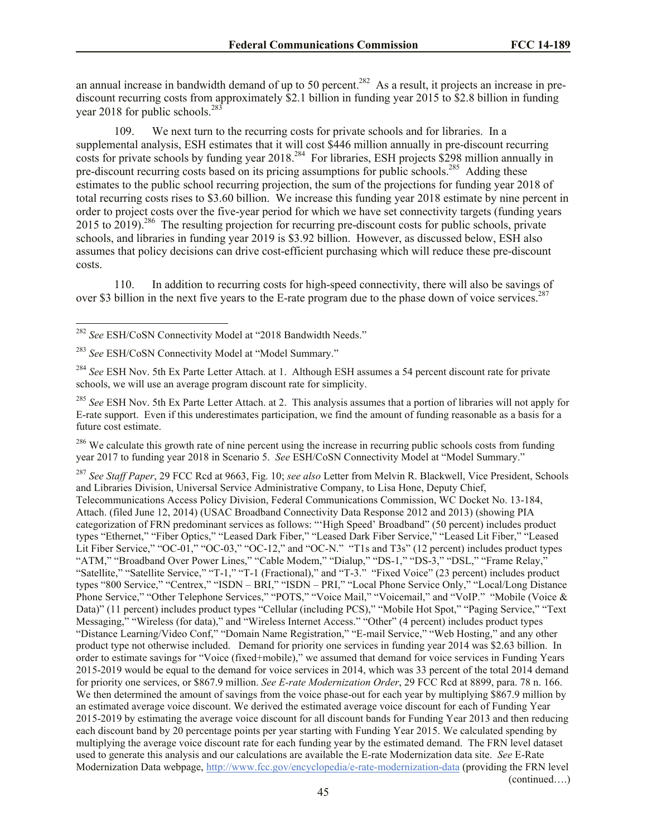an annual increase in bandwidth demand of up to 50 percent.<sup>282</sup> As a result, it projects an increase in prediscount recurring costs from approximately \$2.1 billion in funding year 2015 to \$2.8 billion in funding year 2018 for public schools.<sup>283</sup>

109. We next turn to the recurring costs for private schools and for libraries. In a supplemental analysis, ESH estimates that it will cost \$446 million annually in pre-discount recurring costs for private schools by funding year 2018.<sup>284</sup> For libraries, ESH projects \$298 million annually in pre-discount recurring costs based on its pricing assumptions for public schools.<sup>285</sup> Adding these estimates to the public school recurring projection, the sum of the projections for funding year 2018 of total recurring costs rises to \$3.60 billion. We increase this funding year 2018 estimate by nine percent in order to project costs over the five-year period for which we have set connectivity targets (funding years 2015 to 2019).<sup>286</sup> The resulting projection for recurring pre-discount costs for public schools, private schools, and libraries in funding year 2019 is \$3.92 billion. However, as discussed below, ESH also assumes that policy decisions can drive cost-efficient purchasing which will reduce these pre-discount costs.

110. In addition to recurring costs for high-speed connectivity, there will also be savings of over \$3 billion in the next five years to the E-rate program due to the phase down of voice services.<sup>287</sup>

l

 $286$  We calculate this growth rate of nine percent using the increase in recurring public schools costs from funding year 2017 to funding year 2018 in Scenario 5. *See* ESH/CoSN Connectivity Model at "Model Summary."

<sup>287</sup> *See Staff Paper*, 29 FCC Rcd at 9663, Fig. 10; *see also* Letter from Melvin R. Blackwell, Vice President, Schools and Libraries Division, Universal Service Administrative Company, to Lisa Hone, Deputy Chief, Telecommunications Access Policy Division, Federal Communications Commission, WC Docket No. 13-184, Attach. (filed June 12, 2014) (USAC Broadband Connectivity Data Response 2012 and 2013) (showing PIA categorization of FRN predominant services as follows: "'High Speed' Broadband" (50 percent) includes product types "Ethernet," "Fiber Optics," "Leased Dark Fiber," "Leased Dark Fiber Service," "Leased Lit Fiber," "Leased Lit Fiber Service," "OC-01," "OC-03," "OC-12," and "OC-N." "T1s and T3s" (12 percent) includes product types "ATM," "Broadband Over Power Lines," "Cable Modem," "Dialup," "DS-1," "DS-3," "DSL," "Frame Relay," "Satellite," "Satellite Service," "T-1," "T-1 (Fractional)," and "T-3." "Fixed Voice" (23 percent) includes product types "800 Service," "Centrex," "ISDN – BRI," "ISDN – PRI," "Local Phone Service Only," "Local/Long Distance Phone Service," "Other Telephone Services," "POTS," "Voice Mail," "Voicemail," and "VoIP." "Mobile (Voice & Data)" (11 percent) includes product types "Cellular (including PCS)," "Mobile Hot Spot," "Paging Service," "Text Messaging," "Wireless (for data)," and "Wireless Internet Access." "Other" (4 percent) includes product types "Distance Learning/Video Conf," "Domain Name Registration," "E-mail Service," "Web Hosting," and any other product type not otherwise included. Demand for priority one services in funding year 2014 was \$2.63 billion. In order to estimate savings for "Voice (fixed+mobile)," we assumed that demand for voice services in Funding Years 2015-2019 would be equal to the demand for voice services in 2014, which was 33 percent of the total 2014 demand for priority one services, or \$867.9 million. *See E-rate Modernization Order*, 29 FCC Rcd at 8899, para. 78 n. 166. We then determined the amount of savings from the voice phase-out for each year by multiplying \$867.9 million by an estimated average voice discount. We derived the estimated average voice discount for each of Funding Year 2015-2019 by estimating the average voice discount for all discount bands for Funding Year 2013 and then reducing each discount band by 20 percentage points per year starting with Funding Year 2015. We calculated spending by multiplying the average voice discount rate for each funding year by the estimated demand. The FRN level dataset used to generate this analysis and our calculations are available the E-rate Modernization data site. *See* E-Rate Modernization Data webpage, http://www.fcc.gov/encyclopedia/e-rate-modernization-data (providing the FRN level

(continued….)

<sup>282</sup> *See* ESH/CoSN Connectivity Model at "2018 Bandwidth Needs."

<sup>283</sup> *See* ESH/CoSN Connectivity Model at "Model Summary."

<sup>&</sup>lt;sup>284</sup> See ESH Nov. 5th Ex Parte Letter Attach. at 1. Although ESH assumes a 54 percent discount rate for private schools, we will use an average program discount rate for simplicity.

<sup>285</sup> *See* ESH Nov. 5th Ex Parte Letter Attach. at 2. This analysis assumes that a portion of libraries will not apply for E-rate support. Even if this underestimates participation, we find the amount of funding reasonable as a basis for a future cost estimate.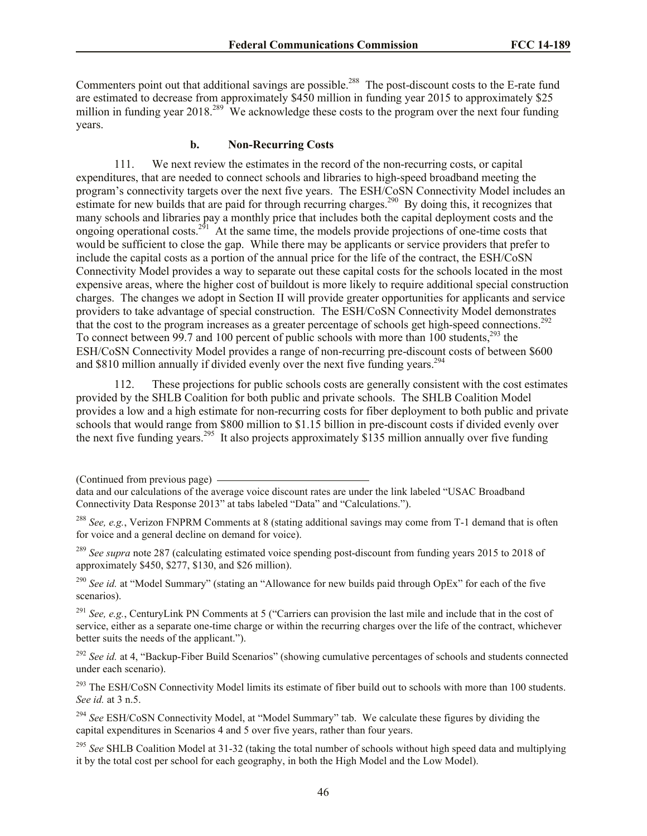Commenters point out that additional savings are possible.<sup>288</sup> The post-discount costs to the E-rate fund are estimated to decrease from approximately \$450 million in funding year 2015 to approximately \$25 million in funding year 2018.<sup>289</sup> We acknowledge these costs to the program over the next four funding years.

#### **b. Non-Recurring Costs**

111. We next review the estimates in the record of the non-recurring costs, or capital expenditures, that are needed to connect schools and libraries to high-speed broadband meeting the program's connectivity targets over the next five years. The ESH/CoSN Connectivity Model includes an estimate for new builds that are paid for through recurring charges.<sup>290</sup> By doing this, it recognizes that many schools and libraries pay a monthly price that includes both the capital deployment costs and the ongoing operational costs.<sup>291</sup> At the same time, the models provide projections of one-time costs that would be sufficient to close the gap. While there may be applicants or service providers that prefer to include the capital costs as a portion of the annual price for the life of the contract, the ESH/CoSN Connectivity Model provides a way to separate out these capital costs for the schools located in the most expensive areas, where the higher cost of buildout is more likely to require additional special construction charges. The changes we adopt in Section II will provide greater opportunities for applicants and service providers to take advantage of special construction. The ESH/CoSN Connectivity Model demonstrates that the cost to the program increases as a greater percentage of schools get high-speed connections.<sup>292</sup> To connect between 99.7 and 100 percent of public schools with more than 100 students,<sup>293</sup> the ESH/CoSN Connectivity Model provides a range of non-recurring pre-discount costs of between \$600 and \$810 million annually if divided evenly over the next five funding years.<sup>294</sup>

112. These projections for public schools costs are generally consistent with the cost estimates provided by the SHLB Coalition for both public and private schools. The SHLB Coalition Model provides a low and a high estimate for non-recurring costs for fiber deployment to both public and private schools that would range from \$800 million to \$1.15 billion in pre-discount costs if divided evenly over the next five funding years.<sup>295</sup> It also projects approximately \$135 million annually over five funding

<sup>289</sup> *See supra* note 287 (calculating estimated voice spending post-discount from funding years 2015 to 2018 of approximately \$450, \$277, \$130, and \$26 million).

<sup>290</sup> *See id.* at "Model Summary" (stating an "Allowance for new builds paid through OpEx" for each of the five scenarios).

<sup>291</sup> *See, e.g.*, CenturyLink PN Comments at 5 ("Carriers can provision the last mile and include that in the cost of service, either as a separate one-time charge or within the recurring charges over the life of the contract, whichever better suits the needs of the applicant.").

<sup>292</sup> See id. at 4, "Backup-Fiber Build Scenarios" (showing cumulative percentages of schools and students connected under each scenario).

<sup>293</sup> The ESH/CoSN Connectivity Model limits its estimate of fiber build out to schools with more than 100 students. *See id.* at 3 n.5.

<sup>294</sup> *See* ESH/CoSN Connectivity Model, at "Model Summary" tab. We calculate these figures by dividing the capital expenditures in Scenarios 4 and 5 over five years, rather than four years.

<sup>295</sup> *See* SHLB Coalition Model at 31-32 (taking the total number of schools without high speed data and multiplying it by the total cost per school for each geography, in both the High Model and the Low Model).

<sup>(</sup>Continued from previous page)

data and our calculations of the average voice discount rates are under the link labeled "USAC Broadband Connectivity Data Response 2013" at tabs labeled "Data" and "Calculations.").

<sup>288</sup> *See, e.g.*, Verizon FNPRM Comments at 8 (stating additional savings may come from T-1 demand that is often for voice and a general decline on demand for voice).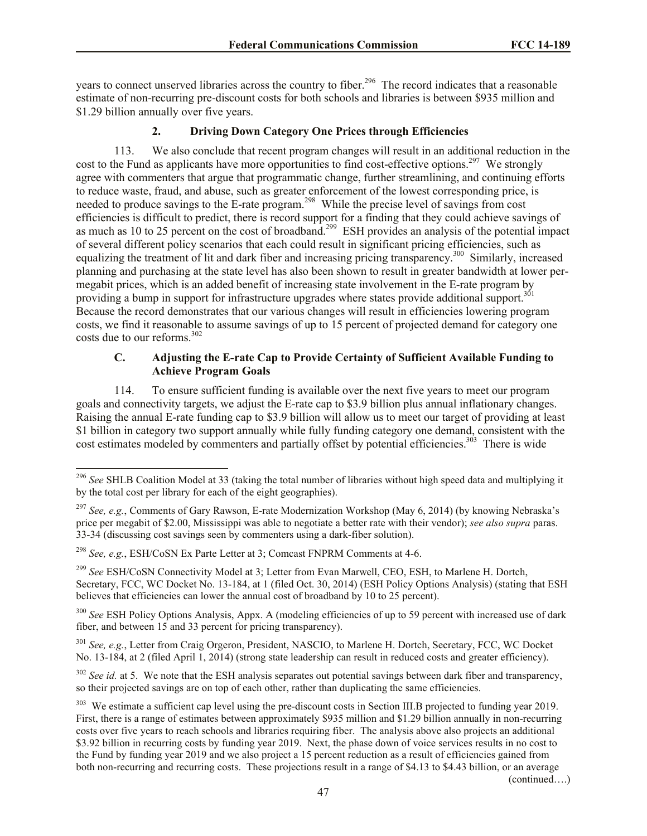years to connect unserved libraries across the country to fiber.<sup>296</sup> The record indicates that a reasonable estimate of non-recurring pre-discount costs for both schools and libraries is between \$935 million and \$1.29 billion annually over five years.

### **2. Driving Down Category One Prices through Efficiencies**

113. We also conclude that recent program changes will result in an additional reduction in the cost to the Fund as applicants have more opportunities to find cost-effective options.<sup>297</sup> We strongly agree with commenters that argue that programmatic change, further streamlining, and continuing efforts to reduce waste, fraud, and abuse, such as greater enforcement of the lowest corresponding price, is needed to produce savings to the E-rate program.<sup>298</sup> While the precise level of savings from cost efficiencies is difficult to predict, there is record support for a finding that they could achieve savings of as much as 10 to 25 percent on the cost of broadband.<sup>299</sup> ESH provides an analysis of the potential impact of several different policy scenarios that each could result in significant pricing efficiencies, such as equalizing the treatment of lit and dark fiber and increasing pricing transparency.<sup>300</sup> Similarly, increased planning and purchasing at the state level has also been shown to result in greater bandwidth at lower permegabit prices, which is an added benefit of increasing state involvement in the E-rate program by providing a bump in support for infrastructure upgrades where states provide additional support.<sup>301</sup> Because the record demonstrates that our various changes will result in efficiencies lowering program costs, we find it reasonable to assume savings of up to 15 percent of projected demand for category one costs due to our reforms.<sup>302</sup>

## **C. Adjusting the E-rate Cap to Provide Certainty of Sufficient Available Funding to Achieve Program Goals**

114. To ensure sufficient funding is available over the next five years to meet our program goals and connectivity targets, we adjust the E-rate cap to \$3.9 billion plus annual inflationary changes. Raising the annual E-rate funding cap to \$3.9 billion will allow us to meet our target of providing at least \$1 billion in category two support annually while fully funding category one demand, consistent with the cost estimates modeled by commenters and partially offset by potential efficiencies.<sup>303</sup> There is wide

l

<sup>300</sup> See ESH Policy Options Analysis, Appx. A (modeling efficiencies of up to 59 percent with increased use of dark fiber, and between 15 and 33 percent for pricing transparency).

<sup>301</sup> *See, e.g.*, Letter from Craig Orgeron, President, NASCIO, to Marlene H. Dortch, Secretary, FCC, WC Docket No. 13-184, at 2 (filed April 1, 2014) (strong state leadership can result in reduced costs and greater efficiency).

<sup>302</sup> *See id.* at 5. We note that the ESH analysis separates out potential savings between dark fiber and transparency, so their projected savings are on top of each other, rather than duplicating the same efficiencies.

<sup>303</sup> We estimate a sufficient cap level using the pre-discount costs in Section III.B projected to funding year 2019. First, there is a range of estimates between approximately \$935 million and \$1.29 billion annually in non-recurring costs over five years to reach schools and libraries requiring fiber. The analysis above also projects an additional \$3.92 billion in recurring costs by funding year 2019. Next, the phase down of voice services results in no cost to the Fund by funding year 2019 and we also project a 15 percent reduction as a result of efficiencies gained from both non-recurring and recurring costs. These projections result in a range of \$4.13 to \$4.43 billion, or an average

(continued….)

<sup>296</sup> *See* SHLB Coalition Model at 33 (taking the total number of libraries without high speed data and multiplying it by the total cost per library for each of the eight geographies).

<sup>297</sup> *See, e.g.*, Comments of Gary Rawson, E-rate Modernization Workshop (May 6, 2014) (by knowing Nebraska's price per megabit of \$2.00, Mississippi was able to negotiate a better rate with their vendor); *see also supra* paras. 33-34 (discussing cost savings seen by commenters using a dark-fiber solution).

<sup>298</sup> *See, e.g.*, ESH/CoSN Ex Parte Letter at 3; Comcast FNPRM Comments at 4-6.

<sup>299</sup> *See* ESH/CoSN Connectivity Model at 3; Letter from Evan Marwell, CEO, ESH, to Marlene H. Dortch, Secretary, FCC, WC Docket No. 13-184, at 1 (filed Oct. 30, 2014) (ESH Policy Options Analysis) (stating that ESH believes that efficiencies can lower the annual cost of broadband by 10 to 25 percent).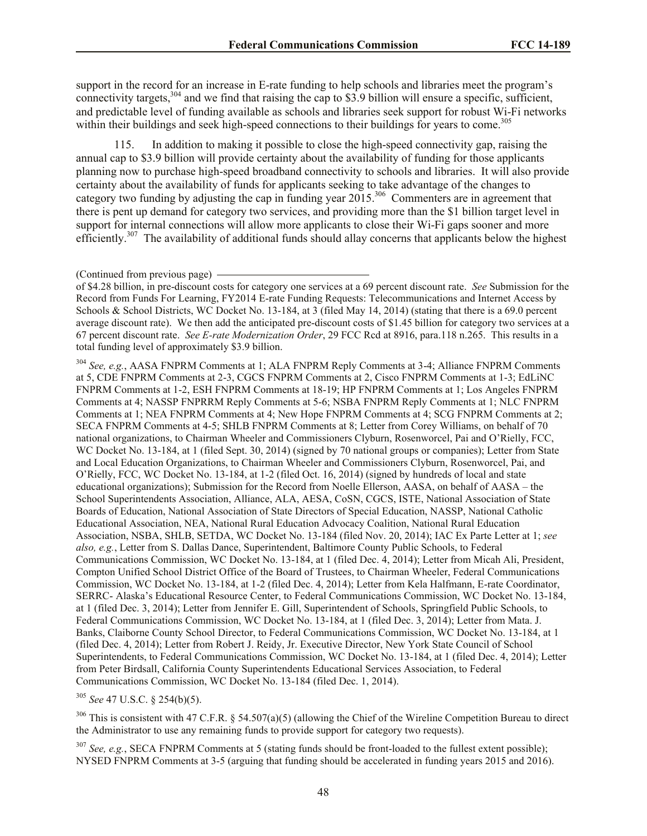support in the record for an increase in E-rate funding to help schools and libraries meet the program's connectivity targets,  $304$  and we find that raising the cap to \$3.9 billion will ensure a specific, sufficient, and predictable level of funding available as schools and libraries seek support for robust Wi-Fi networks within their buildings and seek high-speed connections to their buildings for years to come.<sup>305</sup>

115. In addition to making it possible to close the high-speed connectivity gap, raising the annual cap to \$3.9 billion will provide certainty about the availability of funding for those applicants planning now to purchase high-speed broadband connectivity to schools and libraries. It will also provide certainty about the availability of funds for applicants seeking to take advantage of the changes to category two funding by adjusting the cap in funding year  $2015$ .<sup>306</sup> Commenters are in agreement that there is pent up demand for category two services, and providing more than the \$1 billion target level in support for internal connections will allow more applicants to close their Wi-Fi gaps sooner and more efficiently.<sup>307</sup> The availability of additional funds should allay concerns that applicants below the highest

<sup>304</sup> *See, e.g.*, AASA FNPRM Comments at 1; ALA FNPRM Reply Comments at 3-4; Alliance FNPRM Comments at 5, CDE FNPRM Comments at 2-3, CGCS FNPRM Comments at 2, Cisco FNPRM Comments at 1-3; EdLiNC FNPRM Comments at 1-2, ESH FNPRM Comments at 18-19; HP FNPRM Comments at 1; Los Angeles FNPRM Comments at 4; NASSP FNPRRM Reply Comments at 5-6; NSBA FNPRM Reply Comments at 1; NLC FNPRM Comments at 1; NEA FNPRM Comments at 4; New Hope FNPRM Comments at 4; SCG FNPRM Comments at 2; SECA FNPRM Comments at 4-5; SHLB FNPRM Comments at 8; Letter from Corey Williams, on behalf of 70 national organizations, to Chairman Wheeler and Commissioners Clyburn, Rosenworcel, Pai and O'Rielly, FCC, WC Docket No. 13-184, at 1 (filed Sept. 30, 2014) (signed by 70 national groups or companies); Letter from State and Local Education Organizations, to Chairman Wheeler and Commissioners Clyburn, Rosenworcel, Pai, and O'Rielly, FCC, WC Docket No. 13-184, at 1-2 (filed Oct. 16, 2014) (signed by hundreds of local and state educational organizations); Submission for the Record from Noelle Ellerson, AASA, on behalf of AASA – the School Superintendents Association, Alliance, ALA, AESA, CoSN, CGCS, ISTE, National Association of State Boards of Education, National Association of State Directors of Special Education, NASSP, National Catholic Educational Association, NEA, National Rural Education Advocacy Coalition, National Rural Education Association, NSBA, SHLB, SETDA, WC Docket No. 13-184 (filed Nov. 20, 2014); IAC Ex Parte Letter at 1; *see also, e.g.*, Letter from S. Dallas Dance, Superintendent, Baltimore County Public Schools, to Federal Communications Commission, WC Docket No. 13-184, at 1 (filed Dec. 4, 2014); Letter from Micah Ali, President, Compton Unified School District Office of the Board of Trustees, to Chairman Wheeler, Federal Communications Commission, WC Docket No. 13-184, at 1-2 (filed Dec. 4, 2014); Letter from Kela Halfmann, E-rate Coordinator, SERRC- Alaska's Educational Resource Center, to Federal Communications Commission, WC Docket No. 13-184, at 1 (filed Dec. 3, 2014); Letter from Jennifer E. Gill, Superintendent of Schools, Springfield Public Schools, to Federal Communications Commission, WC Docket No. 13-184, at 1 (filed Dec. 3, 2014); Letter from Mata. J. Banks, Claiborne County School Director, to Federal Communications Commission, WC Docket No. 13-184, at 1 (filed Dec. 4, 2014); Letter from Robert J. Reidy, Jr. Executive Director, New York State Council of School Superintendents, to Federal Communications Commission, WC Docket No. 13-184, at 1 (filed Dec. 4, 2014); Letter from Peter Birdsall, California County Superintendents Educational Services Association, to Federal Communications Commission, WC Docket No. 13-184 (filed Dec. 1, 2014).

<sup>305</sup> *See* 47 U.S.C. § 254(b)(5).

<sup>306</sup> This is consistent with 47 C.F.R. § 54.507(a)(5) (allowing the Chief of the Wireline Competition Bureau to direct the Administrator to use any remaining funds to provide support for category two requests).

<sup>307</sup> *See, e.g.*, SECA FNPRM Comments at 5 (stating funds should be front-loaded to the fullest extent possible); NYSED FNPRM Comments at 3-5 (arguing that funding should be accelerated in funding years 2015 and 2016).

<sup>(</sup>Continued from previous page)

of \$4.28 billion, in pre-discount costs for category one services at a 69 percent discount rate. *See* Submission for the Record from Funds For Learning, FY2014 E-rate Funding Requests: Telecommunications and Internet Access by Schools & School Districts, WC Docket No. 13-184, at 3 (filed May 14, 2014) (stating that there is a 69.0 percent average discount rate). We then add the anticipated pre-discount costs of \$1.45 billion for category two services at a 67 percent discount rate. *See E-rate Modernization Order*, 29 FCC Rcd at 8916, para.118 n.265. This results in a total funding level of approximately \$3.9 billion.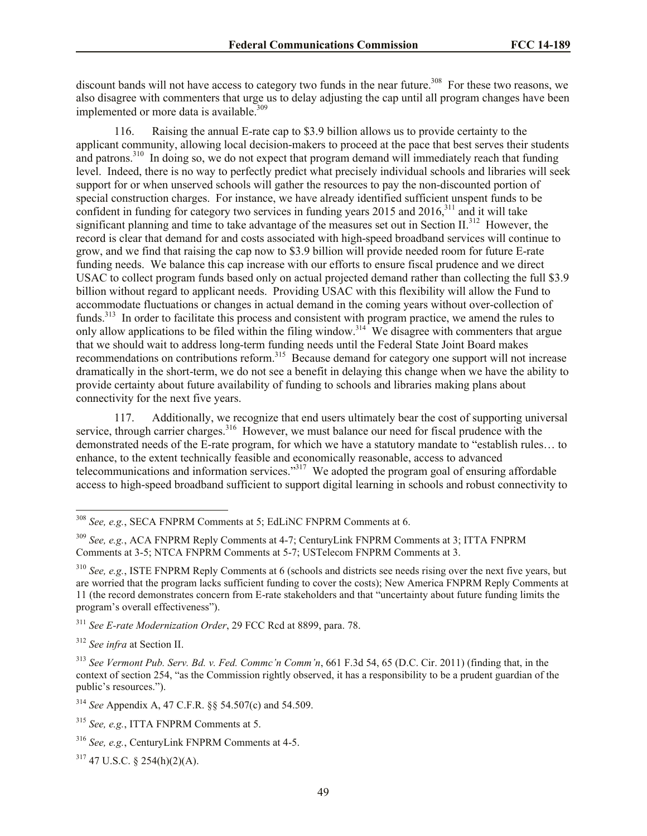discount bands will not have access to category two funds in the near future.<sup>308</sup> For these two reasons, we also disagree with commenters that urge us to delay adjusting the cap until all program changes have been implemented or more data is available. $309$ 

116. Raising the annual E-rate cap to \$3.9 billion allows us to provide certainty to the applicant community, allowing local decision-makers to proceed at the pace that best serves their students and patrons.<sup>310</sup> In doing so, we do not expect that program demand will immediately reach that funding level. Indeed, there is no way to perfectly predict what precisely individual schools and libraries will seek support for or when unserved schools will gather the resources to pay the non-discounted portion of special construction charges. For instance, we have already identified sufficient unspent funds to be confident in funding for category two services in funding years 2015 and 2016, $311$  and it will take significant planning and time to take advantage of the measures set out in Section II.<sup>312</sup> However, the record is clear that demand for and costs associated with high-speed broadband services will continue to grow, and we find that raising the cap now to \$3.9 billion will provide needed room for future E-rate funding needs. We balance this cap increase with our efforts to ensure fiscal prudence and we direct USAC to collect program funds based only on actual projected demand rather than collecting the full \$3.9 billion without regard to applicant needs. Providing USAC with this flexibility will allow the Fund to accommodate fluctuations or changes in actual demand in the coming years without over-collection of funds.<sup>313</sup> In order to facilitate this process and consistent with program practice, we amend the rules to only allow applications to be filed within the filing window.<sup>314</sup> We disagree with commenters that argue that we should wait to address long-term funding needs until the Federal State Joint Board makes recommendations on contributions reform.<sup>315</sup> Because demand for category one support will not increase dramatically in the short-term, we do not see a benefit in delaying this change when we have the ability to provide certainty about future availability of funding to schools and libraries making plans about connectivity for the next five years.

117. Additionally, we recognize that end users ultimately bear the cost of supporting universal service, through carrier charges.<sup>316</sup> However, we must balance our need for fiscal prudence with the demonstrated needs of the E-rate program, for which we have a statutory mandate to "establish rules… to enhance, to the extent technically feasible and economically reasonable, access to advanced telecommunications and information services."<sup>317</sup> We adopted the program goal of ensuring affordable access to high-speed broadband sufficient to support digital learning in schools and robust connectivity to

<sup>311</sup> *See E-rate Modernization Order*, 29 FCC Rcd at 8899, para. 78.

<sup>312</sup> *See infra* at Section II.

l

 $317$  47 U.S.C. § 254(h)(2)(A).

<sup>308</sup> *See, e.g.*, SECA FNPRM Comments at 5; EdLiNC FNPRM Comments at 6.

<sup>309</sup> *See, e.g.*, ACA FNPRM Reply Comments at 4-7; CenturyLink FNPRM Comments at 3; ITTA FNPRM Comments at 3-5; NTCA FNPRM Comments at 5-7; USTelecom FNPRM Comments at 3.

<sup>310</sup> *See, e.g.*, ISTE FNPRM Reply Comments at 6 (schools and districts see needs rising over the next five years, but are worried that the program lacks sufficient funding to cover the costs); New America FNPRM Reply Comments at 11 (the record demonstrates concern from E-rate stakeholders and that "uncertainty about future funding limits the program's overall effectiveness").

<sup>313</sup> *See Vermont Pub. Serv. Bd. v. Fed. Commc'n Comm'n*, 661 F.3d 54, 65 (D.C. Cir. 2011) (finding that, in the context of section 254, "as the Commission rightly observed, it has a responsibility to be a prudent guardian of the public's resources.").

<sup>314</sup> *See* Appendix A, 47 C.F.R. §§ 54.507(c) and 54.509.

<sup>315</sup> *See, e.g.*, ITTA FNPRM Comments at 5.

<sup>316</sup> *See, e.g.*, CenturyLink FNPRM Comments at 4-5.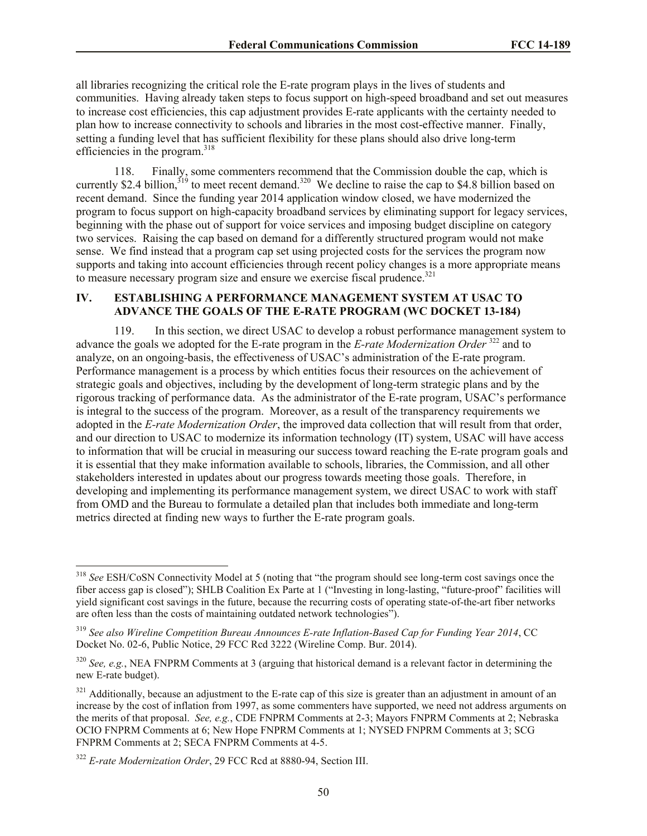all libraries recognizing the critical role the E-rate program plays in the lives of students and communities. Having already taken steps to focus support on high-speed broadband and set out measures to increase cost efficiencies, this cap adjustment provides E-rate applicants with the certainty needed to plan how to increase connectivity to schools and libraries in the most cost-effective manner. Finally, setting a funding level that has sufficient flexibility for these plans should also drive long-term efficiencies in the program. $318$ 

118. Finally, some commenters recommend that the Commission double the cap, which is currently \$2.4 billion,<sup> $319$ </sup> to meet recent demand.<sup>320</sup> We decline to raise the cap to \$4.8 billion based on recent demand. Since the funding year 2014 application window closed, we have modernized the program to focus support on high-capacity broadband services by eliminating support for legacy services, beginning with the phase out of support for voice services and imposing budget discipline on category two services. Raising the cap based on demand for a differently structured program would not make sense. We find instead that a program cap set using projected costs for the services the program now supports and taking into account efficiencies through recent policy changes is a more appropriate means to measure necessary program size and ensure we exercise fiscal prudence.<sup>321</sup>

#### **IV. ESTABLISHING A PERFORMANCE MANAGEMENT SYSTEM AT USAC TO ADVANCE THE GOALS OF THE E-RATE PROGRAM (WC DOCKET 13-184)**

119. In this section, we direct USAC to develop a robust performance management system to advance the goals we adopted for the E-rate program in the *E-rate Modernization Order* <sup>322</sup> and to analyze, on an ongoing-basis, the effectiveness of USAC's administration of the E-rate program. Performance management is a process by which entities focus their resources on the achievement of strategic goals and objectives, including by the development of long-term strategic plans and by the rigorous tracking of performance data. As the administrator of the E-rate program, USAC's performance is integral to the success of the program. Moreover, as a result of the transparency requirements we adopted in the *E-rate Modernization Order*, the improved data collection that will result from that order, and our direction to USAC to modernize its information technology (IT) system, USAC will have access to information that will be crucial in measuring our success toward reaching the E-rate program goals and it is essential that they make information available to schools, libraries, the Commission, and all other stakeholders interested in updates about our progress towards meeting those goals. Therefore, in developing and implementing its performance management system, we direct USAC to work with staff from OMD and the Bureau to formulate a detailed plan that includes both immediate and long-term metrics directed at finding new ways to further the E-rate program goals.

<sup>318</sup> *See* ESH/CoSN Connectivity Model at 5 (noting that "the program should see long-term cost savings once the fiber access gap is closed"); SHLB Coalition Ex Parte at 1 ("Investing in long-lasting, "future-proof" facilities will yield significant cost savings in the future, because the recurring costs of operating state-of-the-art fiber networks are often less than the costs of maintaining outdated network technologies").

<sup>319</sup> *See also Wireline Competition Bureau Announces E-rate Inflation-Based Cap for Funding Year 2014*, CC Docket No. 02-6, Public Notice, 29 FCC Rcd 3222 (Wireline Comp. Bur. 2014).

<sup>320</sup> *See, e.g.*, NEA FNPRM Comments at 3 (arguing that historical demand is a relevant factor in determining the new E-rate budget).

 $321$  Additionally, because an adjustment to the E-rate cap of this size is greater than an adjustment in amount of an increase by the cost of inflation from 1997, as some commenters have supported, we need not address arguments on the merits of that proposal. *See, e.g.*, CDE FNPRM Comments at 2-3; Mayors FNPRM Comments at 2; Nebraska OCIO FNPRM Comments at 6; New Hope FNPRM Comments at 1; NYSED FNPRM Comments at 3; SCG FNPRM Comments at 2; SECA FNPRM Comments at 4-5.

<sup>322</sup> *E-rate Modernization Order*, 29 FCC Rcd at 8880-94, Section III.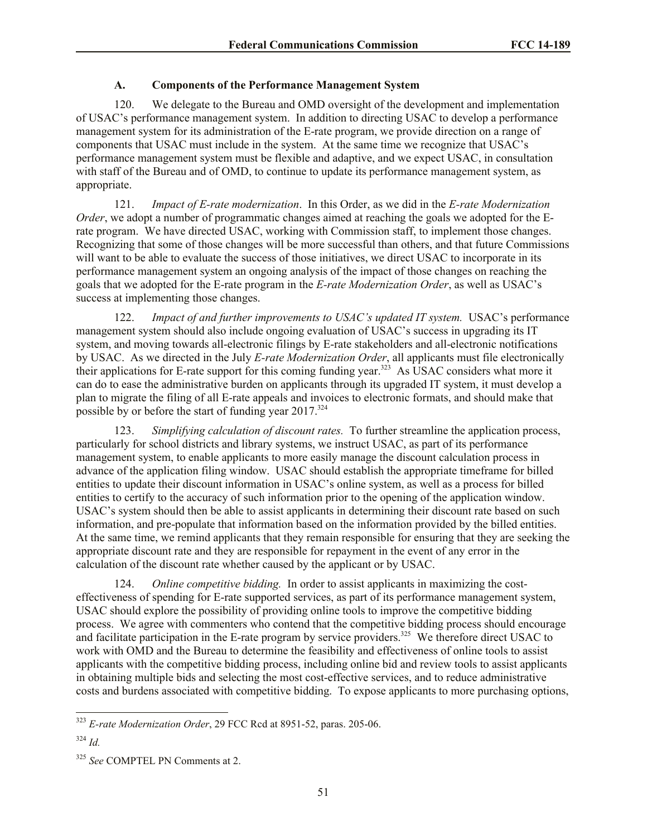## **A. Components of the Performance Management System**

120. We delegate to the Bureau and OMD oversight of the development and implementation of USAC's performance management system. In addition to directing USAC to develop a performance management system for its administration of the E-rate program, we provide direction on a range of components that USAC must include in the system. At the same time we recognize that USAC's performance management system must be flexible and adaptive, and we expect USAC, in consultation with staff of the Bureau and of OMD, to continue to update its performance management system, as appropriate.

121. *Impact of E-rate modernization*. In this Order, as we did in the *E-rate Modernization Order*, we adopt a number of programmatic changes aimed at reaching the goals we adopted for the Erate program. We have directed USAC, working with Commission staff, to implement those changes. Recognizing that some of those changes will be more successful than others, and that future Commissions will want to be able to evaluate the success of those initiatives, we direct USAC to incorporate in its performance management system an ongoing analysis of the impact of those changes on reaching the goals that we adopted for the E-rate program in the *E-rate Modernization Order*, as well as USAC's success at implementing those changes.

122. *Impact of and further improvements to USAC's updated IT system.* USAC's performance management system should also include ongoing evaluation of USAC's success in upgrading its IT system, and moving towards all-electronic filings by E-rate stakeholders and all-electronic notifications by USAC. As we directed in the July *E-rate Modernization Order*, all applicants must file electronically their applications for E-rate support for this coming funding year.<sup>323</sup> As USAC considers what more it can do to ease the administrative burden on applicants through its upgraded IT system, it must develop a plan to migrate the filing of all E-rate appeals and invoices to electronic formats, and should make that possible by or before the start of funding year 2017.<sup>324</sup>

123. *Simplifying calculation of discount rates.* To further streamline the application process, particularly for school districts and library systems, we instruct USAC, as part of its performance management system, to enable applicants to more easily manage the discount calculation process in advance of the application filing window. USAC should establish the appropriate timeframe for billed entities to update their discount information in USAC's online system, as well as a process for billed entities to certify to the accuracy of such information prior to the opening of the application window. USAC's system should then be able to assist applicants in determining their discount rate based on such information, and pre-populate that information based on the information provided by the billed entities. At the same time, we remind applicants that they remain responsible for ensuring that they are seeking the appropriate discount rate and they are responsible for repayment in the event of any error in the calculation of the discount rate whether caused by the applicant or by USAC.

124. *Online competitive bidding.* In order to assist applicants in maximizing the costeffectiveness of spending for E-rate supported services, as part of its performance management system, USAC should explore the possibility of providing online tools to improve the competitive bidding process. We agree with commenters who contend that the competitive bidding process should encourage and facilitate participation in the E-rate program by service providers.<sup>325</sup> We therefore direct USAC to work with OMD and the Bureau to determine the feasibility and effectiveness of online tools to assist applicants with the competitive bidding process, including online bid and review tools to assist applicants in obtaining multiple bids and selecting the most cost-effective services, and to reduce administrative costs and burdens associated with competitive bidding. To expose applicants to more purchasing options,

<sup>323</sup> *E-rate Modernization Order*, 29 FCC Rcd at 8951-52, paras. 205-06.

<sup>324</sup> *Id.*

<sup>325</sup> *See* COMPTEL PN Comments at 2.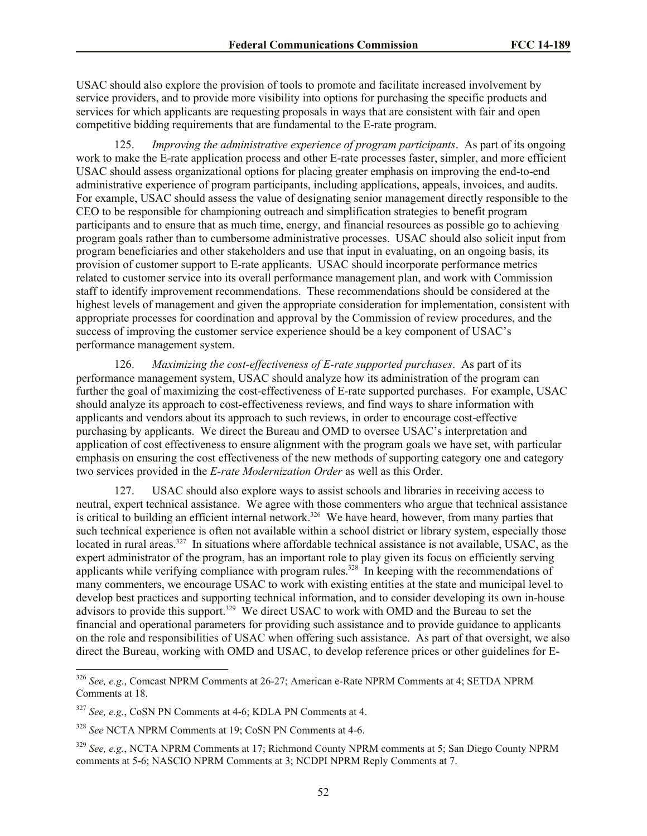USAC should also explore the provision of tools to promote and facilitate increased involvement by service providers, and to provide more visibility into options for purchasing the specific products and services for which applicants are requesting proposals in ways that are consistent with fair and open competitive bidding requirements that are fundamental to the E-rate program.

125. *Improving the administrative experience of program participants*. As part of its ongoing work to make the E-rate application process and other E-rate processes faster, simpler, and more efficient USAC should assess organizational options for placing greater emphasis on improving the end-to-end administrative experience of program participants, including applications, appeals, invoices, and audits. For example, USAC should assess the value of designating senior management directly responsible to the CEO to be responsible for championing outreach and simplification strategies to benefit program participants and to ensure that as much time, energy, and financial resources as possible go to achieving program goals rather than to cumbersome administrative processes. USAC should also solicit input from program beneficiaries and other stakeholders and use that input in evaluating, on an ongoing basis, its provision of customer support to E-rate applicants. USAC should incorporate performance metrics related to customer service into its overall performance management plan, and work with Commission staff to identify improvement recommendations. These recommendations should be considered at the highest levels of management and given the appropriate consideration for implementation, consistent with appropriate processes for coordination and approval by the Commission of review procedures, and the success of improving the customer service experience should be a key component of USAC's performance management system.

126. *Maximizing the cost-effectiveness of E-rate supported purchases*. As part of its performance management system, USAC should analyze how its administration of the program can further the goal of maximizing the cost-effectiveness of E-rate supported purchases. For example, USAC should analyze its approach to cost-effectiveness reviews, and find ways to share information with applicants and vendors about its approach to such reviews, in order to encourage cost-effective purchasing by applicants. We direct the Bureau and OMD to oversee USAC's interpretation and application of cost effectiveness to ensure alignment with the program goals we have set, with particular emphasis on ensuring the cost effectiveness of the new methods of supporting category one and category two services provided in the *E-rate Modernization Order* as well as this Order.

127. USAC should also explore ways to assist schools and libraries in receiving access to neutral, expert technical assistance. We agree with those commenters who argue that technical assistance is critical to building an efficient internal network.<sup>326</sup> We have heard, however, from many parties that such technical experience is often not available within a school district or library system, especially those located in rural areas.<sup>327</sup> In situations where affordable technical assistance is not available, USAC, as the expert administrator of the program, has an important role to play given its focus on efficiently serving applicants while verifying compliance with program rules.<sup>328</sup> In keeping with the recommendations of many commenters, we encourage USAC to work with existing entities at the state and municipal level to develop best practices and supporting technical information, and to consider developing its own in-house advisors to provide this support.<sup>329</sup> We direct USAC to work with OMD and the Bureau to set the financial and operational parameters for providing such assistance and to provide guidance to applicants on the role and responsibilities of USAC when offering such assistance. As part of that oversight, we also direct the Bureau, working with OMD and USAC, to develop reference prices or other guidelines for E-

<sup>326</sup> *See, e.g*., Comcast NPRM Comments at 26-27; American e-Rate NPRM Comments at 4; SETDA NPRM Comments at 18.

<sup>327</sup> *See, e.g.*, CoSN PN Comments at 4-6; KDLA PN Comments at 4.

<sup>328</sup> *See* NCTA NPRM Comments at 19; CoSN PN Comments at 4-6.

<sup>329</sup> *See, e.g.*, NCTA NPRM Comments at 17; Richmond County NPRM comments at 5; San Diego County NPRM comments at 5-6; NASCIO NPRM Comments at 3; NCDPI NPRM Reply Comments at 7.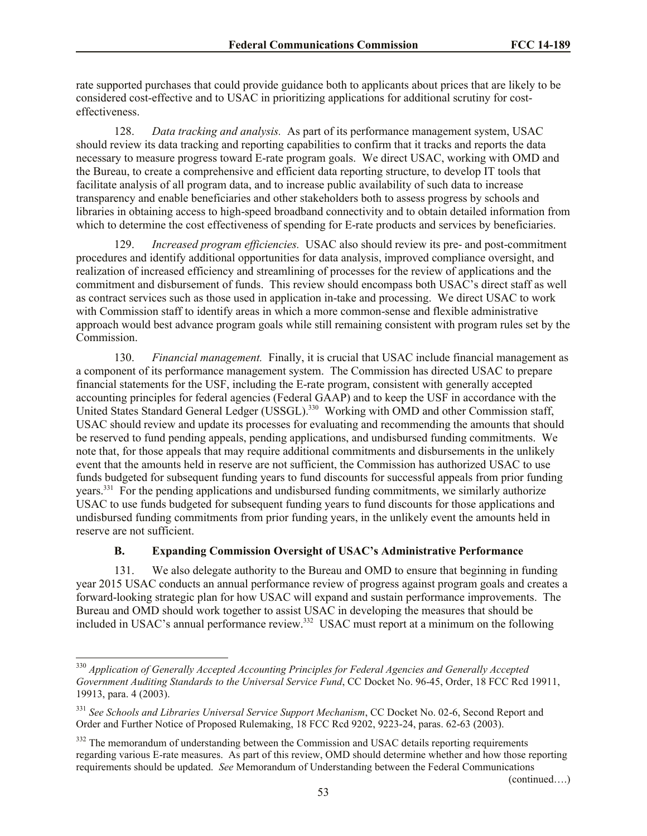rate supported purchases that could provide guidance both to applicants about prices that are likely to be considered cost-effective and to USAC in prioritizing applications for additional scrutiny for costeffectiveness.

128. *Data tracking and analysis.* As part of its performance management system, USAC should review its data tracking and reporting capabilities to confirm that it tracks and reports the data necessary to measure progress toward E-rate program goals. We direct USAC, working with OMD and the Bureau, to create a comprehensive and efficient data reporting structure, to develop IT tools that facilitate analysis of all program data, and to increase public availability of such data to increase transparency and enable beneficiaries and other stakeholders both to assess progress by schools and libraries in obtaining access to high-speed broadband connectivity and to obtain detailed information from which to determine the cost effectiveness of spending for E-rate products and services by beneficiaries.

129. *Increased program efficiencies.* USAC also should review its pre- and post-commitment procedures and identify additional opportunities for data analysis, improved compliance oversight, and realization of increased efficiency and streamlining of processes for the review of applications and the commitment and disbursement of funds. This review should encompass both USAC's direct staff as well as contract services such as those used in application in-take and processing. We direct USAC to work with Commission staff to identify areas in which a more common-sense and flexible administrative approach would best advance program goals while still remaining consistent with program rules set by the Commission.

130. *Financial management.* Finally, it is crucial that USAC include financial management as a component of its performance management system. The Commission has directed USAC to prepare financial statements for the USF, including the E-rate program, consistent with generally accepted accounting principles for federal agencies (Federal GAAP) and to keep the USF in accordance with the United States Standard General Ledger (USSGL).<sup>330</sup> Working with OMD and other Commission staff, USAC should review and update its processes for evaluating and recommending the amounts that should be reserved to fund pending appeals, pending applications, and undisbursed funding commitments. We note that, for those appeals that may require additional commitments and disbursements in the unlikely event that the amounts held in reserve are not sufficient, the Commission has authorized USAC to use funds budgeted for subsequent funding years to fund discounts for successful appeals from prior funding years.<sup>331</sup> For the pending applications and undisbursed funding commitments, we similarly authorize USAC to use funds budgeted for subsequent funding years to fund discounts for those applications and undisbursed funding commitments from prior funding years, in the unlikely event the amounts held in reserve are not sufficient.

## **B. Expanding Commission Oversight of USAC's Administrative Performance**

131. We also delegate authority to the Bureau and OMD to ensure that beginning in funding year 2015 USAC conducts an annual performance review of progress against program goals and creates a forward-looking strategic plan for how USAC will expand and sustain performance improvements. The Bureau and OMD should work together to assist USAC in developing the measures that should be included in USAC's annual performance review.<sup>332</sup> USAC must report at a minimum on the following

l

(continued….)

<sup>330</sup> *Application of Generally Accepted Accounting Principles for Federal Agencies and Generally Accepted Government Auditing Standards to the Universal Service Fund*, CC Docket No. 96-45, Order, 18 FCC Rcd 19911, 19913, para. 4 (2003).

<sup>331</sup> *See Schools and Libraries Universal Service Support Mechanism*, CC Docket No. 02-6, Second Report and Order and Further Notice of Proposed Rulemaking, 18 FCC Rcd 9202, 9223-24, paras. 62-63 (2003).

<sup>&</sup>lt;sup>332</sup> The memorandum of understanding between the Commission and USAC details reporting requirements regarding various E-rate measures. As part of this review, OMD should determine whether and how those reporting requirements should be updated. *See* Memorandum of Understanding between the Federal Communications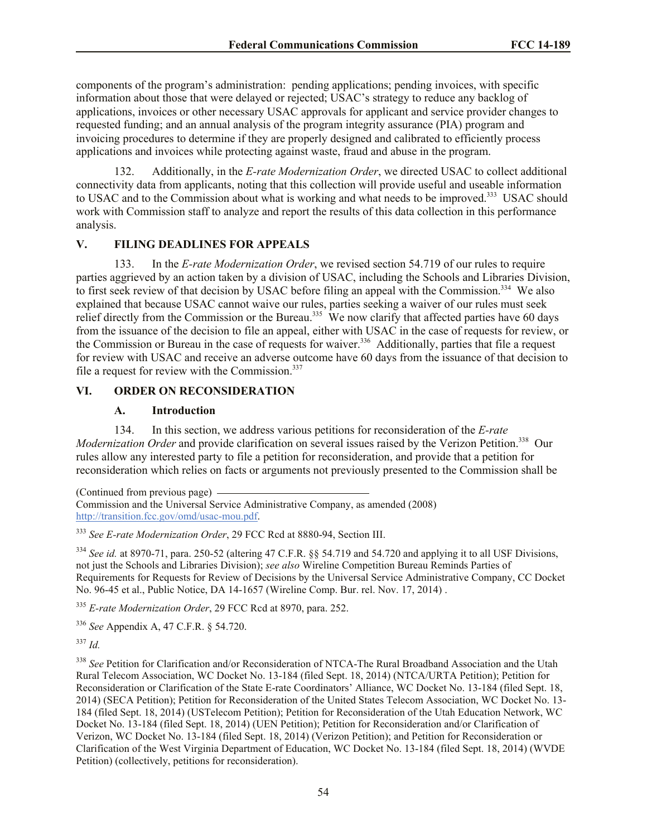components of the program's administration: pending applications; pending invoices, with specific information about those that were delayed or rejected; USAC's strategy to reduce any backlog of applications, invoices or other necessary USAC approvals for applicant and service provider changes to requested funding; and an annual analysis of the program integrity assurance (PIA) program and invoicing procedures to determine if they are properly designed and calibrated to efficiently process applications and invoices while protecting against waste, fraud and abuse in the program.

132. Additionally, in the *E-rate Modernization Order*, we directed USAC to collect additional connectivity data from applicants, noting that this collection will provide useful and useable information to USAC and to the Commission about what is working and what needs to be improved.<sup>333</sup> USAC should work with Commission staff to analyze and report the results of this data collection in this performance analysis.

# **V. FILING DEADLINES FOR APPEALS**

133. In the *E-rate Modernization Order*, we revised section 54.719 of our rules to require parties aggrieved by an action taken by a division of USAC, including the Schools and Libraries Division, to first seek review of that decision by USAC before filing an appeal with the Commission.<sup>334</sup> We also explained that because USAC cannot waive our rules, parties seeking a waiver of our rules must seek relief directly from the Commission or the Bureau.<sup>335</sup> We now clarify that affected parties have 60 days from the issuance of the decision to file an appeal, either with USAC in the case of requests for review, or the Commission or Bureau in the case of requests for waiver.<sup>336</sup> Additionally, parties that file a request for review with USAC and receive an adverse outcome have 60 days from the issuance of that decision to file a request for review with the Commission. $337$ 

#### **VI. ORDER ON RECONSIDERATION**

#### **A. Introduction**

134. In this section, we address various petitions for reconsideration of the *E-rate*  Modernization Order and provide clarification on several issues raised by the Verizon Petition.<sup>338</sup> Our rules allow any interested party to file a petition for reconsideration, and provide that a petition for reconsideration which relies on facts or arguments not previously presented to the Commission shall be

(Continued from previous page) Commission and the Universal Service Administrative Company, as amended (2008) http://transition.fcc.gov/omd/usac-mou.pdf.

<sup>333</sup> *See E-rate Modernization Order*, 29 FCC Rcd at 8880-94, Section III.

<sup>334</sup> *See id.* at 8970-71, para. 250-52 (altering 47 C.F.R. §§ 54.719 and 54.720 and applying it to all USF Divisions, not just the Schools and Libraries Division); *see also* Wireline Competition Bureau Reminds Parties of Requirements for Requests for Review of Decisions by the Universal Service Administrative Company, CC Docket No. 96-45 et al., Public Notice, DA 14-1657 (Wireline Comp. Bur. rel. Nov. 17, 2014) .

<sup>335</sup> *E-rate Modernization Order*, 29 FCC Rcd at 8970, para. 252.

<sup>336</sup> *See* Appendix A, 47 C.F.R. § 54.720.

<sup>337</sup> *Id.*

<sup>338</sup> *See* Petition for Clarification and/or Reconsideration of NTCA-The Rural Broadband Association and the Utah Rural Telecom Association, WC Docket No. 13-184 (filed Sept. 18, 2014) (NTCA/URTA Petition); Petition for Reconsideration or Clarification of the State E-rate Coordinators' Alliance, WC Docket No. 13-184 (filed Sept. 18, 2014) (SECA Petition); Petition for Reconsideration of the United States Telecom Association, WC Docket No. 13- 184 (filed Sept. 18, 2014) (USTelecom Petition); Petition for Reconsideration of the Utah Education Network, WC Docket No. 13-184 (filed Sept. 18, 2014) (UEN Petition); Petition for Reconsideration and/or Clarification of Verizon, WC Docket No. 13-184 (filed Sept. 18, 2014) (Verizon Petition); and Petition for Reconsideration or Clarification of the West Virginia Department of Education, WC Docket No. 13-184 (filed Sept. 18, 2014) (WVDE Petition) (collectively, petitions for reconsideration).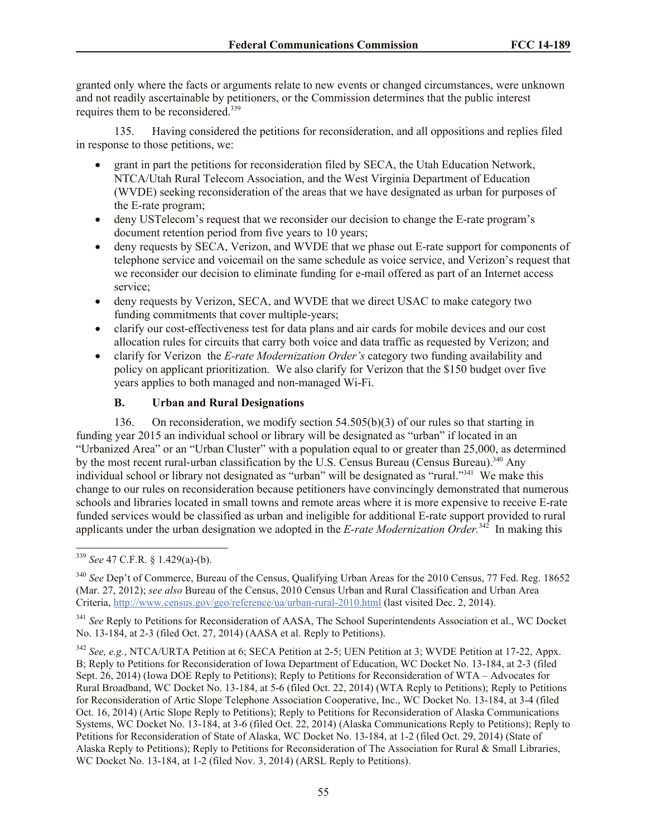granted only where the facts or arguments relate to new events or changed circumstances, were unknown and not readily ascertainable by petitioners, or the Commission determines that the public interest requires them to be reconsidered.<sup>339</sup>

135. Having considered the petitions for reconsideration, and all oppositions and replies filed in response to those petitions, we:

- grant in part the petitions for reconsideration filed by SECA, the Utah Education Network, NTCA/Utah Rural Telecom Association, and the West Virginia Department of Education (WVDE) seeking reconsideration of the areas that we have designated as urban for purposes of the E-rate program;
- deny USTelecom's request that we reconsider our decision to change the E-rate program's document retention period from five years to 10 years;
- deny requests by SECA, Verizon, and WVDE that we phase out E-rate support for components of telephone service and voicemail on the same schedule as voice service, and Verizon's request that we reconsider our decision to eliminate funding for e-mail offered as part of an Internet access service;
- deny requests by Verizon, SECA, and WVDE that we direct USAC to make category two funding commitments that cover multiple-years;
- clarify our cost-effectiveness test for data plans and air cards for mobile devices and our cost allocation rules for circuits that carry both voice and data traffic as requested by Verizon; and
- clarify for Verizon the *E-rate Modernization Order's* category two funding availability and policy on applicant prioritization. We also clarify for Verizon that the \$150 budget over five years applies to both managed and non-managed Wi-Fi.

# **B. Urban and Rural Designations**

136. On reconsideration, we modify section 54.505(b)(3) of our rules so that starting in funding year 2015 an individual school or library will be designated as "urban" if located in an "Urbanized Area" or an "Urban Cluster" with a population equal to or greater than 25,000, as determined by the most recent rural-urban classification by the U.S. Census Bureau (Census Bureau).<sup>340</sup> Any individual school or library not designated as "urban" will be designated as "rural."<sup>341</sup> We make this change to our rules on reconsideration because petitioners have convincingly demonstrated that numerous schools and libraries located in small towns and remote areas where it is more expensive to receive E-rate funded services would be classified as urban and ineligible for additional E-rate support provided to rural applicants under the urban designation we adopted in the *E-rate Modernization Order.*<sup>342</sup> In making this

l <sup>339</sup> *See* 47 C.F.R. § 1.429(a)-(b).

<sup>340</sup> *See* Dep't of Commerce, Bureau of the Census, Qualifying Urban Areas for the 2010 Census, 77 Fed. Reg. 18652 (Mar. 27, 2012); *see also* Bureau of the Census, 2010 Census Urban and Rural Classification and Urban Area Criteria, http://www.census.gov/geo/reference/ua/urban-rural-2010.html (last visited Dec. 2, 2014).

<sup>&</sup>lt;sup>341</sup> See Reply to Petitions for Reconsideration of AASA, The School Superintendents Association et al., WC Docket No. 13-184, at 2-3 (filed Oct. 27, 2014) (AASA et al. Reply to Petitions).

<sup>342</sup> *See, e.g.*, NTCA/URTA Petition at 6; SECA Petition at 2-5; UEN Petition at 3; WVDE Petition at 17-22, Appx. B; Reply to Petitions for Reconsideration of Iowa Department of Education, WC Docket No. 13-184, at 2-3 (filed Sept. 26, 2014) (Iowa DOE Reply to Petitions); Reply to Petitions for Reconsideration of WTA – Advocates for Rural Broadband, WC Docket No. 13-184, at 5-6 (filed Oct. 22, 2014) (WTA Reply to Petitions); Reply to Petitions for Reconsideration of Artic Slope Telephone Association Cooperative, Inc., WC Docket No. 13-184, at 3-4 (filed Oct. 16, 2014) (Artic Slope Reply to Petitions); Reply to Petitions for Reconsideration of Alaska Communications Systems, WC Docket No. 13-184, at 3-6 (filed Oct. 22, 2014) (Alaska Communications Reply to Petitions); Reply to Petitions for Reconsideration of State of Alaska, WC Docket No. 13-184, at 1-2 (filed Oct. 29, 2014) (State of Alaska Reply to Petitions); Reply to Petitions for Reconsideration of The Association for Rural & Small Libraries, WC Docket No. 13-184, at 1-2 (filed Nov. 3, 2014) (ARSL Reply to Petitions).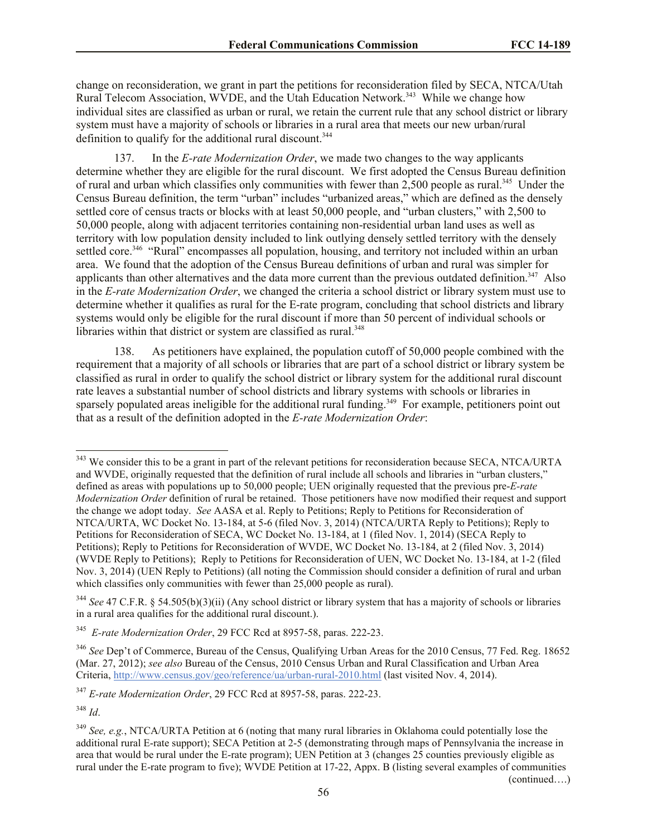change on reconsideration, we grant in part the petitions for reconsideration filed by SECA, NTCA/Utah Rural Telecom Association, WVDE, and the Utah Education Network.<sup>343</sup> While we change how individual sites are classified as urban or rural, we retain the current rule that any school district or library system must have a majority of schools or libraries in a rural area that meets our new urban/rural definition to qualify for the additional rural discount.<sup>344</sup>

137. In the *E-rate Modernization Order*, we made two changes to the way applicants determine whether they are eligible for the rural discount. We first adopted the Census Bureau definition of rural and urban which classifies only communities with fewer than  $2,500$  people as rural.<sup>345</sup> Under the Census Bureau definition, the term "urban" includes "urbanized areas," which are defined as the densely settled core of census tracts or blocks with at least 50,000 people, and "urban clusters," with 2,500 to 50,000 people, along with adjacent territories containing non-residential urban land uses as well as territory with low population density included to link outlying densely settled territory with the densely settled core.<sup>346</sup> "Rural" encompasses all population, housing, and territory not included within an urban area. We found that the adoption of the Census Bureau definitions of urban and rural was simpler for applicants than other alternatives and the data more current than the previous outdated definition.<sup>347</sup> Also in the *E-rate Modernization Order*, we changed the criteria a school district or library system must use to determine whether it qualifies as rural for the E-rate program, concluding that school districts and library systems would only be eligible for the rural discount if more than 50 percent of individual schools or libraries within that district or system are classified as rural.<sup>348</sup>

138. As petitioners have explained, the population cutoff of 50,000 people combined with the requirement that a majority of all schools or libraries that are part of a school district or library system be classified as rural in order to qualify the school district or library system for the additional rural discount rate leaves a substantial number of school districts and library systems with schools or libraries in sparsely populated areas ineligible for the additional rural funding.<sup>349</sup> For example, petitioners point out that as a result of the definition adopted in the *E-rate Modernization Order*:

<sup>347</sup> *E-rate Modernization Order*, 29 FCC Rcd at 8957-58, paras. 222-23.

<sup>348</sup> *Id*.

l

(continued….)

 $343$  We consider this to be a grant in part of the relevant petitions for reconsideration because SECA, NTCA/URTA and WVDE, originally requested that the definition of rural include all schools and libraries in "urban clusters," defined as areas with populations up to 50,000 people; UEN originally requested that the previous pre-*E-rate Modernization Order* definition of rural be retained. Those petitioners have now modified their request and support the change we adopt today. *See* AASA et al. Reply to Petitions; Reply to Petitions for Reconsideration of NTCA/URTA, WC Docket No. 13-184, at 5-6 (filed Nov. 3, 2014) (NTCA/URTA Reply to Petitions); Reply to Petitions for Reconsideration of SECA, WC Docket No. 13-184, at 1 (filed Nov. 1, 2014) (SECA Reply to Petitions); Reply to Petitions for Reconsideration of WVDE, WC Docket No. 13-184, at 2 (filed Nov. 3, 2014) (WVDE Reply to Petitions); Reply to Petitions for Reconsideration of UEN, WC Docket No. 13-184, at 1-2 (filed Nov. 3, 2014) (UEN Reply to Petitions) (all noting the Commission should consider a definition of rural and urban which classifies only communities with fewer than 25,000 people as rural).

<sup>344</sup> *See* 47 C.F.R. § 54.505(b)(3)(ii) (Any school district or library system that has a majority of schools or libraries in a rural area qualifies for the additional rural discount.).

<sup>345</sup> *E-rate Modernization Order*, 29 FCC Rcd at 8957-58, paras. 222-23.

<sup>&</sup>lt;sup>346</sup> See Dep't of Commerce, Bureau of the Census, Qualifying Urban Areas for the 2010 Census, 77 Fed. Reg. 18652 (Mar. 27, 2012); *see also* Bureau of the Census, 2010 Census Urban and Rural Classification and Urban Area Criteria, http://www.census.gov/geo/reference/ua/urban-rural-2010.html (last visited Nov. 4, 2014).

<sup>349</sup> *See, e.g.*, NTCA/URTA Petition at 6 (noting that many rural libraries in Oklahoma could potentially lose the additional rural E-rate support); SECA Petition at 2-5 (demonstrating through maps of Pennsylvania the increase in area that would be rural under the E-rate program); UEN Petition at 3 (changes 25 counties previously eligible as rural under the E-rate program to five); WVDE Petition at 17-22, Appx. B (listing several examples of communities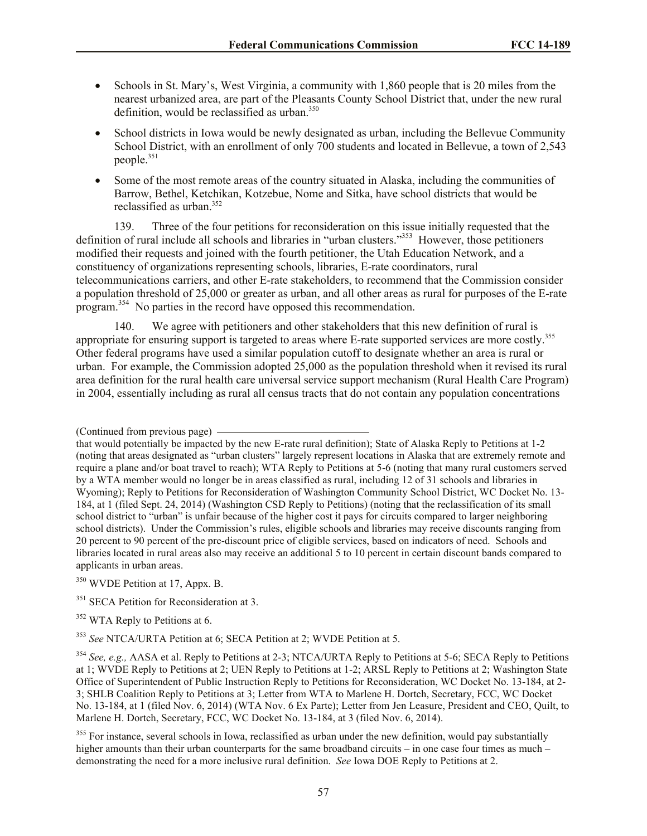- Schools in St. Mary's, West Virginia, a community with 1,860 people that is 20 miles from the nearest urbanized area, are part of the Pleasants County School District that, under the new rural definition, would be reclassified as urban.<sup>350</sup>
- School districts in Iowa would be newly designated as urban, including the Bellevue Community School District, with an enrollment of only 700 students and located in Bellevue, a town of 2,543 people.<sup>351</sup>
- Some of the most remote areas of the country situated in Alaska, including the communities of Barrow, Bethel, Ketchikan, Kotzebue, Nome and Sitka, have school districts that would be reclassified as urban  $352$

139. Three of the four petitions for reconsideration on this issue initially requested that the definition of rural include all schools and libraries in "urban clusters."<sup>353</sup> However, those petitioners modified their requests and joined with the fourth petitioner, the Utah Education Network, and a constituency of organizations representing schools, libraries, E-rate coordinators, rural telecommunications carriers, and other E-rate stakeholders, to recommend that the Commission consider a population threshold of 25,000 or greater as urban, and all other areas as rural for purposes of the E-rate program.<sup>354</sup> No parties in the record have opposed this recommendation.

140. We agree with petitioners and other stakeholders that this new definition of rural is appropriate for ensuring support is targeted to areas where E-rate supported services are more costly.<sup>355</sup> Other federal programs have used a similar population cutoff to designate whether an area is rural or urban. For example, the Commission adopted 25,000 as the population threshold when it revised its rural area definition for the rural health care universal service support mechanism (Rural Health Care Program) in 2004, essentially including as rural all census tracts that do not contain any population concentrations

<sup>(</sup>Continued from previous page)

that would potentially be impacted by the new E-rate rural definition); State of Alaska Reply to Petitions at 1-2 (noting that areas designated as "urban clusters" largely represent locations in Alaska that are extremely remote and require a plane and/or boat travel to reach); WTA Reply to Petitions at 5-6 (noting that many rural customers served by a WTA member would no longer be in areas classified as rural, including 12 of 31 schools and libraries in Wyoming); Reply to Petitions for Reconsideration of Washington Community School District, WC Docket No. 13- 184, at 1 (filed Sept. 24, 2014) (Washington CSD Reply to Petitions) (noting that the reclassification of its small school district to "urban" is unfair because of the higher cost it pays for circuits compared to larger neighboring school districts). Under the Commission's rules, eligible schools and libraries may receive discounts ranging from 20 percent to 90 percent of the pre-discount price of eligible services, based on indicators of need. Schools and libraries located in rural areas also may receive an additional 5 to 10 percent in certain discount bands compared to applicants in urban areas.

<sup>350</sup> WVDE Petition at 17, Appx. B.

 $351$  SECA Petition for Reconsideration at 3.

<sup>&</sup>lt;sup>352</sup> WTA Reply to Petitions at 6.

<sup>353</sup> *See* NTCA/URTA Petition at 6; SECA Petition at 2; WVDE Petition at 5.

<sup>354</sup> *See, e.g.,* AASA et al. Reply to Petitions at 2-3; NTCA/URTA Reply to Petitions at 5-6; SECA Reply to Petitions at 1; WVDE Reply to Petitions at 2; UEN Reply to Petitions at 1-2; ARSL Reply to Petitions at 2; Washington State Office of Superintendent of Public Instruction Reply to Petitions for Reconsideration, WC Docket No. 13-184, at 2- 3; SHLB Coalition Reply to Petitions at 3; Letter from WTA to Marlene H. Dortch, Secretary, FCC, WC Docket No. 13-184, at 1 (filed Nov. 6, 2014) (WTA Nov. 6 Ex Parte); Letter from Jen Leasure, President and CEO, Quilt, to Marlene H. Dortch, Secretary, FCC, WC Docket No. 13-184, at 3 (filed Nov. 6, 2014).

 $355$  For instance, several schools in Iowa, reclassified as urban under the new definition, would pay substantially higher amounts than their urban counterparts for the same broadband circuits – in one case four times as much – demonstrating the need for a more inclusive rural definition. *See* Iowa DOE Reply to Petitions at 2.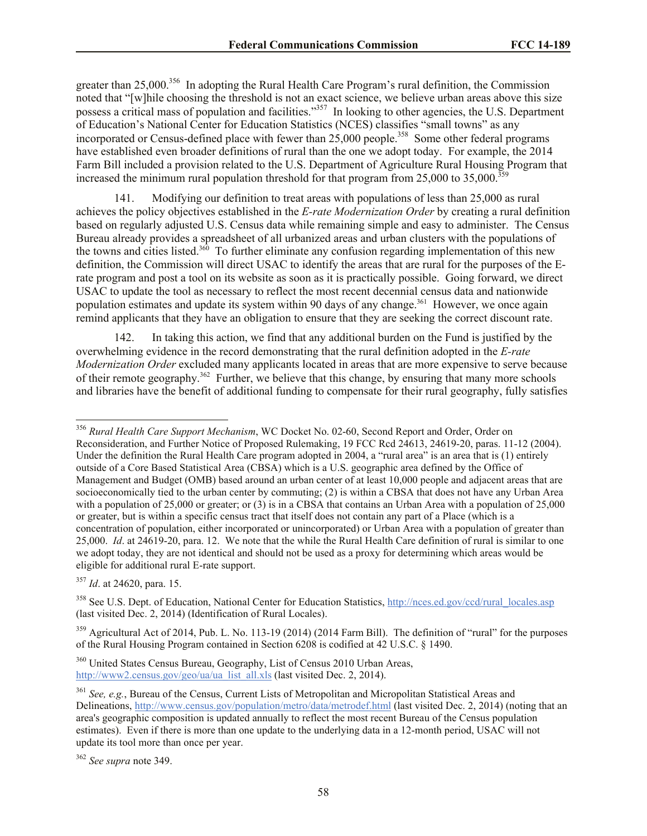greater than 25,000.<sup>356</sup> In adopting the Rural Health Care Program's rural definition, the Commission noted that "[w]hile choosing the threshold is not an exact science, we believe urban areas above this size possess a critical mass of population and facilities."<sup>357</sup> In looking to other agencies, the U.S. Department of Education's National Center for Education Statistics (NCES) classifies "small towns" as any incorporated or Census-defined place with fewer than  $25,000$  people.<sup>358</sup> Some other federal programs have established even broader definitions of rural than the one we adopt today. For example, the 2014 Farm Bill included a provision related to the U.S. Department of Agriculture Rural Housing Program that increased the minimum rural population threshold for that program from  $25,000$  to  $35,000$ .<sup>35</sup>

Modifying our definition to treat areas with populations of less than 25,000 as rural achieves the policy objectives established in the *E-rate Modernization Order* by creating a rural definition based on regularly adjusted U.S. Census data while remaining simple and easy to administer. The Census Bureau already provides a spreadsheet of all urbanized areas and urban clusters with the populations of the towns and cities listed.<sup>360</sup> To further eliminate any confusion regarding implementation of this new definition, the Commission will direct USAC to identify the areas that are rural for the purposes of the Erate program and post a tool on its website as soon as it is practically possible. Going forward, we direct USAC to update the tool as necessary to reflect the most recent decennial census data and nationwide population estimates and update its system within 90 days of any change.<sup>361</sup> However, we once again remind applicants that they have an obligation to ensure that they are seeking the correct discount rate.

142. In taking this action, we find that any additional burden on the Fund is justified by the overwhelming evidence in the record demonstrating that the rural definition adopted in the *E-rate Modernization Order* excluded many applicants located in areas that are more expensive to serve because of their remote geography.<sup>362</sup> Further, we believe that this change, by ensuring that many more schools and libraries have the benefit of additional funding to compensate for their rural geography, fully satisfies

<sup>356</sup> *Rural Health Care Support Mechanism*, WC Docket No. 02-60, Second Report and Order, Order on Reconsideration, and Further Notice of Proposed Rulemaking, 19 FCC Rcd 24613, 24619-20, paras. 11-12 (2004). Under the definition the Rural Health Care program adopted in 2004, a "rural area" is an area that is (1) entirely outside of a Core Based Statistical Area (CBSA) which is a U.S. geographic area defined by the Office of Management and Budget (OMB) based around an urban center of at least 10,000 people and adjacent areas that are socioeconomically tied to the urban center by commuting; (2) is within a CBSA that does not have any Urban Area with a population of 25,000 or greater; or (3) is in a CBSA that contains an Urban Area with a population of 25,000 or greater, but is within a specific census tract that itself does not contain any part of a Place (which is a concentration of population, either incorporated or unincorporated) or Urban Area with a population of greater than 25,000. *Id*. at 24619-20, para. 12. We note that the while the Rural Health Care definition of rural is similar to one we adopt today, they are not identical and should not be used as a proxy for determining which areas would be eligible for additional rural E-rate support.

<sup>357</sup> *Id*. at 24620, para. 15.

<sup>&</sup>lt;sup>358</sup> See U.S. Dept. of Education, National Center for Education Statistics, http://nces.ed.gov/ccd/rural\_locales.asp (last visited Dec. 2, 2014) (Identification of Rural Locales).

<sup>&</sup>lt;sup>359</sup> Agricultural Act of 2014, Pub. L. No. 113-19 (2014) (2014 Farm Bill). The definition of "rural" for the purposes of the Rural Housing Program contained in Section 6208 is codified at 42 U.S.C. § 1490.

<sup>360</sup> United States Census Bureau, Geography, List of Census 2010 Urban Areas, http://www2.census.gov/geo/ua/ua\_list\_all.xls (last visited Dec. 2, 2014).

<sup>361</sup> *See, e.g.*, Bureau of the Census, Current Lists of Metropolitan and Micropolitan Statistical Areas and Delineations, http://www.census.gov/population/metro/data/metrodef.html (last visited Dec. 2, 2014) (noting that an area's geographic composition is updated annually to reflect the most recent Bureau of the Census population estimates). Even if there is more than one update to the underlying data in a 12-month period, USAC will not update its tool more than once per year.

<sup>362</sup> *See supra* note 349.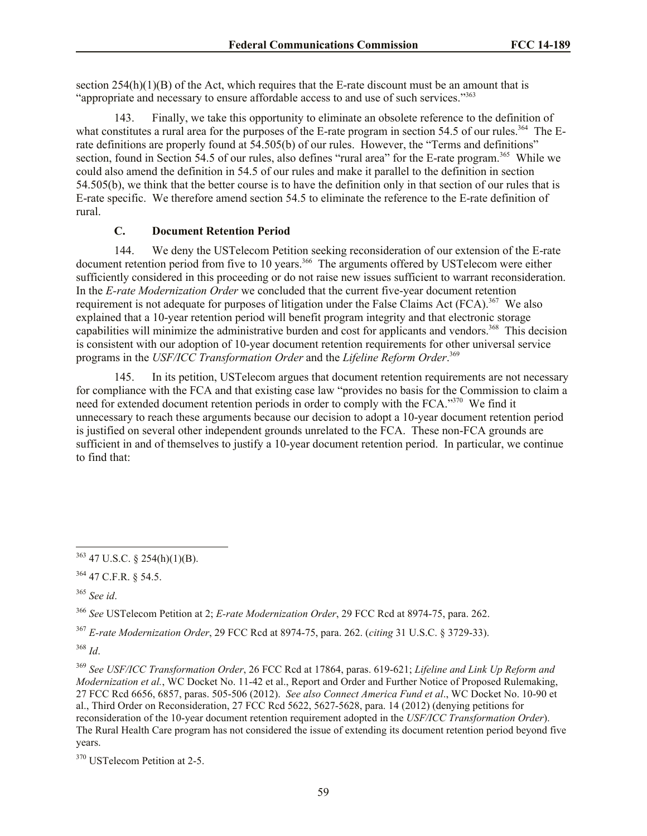section  $254(h)(1)(B)$  of the Act, which requires that the E-rate discount must be an amount that is "appropriate and necessary to ensure affordable access to and use of such services."<sup>363</sup>

143. Finally, we take this opportunity to eliminate an obsolete reference to the definition of what constitutes a rural area for the purposes of the E-rate program in section 54.5 of our rules.<sup>364</sup> The Erate definitions are properly found at 54.505(b) of our rules. However, the "Terms and definitions" section, found in Section 54.5 of our rules, also defines "rural area" for the E-rate program.<sup>365</sup> While we could also amend the definition in 54.5 of our rules and make it parallel to the definition in section 54.505(b), we think that the better course is to have the definition only in that section of our rules that is E-rate specific. We therefore amend section 54.5 to eliminate the reference to the E-rate definition of rural.

#### **C. Document Retention Period**

144. We deny the USTelecom Petition seeking reconsideration of our extension of the E-rate document retention period from five to 10 years.<sup>366</sup> The arguments offered by USTelecom were either sufficiently considered in this proceeding or do not raise new issues sufficient to warrant reconsideration. In the *E-rate Modernization Order* we concluded that the current five-year document retention requirement is not adequate for purposes of litigation under the False Claims Act (FCA).<sup>367</sup> We also explained that a 10-year retention period will benefit program integrity and that electronic storage capabilities will minimize the administrative burden and cost for applicants and vendors.<sup>368</sup> This decision is consistent with our adoption of 10-year document retention requirements for other universal service programs in the *USF/ICC Transformation Order* and the *Lifeline Reform Order*. 369

145. In its petition, USTelecom argues that document retention requirements are not necessary for compliance with the FCA and that existing case law "provides no basis for the Commission to claim a need for extended document retention periods in order to comply with the FCA."<sup>370</sup> We find it unnecessary to reach these arguments because our decision to adopt a 10-year document retention period is justified on several other independent grounds unrelated to the FCA. These non-FCA grounds are sufficient in and of themselves to justify a 10-year document retention period. In particular, we continue to find that:

<sup>365</sup> *See id*.

l

<sup>366</sup> *See* USTelecom Petition at 2; *E-rate Modernization Order*, 29 FCC Rcd at 8974-75, para. 262.

<sup>367</sup> *E-rate Modernization Order*, 29 FCC Rcd at 8974-75, para. 262. (*citing* 31 U.S.C. § 3729-33).

<sup>368</sup> *Id*.

<sup>369</sup> *See USF/ICC Transformation Order*, 26 FCC Rcd at 17864, paras. 619-621; *Lifeline and Link Up Reform and Modernization et al.*, WC Docket No. 11-42 et al., Report and Order and Further Notice of Proposed Rulemaking, 27 FCC Rcd 6656, 6857, paras. 505-506 (2012). *See also Connect America Fund et al*., WC Docket No. 10-90 et al., Third Order on Reconsideration, 27 FCC Rcd 5622, 5627-5628, para. 14 (2012) (denying petitions for reconsideration of the 10-year document retention requirement adopted in the *USF/ICC Transformation Order*). The Rural Health Care program has not considered the issue of extending its document retention period beyond five years.

<sup>370</sup> USTelecom Petition at 2-5.

 $363$  47 U.S.C. § 254(h)(1)(B).

<sup>364</sup> 47 C.F.R. § 54.5.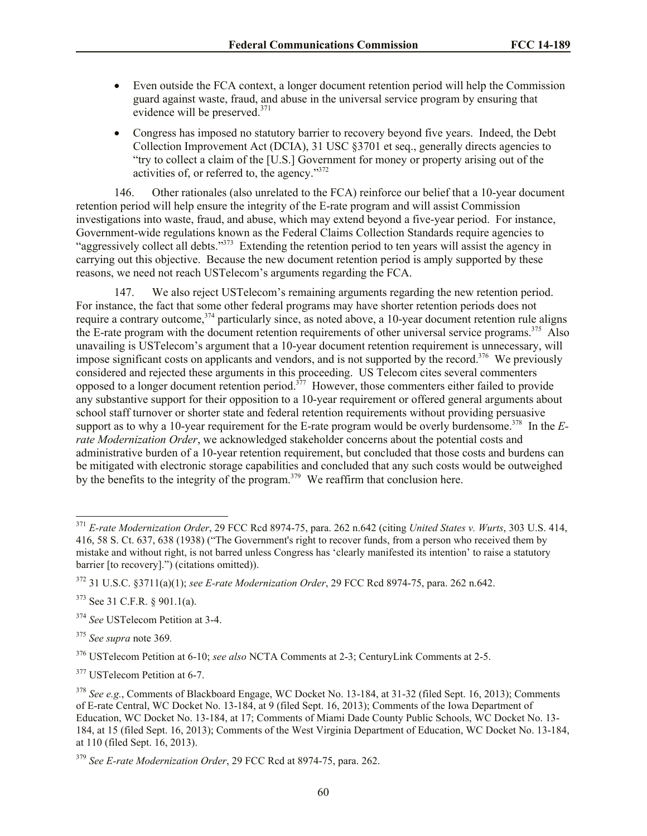- Even outside the FCA context, a longer document retention period will help the Commission guard against waste, fraud, and abuse in the universal service program by ensuring that evidence will be preserved.<sup>371</sup>
- Congress has imposed no statutory barrier to recovery beyond five years. Indeed, the Debt Collection Improvement Act (DCIA), 31 USC §3701 et seq., generally directs agencies to "try to collect a claim of the [U.S.] Government for money or property arising out of the activities of, or referred to, the agency."<sup>372</sup>

146. Other rationales (also unrelated to the FCA) reinforce our belief that a 10-year document retention period will help ensure the integrity of the E-rate program and will assist Commission investigations into waste, fraud, and abuse, which may extend beyond a five-year period. For instance, Government-wide regulations known as the Federal Claims Collection Standards require agencies to "aggressively collect all debts."<sup>373</sup> Extending the retention period to ten years will assist the agency in carrying out this objective. Because the new document retention period is amply supported by these reasons, we need not reach USTelecom's arguments regarding the FCA.

147. We also reject USTelecom's remaining arguments regarding the new retention period. For instance, the fact that some other federal programs may have shorter retention periods does not require a contrary outcome,<sup>374</sup> particularly since, as noted above, a 10-year document retention rule aligns the E-rate program with the document retention requirements of other universal service programs.<sup>375</sup> Also unavailing is USTelecom's argument that a 10-year document retention requirement is unnecessary, will impose significant costs on applicants and vendors, and is not supported by the record.<sup>376</sup> We previously considered and rejected these arguments in this proceeding. US Telecom cites several commenters opposed to a longer document retention period.<sup>377</sup> However, those commenters either failed to provide any substantive support for their opposition to a 10-year requirement or offered general arguments about school staff turnover or shorter state and federal retention requirements without providing persuasive support as to why a 10-year requirement for the E-rate program would be overly burdensome.<sup>378</sup> In the *Erate Modernization Order*, we acknowledged stakeholder concerns about the potential costs and administrative burden of a 10-year retention requirement, but concluded that those costs and burdens can be mitigated with electronic storage capabilities and concluded that any such costs would be outweighed by the benefits to the integrity of the program.<sup>379</sup> We reaffirm that conclusion here.

<sup>371</sup> *E-rate Modernization Order*, 29 FCC Rcd 8974-75, para. 262 n.642 (citing *United States v. Wurts*, 303 U.S. 414, 416, 58 S. Ct. 637, 638 (1938) ("The Government's right to recover funds, from a person who received them by mistake and without right, is not barred unless Congress has 'clearly manifested its intention' to raise a statutory barrier [to recovery].") (citations omitted)).

<sup>372</sup> 31 U.S.C. §3711(a)(1); *see E-rate Modernization Order*, 29 FCC Rcd 8974-75, para. 262 n.642.

<sup>373</sup> See 31 C.F.R. § 901.1(a).

<sup>374</sup> *See* USTelecom Petition at 3-4.

<sup>375</sup> *See supra* note 369*.*

<sup>376</sup> USTelecom Petition at 6-10; *see also* NCTA Comments at 2-3; CenturyLink Comments at 2-5.

<sup>377</sup> USTelecom Petition at 6-7.

<sup>378</sup> *See e.g.*, Comments of Blackboard Engage, WC Docket No. 13-184, at 31-32 (filed Sept. 16, 2013); Comments of E-rate Central, WC Docket No. 13-184, at 9 (filed Sept. 16, 2013); Comments of the Iowa Department of Education, WC Docket No. 13-184, at 17; Comments of Miami Dade County Public Schools, WC Docket No. 13- 184, at 15 (filed Sept. 16, 2013); Comments of the West Virginia Department of Education, WC Docket No. 13-184, at 110 (filed Sept. 16, 2013).

<sup>379</sup> *See E-rate Modernization Order*, 29 FCC Rcd at 8974-75, para. 262.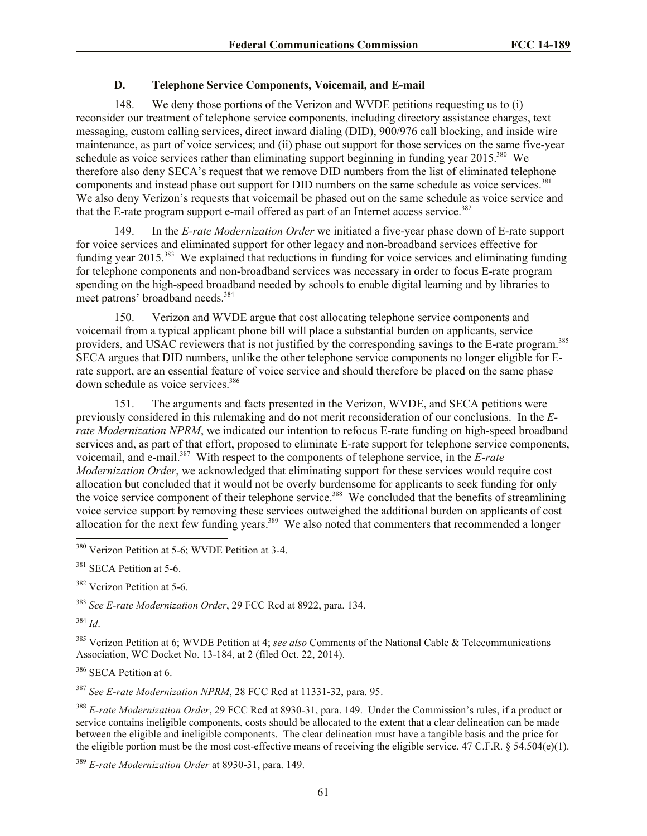## **D. Telephone Service Components, Voicemail, and E-mail**

148. We deny those portions of the Verizon and WVDE petitions requesting us to (i) reconsider our treatment of telephone service components, including directory assistance charges, text messaging, custom calling services, direct inward dialing (DID), 900/976 call blocking, and inside wire maintenance, as part of voice services; and (ii) phase out support for those services on the same five-year schedule as voice services rather than eliminating support beginning in funding year 2015.<sup>380</sup> We therefore also deny SECA's request that we remove DID numbers from the list of eliminated telephone components and instead phase out support for DID numbers on the same schedule as voice services.<sup>381</sup> We also deny Verizon's requests that voicemail be phased out on the same schedule as voice service and that the E-rate program support e-mail offered as part of an Internet access service.<sup>382</sup>

149. In the *E-rate Modernization Order* we initiated a five-year phase down of E-rate support for voice services and eliminated support for other legacy and non-broadband services effective for funding year 2015.<sup>383</sup> We explained that reductions in funding for voice services and eliminating funding for telephone components and non-broadband services was necessary in order to focus E-rate program spending on the high-speed broadband needed by schools to enable digital learning and by libraries to meet patrons' broadband needs.<sup>384</sup>

150. Verizon and WVDE argue that cost allocating telephone service components and voicemail from a typical applicant phone bill will place a substantial burden on applicants, service providers, and USAC reviewers that is not justified by the corresponding savings to the E-rate program.<sup>385</sup> SECA argues that DID numbers, unlike the other telephone service components no longer eligible for Erate support, are an essential feature of voice service and should therefore be placed on the same phase down schedule as voice services.<sup>386</sup>

151. The arguments and facts presented in the Verizon, WVDE, and SECA petitions were previously considered in this rulemaking and do not merit reconsideration of our conclusions. In the *Erate Modernization NPRM*, we indicated our intention to refocus E-rate funding on high-speed broadband services and, as part of that effort, proposed to eliminate E-rate support for telephone service components, voicemail, and e-mail.<sup>387</sup> With respect to the components of telephone service, in the *E-rate Modernization Order*, we acknowledged that eliminating support for these services would require cost allocation but concluded that it would not be overly burdensome for applicants to seek funding for only the voice service component of their telephone service.<sup>388</sup> We concluded that the benefits of streamlining voice service support by removing these services outweighed the additional burden on applicants of cost allocation for the next few funding years.<sup>389</sup> We also noted that commenters that recommended a longer

<sup>382</sup> Verizon Petition at 5-6.

<sup>383</sup> *See E-rate Modernization Order*, 29 FCC Rcd at 8922, para. 134.

<sup>384</sup> *Id*.

 $\overline{a}$ 

<sup>385</sup> Verizon Petition at 6; WVDE Petition at 4; *see also* Comments of the National Cable & Telecommunications Association, WC Docket No. 13-184, at 2 (filed Oct. 22, 2014).

<sup>386</sup> SECA Petition at 6.

<sup>387</sup> *See E-rate Modernization NPRM*, 28 FCC Rcd at 11331-32, para. 95.

<sup>388</sup> *E-rate Modernization Order*, 29 FCC Rcd at 8930-31, para. 149. Under the Commission's rules, if a product or service contains ineligible components, costs should be allocated to the extent that a clear delineation can be made between the eligible and ineligible components. The clear delineation must have a tangible basis and the price for the eligible portion must be the most cost-effective means of receiving the eligible service. 47 C.F.R.  $\S$  54.504(e)(1).

<sup>389</sup> *E-rate Modernization Order* at 8930-31, para. 149.

<sup>&</sup>lt;sup>380</sup> Verizon Petition at 5-6; WVDE Petition at 3-4.

<sup>&</sup>lt;sup>381</sup> SECA Petition at 5-6.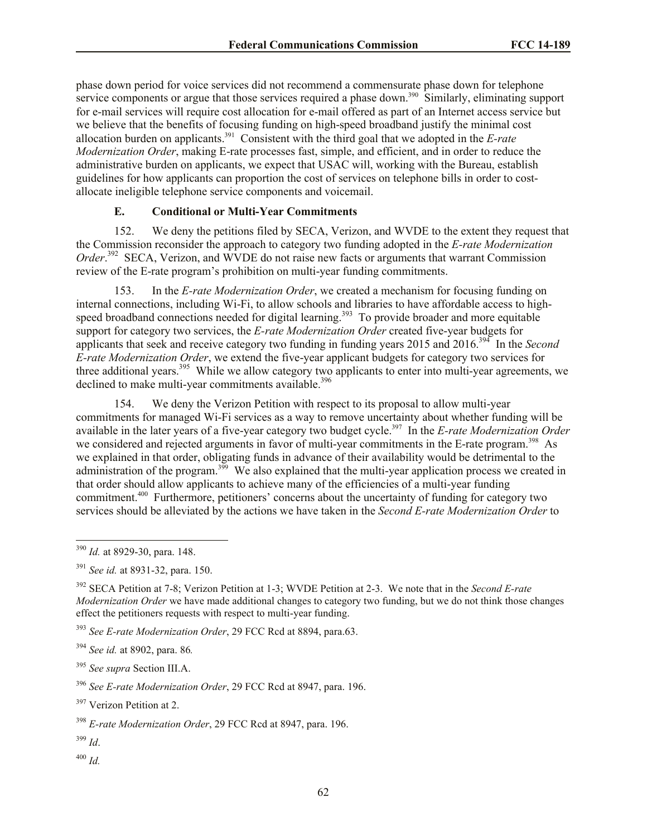phase down period for voice services did not recommend a commensurate phase down for telephone service components or argue that those services required a phase down.<sup>390</sup> Similarly, eliminating support for e-mail services will require cost allocation for e-mail offered as part of an Internet access service but we believe that the benefits of focusing funding on high-speed broadband justify the minimal cost allocation burden on applicants.<sup>391</sup> Consistent with the third goal that we adopted in the *E-rate Modernization Order*, making E-rate processes fast, simple, and efficient, and in order to reduce the administrative burden on applicants, we expect that USAC will, working with the Bureau, establish guidelines for how applicants can proportion the cost of services on telephone bills in order to costallocate ineligible telephone service components and voicemail.

## **E. Conditional or Multi-Year Commitments**

152. We deny the petitions filed by SECA, Verizon, and WVDE to the extent they request that the Commission reconsider the approach to category two funding adopted in the *E-rate Modernization*  Order.<sup>392</sup> SECA, Verizon, and WVDE do not raise new facts or arguments that warrant Commission review of the E-rate program's prohibition on multi-year funding commitments.

153. In the *E-rate Modernization Order*, we created a mechanism for focusing funding on internal connections, including Wi-Fi, to allow schools and libraries to have affordable access to highspeed broadband connections needed for digital learning.<sup>393</sup> To provide broader and more equitable support for category two services, the *E-rate Modernization Order* created five-year budgets for applicants that seek and receive category two funding in funding years 2015 and 2016.<sup>394</sup> In the *Second E-rate Modernization Order*, we extend the five-year applicant budgets for category two services for three additional years.<sup>395</sup> While we allow category two applicants to enter into multi-year agreements, we declined to make multi-year commitments available.<sup>396</sup>

154. We deny the Verizon Petition with respect to its proposal to allow multi-year commitments for managed Wi-Fi services as a way to remove uncertainty about whether funding will be available in the later years of a five-year category two budget cycle.<sup>397</sup> In the *E-rate Modernization Order* we considered and rejected arguments in favor of multi-year commitments in the E-rate program.<sup>398</sup> As we explained in that order, obligating funds in advance of their availability would be detrimental to the administration of the program.<sup>399</sup> We also explained that the multi-year application process we created in that order should allow applicants to achieve many of the efficiencies of a multi-year funding commitment.<sup>400</sup> Furthermore, petitioners' concerns about the uncertainty of funding for category two services should be alleviated by the actions we have taken in the *Second E-rate Modernization Order* to

<sup>393</sup> *See E-rate Modernization Order*, 29 FCC Rcd at 8894, para.63.

<sup>399</sup> *Id*.

l

<sup>400</sup> *Id.*

<sup>390</sup> *Id.* at 8929-30, para. 148.

<sup>391</sup> *See id.* at 8931-32, para. 150.

<sup>392</sup> SECA Petition at 7-8; Verizon Petition at 1-3; WVDE Petition at 2-3. We note that in the *Second E-rate Modernization Order* we have made additional changes to category two funding, but we do not think those changes effect the petitioners requests with respect to multi-year funding.

<sup>394</sup> *See id.* at 8902, para. 86*.*

<sup>395</sup> *See supra* Section III.A.

<sup>396</sup> *See E-rate Modernization Order*, 29 FCC Rcd at 8947, para. 196.

<sup>397</sup> Verizon Petition at 2.

<sup>398</sup> *E-rate Modernization Order*, 29 FCC Rcd at 8947, para. 196.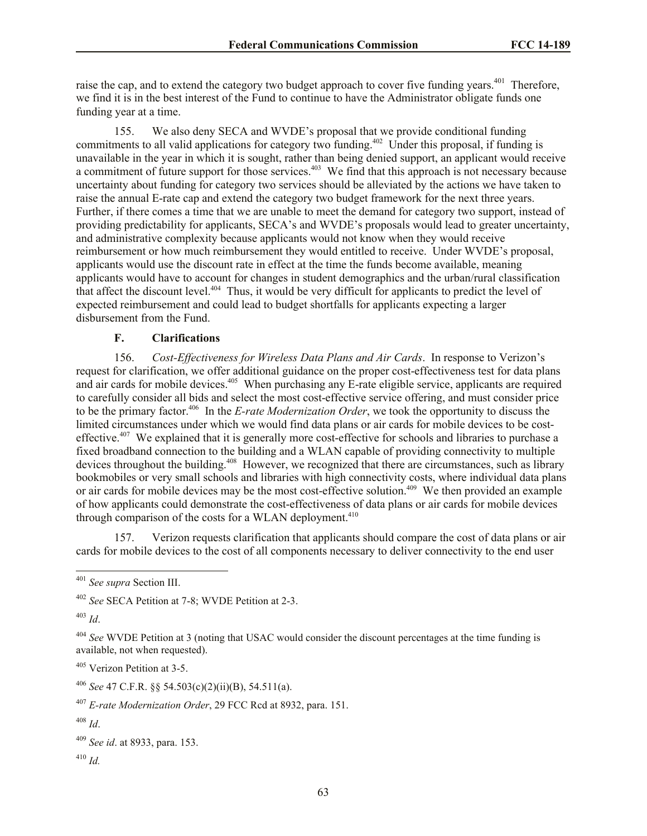raise the cap, and to extend the category two budget approach to cover five funding years.<sup>401</sup> Therefore, we find it is in the best interest of the Fund to continue to have the Administrator obligate funds one funding year at a time.

155. We also deny SECA and WVDE's proposal that we provide conditional funding commitments to all valid applications for category two funding.<sup>402</sup> Under this proposal, if funding is unavailable in the year in which it is sought, rather than being denied support, an applicant would receive a commitment of future support for those services.<sup>403</sup> We find that this approach is not necessary because uncertainty about funding for category two services should be alleviated by the actions we have taken to raise the annual E-rate cap and extend the category two budget framework for the next three years. Further, if there comes a time that we are unable to meet the demand for category two support, instead of providing predictability for applicants, SECA's and WVDE's proposals would lead to greater uncertainty, and administrative complexity because applicants would not know when they would receive reimbursement or how much reimbursement they would entitled to receive. Under WVDE's proposal, applicants would use the discount rate in effect at the time the funds become available, meaning applicants would have to account for changes in student demographics and the urban/rural classification that affect the discount level.<sup>404</sup> Thus, it would be very difficult for applicants to predict the level of expected reimbursement and could lead to budget shortfalls for applicants expecting a larger disbursement from the Fund.

#### **F. Clarifications**

156. *Cost-Effectiveness for Wireless Data Plans and Air Cards*. In response to Verizon's request for clarification, we offer additional guidance on the proper cost-effectiveness test for data plans and air cards for mobile devices.<sup>405</sup> When purchasing any E-rate eligible service, applicants are required to carefully consider all bids and select the most cost-effective service offering, and must consider price to be the primary factor.<sup>406</sup> In the *E-rate Modernization Order*, we took the opportunity to discuss the limited circumstances under which we would find data plans or air cards for mobile devices to be costeffective.<sup>407</sup> We explained that it is generally more cost-effective for schools and libraries to purchase a fixed broadband connection to the building and a WLAN capable of providing connectivity to multiple devices throughout the building.<sup>408</sup> However, we recognized that there are circumstances, such as library bookmobiles or very small schools and libraries with high connectivity costs, where individual data plans or air cards for mobile devices may be the most cost-effective solution.<sup>409</sup> We then provided an example of how applicants could demonstrate the cost-effectiveness of data plans or air cards for mobile devices through comparison of the costs for a WLAN deployment. $410$ 

157. Verizon requests clarification that applicants should compare the cost of data plans or air cards for mobile devices to the cost of all components necessary to deliver connectivity to the end user

<sup>403</sup> *Id*.

l

 $410$  *Id.* 

<sup>401</sup> *See supra* Section III.

<sup>402</sup> *See* SECA Petition at 7-8; WVDE Petition at 2-3.

<sup>404</sup> *See* WVDE Petition at 3 (noting that USAC would consider the discount percentages at the time funding is available, not when requested).

<sup>405</sup> Verizon Petition at 3-5.

<sup>406</sup> *See* 47 C.F.R. §§ 54.503(c)(2)(ii)(B), 54.511(a).

<sup>407</sup> *E-rate Modernization Order*, 29 FCC Rcd at 8932, para. 151.

<sup>408</sup> *Id*.

<sup>409</sup> *See id*. at 8933, para. 153.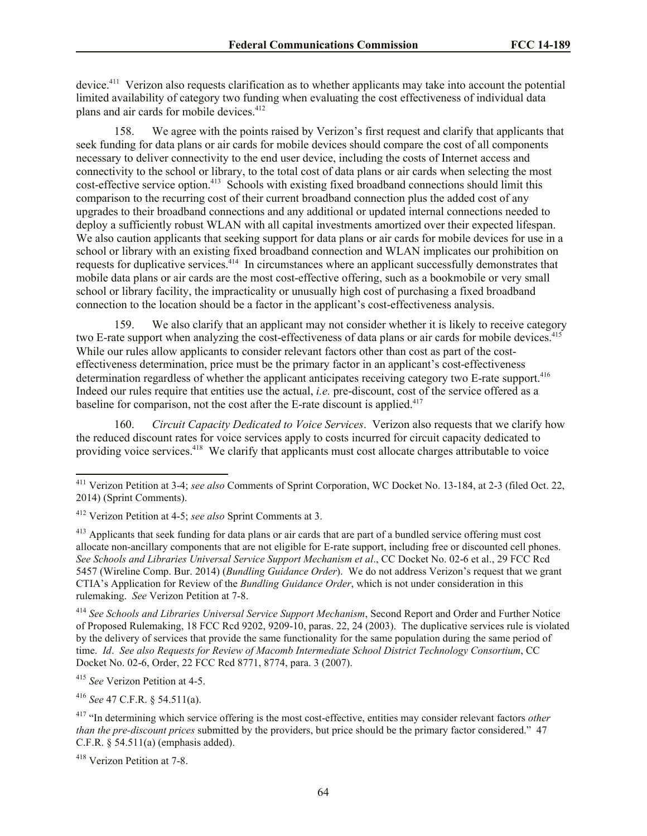device.<sup>411</sup> Verizon also requests clarification as to whether applicants may take into account the potential limited availability of category two funding when evaluating the cost effectiveness of individual data plans and air cards for mobile devices.<sup>412</sup>

158. We agree with the points raised by Verizon's first request and clarify that applicants that seek funding for data plans or air cards for mobile devices should compare the cost of all components necessary to deliver connectivity to the end user device, including the costs of Internet access and connectivity to the school or library, to the total cost of data plans or air cards when selecting the most cost-effective service option.<sup>413</sup> Schools with existing fixed broadband connections should limit this comparison to the recurring cost of their current broadband connection plus the added cost of any upgrades to their broadband connections and any additional or updated internal connections needed to deploy a sufficiently robust WLAN with all capital investments amortized over their expected lifespan. We also caution applicants that seeking support for data plans or air cards for mobile devices for use in a school or library with an existing fixed broadband connection and WLAN implicates our prohibition on requests for duplicative services.<sup>414</sup> In circumstances where an applicant successfully demonstrates that mobile data plans or air cards are the most cost-effective offering, such as a bookmobile or very small school or library facility, the impracticality or unusually high cost of purchasing a fixed broadband connection to the location should be a factor in the applicant's cost-effectiveness analysis.

159. We also clarify that an applicant may not consider whether it is likely to receive category two E-rate support when analyzing the cost-effectiveness of data plans or air cards for mobile devices.<sup>415</sup> While our rules allow applicants to consider relevant factors other than cost as part of the costeffectiveness determination, price must be the primary factor in an applicant's cost-effectiveness determination regardless of whether the applicant anticipates receiving category two E-rate support.<sup>416</sup> Indeed our rules require that entities use the actual, *i.e.* pre-discount, cost of the service offered as a baseline for comparison, not the cost after the E-rate discount is applied.<sup>417</sup>

160. *Circuit Capacity Dedicated to Voice Services*. Verizon also requests that we clarify how the reduced discount rates for voice services apply to costs incurred for circuit capacity dedicated to providing voice services.<sup>418</sup> We clarify that applicants must cost allocate charges attributable to voice

<sup>414</sup> *See Schools and Libraries Universal Service Support Mechanism*, Second Report and Order and Further Notice of Proposed Rulemaking, 18 FCC Rcd 9202, 9209-10, paras. 22, 24 (2003). The duplicative services rule is violated by the delivery of services that provide the same functionality for the same population during the same period of time. *Id*. *See also Requests for Review of Macomb Intermediate School District Technology Consortium*, CC Docket No. 02-6, Order, 22 FCC Rcd 8771, 8774, para. 3 (2007).

<sup>415</sup> *See* Verizon Petition at 4-5.

l

<sup>416</sup> *See* 47 C.F.R. § 54.511(a).

<sup>411</sup> Verizon Petition at 3-4; *see also* Comments of Sprint Corporation, WC Docket No. 13-184, at 2-3 (filed Oct. 22, 2014) (Sprint Comments).

<sup>412</sup> Verizon Petition at 4-5; *see also* Sprint Comments at 3.

<sup>&</sup>lt;sup>413</sup> Applicants that seek funding for data plans or air cards that are part of a bundled service offering must cost allocate non-ancillary components that are not eligible for E-rate support, including free or discounted cell phones. *See Schools and Libraries Universal Service Support Mechanism et al*., CC Docket No. 02-6 et al., 29 FCC Rcd 5457 (Wireline Comp. Bur. 2014) (*Bundling Guidance Order*). We do not address Verizon's request that we grant CTIA's Application for Review of the *Bundling Guidance Order*, which is not under consideration in this rulemaking. *See* Verizon Petition at 7-8.

<sup>417</sup> "In determining which service offering is the most cost-effective, entities may consider relevant factors *other than the pre-discount prices* submitted by the providers, but price should be the primary factor considered." 47 C.F.R. § 54.511(a) (emphasis added).

<sup>418</sup> Verizon Petition at 7-8.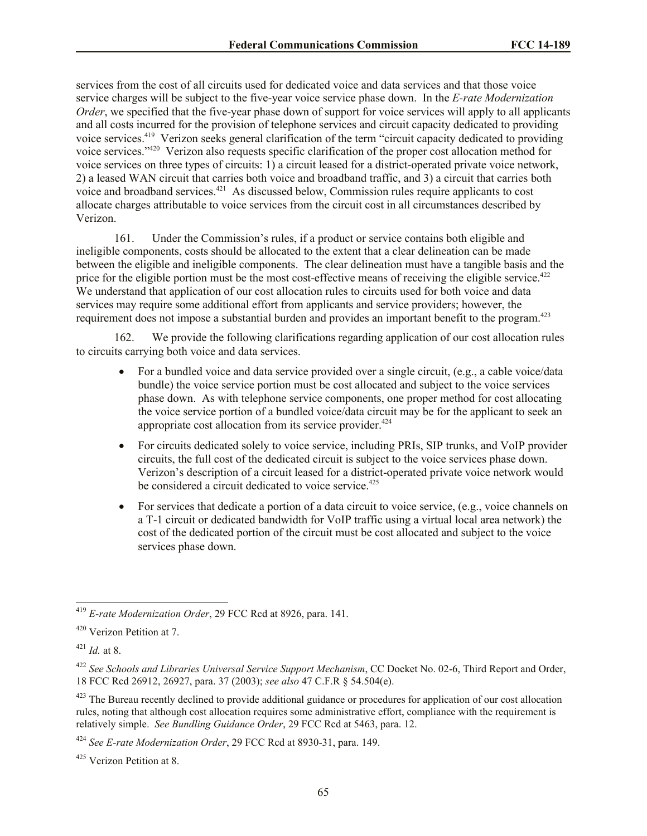services from the cost of all circuits used for dedicated voice and data services and that those voice service charges will be subject to the five-year voice service phase down. In the *E-rate Modernization Order*, we specified that the five-year phase down of support for voice services will apply to all applicants and all costs incurred for the provision of telephone services and circuit capacity dedicated to providing voice services.<sup>419</sup> Verizon seeks general clarification of the term "circuit capacity dedicated to providing voice services."<sup>420</sup> Verizon also requests specific clarification of the proper cost allocation method for voice services on three types of circuits: 1) a circuit leased for a district-operated private voice network, 2) a leased WAN circuit that carries both voice and broadband traffic, and 3) a circuit that carries both voice and broadband services.<sup>421</sup> As discussed below, Commission rules require applicants to cost allocate charges attributable to voice services from the circuit cost in all circumstances described by Verizon.

161. Under the Commission's rules, if a product or service contains both eligible and ineligible components, costs should be allocated to the extent that a clear delineation can be made between the eligible and ineligible components. The clear delineation must have a tangible basis and the price for the eligible portion must be the most cost-effective means of receiving the eligible service.<sup>422</sup> We understand that application of our cost allocation rules to circuits used for both voice and data services may require some additional effort from applicants and service providers; however, the requirement does not impose a substantial burden and provides an important benefit to the program.<sup>423</sup>

162. We provide the following clarifications regarding application of our cost allocation rules to circuits carrying both voice and data services.

- For a bundled voice and data service provided over a single circuit, (e.g., a cable voice/data bundle) the voice service portion must be cost allocated and subject to the voice services phase down. As with telephone service components, one proper method for cost allocating the voice service portion of a bundled voice/data circuit may be for the applicant to seek an appropriate cost allocation from its service provider. $424$
- For circuits dedicated solely to voice service, including PRIs, SIP trunks, and VoIP provider circuits, the full cost of the dedicated circuit is subject to the voice services phase down. Verizon's description of a circuit leased for a district-operated private voice network would be considered a circuit dedicated to voice service.<sup>425</sup>
- For services that dedicate a portion of a data circuit to voice service, (e.g., voice channels on a T-1 circuit or dedicated bandwidth for VoIP traffic using a virtual local area network) the cost of the dedicated portion of the circuit must be cost allocated and subject to the voice services phase down.

<sup>419</sup> *E-rate Modernization Order*, 29 FCC Rcd at 8926, para. 141.

<sup>420</sup> Verizon Petition at 7.

<sup>421</sup> *Id.* at 8.

<sup>422</sup> *See Schools and Libraries Universal Service Support Mechanism*, CC Docket No. 02-6, Third Report and Order, 18 FCC Rcd 26912, 26927, para. 37 (2003); *see also* 47 C.F.R § 54.504(e).

 $423$  The Bureau recently declined to provide additional guidance or procedures for application of our cost allocation rules, noting that although cost allocation requires some administrative effort, compliance with the requirement is relatively simple. *See Bundling Guidance Order*, 29 FCC Rcd at 5463, para. 12.

<sup>424</sup> *See E-rate Modernization Order*, 29 FCC Rcd at 8930-31, para. 149.

<sup>425</sup> Verizon Petition at 8.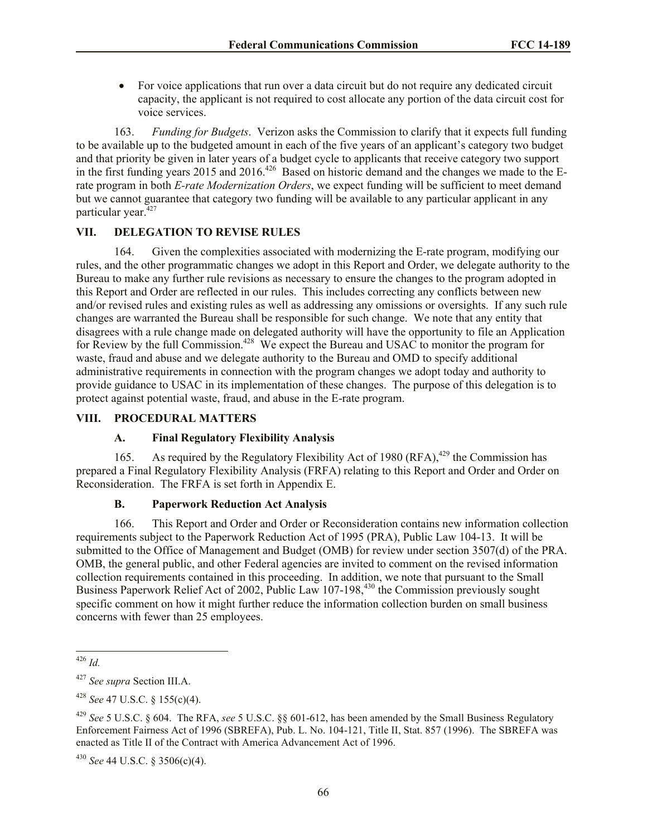For voice applications that run over a data circuit but do not require any dedicated circuit capacity, the applicant is not required to cost allocate any portion of the data circuit cost for voice services.

163. *Funding for Budgets*.Verizon asks the Commission to clarify that it expects full funding to be available up to the budgeted amount in each of the five years of an applicant's category two budget and that priority be given in later years of a budget cycle to applicants that receive category two support in the first funding years 2015 and 2016.<sup>426</sup> Based on historic demand and the changes we made to the Erate program in both *E-rate Modernization Orders*, we expect funding will be sufficient to meet demand but we cannot guarantee that category two funding will be available to any particular applicant in any particular year. $427$ 

#### **VII. DELEGATION TO REVISE RULES**

164. Given the complexities associated with modernizing the E-rate program, modifying our rules, and the other programmatic changes we adopt in this Report and Order, we delegate authority to the Bureau to make any further rule revisions as necessary to ensure the changes to the program adopted in this Report and Order are reflected in our rules. This includes correcting any conflicts between new and/or revised rules and existing rules as well as addressing any omissions or oversights. If any such rule changes are warranted the Bureau shall be responsible for such change. We note that any entity that disagrees with a rule change made on delegated authority will have the opportunity to file an Application for Review by the full Commission.<sup>428</sup> We expect the Bureau and USAC to monitor the program for waste, fraud and abuse and we delegate authority to the Bureau and OMD to specify additional administrative requirements in connection with the program changes we adopt today and authority to provide guidance to USAC in its implementation of these changes. The purpose of this delegation is to protect against potential waste, fraud, and abuse in the E-rate program.

## **VIII. PROCEDURAL MATTERS**

### **A. Final Regulatory Flexibility Analysis**

165. As required by the Regulatory Flexibility Act of 1980 (RFA),  $429$  the Commission has prepared a Final Regulatory Flexibility Analysis (FRFA) relating to this Report and Order and Order on Reconsideration. The FRFA is set forth in Appendix E.

#### **B. Paperwork Reduction Act Analysis**

166. This Report and Order and Order or Reconsideration contains new information collection requirements subject to the Paperwork Reduction Act of 1995 (PRA), Public Law 104-13. It will be submitted to the Office of Management and Budget (OMB) for review under section 3507(d) of the PRA. OMB, the general public, and other Federal agencies are invited to comment on the revised information collection requirements contained in this proceeding. In addition, we note that pursuant to the Small Business Paperwork Relief Act of 2002, Public Law 107-198,<sup>430</sup> the Commission previously sought specific comment on how it might further reduce the information collection burden on small business concerns with fewer than 25 employees.

l <sup>426</sup> *Id.*

<sup>427</sup> *See supra* Section III.A.

<sup>428</sup> *See* 47 U.S.C. § 155(c)(4).

<sup>429</sup> *See* 5 U.S.C. § 604. The RFA, *see* 5 U.S.C. §§ 601-612, has been amended by the Small Business Regulatory Enforcement Fairness Act of 1996 (SBREFA), Pub. L. No. 104-121, Title II, Stat. 857 (1996). The SBREFA was enacted as Title II of the Contract with America Advancement Act of 1996.

<sup>430</sup> *See* 44 U.S.C. § 3506(c)(4).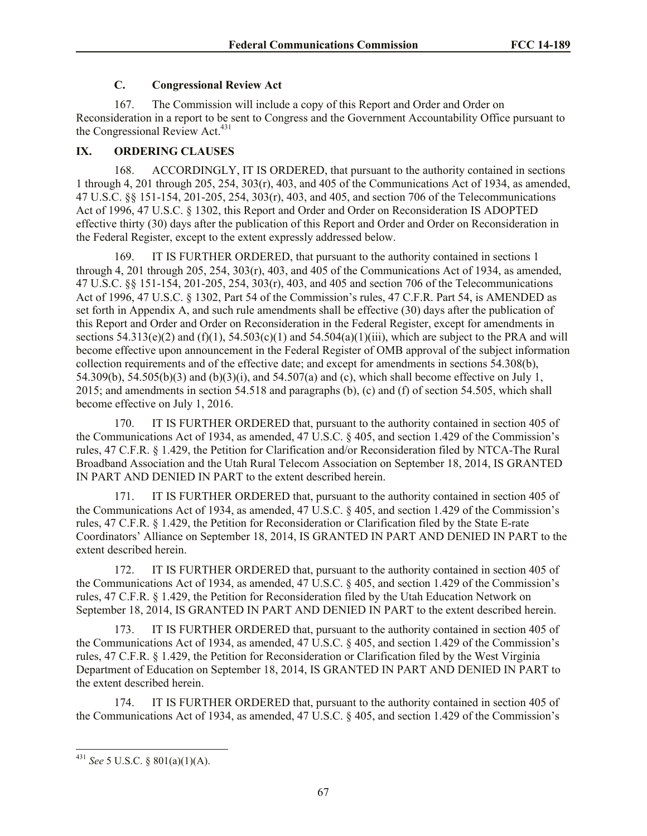### **C. Congressional Review Act**

167. The Commission will include a copy of this Report and Order and Order on Reconsideration in a report to be sent to Congress and the Government Accountability Office pursuant to the Congressional Review Act.<sup>431</sup>

## **IX. ORDERING CLAUSES**

168. ACCORDINGLY, IT IS ORDERED, that pursuant to the authority contained in sections 1 through 4, 201 through 205, 254, 303(r), 403, and 405 of the Communications Act of 1934, as amended, 47 U.S.C. §§ 151-154, 201-205, 254, 303(r), 403, and 405, and section 706 of the Telecommunications Act of 1996, 47 U.S.C. § 1302, this Report and Order and Order on Reconsideration IS ADOPTED effective thirty (30) days after the publication of this Report and Order and Order on Reconsideration in the Federal Register, except to the extent expressly addressed below.

169. IT IS FURTHER ORDERED, that pursuant to the authority contained in sections 1 through 4, 201 through 205, 254, 303(r), 403, and 405 of the Communications Act of 1934, as amended, 47 U.S.C. §§ 151-154, 201-205, 254, 303(r), 403, and 405 and section 706 of the Telecommunications Act of 1996, 47 U.S.C. § 1302, Part 54 of the Commission's rules, 47 C.F.R. Part 54, is AMENDED as set forth in Appendix A, and such rule amendments shall be effective (30) days after the publication of this Report and Order and Order on Reconsideration in the Federal Register, except for amendments in sections  $54.313(e)(2)$  and  $(f)(1)$ ,  $54.503(e)(1)$  and  $54.504(a)(1)(iii)$ , which are subject to the PRA and will become effective upon announcement in the Federal Register of OMB approval of the subject information collection requirements and of the effective date; and except for amendments in sections 54.308(b), 54.309(b), 54.505(b)(3) and (b)(3)(i), and 54.507(a) and (c), which shall become effective on July 1, 2015; and amendments in section 54.518 and paragraphs (b), (c) and (f) of section 54.505, which shall become effective on July 1, 2016.

170. IT IS FURTHER ORDERED that, pursuant to the authority contained in section 405 of the Communications Act of 1934, as amended, 47 U.S.C. § 405, and section 1.429 of the Commission's rules, 47 C.F.R. § 1.429, the Petition for Clarification and/or Reconsideration filed by NTCA-The Rural Broadband Association and the Utah Rural Telecom Association on September 18, 2014, IS GRANTED IN PART AND DENIED IN PART to the extent described herein.

171. IT IS FURTHER ORDERED that, pursuant to the authority contained in section 405 of the Communications Act of 1934, as amended, 47 U.S.C. § 405, and section 1.429 of the Commission's rules, 47 C.F.R. § 1.429, the Petition for Reconsideration or Clarification filed by the State E-rate Coordinators' Alliance on September 18, 2014, IS GRANTED IN PART AND DENIED IN PART to the extent described herein.

172. IT IS FURTHER ORDERED that, pursuant to the authority contained in section 405 of the Communications Act of 1934, as amended, 47 U.S.C. § 405, and section 1.429 of the Commission's rules, 47 C.F.R. § 1.429, the Petition for Reconsideration filed by the Utah Education Network on September 18, 2014, IS GRANTED IN PART AND DENIED IN PART to the extent described herein.

173. IT IS FURTHER ORDERED that, pursuant to the authority contained in section 405 of the Communications Act of 1934, as amended, 47 U.S.C. § 405, and section 1.429 of the Commission's rules, 47 C.F.R. § 1.429, the Petition for Reconsideration or Clarification filed by the West Virginia Department of Education on September 18, 2014, IS GRANTED IN PART AND DENIED IN PART to the extent described herein.

174. IT IS FURTHER ORDERED that, pursuant to the authority contained in section 405 of the Communications Act of 1934, as amended, 47 U.S.C. § 405, and section 1.429 of the Commission's

<sup>431</sup> *See* 5 U.S.C. § 801(a)(1)(A).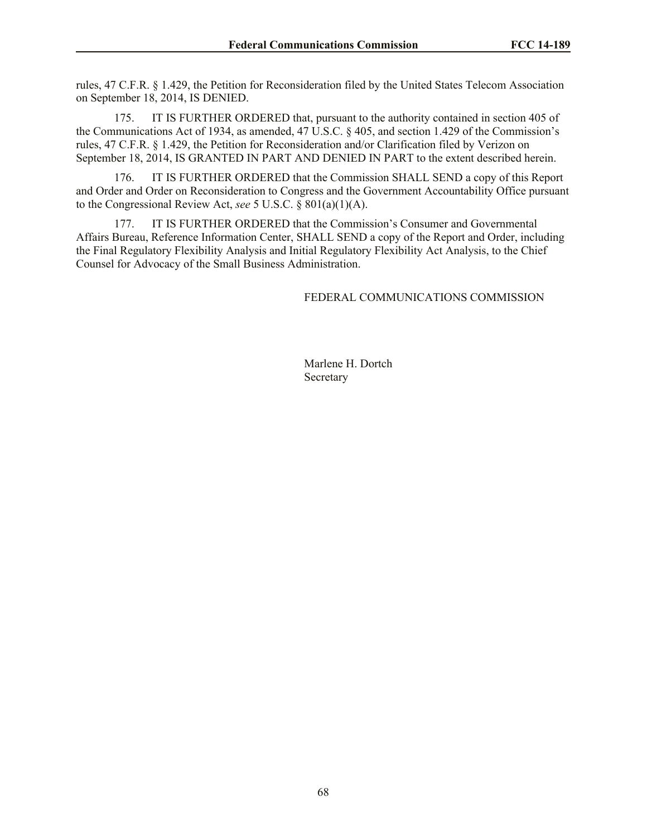rules, 47 C.F.R. § 1.429, the Petition for Reconsideration filed by the United States Telecom Association on September 18, 2014, IS DENIED.

175. IT IS FURTHER ORDERED that, pursuant to the authority contained in section 405 of the Communications Act of 1934, as amended, 47 U.S.C. § 405, and section 1.429 of the Commission's rules, 47 C.F.R. § 1.429, the Petition for Reconsideration and/or Clarification filed by Verizon on September 18, 2014, IS GRANTED IN PART AND DENIED IN PART to the extent described herein.

176. IT IS FURTHER ORDERED that the Commission SHALL SEND a copy of this Report and Order and Order on Reconsideration to Congress and the Government Accountability Office pursuant to the Congressional Review Act, *see* 5 U.S.C. § 801(a)(1)(A).

177. IT IS FURTHER ORDERED that the Commission's Consumer and Governmental Affairs Bureau, Reference Information Center, SHALL SEND a copy of the Report and Order, including the Final Regulatory Flexibility Analysis and Initial Regulatory Flexibility Act Analysis, to the Chief Counsel for Advocacy of the Small Business Administration.

#### FEDERAL COMMUNICATIONS COMMISSION

Marlene H. Dortch Secretary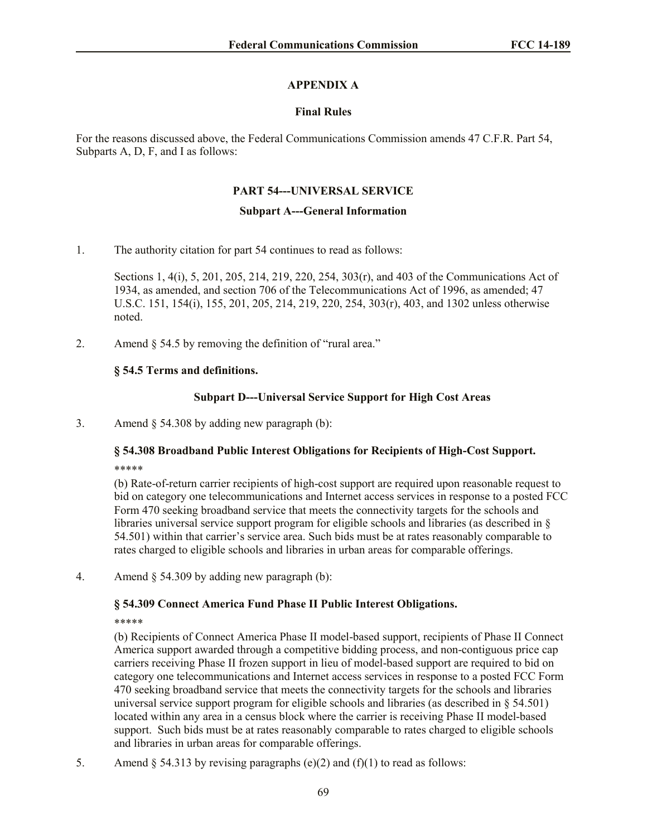## **APPENDIX A**

#### **Final Rules**

For the reasons discussed above, the Federal Communications Commission amends 47 C.F.R. Part 54, Subparts A, D, F, and I as follows:

#### **PART 54---UNIVERSAL SERVICE**

#### **Subpart A---General Information**

1. The authority citation for part 54 continues to read as follows:

Sections 1, 4(i), 5, 201, 205, 214, 219, 220, 254, 303(r), and 403 of the Communications Act of 1934, as amended, and section 706 of the Telecommunications Act of 1996, as amended; 47 U.S.C. 151, 154(i), 155, 201, 205, 214, 219, 220, 254, 303(r), 403, and 1302 unless otherwise noted.

2. Amend § 54.5 by removing the definition of "rural area."

### **§ 54.5 Terms and definitions.**

### **Subpart D---Universal Service Support for High Cost Areas**

3. Amend § 54.308 by adding new paragraph (b):

## **§ 54.308 Broadband Public Interest Obligations for Recipients of High-Cost Support.** \*\*\*\*\*

(b) Rate-of-return carrier recipients of high-cost support are required upon reasonable request to bid on category one telecommunications and Internet access services in response to a posted FCC Form 470 seeking broadband service that meets the connectivity targets for the schools and libraries universal service support program for eligible schools and libraries (as described in § 54.501) within that carrier's service area. Such bids must be at rates reasonably comparable to rates charged to eligible schools and libraries in urban areas for comparable offerings.

4. Amend § 54.309 by adding new paragraph (b):

### **§ 54.309 Connect America Fund Phase II Public Interest Obligations.**

\*\*\*\*\*

(b) Recipients of Connect America Phase II model-based support, recipients of Phase II Connect America support awarded through a competitive bidding process, and non-contiguous price cap carriers receiving Phase II frozen support in lieu of model-based support are required to bid on category one telecommunications and Internet access services in response to a posted FCC Form 470 seeking broadband service that meets the connectivity targets for the schools and libraries universal service support program for eligible schools and libraries (as described in  $\S 54.501$ ) located within any area in a census block where the carrier is receiving Phase II model-based support. Such bids must be at rates reasonably comparable to rates charged to eligible schools and libraries in urban areas for comparable offerings.

5. Amend  $\S$  54.313 by revising paragraphs (e)(2) and (f)(1) to read as follows: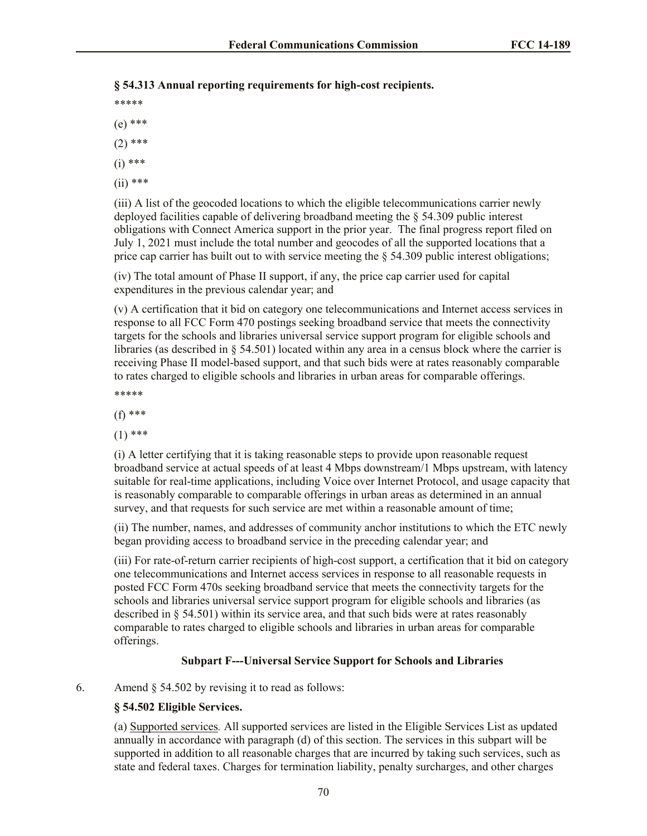## **§ 54.313 Annual reporting requirements for high-cost recipients.**

- \*\*\*\*\*
- (e) \*\*\*
- $(2)$  \*\*\*
- (i) \*\*\*
- (ii) \*\*\*

(iii) A list of the geocoded locations to which the eligible telecommunications carrier newly deployed facilities capable of delivering broadband meeting the § 54.309 public interest obligations with Connect America support in the prior year. The final progress report filed on July 1, 2021 must include the total number and geocodes of all the supported locations that a price cap carrier has built out to with service meeting the  $\S$  54.309 public interest obligations;

(iv) The total amount of Phase II support, if any, the price cap carrier used for capital expenditures in the previous calendar year; and

(v) A certification that it bid on category one telecommunications and Internet access services in response to all FCC Form 470 postings seeking broadband service that meets the connectivity targets for the schools and libraries universal service support program for eligible schools and libraries (as described in § 54.501) located within any area in a census block where the carrier is receiving Phase II model-based support, and that such bids were at rates reasonably comparable to rates charged to eligible schools and libraries in urban areas for comparable offerings.

\*\*\*\*\*

(f) \*\*\*

 $(1)$  \*\*\*

(i) A letter certifying that it is taking reasonable steps to provide upon reasonable request broadband service at actual speeds of at least 4 Mbps downstream/1 Mbps upstream, with latency suitable for real-time applications, including Voice over Internet Protocol, and usage capacity that is reasonably comparable to comparable offerings in urban areas as determined in an annual survey, and that requests for such service are met within a reasonable amount of time;

(ii) The number, names, and addresses of community anchor institutions to which the ETC newly began providing access to broadband service in the preceding calendar year; and

(iii) For rate-of-return carrier recipients of high-cost support, a certification that it bid on category one telecommunications and Internet access services in response to all reasonable requests in posted FCC Form 470s seeking broadband service that meets the connectivity targets for the schools and libraries universal service support program for eligible schools and libraries (as described in § 54.501) within its service area, and that such bids were at rates reasonably comparable to rates charged to eligible schools and libraries in urban areas for comparable offerings.

### **Subpart F---Universal Service Support for Schools and Libraries**

6. Amend § 54.502 by revising it to read as follows:

### **§ 54.502 Eligible Services.**

(a) Supported services*.* All supported services are listed in the Eligible Services List as updated annually in accordance with paragraph (d) of this section. The services in this subpart will be supported in addition to all reasonable charges that are incurred by taking such services, such as state and federal taxes. Charges for termination liability, penalty surcharges, and other charges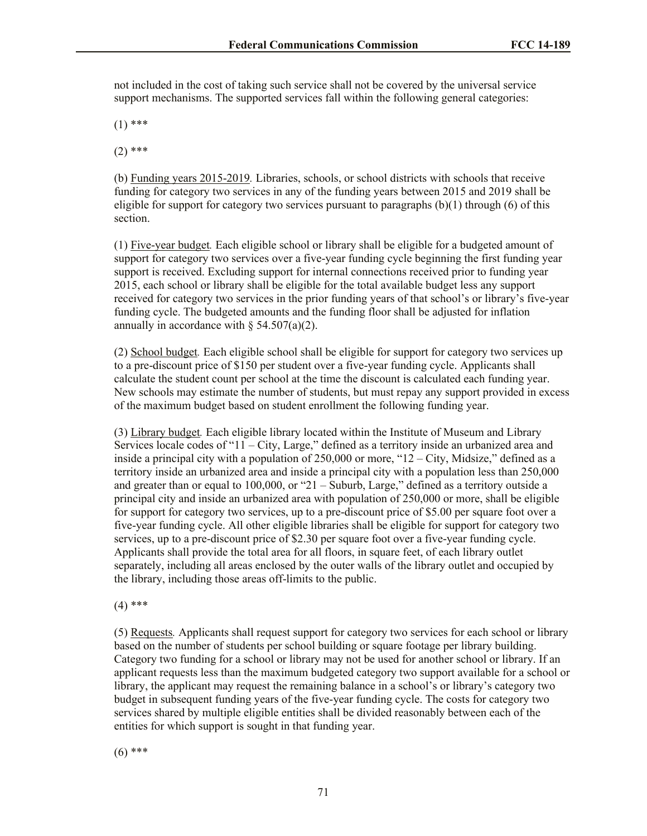not included in the cost of taking such service shall not be covered by the universal service support mechanisms. The supported services fall within the following general categories:

 $(1)$  \*\*\*

 $(2)$  \*\*\*

(b) Funding years 2015-2019*.* Libraries, schools, or school districts with schools that receive funding for category two services in any of the funding years between 2015 and 2019 shall be eligible for support for category two services pursuant to paragraphs  $(b)(1)$  through  $(6)$  of this section.

(1) Five-year budget*.* Each eligible school or library shall be eligible for a budgeted amount of support for category two services over a five-year funding cycle beginning the first funding year support is received. Excluding support for internal connections received prior to funding year 2015, each school or library shall be eligible for the total available budget less any support received for category two services in the prior funding years of that school's or library's five-year funding cycle. The budgeted amounts and the funding floor shall be adjusted for inflation annually in accordance with  $\S$  54.507(a)(2).

(2) School budget*.* Each eligible school shall be eligible for support for category two services up to a pre-discount price of \$150 per student over a five-year funding cycle. Applicants shall calculate the student count per school at the time the discount is calculated each funding year. New schools may estimate the number of students, but must repay any support provided in excess of the maximum budget based on student enrollment the following funding year.

(3) Library budget*.* Each eligible library located within the Institute of Museum and Library Services locale codes of "11 – City, Large," defined as a territory inside an urbanized area and inside a principal city with a population of 250,000 or more, "12 – City, Midsize," defined as a territory inside an urbanized area and inside a principal city with a population less than 250,000 and greater than or equal to 100,000, or "21 – Suburb, Large," defined as a territory outside a principal city and inside an urbanized area with population of 250,000 or more, shall be eligible for support for category two services, up to a pre-discount price of \$5.00 per square foot over a five-year funding cycle. All other eligible libraries shall be eligible for support for category two services, up to a pre-discount price of \$2.30 per square foot over a five-year funding cycle. Applicants shall provide the total area for all floors, in square feet, of each library outlet separately, including all areas enclosed by the outer walls of the library outlet and occupied by the library, including those areas off-limits to the public.

 $(4)$  \*\*\*

(5) Requests*.* Applicants shall request support for category two services for each school or library based on the number of students per school building or square footage per library building. Category two funding for a school or library may not be used for another school or library. If an applicant requests less than the maximum budgeted category two support available for a school or library, the applicant may request the remaining balance in a school's or library's category two budget in subsequent funding years of the five-year funding cycle. The costs for category two services shared by multiple eligible entities shall be divided reasonably between each of the entities for which support is sought in that funding year.

 $(6)$  \*\*\*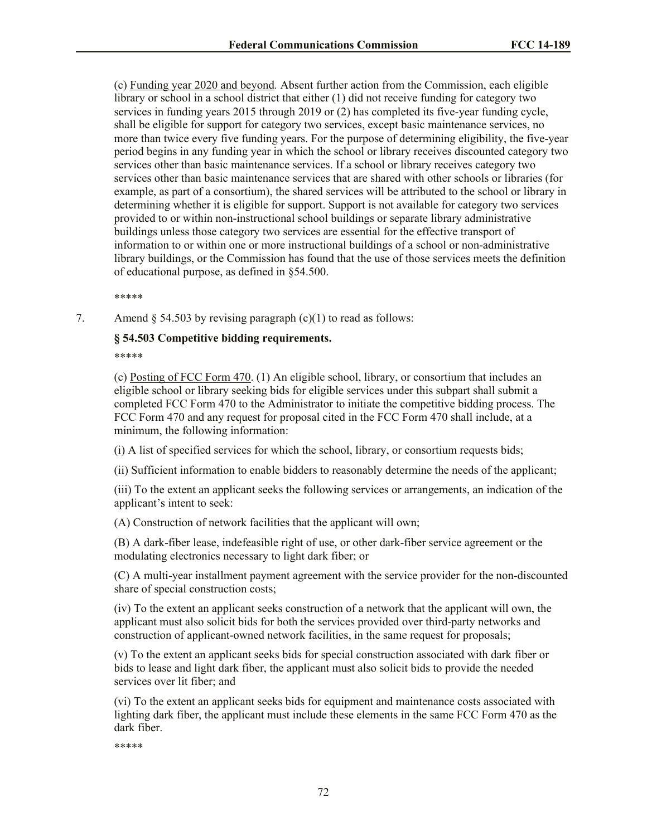(c) Funding year 2020 and beyond*.* Absent further action from the Commission, each eligible library or school in a school district that either (1) did not receive funding for category two services in funding years 2015 through 2019 or (2) has completed its five-year funding cycle, shall be eligible for support for category two services, except basic maintenance services, no more than twice every five funding years. For the purpose of determining eligibility, the five-year period begins in any funding year in which the school or library receives discounted category two services other than basic maintenance services. If a school or library receives category two services other than basic maintenance services that are shared with other schools or libraries (for example, as part of a consortium), the shared services will be attributed to the school or library in determining whether it is eligible for support. Support is not available for category two services provided to or within non-instructional school buildings or separate library administrative buildings unless those category two services are essential for the effective transport of information to or within one or more instructional buildings of a school or non-administrative library buildings, or the Commission has found that the use of those services meets the definition of educational purpose, as defined in §54.500.

\*\*\*\*\*

7. Amend  $\S$  54.503 by revising paragraph (c)(1) to read as follows:

#### **§ 54.503 Competitive bidding requirements.**

\*\*\*\*\*

(c) Posting of FCC Form 470. (1) An eligible school, library, or consortium that includes an eligible school or library seeking bids for eligible services under this subpart shall submit a completed FCC Form 470 to the Administrator to initiate the competitive bidding process. The FCC Form 470 and any request for proposal cited in the FCC Form 470 shall include, at a minimum, the following information:

(i) A list of specified services for which the school, library, or consortium requests bids;

(ii) Sufficient information to enable bidders to reasonably determine the needs of the applicant;

(iii) To the extent an applicant seeks the following services or arrangements, an indication of the applicant's intent to seek:

(A) Construction of network facilities that the applicant will own;

(B) A dark-fiber lease, indefeasible right of use, or other dark-fiber service agreement or the modulating electronics necessary to light dark fiber; or

(C) A multi-year installment payment agreement with the service provider for the non-discounted share of special construction costs;

(iv) To the extent an applicant seeks construction of a network that the applicant will own, the applicant must also solicit bids for both the services provided over third-party networks and construction of applicant-owned network facilities, in the same request for proposals;

(v) To the extent an applicant seeks bids for special construction associated with dark fiber or bids to lease and light dark fiber, the applicant must also solicit bids to provide the needed services over lit fiber; and

(vi) To the extent an applicant seeks bids for equipment and maintenance costs associated with lighting dark fiber, the applicant must include these elements in the same FCC Form 470 as the dark fiber.

\*\*\*\*\*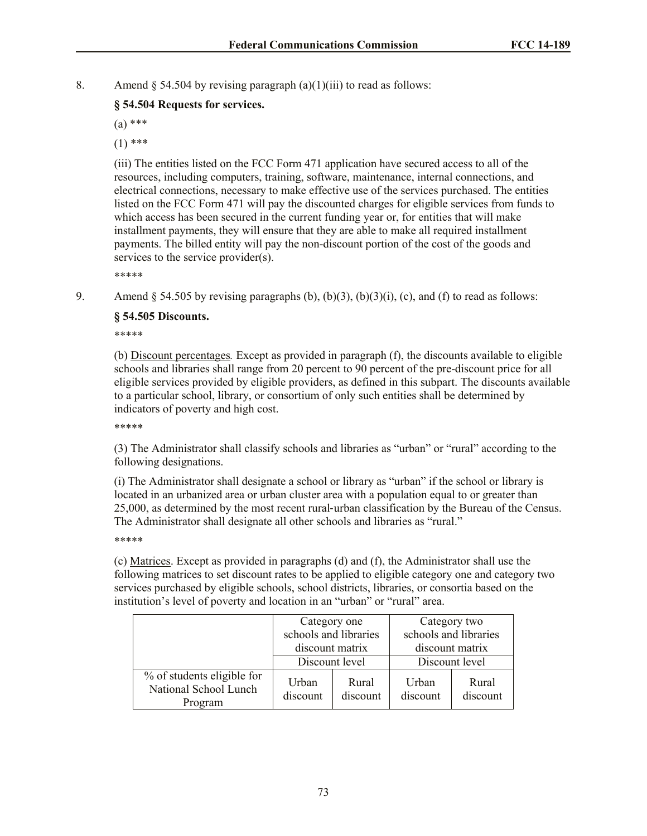8. Amend  $\S$  54.504 by revising paragraph (a)(1)(iii) to read as follows:

### **§ 54.504 Requests for services.**

(a) \*\*\*

 $(1)$  \*\*\*

(iii) The entities listed on the FCC Form 471 application have secured access to all of the resources, including computers, training, software, maintenance, internal connections, and electrical connections, necessary to make effective use of the services purchased. The entities listed on the FCC Form 471 will pay the discounted charges for eligible services from funds to which access has been secured in the current funding year or, for entities that will make installment payments, they will ensure that they are able to make all required installment payments. The billed entity will pay the non-discount portion of the cost of the goods and services to the service provider(s).

\*\*\*\*\*

9. Amend  $\S$  54.505 by revising paragraphs (b), (b)(3), (b)(3)(i), (c), and (f) to read as follows:

### **§ 54.505 Discounts.**

\*\*\*\*\*

(b) Discount percentages*.* Except as provided in paragraph (f), the discounts available to eligible schools and libraries shall range from 20 percent to 90 percent of the pre-discount price for all eligible services provided by eligible providers, as defined in this subpart. The discounts available to a particular school, library, or consortium of only such entities shall be determined by indicators of poverty and high cost.

\*\*\*\*\*

(3) The Administrator shall classify schools and libraries as "urban" or "rural" according to the following designations.

(i) The Administrator shall designate a school or library as "urban" if the school or library is located in an urbanized area or urban cluster area with a population equal to or greater than 25,000, as determined by the most recent rural-urban classification by the Bureau of the Census. The Administrator shall designate all other schools and libraries as "rural."

\*\*\*\*\*

(c) Matrices. Except as provided in paragraphs (d) and (f), the Administrator shall use the following matrices to set discount rates to be applied to eligible category one and category two services purchased by eligible schools, school districts, libraries, or consortia based on the institution's level of poverty and location in an "urban" or "rural" area.

|                                                                | Category one          |                   | Category two      |                       |
|----------------------------------------------------------------|-----------------------|-------------------|-------------------|-----------------------|
|                                                                | schools and libraries |                   |                   | schools and libraries |
|                                                                | discount matrix       |                   | discount matrix   |                       |
|                                                                | Discount level        |                   | Discount level    |                       |
| % of students eligible for<br>National School Lunch<br>Program | Urban<br>discount     | Rural<br>discount | Urban<br>discount | Rural<br>discount     |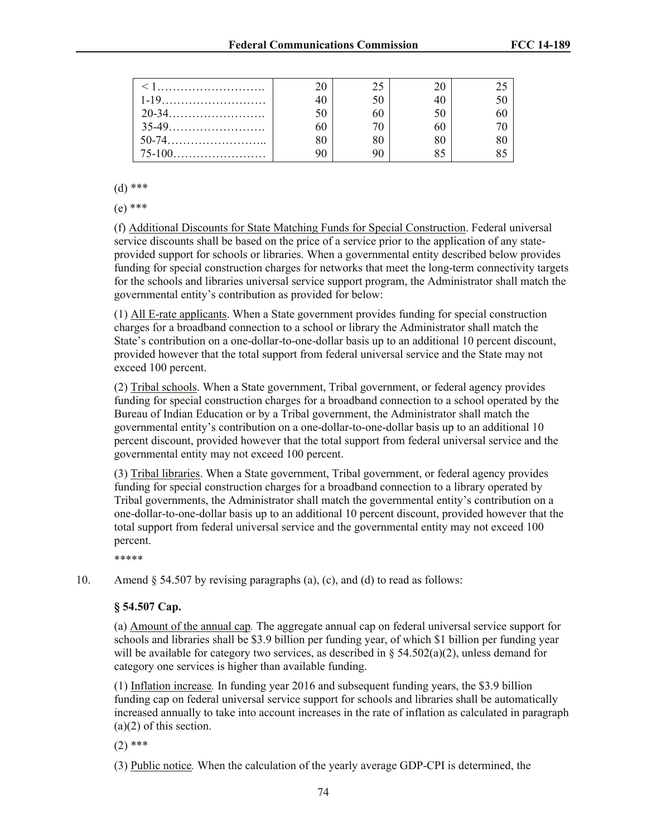|  | つく |    |  |
|--|----|----|--|
|  |    |    |  |
|  |    |    |  |
|  |    | Qς |  |

(d) \*\*\*

(e) \*\*\*

(f) Additional Discounts for State Matching Funds for Special Construction. Federal universal service discounts shall be based on the price of a service prior to the application of any stateprovided support for schools or libraries. When a governmental entity described below provides funding for special construction charges for networks that meet the long-term connectivity targets for the schools and libraries universal service support program, the Administrator shall match the governmental entity's contribution as provided for below:

(1) All E-rate applicants. When a State government provides funding for special construction charges for a broadband connection to a school or library the Administrator shall match the State's contribution on a one-dollar-to-one-dollar basis up to an additional 10 percent discount, provided however that the total support from federal universal service and the State may not exceed 100 percent.

(2) Tribal schools. When a State government, Tribal government, or federal agency provides funding for special construction charges for a broadband connection to a school operated by the Bureau of Indian Education or by a Tribal government, the Administrator shall match the governmental entity's contribution on a one-dollar-to-one-dollar basis up to an additional 10 percent discount, provided however that the total support from federal universal service and the governmental entity may not exceed 100 percent.

(3) Tribal libraries. When a State government, Tribal government, or federal agency provides funding for special construction charges for a broadband connection to a library operated by Tribal governments, the Administrator shall match the governmental entity's contribution on a one-dollar-to-one-dollar basis up to an additional 10 percent discount, provided however that the total support from federal universal service and the governmental entity may not exceed 100 percent.

\*\*\*\*\*

10. Amend § 54.507 by revising paragraphs (a), (c), and (d) to read as follows:

### **§ 54.507 Cap.**

(a) Amount of the annual cap*.* The aggregate annual cap on federal universal service support for schools and libraries shall be \$3.9 billion per funding year, of which \$1 billion per funding year will be available for category two services, as described in §  $54.502(a)(2)$ , unless demand for category one services is higher than available funding.

(1) Inflation increase*.* In funding year 2016 and subsequent funding years, the \$3.9 billion funding cap on federal universal service support for schools and libraries shall be automatically increased annually to take into account increases in the rate of inflation as calculated in paragraph (a)(2) of this section.

 $(2)$  \*\*\*

(3) Public notice*.* When the calculation of the yearly average GDP-CPI is determined, the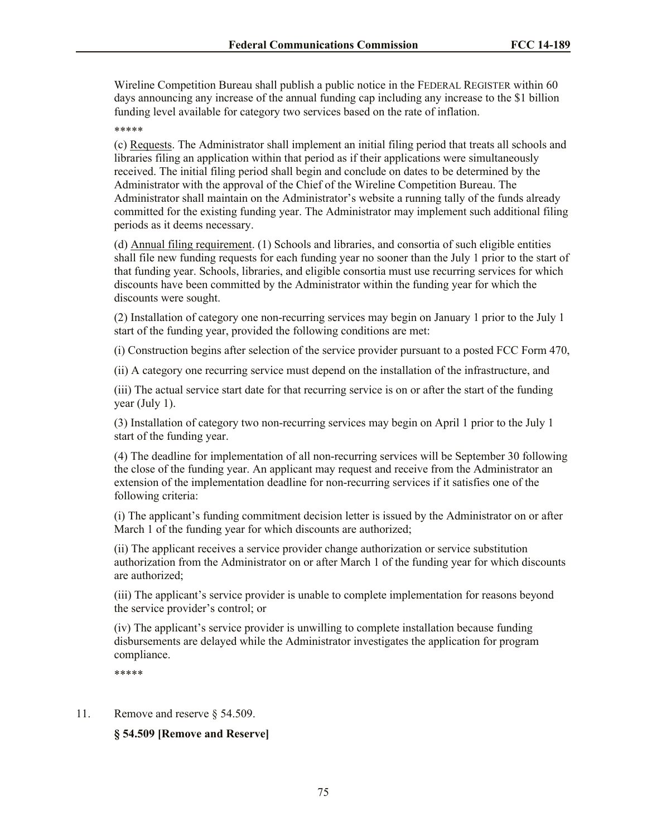Wireline Competition Bureau shall publish a public notice in the FEDERAL REGISTER within 60 days announcing any increase of the annual funding cap including any increase to the \$1 billion funding level available for category two services based on the rate of inflation.

\*\*\*\*\*

(c) Requests. The Administrator shall implement an initial filing period that treats all schools and libraries filing an application within that period as if their applications were simultaneously received. The initial filing period shall begin and conclude on dates to be determined by the Administrator with the approval of the Chief of the Wireline Competition Bureau. The Administrator shall maintain on the Administrator's website a running tally of the funds already committed for the existing funding year. The Administrator may implement such additional filing periods as it deems necessary.

(d) Annual filing requirement. (1) Schools and libraries, and consortia of such eligible entities shall file new funding requests for each funding year no sooner than the July 1 prior to the start of that funding year. Schools, libraries, and eligible consortia must use recurring services for which discounts have been committed by the Administrator within the funding year for which the discounts were sought.

(2) Installation of category one non-recurring services may begin on January 1 prior to the July 1 start of the funding year, provided the following conditions are met:

(i) Construction begins after selection of the service provider pursuant to a posted FCC Form 470,

(ii) A category one recurring service must depend on the installation of the infrastructure, and

(iii) The actual service start date for that recurring service is on or after the start of the funding year (July 1).

(3) Installation of category two non-recurring services may begin on April 1 prior to the July 1 start of the funding year.

(4) The deadline for implementation of all non-recurring services will be September 30 following the close of the funding year. An applicant may request and receive from the Administrator an extension of the implementation deadline for non-recurring services if it satisfies one of the following criteria:

(i) The applicant's funding commitment decision letter is issued by the Administrator on or after March 1 of the funding year for which discounts are authorized;

(ii) The applicant receives a service provider change authorization or service substitution authorization from the Administrator on or after March 1 of the funding year for which discounts are authorized;

(iii) The applicant's service provider is unable to complete implementation for reasons beyond the service provider's control; or

(iv) The applicant's service provider is unwilling to complete installation because funding disbursements are delayed while the Administrator investigates the application for program compliance.

\*\*\*\*\*

11. Remove and reserve § 54.509.

#### **§ 54.509 [Remove and Reserve]**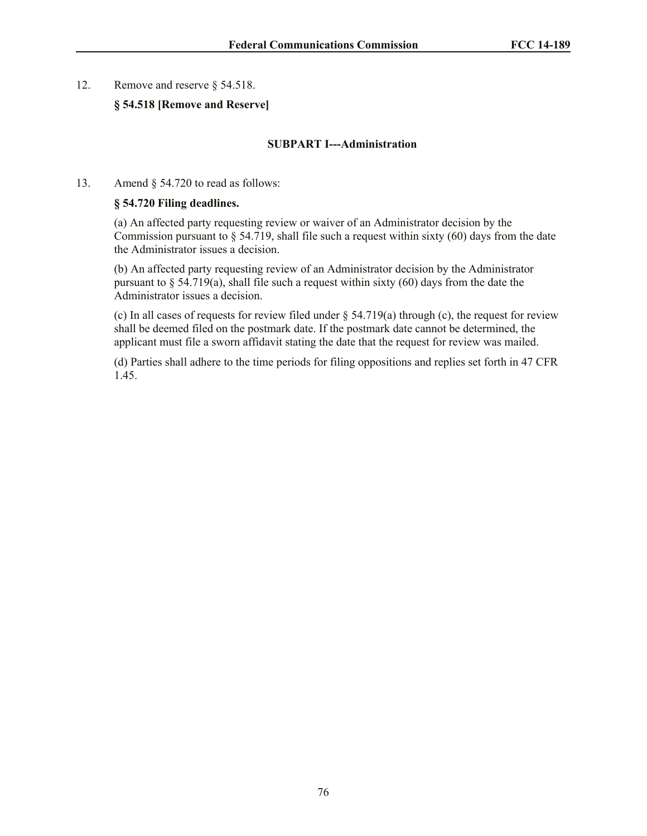#### 12. Remove and reserve § 54.518.

### **§ 54.518 [Remove and Reserve]**

#### **SUBPART I---Administration**

13. Amend § 54.720 to read as follows:

#### **§ 54.720 Filing deadlines.**

(a) An affected party requesting review or waiver of an Administrator decision by the Commission pursuant to  $\S$  54.719, shall file such a request within sixty (60) days from the date the Administrator issues a decision.

(b) An affected party requesting review of an Administrator decision by the Administrator pursuant to  $\S$  54.719(a), shall file such a request within sixty (60) days from the date the Administrator issues a decision.

(c) In all cases of requests for review filed under § 54.719(a) through (c), the request for review shall be deemed filed on the postmark date. If the postmark date cannot be determined, the applicant must file a sworn affidavit stating the date that the request for review was mailed.

(d) Parties shall adhere to the time periods for filing oppositions and replies set forth in 47 CFR 1.45.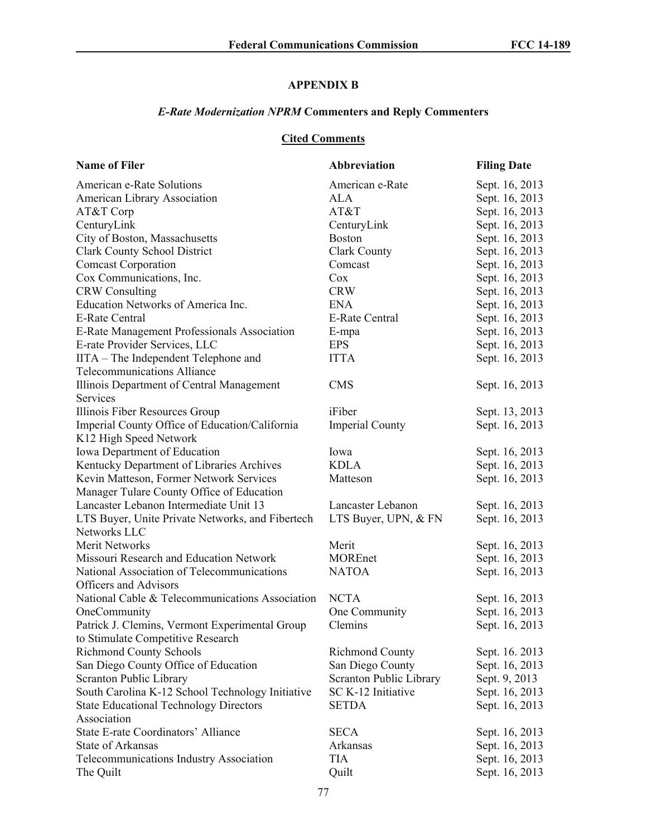# **APPENDIX B**

# *E-Rate Modernization NPRM* **Commenters and Reply Commenters**

# **Cited Comments**

| <b>Name of Filer</b>                             | <b>Abbreviation</b>     | <b>Filing Date</b> |
|--------------------------------------------------|-------------------------|--------------------|
| American e-Rate Solutions                        | American e-Rate         | Sept. 16, 2013     |
| American Library Association                     | ALA                     | Sept. 16, 2013     |
| AT&T Corp                                        | AT&T                    | Sept. 16, 2013     |
| CenturyLink                                      | CenturyLink             | Sept. 16, 2013     |
| City of Boston, Massachusetts                    | <b>Boston</b>           | Sept. 16, 2013     |
| <b>Clark County School District</b>              | <b>Clark County</b>     | Sept. 16, 2013     |
| <b>Comcast Corporation</b>                       | Comcast                 | Sept. 16, 2013     |
| Cox Communications, Inc.                         | Cox                     | Sept. 16, 2013     |
| <b>CRW</b> Consulting                            | <b>CRW</b>              | Sept. 16, 2013     |
| Education Networks of America Inc.               | <b>ENA</b>              | Sept. 16, 2013     |
| <b>E-Rate Central</b>                            | <b>E-Rate Central</b>   | Sept. 16, 2013     |
| E-Rate Management Professionals Association      | E-mpa                   | Sept. 16, 2013     |
| E-rate Provider Services, LLC                    | <b>EPS</b>              | Sept. 16, 2013     |
| IITA – The Independent Telephone and             | <b>ITTA</b>             | Sept. 16, 2013     |
| <b>Telecommunications Alliance</b>               |                         |                    |
| Illinois Department of Central Management        | <b>CMS</b>              | Sept. 16, 2013     |
| Services                                         |                         |                    |
| Illinois Fiber Resources Group                   | iFiber                  | Sept. 13, 2013     |
| Imperial County Office of Education/California   | <b>Imperial County</b>  | Sept. 16, 2013     |
| K12 High Speed Network                           |                         |                    |
| Iowa Department of Education                     | Iowa                    | Sept. 16, 2013     |
| Kentucky Department of Libraries Archives        | <b>KDLA</b>             | Sept. 16, 2013     |
| Kevin Matteson, Former Network Services          | Matteson                | Sept. 16, 2013     |
| Manager Tulare County Office of Education        |                         |                    |
| Lancaster Lebanon Intermediate Unit 13           | Lancaster Lebanon       | Sept. 16, 2013     |
| LTS Buyer, Unite Private Networks, and Fibertech | LTS Buyer, UPN, & FN    | Sept. 16, 2013     |
| Networks LLC                                     |                         |                    |
| <b>Merit Networks</b>                            | Merit                   | Sept. 16, 2013     |
| Missouri Research and Education Network          | <b>MOREnet</b>          | Sept. 16, 2013     |
| National Association of Telecommunications       | <b>NATOA</b>            | Sept. 16, 2013     |
| Officers and Advisors                            |                         |                    |
| National Cable & Telecommunications Association  | <b>NCTA</b>             | Sept. 16, 2013     |
| OneCommunity                                     | One Community           | Sept. 16, 2013     |
| Patrick J. Clemins, Vermont Experimental Group   | Clemins                 | Sept. 16, 2013     |
| to Stimulate Competitive Research                |                         |                    |
| <b>Richmond County Schools</b>                   | <b>Richmond County</b>  | Sept. 16. 2013     |
| San Diego County Office of Education             | San Diego County        | Sept. 16, 2013     |
| Scranton Public Library                          | Scranton Public Library | Sept. 9, 2013      |
| South Carolina K-12 School Technology Initiative | SC K-12 Initiative      | Sept. 16, 2013     |
| <b>State Educational Technology Directors</b>    | <b>SETDA</b>            | Sept. 16, 2013     |
| Association                                      |                         |                    |
| State E-rate Coordinators' Alliance              | <b>SECA</b>             | Sept. 16, 2013     |
| <b>State of Arkansas</b>                         | Arkansas                | Sept. 16, 2013     |
| Telecommunications Industry Association          | <b>TIA</b>              | Sept. 16, 2013     |
| The Quilt                                        | Quilt                   | Sept. 16, 2013     |
|                                                  |                         |                    |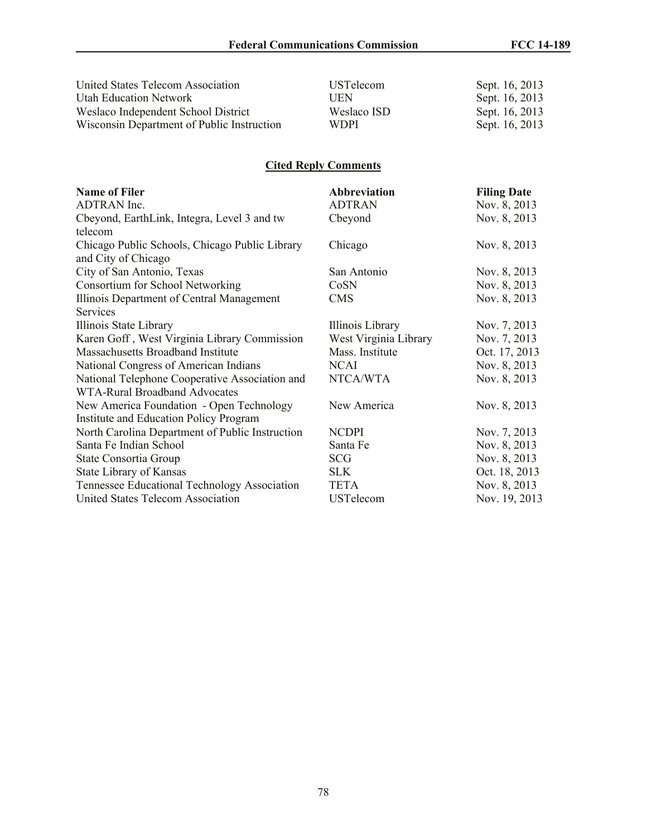| United States Telecom Association          | <b>USTelecom</b> | Sept. 16, 2013 |
|--------------------------------------------|------------------|----------------|
| <b>Utah Education Network</b>              | UEN              | Sept. 16, 2013 |
| Weslaco Independent School District        | Weslaco ISD      | Sept. 16, 2013 |
| Wisconsin Department of Public Instruction | <b>WDPI</b>      | Sept. 16, 2013 |

# **Cited Reply Comments**

| <b>Name of Filer</b>                            | <b>Abbreviation</b>   | <b>Filing Date</b> |
|-------------------------------------------------|-----------------------|--------------------|
| ADTRAN Inc.                                     | <b>ADTRAN</b>         | Nov. 8, 2013       |
| Cbeyond, EarthLink, Integra, Level 3 and tw     | Cbeyond               | Nov. 8, 2013       |
| telecom                                         |                       |                    |
| Chicago Public Schools, Chicago Public Library  | Chicago               | Nov. 8, 2013       |
| and City of Chicago                             |                       |                    |
| City of San Antonio, Texas                      | San Antonio           | Nov. 8, 2013       |
| Consortium for School Networking                | CoSN                  | Nov. 8, 2013       |
| Illinois Department of Central Management       | <b>CMS</b>            | Nov. 8, 2013       |
| <b>Services</b>                                 |                       |                    |
| Illinois State Library                          | Illinois Library      | Nov. 7, 2013       |
| Karen Goff, West Virginia Library Commission    | West Virginia Library | Nov. 7, 2013       |
| Massachusetts Broadband Institute               | Mass. Institute       | Oct. 17, 2013      |
| National Congress of American Indians           | <b>NCAI</b>           | Nov. 8, 2013       |
| National Telephone Cooperative Association and  | NTCA/WTA              | Nov. 8, 2013       |
| WTA-Rural Broadband Advocates                   |                       |                    |
| New America Foundation - Open Technology        | New America           | Nov. 8, 2013       |
| Institute and Education Policy Program          |                       |                    |
| North Carolina Department of Public Instruction | <b>NCDPI</b>          | Nov. 7, 2013       |
| Santa Fe Indian School                          | Santa Fe              | Nov. 8, 2013       |
| State Consortia Group                           | SCG                   | Nov. 8, 2013       |
| State Library of Kansas                         | <b>SLK</b>            | Oct. 18, 2013      |
| Tennessee Educational Technology Association    | <b>TETA</b>           | Nov. 8, 2013       |
| United States Telecom Association               | <b>USTelecom</b>      | Nov. 19, 2013      |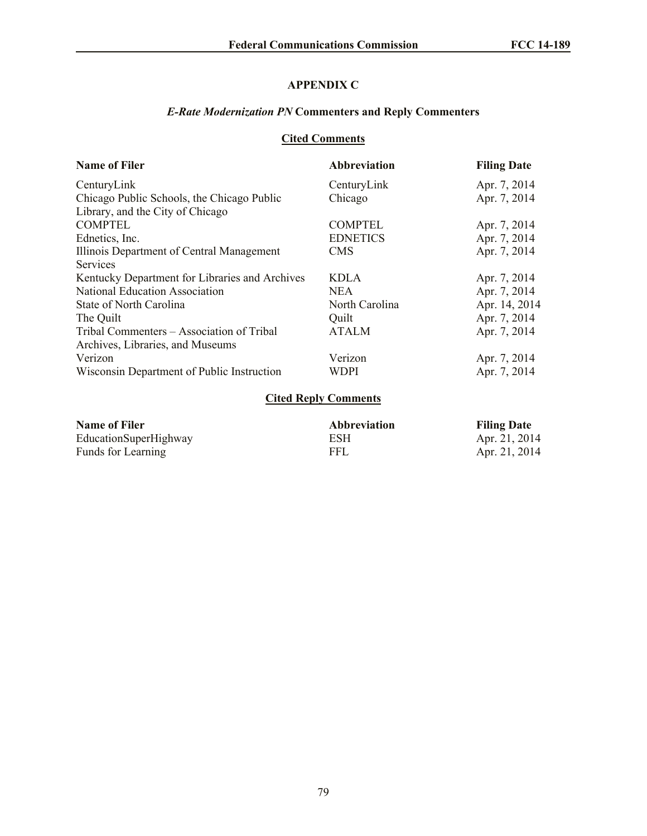# **APPENDIX C**

# *E-Rate Modernization PN* **Commenters and Reply Commenters**

# **Cited Comments**

| <b>Name of Filer</b>                           | <b>Abbreviation</b>         | <b>Filing Date</b> |
|------------------------------------------------|-----------------------------|--------------------|
| CenturyLink                                    | CenturyLink                 | Apr. 7, 2014       |
| Chicago Public Schools, the Chicago Public     | Chicago                     | Apr. 7, 2014       |
| Library, and the City of Chicago               |                             |                    |
| <b>COMPTEL</b>                                 | <b>COMPTEL</b>              | Apr. 7, 2014       |
| Ednetics, Inc.                                 | <b>EDNETICS</b>             | Apr. 7, 2014       |
| Illinois Department of Central Management      | <b>CMS</b>                  | Apr. 7, 2014       |
| Services                                       |                             |                    |
| Kentucky Department for Libraries and Archives | <b>KDLA</b>                 | Apr. 7, 2014       |
| <b>National Education Association</b>          | NEA.                        | Apr. 7, 2014       |
| State of North Carolina                        | North Carolina              | Apr. 14, 2014      |
| The Quilt                                      | Quilt                       | Apr. 7, 2014       |
| Tribal Commenters – Association of Tribal      | <b>ATALM</b>                | Apr. 7, 2014       |
| Archives, Libraries, and Museums               |                             |                    |
| Verizon                                        | Verizon                     | Apr. 7, 2014       |
| Wisconsin Department of Public Instruction     | WDPI                        | Apr. 7, 2014       |
|                                                | <b>Cited Reply Comments</b> |                    |

| <b>Name of Filer</b>  | <b>Abbreviation</b> | <b>Filing Date</b> |
|-----------------------|---------------------|--------------------|
| EducationSuperHighway | ESH                 | Apr. 21, 2014      |
| Funds for Learning    | FFL                 | Apr. 21, 2014      |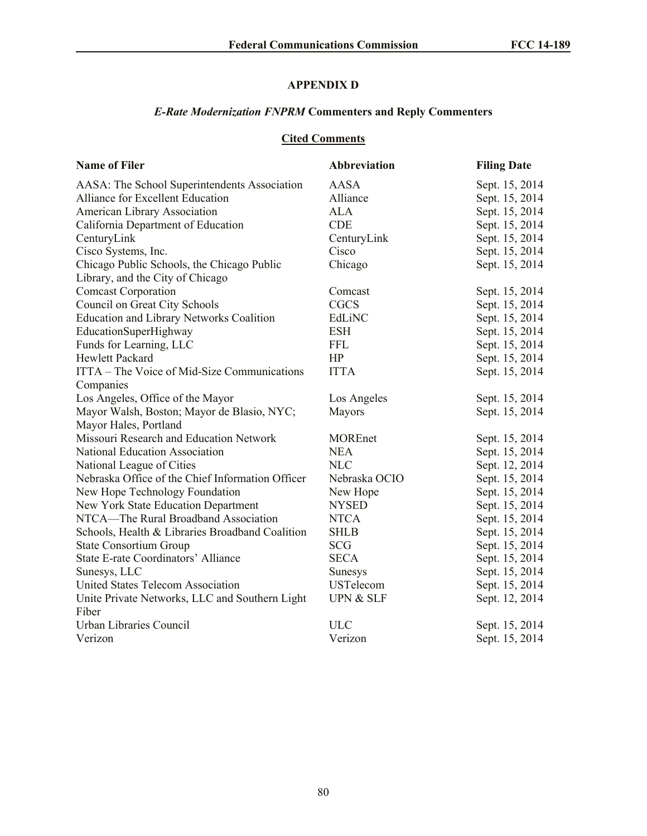# **APPENDIX D**

# *E-Rate Modernization FNPRM* **Commenters and Reply Commenters**

# **Cited Comments**

| <b>Name of Filer</b>                             | Abbreviation         | <b>Filing Date</b> |
|--------------------------------------------------|----------------------|--------------------|
| AASA: The School Superintendents Association     | <b>AASA</b>          | Sept. 15, 2014     |
| Alliance for Excellent Education                 | Alliance             | Sept. 15, 2014     |
| American Library Association                     | <b>ALA</b>           | Sept. 15, 2014     |
| California Department of Education               | <b>CDE</b>           | Sept. 15, 2014     |
| CenturyLink                                      | CenturyLink          | Sept. 15, 2014     |
| Cisco Systems, Inc.                              | Cisco                | Sept. 15, 2014     |
| Chicago Public Schools, the Chicago Public       | Chicago              | Sept. 15, 2014     |
| Library, and the City of Chicago                 |                      |                    |
| <b>Comcast Corporation</b>                       | Comcast              | Sept. 15, 2014     |
| Council on Great City Schools                    | <b>CGCS</b>          | Sept. 15, 2014     |
| <b>Education and Library Networks Coalition</b>  | EdLiNC               | Sept. 15, 2014     |
| EducationSuperHighway                            | <b>ESH</b>           | Sept. 15, 2014     |
| Funds for Learning, LLC                          | <b>FFL</b>           | Sept. 15, 2014     |
| <b>Hewlett Packard</b>                           | HP                   | Sept. 15, 2014     |
| ITTA – The Voice of Mid-Size Communications      | <b>ITTA</b>          | Sept. 15, 2014     |
| Companies                                        |                      |                    |
| Los Angeles, Office of the Mayor                 | Los Angeles          | Sept. 15, 2014     |
| Mayor Walsh, Boston; Mayor de Blasio, NYC;       | Mayors               | Sept. 15, 2014     |
| Mayor Hales, Portland                            |                      |                    |
| Missouri Research and Education Network          | <b>MOREnet</b>       | Sept. 15, 2014     |
| National Education Association                   | <b>NEA</b>           | Sept. 15, 2014     |
| National League of Cities                        | <b>NLC</b>           | Sept. 12, 2014     |
| Nebraska Office of the Chief Information Officer | Nebraska OCIO        | Sept. 15, 2014     |
| New Hope Technology Foundation                   | New Hope             | Sept. 15, 2014     |
| New York State Education Department              | <b>NYSED</b>         | Sept. 15, 2014     |
| NTCA—The Rural Broadband Association             | <b>NTCA</b>          | Sept. 15, 2014     |
| Schools, Health & Libraries Broadband Coalition  | <b>SHLB</b>          | Sept. 15, 2014     |
| <b>State Consortium Group</b>                    | <b>SCG</b>           | Sept. 15, 2014     |
| State E-rate Coordinators' Alliance              | <b>SECA</b>          | Sept. 15, 2014     |
| Sunesys, LLC                                     | <b>Sunesys</b>       | Sept. 15, 2014     |
| United States Telecom Association                | <b>USTelecom</b>     | Sept. 15, 2014     |
| Unite Private Networks, LLC and Southern Light   | <b>UPN &amp; SLF</b> | Sept. 12, 2014     |
| Fiber                                            |                      |                    |
| Urban Libraries Council                          | <b>ULC</b>           | Sept. 15, 2014     |
| Verizon                                          | Verizon              | Sept. 15, 2014     |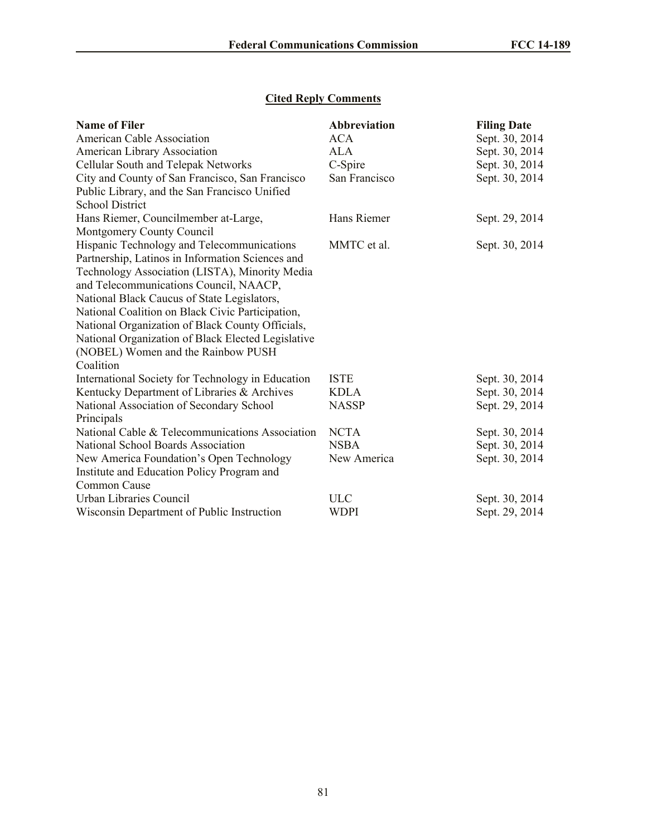# **Cited Reply Comments**

| <b>Name of Filer</b>                               | <b>Abbreviation</b> | <b>Filing Date</b> |
|----------------------------------------------------|---------------------|--------------------|
| <b>American Cable Association</b>                  | <b>ACA</b>          | Sept. 30, 2014     |
| American Library Association                       | ALA                 | Sept. 30, 2014     |
| Cellular South and Telepak Networks                | C-Spire             | Sept. 30, 2014     |
| City and County of San Francisco, San Francisco    | San Francisco       | Sept. 30, 2014     |
| Public Library, and the San Francisco Unified      |                     |                    |
| <b>School District</b>                             |                     |                    |
| Hans Riemer, Councilmember at-Large,               | Hans Riemer         | Sept. 29, 2014     |
| Montgomery County Council                          |                     |                    |
| Hispanic Technology and Telecommunications         | MMTC et al.         | Sept. 30, 2014     |
| Partnership, Latinos in Information Sciences and   |                     |                    |
| Technology Association (LISTA), Minority Media     |                     |                    |
| and Telecommunications Council, NAACP,             |                     |                    |
| National Black Caucus of State Legislators,        |                     |                    |
| National Coalition on Black Civic Participation,   |                     |                    |
| National Organization of Black County Officials,   |                     |                    |
| National Organization of Black Elected Legislative |                     |                    |
| (NOBEL) Women and the Rainbow PUSH                 |                     |                    |
| Coalition                                          |                     |                    |
| International Society for Technology in Education  | <b>ISTE</b>         | Sept. 30, 2014     |
| Kentucky Department of Libraries & Archives        | <b>KDLA</b>         | Sept. 30, 2014     |
| National Association of Secondary School           | <b>NASSP</b>        | Sept. 29, 2014     |
| Principals                                         |                     |                    |
| National Cable & Telecommunications Association    | <b>NCTA</b>         | Sept. 30, 2014     |
| National School Boards Association                 | <b>NSBA</b>         | Sept. 30, 2014     |
| New America Foundation's Open Technology           | New America         | Sept. 30, 2014     |
| Institute and Education Policy Program and         |                     |                    |
| Common Cause                                       |                     |                    |
| Urban Libraries Council                            | <b>ULC</b>          | Sept. 30, 2014     |
| Wisconsin Department of Public Instruction         | WDPI                | Sept. 29, 2014     |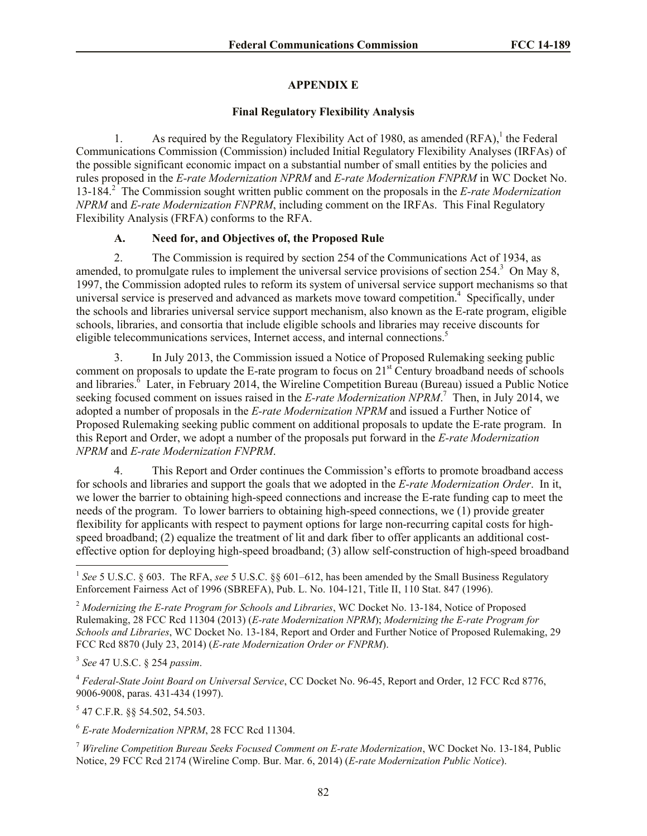# **APPENDIX E**

### **Final Regulatory Flexibility Analysis**

1. As required by the Regulatory Flexibility Act of 1980, as amended  $(RFA)$ ,<sup>1</sup> the Federal Communications Commission (Commission) included Initial Regulatory Flexibility Analyses (IRFAs) of the possible significant economic impact on a substantial number of small entities by the policies and rules proposed in the *E-rate Modernization NPRM* and *E-rate Modernization FNPRM* in WC Docket No. 13-184.<sup>2</sup> The Commission sought written public comment on the proposals in the *E-rate Modernization NPRM* and *E-rate Modernization FNPRM*, including comment on the IRFAs. This Final Regulatory Flexibility Analysis (FRFA) conforms to the RFA.

# **A. Need for, and Objectives of, the Proposed Rule**

2. The Commission is required by section 254 of the Communications Act of 1934, as amended, to promulgate rules to implement the universal service provisions of section  $254$ .<sup>3</sup> On May 8, 1997, the Commission adopted rules to reform its system of universal service support mechanisms so that universal service is preserved and advanced as markets move toward competition.<sup>4</sup> Specifically, under the schools and libraries universal service support mechanism, also known as the E-rate program, eligible schools, libraries, and consortia that include eligible schools and libraries may receive discounts for eligible telecommunications services, Internet access, and internal connections. 5

3. In July 2013, the Commission issued a Notice of Proposed Rulemaking seeking public comment on proposals to update the E-rate program to focus on  $21<sup>st</sup>$  Century broadband needs of schools and libraries.<sup>8</sup> Later, in February 2014, the Wireline Competition Bureau (Bureau) issued a Public Notice seeking focused comment on issues raised in the *E-rate Modernization NPRM*.<sup>7</sup> Then, in July 2014, we adopted a number of proposals in the *E-rate Modernization NPRM* and issued a Further Notice of Proposed Rulemaking seeking public comment on additional proposals to update the E-rate program. In this Report and Order, we adopt a number of the proposals put forward in the *E-rate Modernization NPRM* and *E-rate Modernization FNPRM*.

4. This Report and Order continues the Commission's efforts to promote broadband access for schools and libraries and support the goals that we adopted in the *E-rate Modernization Order*. In it, we lower the barrier to obtaining high-speed connections and increase the E-rate funding cap to meet the needs of the program. To lower barriers to obtaining high-speed connections, we (1) provide greater flexibility for applicants with respect to payment options for large non-recurring capital costs for highspeed broadband; (2) equalize the treatment of lit and dark fiber to offer applicants an additional costeffective option for deploying high-speed broadband; (3) allow self-construction of high-speed broadband

3 *See* 47 U.S.C. § 254 *passim*.

<sup>4</sup> *Federal-State Joint Board on Universal Service*, CC Docket No. 96-45, Report and Order, 12 FCC Rcd 8776, 9006-9008, paras. 431-434 (1997).

5 47 C.F.R. §§ 54.502, 54.503.

<sup>6</sup> *E-rate Modernization NPRM*, 28 FCC Rcd 11304.

<sup>7</sup> *Wireline Competition Bureau Seeks Focused Comment on E-rate Modernization*, WC Docket No. 13-184, Public Notice, 29 FCC Rcd 2174 (Wireline Comp. Bur. Mar. 6, 2014) (*E-rate Modernization Public Notice*).

<sup>&</sup>lt;sup>1</sup> See 5 U.S.C. § 603. The RFA, see 5 U.S.C. §§ 601–612, has been amended by the Small Business Regulatory Enforcement Fairness Act of 1996 (SBREFA), Pub. L. No. 104-121, Title II, 110 Stat. 847 (1996).

<sup>2</sup> *Modernizing the E-rate Program for Schools and Libraries*, WC Docket No. 13-184, Notice of Proposed Rulemaking, 28 FCC Rcd 11304 (2013) (*E-rate Modernization NPRM*); *Modernizing the E-rate Program for Schools and Libraries*, WC Docket No. 13-184, Report and Order and Further Notice of Proposed Rulemaking, 29 FCC Rcd 8870 (July 23, 2014) (*E-rate Modernization Order or FNPRM*).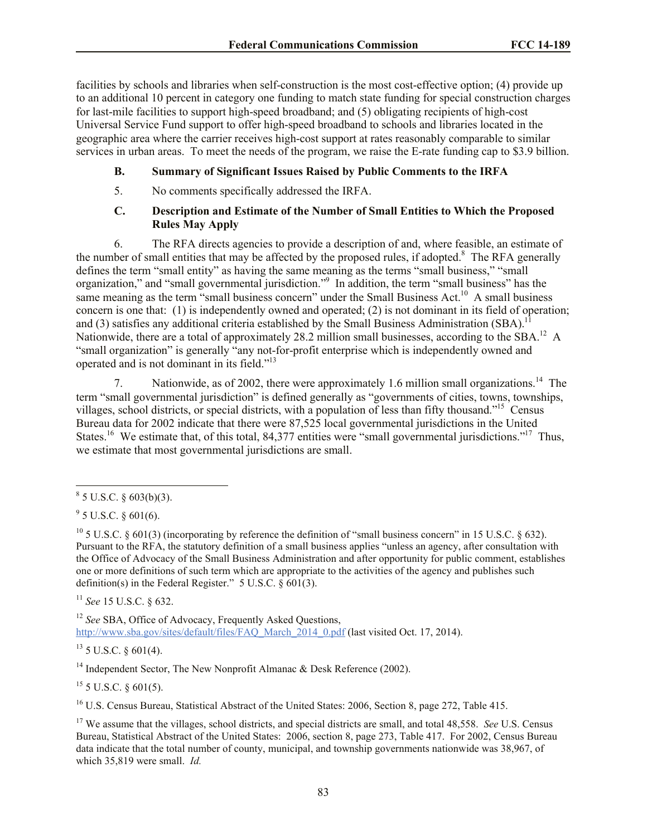facilities by schools and libraries when self-construction is the most cost-effective option; (4) provide up to an additional 10 percent in category one funding to match state funding for special construction charges for last-mile facilities to support high-speed broadband; and (5) obligating recipients of high-cost Universal Service Fund support to offer high-speed broadband to schools and libraries located in the geographic area where the carrier receives high-cost support at rates reasonably comparable to similar services in urban areas. To meet the needs of the program, we raise the E-rate funding cap to \$3.9 billion.

### **B. Summary of Significant Issues Raised by Public Comments to the IRFA**

5. No comments specifically addressed the IRFA.

### **C. Description and Estimate of the Number of Small Entities to Which the Proposed Rules May Apply**

6. The RFA directs agencies to provide a description of and, where feasible, an estimate of the number of small entities that may be affected by the proposed rules, if adopted.<sup>8</sup> The RFA generally defines the term "small entity" as having the same meaning as the terms "small business," "small organization," and "small governmental jurisdiction."<sup>9</sup> In addition, the term "small business" has the same meaning as the term "small business concern" under the Small Business Act.<sup>10</sup> A small business concern is one that: (1) is independently owned and operated; (2) is not dominant in its field of operation; and (3) satisfies any additional criteria established by the Small Business Administration  $(SBA)$ .<sup>1</sup> Nationwide, there are a total of approximately 28.2 million small businesses, according to the SBA.<sup>12</sup> A "small organization" is generally "any not-for-profit enterprise which is independently owned and operated and is not dominant in its field."<sup>13</sup>

7. Nationwide, as of 2002, there were approximately 1.6 million small organizations.<sup>14</sup> The term "small governmental jurisdiction" is defined generally as "governments of cities, towns, townships, villages, school districts, or special districts, with a population of less than fifty thousand."<sup>15</sup> Census Bureau data for 2002 indicate that there were 87,525 local governmental jurisdictions in the United States.<sup>16</sup> We estimate that, of this total, 84,377 entities were "small governmental jurisdictions."<sup>17</sup> Thus, we estimate that most governmental jurisdictions are small.

<sup>11</sup> *See* 15 U.S.C. § 632.

<sup>12</sup> *See* SBA, Office of Advocacy, Frequently Asked Questions, http://www.sba.gov/sites/default/files/FAQ\_March\_2014\_0.pdf (last visited Oct. 17, 2014).

 $13$  5 U.S.C. § 601(4).

<sup>14</sup> Independent Sector, The New Nonprofit Almanac & Desk Reference (2002).

 $15$  5 U.S.C. § 601(5).

<sup>16</sup> U.S. Census Bureau, Statistical Abstract of the United States: 2006, Section 8, page 272, Table 415.

 $8^8$  5 U.S.C. § 603(b)(3).

 $9^9$  5 U.S.C. § 601(6).

<sup>&</sup>lt;sup>10</sup> 5 U.S.C. § 601(3) (incorporating by reference the definition of "small business concern" in 15 U.S.C. § 632). Pursuant to the RFA, the statutory definition of a small business applies "unless an agency, after consultation with the Office of Advocacy of the Small Business Administration and after opportunity for public comment, establishes one or more definitions of such term which are appropriate to the activities of the agency and publishes such definition(s) in the Federal Register." 5 U.S.C. § 601(3).

<sup>&</sup>lt;sup>17</sup> We assume that the villages, school districts, and special districts are small, and total 48,558. *See* U.S. Census Bureau, Statistical Abstract of the United States: 2006, section 8, page 273, Table 417. For 2002, Census Bureau data indicate that the total number of county, municipal, and township governments nationwide was 38,967, of which 35,819 were small. *Id.*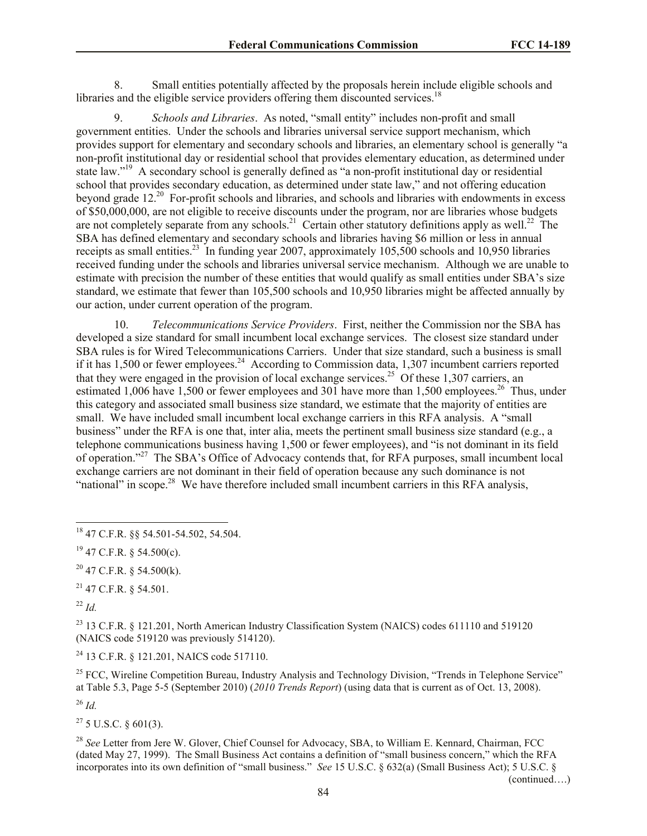8. Small entities potentially affected by the proposals herein include eligible schools and libraries and the eligible service providers offering them discounted services.<sup>18</sup>

9. *Schools and Libraries*. As noted, "small entity" includes non-profit and small government entities. Under the schools and libraries universal service support mechanism, which provides support for elementary and secondary schools and libraries, an elementary school is generally "a non-profit institutional day or residential school that provides elementary education, as determined under state law."<sup>19</sup> A secondary school is generally defined as "a non-profit institutional day or residential school that provides secondary education, as determined under state law," and not offering education beyond grade 12<sup>20</sup> For-profit schools and libraries, and schools and libraries with endowments in excess of \$50,000,000, are not eligible to receive discounts under the program, nor are libraries whose budgets are not completely separate from any schools.<sup>21</sup> Certain other statutory definitions apply as well.<sup>22</sup> The SBA has defined elementary and secondary schools and libraries having \$6 million or less in annual receipts as small entities.<sup>23</sup> In funding year 2007, approximately 105,500 schools and 10,950 libraries received funding under the schools and libraries universal service mechanism. Although we are unable to estimate with precision the number of these entities that would qualify as small entities under SBA's size standard, we estimate that fewer than 105,500 schools and 10,950 libraries might be affected annually by our action, under current operation of the program.

10. *Telecommunications Service Providers*. First, neither the Commission nor the SBA has developed a size standard for small incumbent local exchange services. The closest size standard under SBA rules is for Wired Telecommunications Carriers. Under that size standard, such a business is small if it has 1,500 or fewer employees.<sup>24</sup> According to Commission data, 1,307 incumbent carriers reported that they were engaged in the provision of local exchange services.<sup>25</sup> Of these 1,307 carriers, an estimated 1,006 have 1,500 or fewer employees and 301 have more than 1,500 employees.<sup>26</sup> Thus, under this category and associated small business size standard, we estimate that the majority of entities are small. We have included small incumbent local exchange carriers in this RFA analysis. A "small business" under the RFA is one that, inter alia, meets the pertinent small business size standard (e.g., a telephone communications business having 1,500 or fewer employees), and "is not dominant in its field of operation."<sup>27</sup> The SBA's Office of Advocacy contends that, for RFA purposes, small incumbent local exchange carriers are not dominant in their field of operation because any such dominance is not "national" in scope.<sup>28</sup> We have therefore included small incumbent carriers in this RFA analysis,

 $^{21}$  47 C.F.R. § 54.501.

<sup>22</sup> *Id.*

l

<sup>23</sup> 13 C.F.R. § 121.201, North American Industry Classification System (NAICS) codes 611110 and 519120 (NAICS code 519120 was previously 514120).

<sup>24</sup> 13 C.F.R. § 121.201, NAICS code 517110.

<sup>25</sup> FCC. Wireline Competition Bureau, Industry Analysis and Technology Division, "Trends in Telephone Service" at Table 5.3, Page 5-5 (September 2010) (*2010 Trends Report*) (using data that is current as of Oct. 13, 2008).

<sup>26</sup> *Id.*

 $27\,5$  U.S.C.  $8\,601(3)$ .

<sup>28</sup> See Letter from Jere W. Glover, Chief Counsel for Advocacy, SBA, to William E. Kennard, Chairman, FCC (dated May 27, 1999). The Small Business Act contains a definition of "small business concern," which the RFA incorporates into its own definition of "small business." *See* 15 U.S.C. § 632(a) (Small Business Act); 5 U.S.C. §

(continued….)

<sup>18</sup> 47 C.F.R. §§ 54.501-54.502, 54.504.

 $19$  47 C.F.R. § 54.500(c).

 $20$  47 C.F.R. § 54.500(k).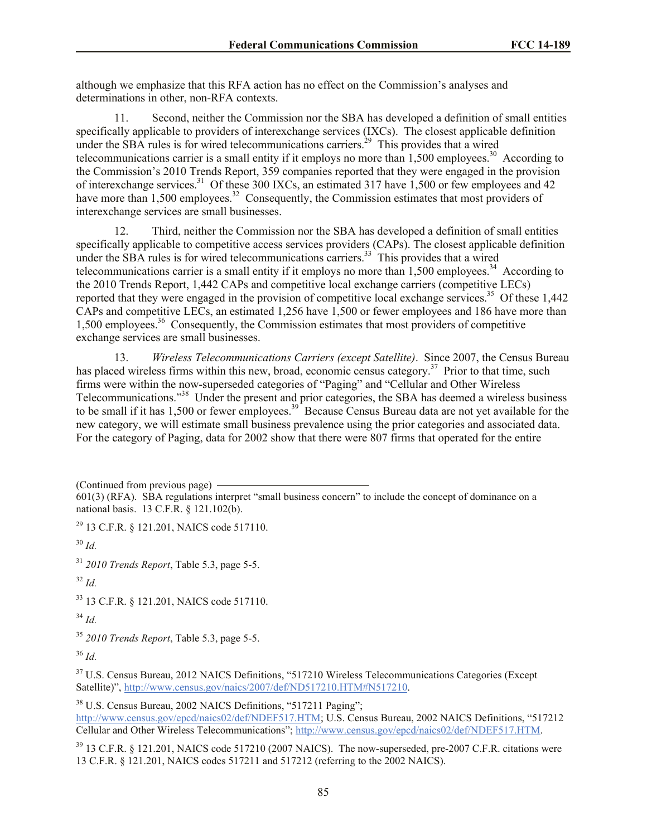although we emphasize that this RFA action has no effect on the Commission's analyses and determinations in other, non-RFA contexts.

11. Second, neither the Commission nor the SBA has developed a definition of small entities specifically applicable to providers of interexchange services (IXCs). The closest applicable definition under the SBA rules is for wired telecommunications carriers.<sup>29</sup> This provides that a wired telecommunications carrier is a small entity if it employs no more than  $1,500$  employees.<sup>30</sup> According to the Commission's 2010 Trends Report, 359 companies reported that they were engaged in the provision of interexchange services.<sup>31</sup> Of these 300 IXCs, an estimated 317 have 1,500 or few employees and 42 have more than 1,500 employees.<sup>32</sup> Consequently, the Commission estimates that most providers of interexchange services are small businesses.

12. Third, neither the Commission nor the SBA has developed a definition of small entities specifically applicable to competitive access services providers (CAPs). The closest applicable definition under the SBA rules is for wired telecommunications carriers.<sup>33</sup> This provides that a wired telecommunications carrier is a small entity if it employs no more than  $1,500$  employees.<sup>34</sup> According to the 2010 Trends Report, 1,442 CAPs and competitive local exchange carriers (competitive LECs) reported that they were engaged in the provision of competitive local exchange services.<sup>35</sup> Of these  $1,442$ CAPs and competitive LECs, an estimated 1,256 have 1,500 or fewer employees and 186 have more than 1,500 employees.<sup>36</sup> Consequently, the Commission estimates that most providers of competitive exchange services are small businesses.

13. *Wireless Telecommunications Carriers (except Satellite)*. Since 2007, the Census Bureau has placed wireless firms within this new, broad, economic census category.<sup>37</sup> Prior to that time, such firms were within the now-superseded categories of "Paging" and "Cellular and Other Wireless Telecommunications."<sup>38</sup> Under the present and prior categories, the SBA has deemed a wireless business to be small if it has  $1,500$  or fewer employees.<sup>39</sup> Because Census Bureau data are not yet available for the new category, we will estimate small business prevalence using the prior categories and associated data. For the category of Paging, data for 2002 show that there were 807 firms that operated for the entire

(Continued from previous page)

<sup>29</sup> 13 C.F.R. § 121.201, NAICS code 517110.

<sup>30</sup> *Id.*

<sup>31</sup> *2010 Trends Report*, Table 5.3, page 5-5.

<sup>32</sup> *Id.*

<sup>33</sup> 13 C.F.R. § 121.201, NAICS code 517110.

<sup>34</sup> *Id.*

<sup>35</sup> *2010 Trends Report*, Table 5.3, page 5-5.

<sup>36</sup> *Id.*

<sup>37</sup> U.S. Census Bureau, 2012 NAICS Definitions, "517210 Wireless Telecommunications Categories (Except Satellite)", http://www.census.gov/naics/2007/def/ND517210.HTM#N517210.

<sup>38</sup> U.S. Census Bureau, 2002 NAICS Definitions, "517211 Paging"; http://www.census.gov/epcd/naics02/def/NDEF517.HTM; U.S. Census Bureau, 2002 NAICS Definitions, "517212 Cellular and Other Wireless Telecommunications"; http://www.census.gov/epcd/naics02/def/NDEF517.HTM.

<sup>39</sup> 13 C.F.R. § 121.201, NAICS code 517210 (2007 NAICS). The now-superseded, pre-2007 C.F.R. citations were 13 C.F.R. § 121.201, NAICS codes 517211 and 517212 (referring to the 2002 NAICS).

<sup>601(3) (</sup>RFA). SBA regulations interpret "small business concern" to include the concept of dominance on a national basis. 13 C.F.R. § 121.102(b).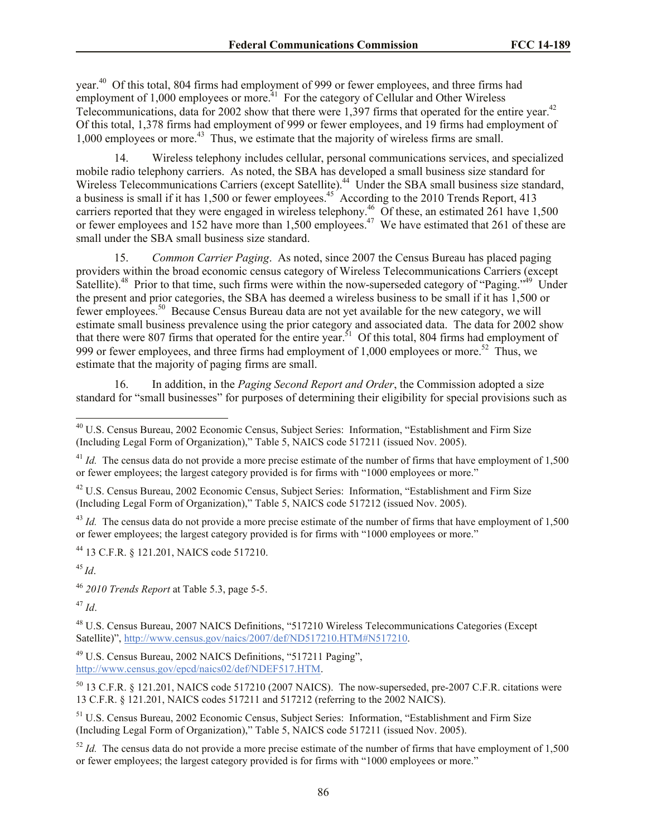year.<sup>40</sup> Of this total, 804 firms had employment of 999 or fewer employees, and three firms had employment of  $1,000$  employees or more.<sup>41</sup> For the category of Cellular and Other Wireless Telecommunications, data for 2002 show that there were 1,397 firms that operated for the entire year.<sup>42</sup> Of this total, 1,378 firms had employment of 999 or fewer employees, and 19 firms had employment of 1,000 employees or more.<sup>43</sup> Thus, we estimate that the majority of wireless firms are small.

14. Wireless telephony includes cellular, personal communications services, and specialized mobile radio telephony carriers. As noted, the SBA has developed a small business size standard for Wireless Telecommunications Carriers (except Satellite).<sup>44</sup> Under the SBA small business size standard, a business is small if it has 1,500 or fewer employees.<sup>45</sup> According to the 2010 Trends Report, 413 carriers reported that they were engaged in wireless telephony.<sup>46</sup> Of these, an estimated  $261$  have 1,500 or fewer employees and 152 have more than 1,500 employees.<sup>47</sup> We have estimated that 261 of these are small under the SBA small business size standard.

15. *Common Carrier Paging*. As noted, since 2007 the Census Bureau has placed paging providers within the broad economic census category of Wireless Telecommunications Carriers (except Satellite).<sup>48</sup> Prior to that time, such firms were within the now-superseded category of "Paging."<sup>49</sup> Under the present and prior categories, the SBA has deemed a wireless business to be small if it has 1,500 or fewer employees.<sup>50</sup> Because Census Bureau data are not yet available for the new category, we will estimate small business prevalence using the prior category and associated data. The data for 2002 show that there were 807 firms that operated for the entire year.<sup>51</sup> Of this total, 804 firms had employment of 999 or fewer employees, and three firms had employment of  $1,000$  employees or more.<sup>52</sup> Thus, we estimate that the majority of paging firms are small.

16. In addition, in the *Paging Second Report and Order*, the Commission adopted a size standard for "small businesses" for purposes of determining their eligibility for special provisions such as

 $^{43}$  *Id.* The census data do not provide a more precise estimate of the number of firms that have employment of 1,500 or fewer employees; the largest category provided is for firms with "1000 employees or more."

<sup>44</sup> 13 C.F.R. § 121.201, NAICS code 517210.

<sup>45</sup> *Id*.

l

<sup>46</sup> *2010 Trends Report* at Table 5.3, page 5-5.

<sup>47</sup> *Id*.

<sup>48</sup> U.S. Census Bureau, 2007 NAICS Definitions, "517210 Wireless Telecommunications Categories (Except Satellite)", http://www.census.gov/naics/2007/def/ND517210.HTM#N517210.

<sup>49</sup> U.S. Census Bureau, 2002 NAICS Definitions, "517211 Paging", http://www.census.gov/epcd/naics02/def/NDEF517.HTM.

<sup>50</sup> 13 C.F.R. § 121.201, NAICS code 517210 (2007 NAICS). The now-superseded, pre-2007 C.F.R. citations were 13 C.F.R. § 121.201, NAICS codes 517211 and 517212 (referring to the 2002 NAICS).

<sup>51</sup> U.S. Census Bureau, 2002 Economic Census, Subject Series: Information, "Establishment and Firm Size (Including Legal Form of Organization)," Table 5, NAICS code 517211 (issued Nov. 2005).

 $52$  *Id.* The census data do not provide a more precise estimate of the number of firms that have employment of 1,500 or fewer employees; the largest category provided is for firms with "1000 employees or more."

<sup>&</sup>lt;sup>40</sup> U.S. Census Bureau, 2002 Economic Census, Subject Series: Information, "Establishment and Firm Size (Including Legal Form of Organization)," Table 5, NAICS code 517211 (issued Nov. 2005).

 $^{41}$  *Id.* The census data do not provide a more precise estimate of the number of firms that have employment of 1.500 or fewer employees; the largest category provided is for firms with "1000 employees or more."

<sup>42</sup> U.S. Census Bureau, 2002 Economic Census, Subject Series: Information, "Establishment and Firm Size (Including Legal Form of Organization)," Table 5, NAICS code 517212 (issued Nov. 2005).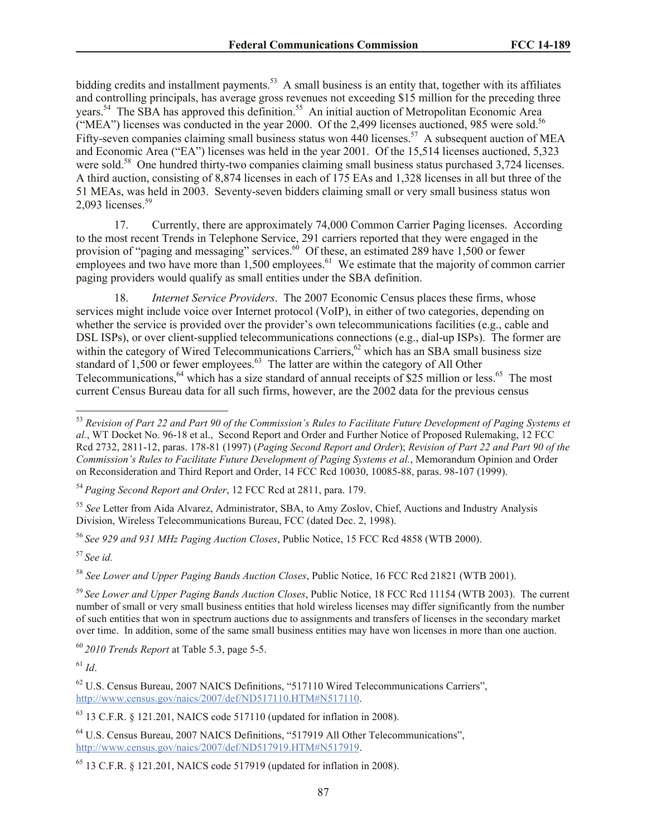bidding credits and installment payments.<sup>53</sup> A small business is an entity that, together with its affiliates and controlling principals, has average gross revenues not exceeding \$15 million for the preceding three years.<sup>54</sup> The SBA has approved this definition.<sup>55</sup> An initial auction of Metropolitan Economic Area ("MEA") licenses was conducted in the year 2000. Of the 2,499 licenses auctioned, 985 were sold.<sup>56</sup> Fifty-seven companies claiming small business status won 440 licenses.<sup>57</sup> A subsequent auction of MEA and Economic Area ("EA") licenses was held in the year 2001. Of the 15,514 licenses auctioned, 5,323 were sold.<sup>58</sup> One hundred thirty-two companies claiming small business status purchased 3,724 licenses. A third auction, consisting of 8,874 licenses in each of 175 EAs and 1,328 licenses in all but three of the 51 MEAs, was held in 2003. Seventy-seven bidders claiming small or very small business status won 2,093 licenses. $59$ 

17. Currently, there are approximately 74,000 Common Carrier Paging licenses. According to the most recent Trends in Telephone Service, 291 carriers reported that they were engaged in the provision of "paging and messaging" services.<sup>60</sup> Of these, an estimated 289 have 1,500 or fewer employees and two have more than 1,500 employees.<sup>61</sup> We estimate that the majority of common carrier paging providers would qualify as small entities under the SBA definition.

18. *Internet Service Providers*. The 2007 Economic Census places these firms, whose services might include voice over Internet protocol (VoIP), in either of two categories, depending on whether the service is provided over the provider's own telecommunications facilities (e.g., cable and DSL ISPs), or over client-supplied telecommunications connections (e.g., dial-up ISPs). The former are within the category of Wired Telecommunications Carriers,<sup>62</sup> which has an SBA small business size standard of  $1,500$  or fewer employees.<sup>63</sup> The latter are within the category of All Other Telecommunications,  $64$  which has a size standard of annual receipts of \$25 million or less.  $65$  The most current Census Bureau data for all such firms, however, are the 2002 data for the previous census

<sup>54</sup> *Paging Second Report and Order*, 12 FCC Rcd at 2811, para. 179.

<sup>55</sup> *See* Letter from Aida Alvarez, Administrator, SBA, to Amy Zoslov, Chief, Auctions and Industry Analysis Division, Wireless Telecommunications Bureau, FCC (dated Dec. 2, 1998).

<sup>56</sup> *See 929 and 931 MHz Paging Auction Closes*, Public Notice, 15 FCC Rcd 4858 (WTB 2000).

<sup>57</sup> *See id.*

l

<sup>58</sup> *See Lower and Upper Paging Bands Auction Closes*, Public Notice, 16 FCC Rcd 21821 (WTB 2001).

<sup>60</sup> *2010 Trends Report* at Table 5.3, page 5-5.

 $^{61}$  *Id*.

<sup>62</sup> U.S. Census Bureau, 2007 NAICS Definitions, "517110 Wired Telecommunications Carriers", http://www.census.gov/naics/2007/def/ND517110.HTM#N517110.

 $63$  13 C.F.R. § 121.201, NAICS code 517110 (updated for inflation in 2008).

<sup>64</sup> U.S. Census Bureau, 2007 NAICS Definitions, "517919 All Other Telecommunications", http://www.census.gov/naics/2007/def/ND517919.HTM#N517919.

<sup>53</sup> *Revision of Part 22 and Part 90 of the Commission's Rules to Facilitate Future Development of Paging Systems et al.*, WT Docket No. 96-18 et al., Second Report and Order and Further Notice of Proposed Rulemaking, 12 FCC Rcd 2732, 2811-12, paras. 178-81 (1997) (*Paging Second Report and Order*); *Revision of Part 22 and Part 90 of the Commission's Rules to Facilitate Future Development of Paging Systems et al.*, Memorandum Opinion and Order on Reconsideration and Third Report and Order, 14 FCC Rcd 10030, 10085-88, paras. 98-107 (1999).

<sup>59</sup> *See Lower and Upper Paging Bands Auction Closes*, Public Notice, 18 FCC Rcd 11154 (WTB 2003). The current number of small or very small business entities that hold wireless licenses may differ significantly from the number of such entities that won in spectrum auctions due to assignments and transfers of licenses in the secondary market over time. In addition, some of the same small business entities may have won licenses in more than one auction.

 $65$  13 C.F.R. § 121.201, NAICS code 517919 (updated for inflation in 2008).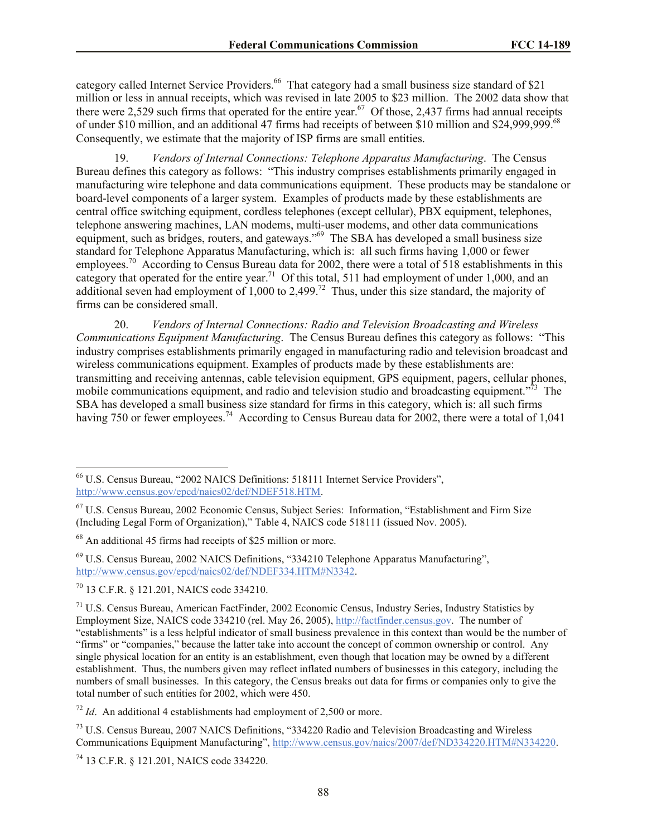category called Internet Service Providers.<sup>66</sup> That category had a small business size standard of \$21 million or less in annual receipts, which was revised in late 2005 to \$23 million. The 2002 data show that there were 2,529 such firms that operated for the entire year.<sup>67</sup> Of those, 2,437 firms had annual receipts of under \$10 million, and an additional 47 firms had receipts of between \$10 million and \$24,999,999.<sup>68</sup> Consequently, we estimate that the majority of ISP firms are small entities.

19. *Vendors of Internal Connections: Telephone Apparatus Manufacturing*. The Census Bureau defines this category as follows: "This industry comprises establishments primarily engaged in manufacturing wire telephone and data communications equipment. These products may be standalone or board-level components of a larger system. Examples of products made by these establishments are central office switching equipment, cordless telephones (except cellular), PBX equipment, telephones, telephone answering machines, LAN modems, multi-user modems, and other data communications equipment, such as bridges, routers, and gateways."<sup>69</sup> The SBA has developed a small business size standard for Telephone Apparatus Manufacturing, which is: all such firms having 1,000 or fewer employees.<sup>70</sup> According to Census Bureau data for 2002, there were a total of 518 establishments in this category that operated for the entire year.<sup>71</sup> Of this total, 511 had employment of under 1,000, and an additional seven had employment of 1,000 to 2,499.<sup>72</sup> Thus, under this size standard, the majority of firms can be considered small.

20. *Vendors of Internal Connections: Radio and Television Broadcasting and Wireless Communications Equipment Manufacturing*. The Census Bureau defines this category as follows: "This industry comprises establishments primarily engaged in manufacturing radio and television broadcast and wireless communications equipment. Examples of products made by these establishments are: transmitting and receiving antennas, cable television equipment, GPS equipment, pagers, cellular phones, mobile communications equipment, and radio and television studio and broadcasting equipment.<sup>773</sup> The SBA has developed a small business size standard for firms in this category, which is: all such firms having 750 or fewer employees.<sup>74</sup> According to Census Bureau data for 2002, there were a total of 1,041

l

<sup>66</sup> U.S. Census Bureau, "2002 NAICS Definitions: 518111 Internet Service Providers", http://www.census.gov/epcd/naics02/def/NDEF518.HTM.

<sup>67</sup> U.S. Census Bureau, 2002 Economic Census, Subject Series: Information, "Establishment and Firm Size (Including Legal Form of Organization)," Table 4, NAICS code 518111 (issued Nov. 2005).

<sup>&</sup>lt;sup>68</sup> An additional 45 firms had receipts of \$25 million or more.

<sup>69</sup> U.S. Census Bureau, 2002 NAICS Definitions, "334210 Telephone Apparatus Manufacturing", http://www.census.gov/epcd/naics02/def/NDEF334.HTM#N3342.

<sup>70</sup> 13 C.F.R. § 121.201, NAICS code 334210.

 $71$  U.S. Census Bureau, American FactFinder, 2002 Economic Census, Industry Series, Industry Statistics by Employment Size, NAICS code 334210 (rel. May 26, 2005), http://factfinder.census.gov. The number of "establishments" is a less helpful indicator of small business prevalence in this context than would be the number of "firms" or "companies," because the latter take into account the concept of common ownership or control. Any single physical location for an entity is an establishment, even though that location may be owned by a different establishment. Thus, the numbers given may reflect inflated numbers of businesses in this category, including the numbers of small businesses. In this category, the Census breaks out data for firms or companies only to give the total number of such entities for 2002, which were 450.

 $72$  *Id*. An additional 4 establishments had employment of 2,500 or more.

<sup>73</sup> U.S. Census Bureau, 2007 NAICS Definitions, "334220 Radio and Television Broadcasting and Wireless Communications Equipment Manufacturing", http://www.census.gov/naics/2007/def/ND334220.HTM#N334220.

<sup>74</sup> 13 C.F.R. § 121.201, NAICS code 334220.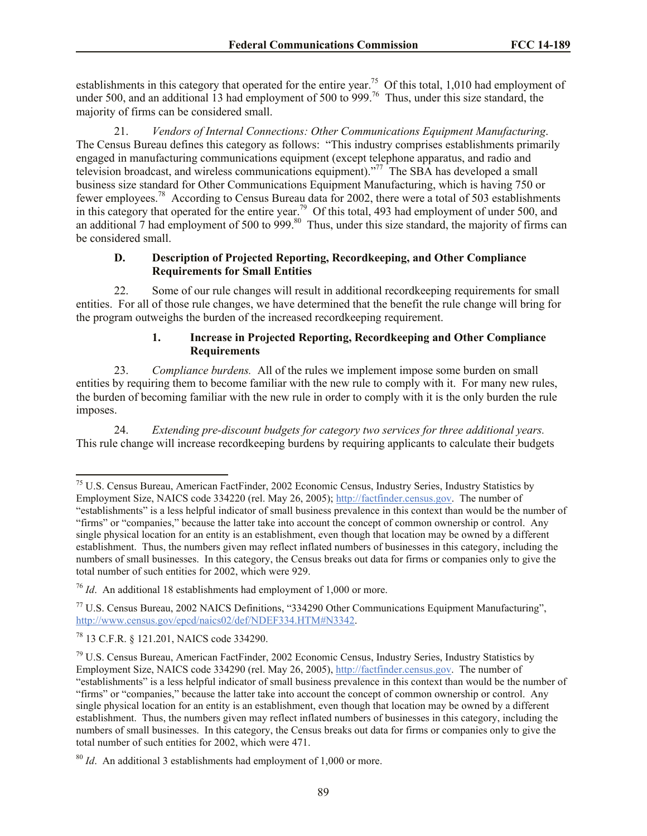establishments in this category that operated for the entire year.<sup>75</sup> Of this total, 1,010 had employment of under 500, and an additional 13 had employment of 500 to 999.<sup>76</sup> Thus, under this size standard, the majority of firms can be considered small.

21. *Vendors of Internal Connections: Other Communications Equipment Manufacturing*. The Census Bureau defines this category as follows: "This industry comprises establishments primarily engaged in manufacturing communications equipment (except telephone apparatus, and radio and television broadcast, and wireless communications equipment)."<sup>77</sup> The SBA has developed a small business size standard for Other Communications Equipment Manufacturing, which is having 750 or fewer employees.<sup>78</sup> According to Census Bureau data for 2002, there were a total of 503 establishments in this category that operated for the entire year.<sup>79</sup> Of this total, 493 had employment of under 500, and an additional  $\overline{7}$  had employment of 500 to 999.<sup>80</sup> Thus, under this size standard, the majority of firms can be considered small.

### **D. Description of Projected Reporting, Recordkeeping, and Other Compliance Requirements for Small Entities**

22. Some of our rule changes will result in additional recordkeeping requirements for small entities. For all of those rule changes, we have determined that the benefit the rule change will bring for the program outweighs the burden of the increased recordkeeping requirement.

### **1. Increase in Projected Reporting, Recordkeeping and Other Compliance Requirements**

23. *Compliance burdens.* All of the rules we implement impose some burden on small entities by requiring them to become familiar with the new rule to comply with it. For many new rules, the burden of becoming familiar with the new rule in order to comply with it is the only burden the rule imposes.

24. *Extending pre-discount budgets for category two services for three additional years.*  This rule change will increase recordkeeping burdens by requiring applicants to calculate their budgets

 $\overline{\phantom{a}}$ 

<sup>&</sup>lt;sup>75</sup> U.S. Census Bureau, American FactFinder, 2002 Economic Census, Industry Series, Industry Statistics by Employment Size, NAICS code 334220 (rel. May 26, 2005); http://factfinder.census.gov. The number of "establishments" is a less helpful indicator of small business prevalence in this context than would be the number of "firms" or "companies," because the latter take into account the concept of common ownership or control. Any single physical location for an entity is an establishment, even though that location may be owned by a different establishment. Thus, the numbers given may reflect inflated numbers of businesses in this category, including the numbers of small businesses. In this category, the Census breaks out data for firms or companies only to give the total number of such entities for 2002, which were 929.

<sup>76</sup> *Id*. An additional 18 establishments had employment of 1,000 or more.

<sup>77</sup> U.S. Census Bureau, 2002 NAICS Definitions, "334290 Other Communications Equipment Manufacturing", http://www.census.gov/epcd/naics02/def/NDEF334.HTM#N3342.

<sup>78</sup> 13 C.F.R. § 121.201, NAICS code 334290.

<sup>79</sup> U.S. Census Bureau, American FactFinder, 2002 Economic Census, Industry Series, Industry Statistics by Employment Size, NAICS code 334290 (rel. May 26, 2005), http://factfinder.census.gov. The number of "establishments" is a less helpful indicator of small business prevalence in this context than would be the number of "firms" or "companies," because the latter take into account the concept of common ownership or control. Any single physical location for an entity is an establishment, even though that location may be owned by a different establishment. Thus, the numbers given may reflect inflated numbers of businesses in this category, including the numbers of small businesses. In this category, the Census breaks out data for firms or companies only to give the total number of such entities for 2002, which were 471.

<sup>80</sup> *Id*. An additional 3 establishments had employment of 1,000 or more.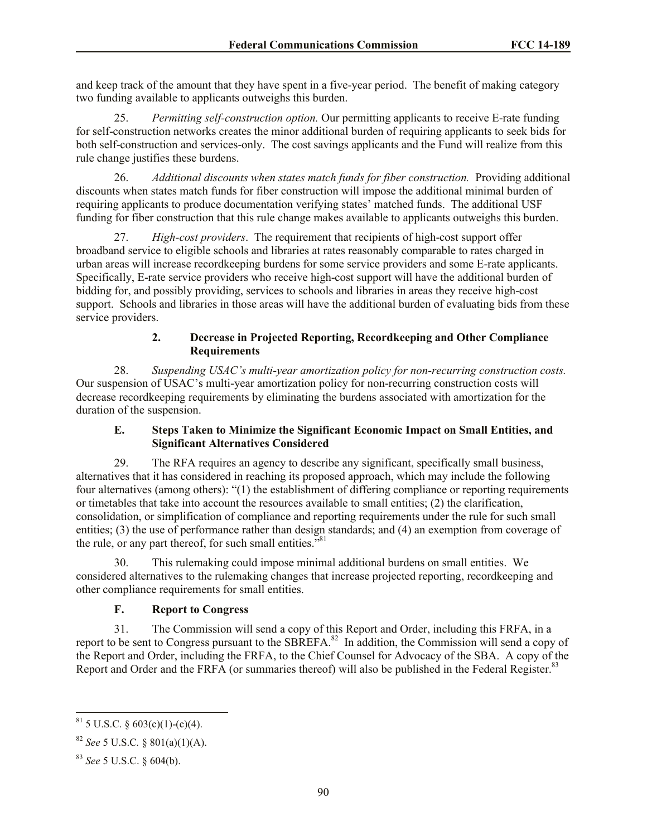and keep track of the amount that they have spent in a five-year period. The benefit of making category two funding available to applicants outweighs this burden.

25. *Permitting self-construction option.* Our permitting applicants to receive E-rate funding for self-construction networks creates the minor additional burden of requiring applicants to seek bids for both self-construction and services-only. The cost savings applicants and the Fund will realize from this rule change justifies these burdens.

26. *Additional discounts when states match funds for fiber construction.* Providing additional discounts when states match funds for fiber construction will impose the additional minimal burden of requiring applicants to produce documentation verifying states' matched funds. The additional USF funding for fiber construction that this rule change makes available to applicants outweighs this burden.

27. *High-cost providers*. The requirement that recipients of high-cost support offer broadband service to eligible schools and libraries at rates reasonably comparable to rates charged in urban areas will increase recordkeeping burdens for some service providers and some E-rate applicants. Specifically, E-rate service providers who receive high-cost support will have the additional burden of bidding for, and possibly providing, services to schools and libraries in areas they receive high-cost support. Schools and libraries in those areas will have the additional burden of evaluating bids from these service providers.

### **2. Decrease in Projected Reporting, Recordkeeping and Other Compliance Requirements**

28. *Suspending USAC's multi-year amortization policy for non-recurring construction costs.*  Our suspension of USAC's multi-year amortization policy for non-recurring construction costs will decrease recordkeeping requirements by eliminating the burdens associated with amortization for the duration of the suspension.

### **E. Steps Taken to Minimize the Significant Economic Impact on Small Entities, and Significant Alternatives Considered**

29. The RFA requires an agency to describe any significant, specifically small business, alternatives that it has considered in reaching its proposed approach, which may include the following four alternatives (among others): "(1) the establishment of differing compliance or reporting requirements or timetables that take into account the resources available to small entities; (2) the clarification, consolidation, or simplification of compliance and reporting requirements under the rule for such small entities; (3) the use of performance rather than design standards; and (4) an exemption from coverage of the rule, or any part thereof, for such small entities. $^{381}$ 

30. This rulemaking could impose minimal additional burdens on small entities. We considered alternatives to the rulemaking changes that increase projected reporting, recordkeeping and other compliance requirements for small entities.

# **F. Report to Congress**

31. The Commission will send a copy of this Report and Order, including this FRFA, in a report to be sent to Congress pursuant to the SBREFA.<sup>82</sup> In addition, the Commission will send a copy of the Report and Order, including the FRFA, to the Chief Counsel for Advocacy of the SBA. A copy of the Report and Order and the FRFA (or summaries thereof) will also be published in the Federal Register.<sup>83</sup>

 $\overline{\phantom{a}}$ 

 $81$  5 U.S.C. § 603(c)(1)-(c)(4).

<sup>82</sup> *See* 5 U.S.C*.* § 801(a)(1)(A).

<sup>83</sup> *See* 5 U.S.C. § 604(b).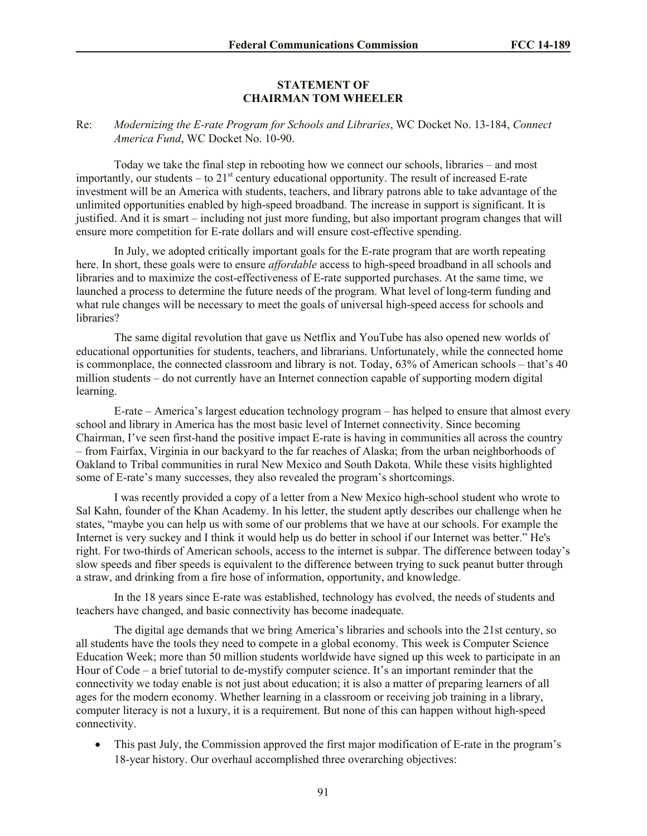#### **STATEMENT OF CHAIRMAN TOM WHEELER**

#### Re: *Modernizing the E-rate Program for Schools and Libraries*, WC Docket No. 13-184, *Connect America Fund*, WC Docket No. 10-90.

Today we take the final step in rebooting how we connect our schools, libraries – and most importantly, our students – to  $21<sup>st</sup>$  century educational opportunity. The result of increased E-rate investment will be an America with students, teachers, and library patrons able to take advantage of the unlimited opportunities enabled by high-speed broadband. The increase in support is significant. It is justified. And it is smart – including not just more funding, but also important program changes that will ensure more competition for E-rate dollars and will ensure cost-effective spending.

In July, we adopted critically important goals for the E-rate program that are worth repeating here. In short, these goals were to ensure *affordable* access to high-speed broadband in all schools and libraries and to maximize the cost-effectiveness of E-rate supported purchases. At the same time, we launched a process to determine the future needs of the program. What level of long-term funding and what rule changes will be necessary to meet the goals of universal high-speed access for schools and libraries?

The same digital revolution that gave us Netflix and YouTube has also opened new worlds of educational opportunities for students, teachers, and librarians. Unfortunately, while the connected home is commonplace, the connected classroom and library is not. Today, 63% of American schools – that's 40 million students – do not currently have an Internet connection capable of supporting modern digital learning.

E-rate – America's largest education technology program – has helped to ensure that almost every school and library in America has the most basic level of Internet connectivity. Since becoming Chairman, I've seen first-hand the positive impact E-rate is having in communities all across the country – from Fairfax, Virginia in our backyard to the far reaches of Alaska; from the urban neighborhoods of Oakland to Tribal communities in rural New Mexico and South Dakota. While these visits highlighted some of E-rate's many successes, they also revealed the program's shortcomings.

I was recently provided a copy of a letter from a New Mexico high-school student who wrote to Sal Kahn, founder of the Khan Academy. In his letter, the student aptly describes our challenge when he states, "maybe you can help us with some of our problems that we have at our schools. For example the Internet is very suckey and I think it would help us do better in school if our Internet was better." He's right. For two-thirds of American schools, access to the internet is subpar. The difference between today's slow speeds and fiber speeds is equivalent to the difference between trying to suck peanut butter through a straw, and drinking from a fire hose of information, opportunity, and knowledge.

In the 18 years since E-rate was established, technology has evolved, the needs of students and teachers have changed, and basic connectivity has become inadequate.

The digital age demands that we bring America's libraries and schools into the 21st century, so all students have the tools they need to compete in a global economy. This week is Computer Science Education Week; more than 50 million students worldwide have signed up this week to participate in an Hour of Code – a brief tutorial to de-mystify computer science. It's an important reminder that the connectivity we today enable is not just about education; it is also a matter of preparing learners of all ages for the modern economy. Whether learning in a classroom or receiving job training in a library, computer literacy is not a luxury, it is a requirement. But none of this can happen without high-speed connectivity.

 This past July, the Commission approved the first major modification of E-rate in the program's 18-year history. Our overhaul accomplished three overarching objectives: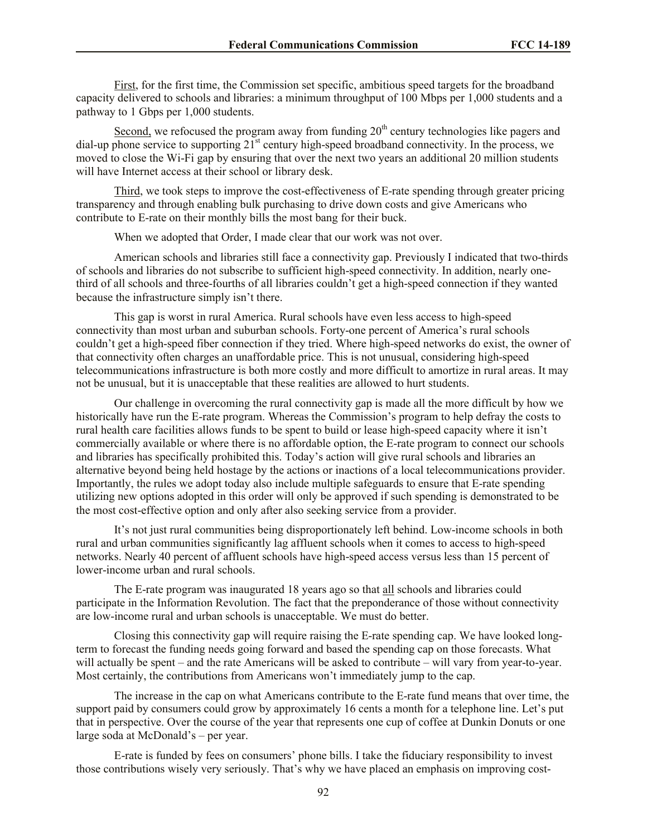First, for the first time, the Commission set specific, ambitious speed targets for the broadband capacity delivered to schools and libraries: a minimum throughput of 100 Mbps per 1,000 students and a pathway to 1 Gbps per 1,000 students.

Second, we refocused the program away from funding  $20<sup>th</sup>$  century technologies like pagers and dial-up phone service to supporting 21<sup>st</sup> century high-speed broadband connectivity. In the process, we moved to close the Wi-Fi gap by ensuring that over the next two years an additional 20 million students will have Internet access at their school or library desk.

Third, we took steps to improve the cost-effectiveness of E-rate spending through greater pricing transparency and through enabling bulk purchasing to drive down costs and give Americans who contribute to E-rate on their monthly bills the most bang for their buck.

When we adopted that Order, I made clear that our work was not over.

American schools and libraries still face a connectivity gap. Previously I indicated that two-thirds of schools and libraries do not subscribe to sufficient high-speed connectivity. In addition, nearly onethird of all schools and three-fourths of all libraries couldn't get a high-speed connection if they wanted because the infrastructure simply isn't there.

This gap is worst in rural America. Rural schools have even less access to high-speed connectivity than most urban and suburban schools. Forty-one percent of America's rural schools couldn't get a high-speed fiber connection if they tried. Where high-speed networks do exist, the owner of that connectivity often charges an unaffordable price. This is not unusual, considering high-speed telecommunications infrastructure is both more costly and more difficult to amortize in rural areas. It may not be unusual, but it is unacceptable that these realities are allowed to hurt students.

Our challenge in overcoming the rural connectivity gap is made all the more difficult by how we historically have run the E-rate program. Whereas the Commission's program to help defray the costs to rural health care facilities allows funds to be spent to build or lease high-speed capacity where it isn't commercially available or where there is no affordable option, the E-rate program to connect our schools and libraries has specifically prohibited this. Today's action will give rural schools and libraries an alternative beyond being held hostage by the actions or inactions of a local telecommunications provider. Importantly, the rules we adopt today also include multiple safeguards to ensure that E-rate spending utilizing new options adopted in this order will only be approved if such spending is demonstrated to be the most cost-effective option and only after also seeking service from a provider.

It's not just rural communities being disproportionately left behind. Low-income schools in both rural and urban communities significantly lag affluent schools when it comes to access to high-speed networks. Nearly 40 percent of affluent schools have high-speed access versus less than 15 percent of lower-income urban and rural schools.

The E-rate program was inaugurated 18 years ago so that all schools and libraries could participate in the Information Revolution. The fact that the preponderance of those without connectivity are low-income rural and urban schools is unacceptable. We must do better.

Closing this connectivity gap will require raising the E-rate spending cap. We have looked longterm to forecast the funding needs going forward and based the spending cap on those forecasts. What will actually be spent – and the rate Americans will be asked to contribute – will vary from year-to-year. Most certainly, the contributions from Americans won't immediately jump to the cap.

The increase in the cap on what Americans contribute to the E-rate fund means that over time, the support paid by consumers could grow by approximately 16 cents a month for a telephone line. Let's put that in perspective. Over the course of the year that represents one cup of coffee at Dunkin Donuts or one large soda at McDonald's – per year.

E-rate is funded by fees on consumers' phone bills. I take the fiduciary responsibility to invest those contributions wisely very seriously. That's why we have placed an emphasis on improving cost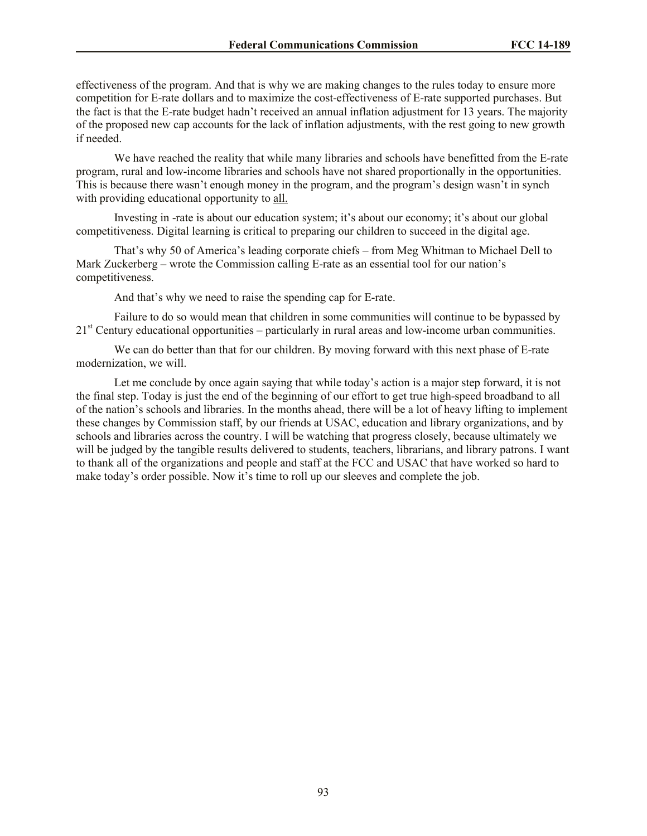effectiveness of the program. And that is why we are making changes to the rules today to ensure more competition for E-rate dollars and to maximize the cost-effectiveness of E-rate supported purchases. But the fact is that the E-rate budget hadn't received an annual inflation adjustment for 13 years. The majority of the proposed new cap accounts for the lack of inflation adjustments, with the rest going to new growth if needed.

We have reached the reality that while many libraries and schools have benefitted from the E-rate program, rural and low-income libraries and schools have not shared proportionally in the opportunities. This is because there wasn't enough money in the program, and the program's design wasn't in synch with providing educational opportunity to all.

Investing in -rate is about our education system; it's about our economy; it's about our global competitiveness. Digital learning is critical to preparing our children to succeed in the digital age.

That's why 50 of America's leading corporate chiefs – from Meg Whitman to Michael Dell to Mark Zuckerberg – wrote the Commission calling E-rate as an essential tool for our nation's competitiveness.

And that's why we need to raise the spending cap for E-rate.

Failure to do so would mean that children in some communities will continue to be bypassed by  $21<sup>st</sup>$  Century educational opportunities – particularly in rural areas and low-income urban communities.

We can do better than that for our children. By moving forward with this next phase of E-rate modernization, we will.

Let me conclude by once again saying that while today's action is a major step forward, it is not the final step. Today is just the end of the beginning of our effort to get true high-speed broadband to all of the nation's schools and libraries. In the months ahead, there will be a lot of heavy lifting to implement these changes by Commission staff, by our friends at USAC, education and library organizations, and by schools and libraries across the country. I will be watching that progress closely, because ultimately we will be judged by the tangible results delivered to students, teachers, librarians, and library patrons. I want to thank all of the organizations and people and staff at the FCC and USAC that have worked so hard to make today's order possible. Now it's time to roll up our sleeves and complete the job.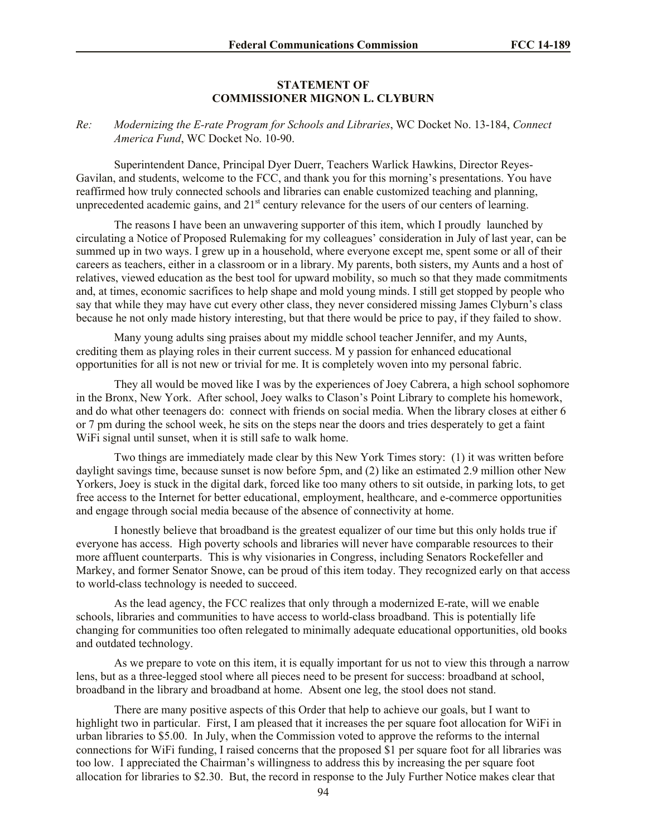#### **STATEMENT OF COMMISSIONER MIGNON L. CLYBURN**

*Re: Modernizing the E-rate Program for Schools and Libraries*, WC Docket No. 13-184, *Connect America Fund*, WC Docket No. 10-90.

Superintendent Dance, Principal Dyer Duerr, Teachers Warlick Hawkins, Director Reyes-Gavilan, and students, welcome to the FCC, and thank you for this morning's presentations. You have reaffirmed how truly connected schools and libraries can enable customized teaching and planning, unprecedented academic gains, and  $21<sup>st</sup>$  century relevance for the users of our centers of learning.

The reasons I have been an unwavering supporter of this item, which I proudly launched by circulating a Notice of Proposed Rulemaking for my colleagues' consideration in July of last year, can be summed up in two ways. I grew up in a household, where everyone except me, spent some or all of their careers as teachers, either in a classroom or in a library. My parents, both sisters, my Aunts and a host of relatives, viewed education as the best tool for upward mobility, so much so that they made commitments and, at times, economic sacrifices to help shape and mold young minds. I still get stopped by people who say that while they may have cut every other class, they never considered missing James Clyburn's class because he not only made history interesting, but that there would be price to pay, if they failed to show.

Many young adults sing praises about my middle school teacher Jennifer, and my Aunts, crediting them as playing roles in their current success. M y passion for enhanced educational opportunities for all is not new or trivial for me. It is completely woven into my personal fabric.

They all would be moved like I was by the experiences of Joey Cabrera, a high school sophomore in the Bronx, New York. After school, Joey walks to Clason's Point Library to complete his homework, and do what other teenagers do: connect with friends on social media. When the library closes at either 6 or 7 pm during the school week, he sits on the steps near the doors and tries desperately to get a faint WiFi signal until sunset, when it is still safe to walk home.

Two things are immediately made clear by this New York Times story: (1) it was written before daylight savings time, because sunset is now before 5pm, and (2) like an estimated 2.9 million other New Yorkers, Joey is stuck in the digital dark, forced like too many others to sit outside, in parking lots, to get free access to the Internet for better educational, employment, healthcare, and e-commerce opportunities and engage through social media because of the absence of connectivity at home.

I honestly believe that broadband is the greatest equalizer of our time but this only holds true if everyone has access. High poverty schools and libraries will never have comparable resources to their more affluent counterparts. This is why visionaries in Congress, including Senators Rockefeller and Markey, and former Senator Snowe, can be proud of this item today. They recognized early on that access to world-class technology is needed to succeed.

As the lead agency, the FCC realizes that only through a modernized E-rate, will we enable schools, libraries and communities to have access to world-class broadband. This is potentially life changing for communities too often relegated to minimally adequate educational opportunities, old books and outdated technology.

As we prepare to vote on this item, it is equally important for us not to view this through a narrow lens, but as a three-legged stool where all pieces need to be present for success: broadband at school, broadband in the library and broadband at home. Absent one leg, the stool does not stand.

There are many positive aspects of this Order that help to achieve our goals, but I want to highlight two in particular. First, I am pleased that it increases the per square foot allocation for WiFi in urban libraries to \$5.00. In July, when the Commission voted to approve the reforms to the internal connections for WiFi funding, I raised concerns that the proposed \$1 per square foot for all libraries was too low. I appreciated the Chairman's willingness to address this by increasing the per square foot allocation for libraries to \$2.30. But, the record in response to the July Further Notice makes clear that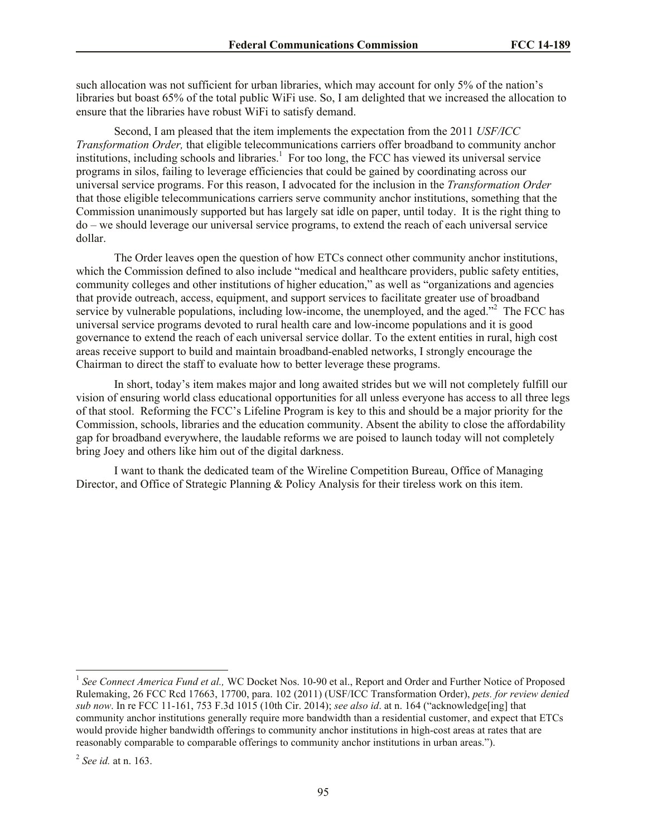such allocation was not sufficient for urban libraries, which may account for only 5% of the nation's libraries but boast 65% of the total public WiFi use. So, I am delighted that we increased the allocation to ensure that the libraries have robust WiFi to satisfy demand.

Second, I am pleased that the item implements the expectation from the 2011 *USF/ICC Transformation Order,* that eligible telecommunications carriers offer broadband to community anchor institutions, including schools and libraries.<sup>1</sup> For too long, the FCC has viewed its universal service programs in silos, failing to leverage efficiencies that could be gained by coordinating across our universal service programs. For this reason, I advocated for the inclusion in the *Transformation Order* that those eligible telecommunications carriers serve community anchor institutions, something that the Commission unanimously supported but has largely sat idle on paper, until today. It is the right thing to do – we should leverage our universal service programs, to extend the reach of each universal service dollar.

The Order leaves open the question of how ETCs connect other community anchor institutions, which the Commission defined to also include "medical and healthcare providers, public safety entities, community colleges and other institutions of higher education," as well as "organizations and agencies that provide outreach, access, equipment, and support services to facilitate greater use of broadband service by vulnerable populations, including low-income, the unemployed, and the aged."<sup>2</sup> The FCC has universal service programs devoted to rural health care and low-income populations and it is good governance to extend the reach of each universal service dollar. To the extent entities in rural, high cost areas receive support to build and maintain broadband-enabled networks, I strongly encourage the Chairman to direct the staff to evaluate how to better leverage these programs.

In short, today's item makes major and long awaited strides but we will not completely fulfill our vision of ensuring world class educational opportunities for all unless everyone has access to all three legs of that stool. Reforming the FCC's Lifeline Program is key to this and should be a major priority for the Commission, schools, libraries and the education community. Absent the ability to close the affordability gap for broadband everywhere, the laudable reforms we are poised to launch today will not completely bring Joey and others like him out of the digital darkness.

I want to thank the dedicated team of the Wireline Competition Bureau, Office of Managing Director, and Office of Strategic Planning & Policy Analysis for their tireless work on this item.

 $\overline{\phantom{a}}$ 

<sup>&</sup>lt;sup>1</sup> See Connect America Fund et al., WC Docket Nos. 10-90 et al., Report and Order and Further Notice of Proposed Rulemaking, 26 FCC Rcd 17663, 17700, para. 102 (2011) (USF/ICC Transformation Order), *pets. for review denied sub now*. In re FCC 11-161, 753 F.3d 1015 (10th Cir. 2014); *see also id*. at n. 164 ("acknowledge[ing] that community anchor institutions generally require more bandwidth than a residential customer, and expect that ETCs would provide higher bandwidth offerings to community anchor institutions in high-cost areas at rates that are reasonably comparable to comparable offerings to community anchor institutions in urban areas.").

<sup>2</sup> *See id.* at n. 163.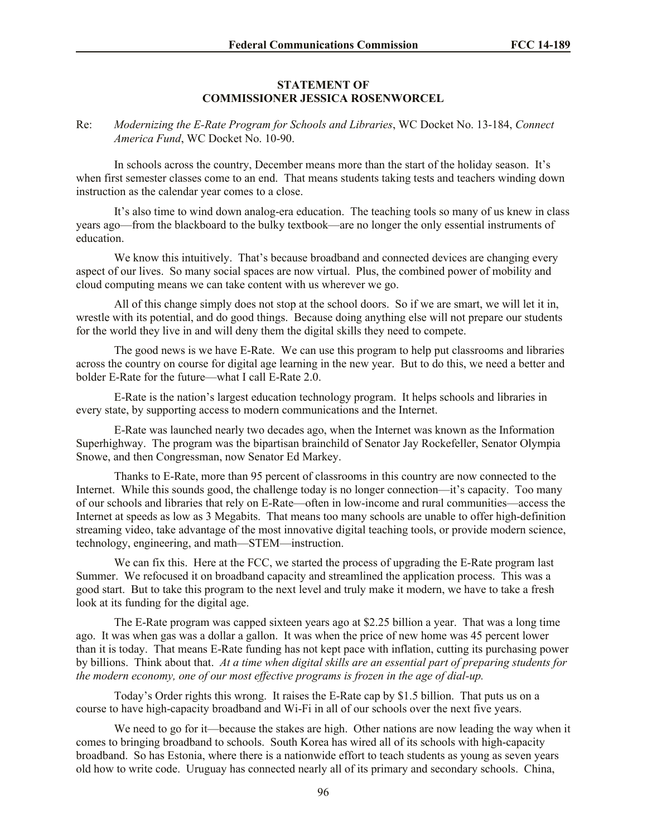#### **STATEMENT OF COMMISSIONER JESSICA ROSENWORCEL**

Re: *Modernizing the E-Rate Program for Schools and Libraries*, WC Docket No. 13-184, *Connect America Fund*, WC Docket No. 10-90.

In schools across the country, December means more than the start of the holiday season. It's when first semester classes come to an end. That means students taking tests and teachers winding down instruction as the calendar year comes to a close.

It's also time to wind down analog-era education. The teaching tools so many of us knew in class years ago—from the blackboard to the bulky textbook—are no longer the only essential instruments of education.

We know this intuitively. That's because broadband and connected devices are changing every aspect of our lives. So many social spaces are now virtual. Plus, the combined power of mobility and cloud computing means we can take content with us wherever we go.

All of this change simply does not stop at the school doors. So if we are smart, we will let it in, wrestle with its potential, and do good things. Because doing anything else will not prepare our students for the world they live in and will deny them the digital skills they need to compete.

The good news is we have E-Rate. We can use this program to help put classrooms and libraries across the country on course for digital age learning in the new year. But to do this, we need a better and bolder E-Rate for the future—what I call E-Rate 2.0.

E-Rate is the nation's largest education technology program. It helps schools and libraries in every state, by supporting access to modern communications and the Internet.

E-Rate was launched nearly two decades ago, when the Internet was known as the Information Superhighway. The program was the bipartisan brainchild of Senator Jay Rockefeller, Senator Olympia Snowe, and then Congressman, now Senator Ed Markey.

Thanks to E-Rate, more than 95 percent of classrooms in this country are now connected to the Internet. While this sounds good, the challenge today is no longer connection—it's capacity. Too many of our schools and libraries that rely on E-Rate—often in low-income and rural communities—access the Internet at speeds as low as 3 Megabits. That means too many schools are unable to offer high-definition streaming video, take advantage of the most innovative digital teaching tools, or provide modern science, technology, engineering, and math—STEM—instruction.

We can fix this. Here at the FCC, we started the process of upgrading the E-Rate program last Summer. We refocused it on broadband capacity and streamlined the application process. This was a good start. But to take this program to the next level and truly make it modern, we have to take a fresh look at its funding for the digital age.

The E-Rate program was capped sixteen years ago at \$2.25 billion a year. That was a long time ago. It was when gas was a dollar a gallon. It was when the price of new home was 45 percent lower than it is today. That means E-Rate funding has not kept pace with inflation, cutting its purchasing power by billions. Think about that. *At a time when digital skills are an essential part of preparing students for the modern economy, one of our most effective programs is frozen in the age of dial-up.*

Today's Order rights this wrong. It raises the E-Rate cap by \$1.5 billion. That puts us on a course to have high-capacity broadband and Wi-Fi in all of our schools over the next five years.

We need to go for it—because the stakes are high. Other nations are now leading the way when it comes to bringing broadband to schools. South Korea has wired all of its schools with high-capacity broadband. So has Estonia, where there is a nationwide effort to teach students as young as seven years old how to write code. Uruguay has connected nearly all of its primary and secondary schools. China,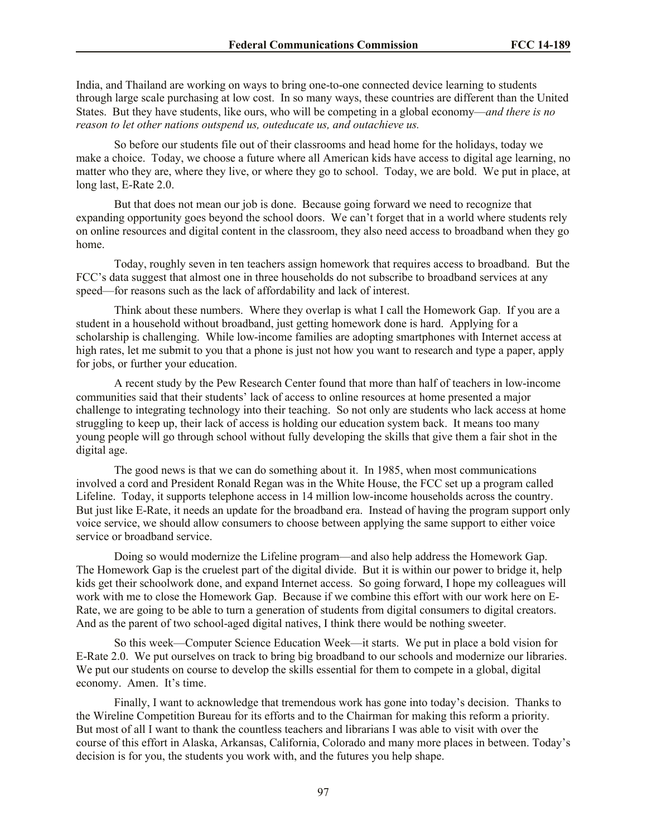India, and Thailand are working on ways to bring one-to-one connected device learning to students through large scale purchasing at low cost. In so many ways, these countries are different than the United States. But they have students, like ours, who will be competing in a global economy—*and there is no reason to let other nations outspend us, outeducate us, and outachieve us.* 

So before our students file out of their classrooms and head home for the holidays, today we make a choice. Today, we choose a future where all American kids have access to digital age learning, no matter who they are, where they live, or where they go to school. Today, we are bold. We put in place, at long last, E-Rate 2.0.

But that does not mean our job is done. Because going forward we need to recognize that expanding opportunity goes beyond the school doors. We can't forget that in a world where students rely on online resources and digital content in the classroom, they also need access to broadband when they go home.

Today, roughly seven in ten teachers assign homework that requires access to broadband. But the FCC's data suggest that almost one in three households do not subscribe to broadband services at any speed—for reasons such as the lack of affordability and lack of interest.

Think about these numbers. Where they overlap is what I call the Homework Gap. If you are a student in a household without broadband, just getting homework done is hard. Applying for a scholarship is challenging. While low-income families are adopting smartphones with Internet access at high rates, let me submit to you that a phone is just not how you want to research and type a paper, apply for jobs, or further your education.

A recent study by the Pew Research Center found that more than half of teachers in low-income communities said that their students' lack of access to online resources at home presented a major challenge to integrating technology into their teaching. So not only are students who lack access at home struggling to keep up, their lack of access is holding our education system back. It means too many young people will go through school without fully developing the skills that give them a fair shot in the digital age.

The good news is that we can do something about it. In 1985, when most communications involved a cord and President Ronald Regan was in the White House, the FCC set up a program called Lifeline. Today, it supports telephone access in 14 million low-income households across the country. But just like E-Rate, it needs an update for the broadband era. Instead of having the program support only voice service, we should allow consumers to choose between applying the same support to either voice service or broadband service.

Doing so would modernize the Lifeline program—and also help address the Homework Gap. The Homework Gap is the cruelest part of the digital divide. But it is within our power to bridge it, help kids get their schoolwork done, and expand Internet access. So going forward, I hope my colleagues will work with me to close the Homework Gap. Because if we combine this effort with our work here on E-Rate, we are going to be able to turn a generation of students from digital consumers to digital creators. And as the parent of two school-aged digital natives, I think there would be nothing sweeter.

So this week—Computer Science Education Week—it starts. We put in place a bold vision for E-Rate 2.0. We put ourselves on track to bring big broadband to our schools and modernize our libraries. We put our students on course to develop the skills essential for them to compete in a global, digital economy. Amen. It's time.

Finally, I want to acknowledge that tremendous work has gone into today's decision. Thanks to the Wireline Competition Bureau for its efforts and to the Chairman for making this reform a priority. But most of all I want to thank the countless teachers and librarians I was able to visit with over the course of this effort in Alaska, Arkansas, California, Colorado and many more places in between. Today's decision is for you, the students you work with, and the futures you help shape.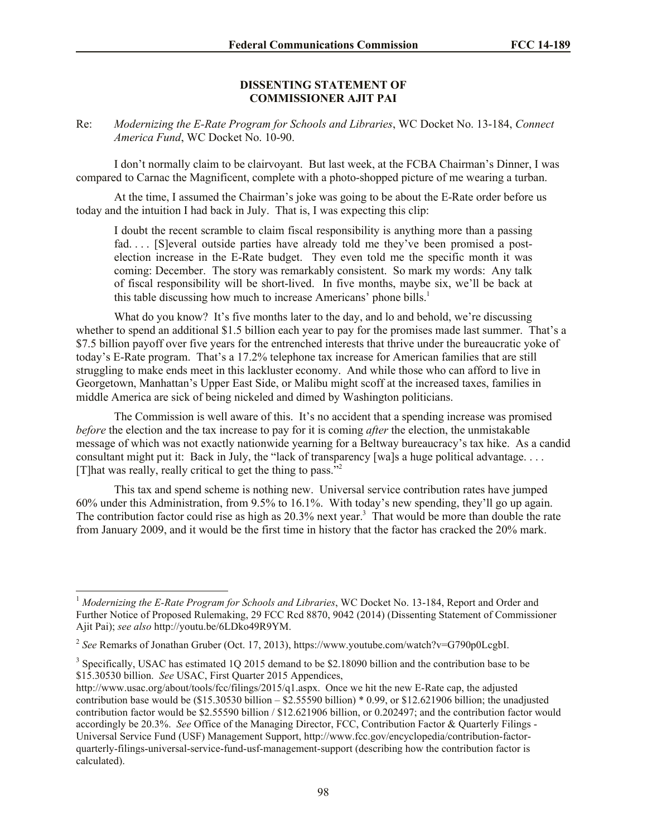#### **DISSENTING STATEMENT OF COMMISSIONER AJIT PAI**

Re: *Modernizing the E-Rate Program for Schools and Libraries*, WC Docket No. 13-184, *Connect America Fund*, WC Docket No. 10-90.

I don't normally claim to be clairvoyant. But last week, at the FCBA Chairman's Dinner, I was compared to Carnac the Magnificent, complete with a photo-shopped picture of me wearing a turban.

At the time, I assumed the Chairman's joke was going to be about the E-Rate order before us today and the intuition I had back in July. That is, I was expecting this clip:

I doubt the recent scramble to claim fiscal responsibility is anything more than a passing fad. . . . [S]everal outside parties have already told me they've been promised a postelection increase in the E-Rate budget. They even told me the specific month it was coming: December. The story was remarkably consistent. So mark my words: Any talk of fiscal responsibility will be short-lived. In five months, maybe six, we'll be back at this table discussing how much to increase Americans' phone bills.<sup>1</sup>

What do you know? It's five months later to the day, and lo and behold, we're discussing whether to spend an additional \$1.5 billion each year to pay for the promises made last summer. That's a \$7.5 billion payoff over five years for the entrenched interests that thrive under the bureaucratic yoke of today's E-Rate program. That's a 17.2% telephone tax increase for American families that are still struggling to make ends meet in this lackluster economy. And while those who can afford to live in Georgetown, Manhattan's Upper East Side, or Malibu might scoff at the increased taxes, families in middle America are sick of being nickeled and dimed by Washington politicians.

The Commission is well aware of this. It's no accident that a spending increase was promised *before* the election and the tax increase to pay for it is coming *after* the election, the unmistakable message of which was not exactly nationwide yearning for a Beltway bureaucracy's tax hike. As a candid consultant might put it: Back in July, the "lack of transparency [wa]s a huge political advantage. . . . [T]hat was really, really critical to get the thing to pass."<sup>2</sup>

This tax and spend scheme is nothing new. Universal service contribution rates have jumped 60% under this Administration, from 9.5% to 16.1%. With today's new spending, they'll go up again. The contribution factor could rise as high as 20.3% next year.<sup>3</sup> That would be more than double the rate from January 2009, and it would be the first time in history that the factor has cracked the 20% mark.

 $\overline{\phantom{a}}$ 

<sup>1</sup> *Modernizing the E-Rate Program for Schools and Libraries*, WC Docket No. 13-184, Report and Order and Further Notice of Proposed Rulemaking, 29 FCC Rcd 8870, 9042 (2014) (Dissenting Statement of Commissioner Ajit Pai); *see also* http://youtu.be/6LDko49R9YM.

<sup>2</sup> *See* Remarks of Jonathan Gruber (Oct. 17, 2013), https://www.youtube.com/watch?v=G790p0LcgbI.

 $3$  Specifically, USAC has estimated 1Q 2015 demand to be \$2.18090 billion and the contribution base to be \$15.30530 billion. *See* USAC, First Quarter 2015 Appendices,

http://www.usac.org/about/tools/fcc/filings/2015/q1.aspx. Once we hit the new E-Rate cap, the adjusted contribution base would be  $(\$15.30530$  billion –  $\$2.55590$  billion) \* 0.99, or  $\$12.621906$  billion; the unadjusted contribution factor would be \$2.55590 billion / \$12.621906 billion, or 0.202497; and the contribution factor would accordingly be 20.3%. *See* Office of the Managing Director, FCC, Contribution Factor & Quarterly Filings - Universal Service Fund (USF) Management Support, http://www.fcc.gov/encyclopedia/contribution-factorquarterly-filings-universal-service-fund-usf-management-support (describing how the contribution factor is calculated).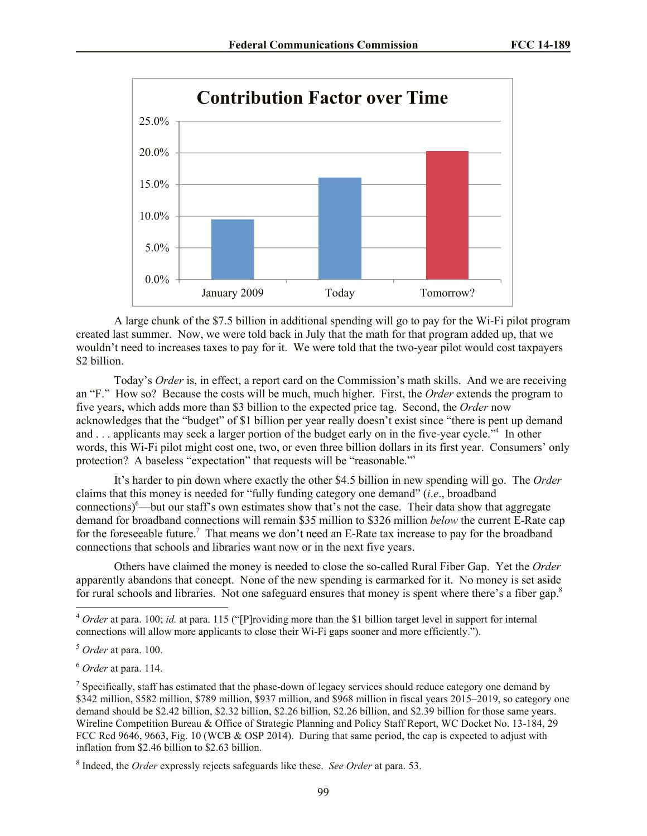

A large chunk of the \$7.5 billion in additional spending will go to pay for the Wi-Fi pilot program created last summer. Now, we were told back in July that the math for that program added up, that we wouldn't need to increases taxes to pay for it. We were told that the two-year pilot would cost taxpayers \$2 billion.

Today's *Order* is, in effect, a report card on the Commission's math skills. And we are receiving an "F." How so? Because the costs will be much, much higher. First, the *Order* extends the program to five years, which adds more than \$3 billion to the expected price tag. Second, the *Order* now acknowledges that the "budget" of \$1 billion per year really doesn't exist since "there is pent up demand and . . . applicants may seek a larger portion of the budget early on in the five-year cycle."<sup>4</sup> In other words, this Wi-Fi pilot might cost one, two, or even three billion dollars in its first year. Consumers' only protection? A baseless "expectation" that requests will be "reasonable."<sup>5</sup>

It's harder to pin down where exactly the other \$4.5 billion in new spending will go. The *Order* claims that this money is needed for "fully funding category one demand" (*i*.*e*., broadband connections)<sup>6</sup>—but our staff's own estimates show that's not the case. Their data show that aggregate demand for broadband connections will remain \$35 million to \$326 million *below* the current E-Rate cap for the foreseeable future.<sup>7</sup> That means we don't need an E-Rate tax increase to pay for the broadband connections that schools and libraries want now or in the next five years.

Others have claimed the money is needed to close the so-called Rural Fiber Gap. Yet the *Order* apparently abandons that concept. None of the new spending is earmarked for it. No money is set aside for rural schools and libraries. Not one safeguard ensures that money is spent where there's a fiber gap.<sup>8</sup>

l

<sup>4</sup> *Order* at para. 100; *id.* at para. 115 ("[P]roviding more than the \$1 billion target level in support for internal connections will allow more applicants to close their Wi-Fi gaps sooner and more efficiently.").

<sup>5</sup> *Order* at para. 100.

<sup>6</sup> *Order* at para. 114.

<sup>&</sup>lt;sup>7</sup> Specifically, staff has estimated that the phase-down of legacy services should reduce category one demand by \$342 million, \$582 million, \$789 million, \$937 million, and \$968 million in fiscal years 2015–2019, so category one demand should be \$2.42 billion, \$2.32 billion, \$2.26 billion, \$2.26 billion, and \$2.39 billion for those same years. Wireline Competition Bureau & Office of Strategic Planning and Policy Staff Report, WC Docket No. 13-184, 29 FCC Rcd 9646, 9663, Fig. 10 (WCB & OSP 2014). During that same period, the cap is expected to adjust with inflation from \$2.46 billion to \$2.63 billion.

<sup>8</sup> Indeed, the *Order* expressly rejects safeguards like these. *See Order* at para. 53.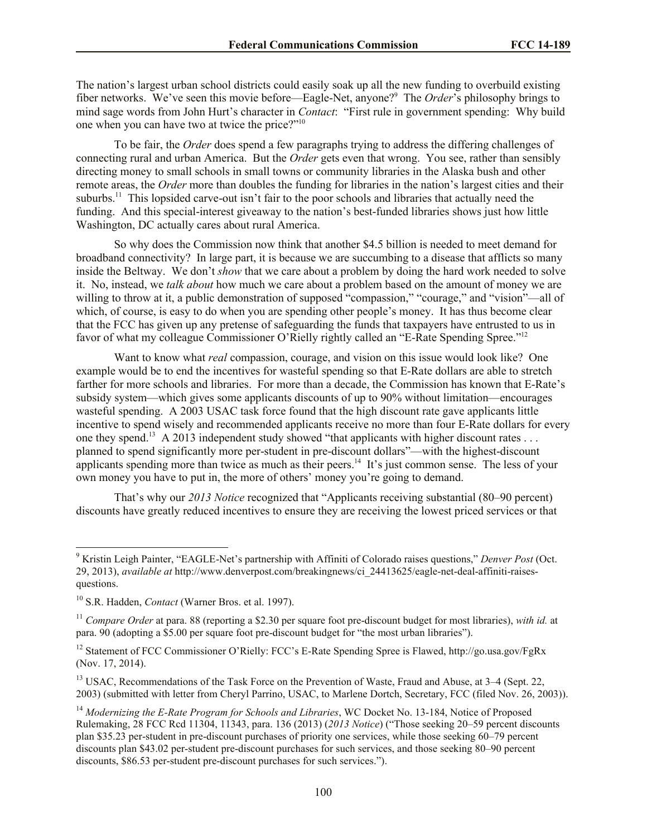The nation's largest urban school districts could easily soak up all the new funding to overbuild existing fiber networks. We've seen this movie before—Eagle-Net, anyone?<sup>9</sup> The *Order*'s philosophy brings to mind sage words from John Hurt's character in *Contact*: "First rule in government spending: Why build one when you can have two at twice the price?"<sup>10</sup>

To be fair, the *Order* does spend a few paragraphs trying to address the differing challenges of connecting rural and urban America. But the *Order* gets even that wrong. You see, rather than sensibly directing money to small schools in small towns or community libraries in the Alaska bush and other remote areas, the *Order* more than doubles the funding for libraries in the nation's largest cities and their suburbs.<sup>11</sup> This lopsided carve-out isn't fair to the poor schools and libraries that actually need the funding. And this special-interest giveaway to the nation's best-funded libraries shows just how little Washington, DC actually cares about rural America.

So why does the Commission now think that another \$4.5 billion is needed to meet demand for broadband connectivity? In large part, it is because we are succumbing to a disease that afflicts so many inside the Beltway. We don't *show* that we care about a problem by doing the hard work needed to solve it. No, instead, we *talk about* how much we care about a problem based on the amount of money we are willing to throw at it, a public demonstration of supposed "compassion," "courage," and "vision"—all of which, of course, is easy to do when you are spending other people's money. It has thus become clear that the FCC has given up any pretense of safeguarding the funds that taxpayers have entrusted to us in favor of what my colleague Commissioner O'Rielly rightly called an "E-Rate Spending Spree."<sup>12</sup>

Want to know what *real* compassion, courage, and vision on this issue would look like? One example would be to end the incentives for wasteful spending so that E-Rate dollars are able to stretch farther for more schools and libraries. For more than a decade, the Commission has known that E-Rate's subsidy system—which gives some applicants discounts of up to 90% without limitation—encourages wasteful spending. A 2003 USAC task force found that the high discount rate gave applicants little incentive to spend wisely and recommended applicants receive no more than four E-Rate dollars for every one they spend.<sup>13</sup> A 2013 independent study showed "that applicants with higher discount rates ... planned to spend significantly more per-student in pre-discount dollars"—with the highest-discount applicants spending more than twice as much as their peers.<sup>14</sup> It's just common sense. The less of your own money you have to put in, the more of others' money you're going to demand.

That's why our *2013 Notice* recognized that "Applicants receiving substantial (80–90 percent) discounts have greatly reduced incentives to ensure they are receiving the lowest priced services or that

 $\overline{\phantom{a}}$ 

<sup>9</sup> Kristin Leigh Painter, "EAGLE-Net's partnership with Affiniti of Colorado raises questions," *Denver Post* (Oct. 29, 2013), *available at* http://www.denverpost.com/breakingnews/ci\_24413625/eagle-net-deal-affiniti-raisesquestions.

<sup>10</sup> S.R. Hadden, *Contact* (Warner Bros. et al. 1997).

<sup>11</sup> *Compare Order* at para. 88 (reporting a \$2.30 per square foot pre-discount budget for most libraries), *with id.* at para. 90 (adopting a \$5.00 per square foot pre-discount budget for "the most urban libraries").

<sup>&</sup>lt;sup>12</sup> Statement of FCC Commissioner O'Rielly: FCC's E-Rate Spending Spree is Flawed, http://go.usa.gov/FgRx (Nov. 17, 2014).

<sup>&</sup>lt;sup>13</sup> USAC, Recommendations of the Task Force on the Prevention of Waste, Fraud and Abuse, at 3–4 (Sept. 22, 2003) (submitted with letter from Cheryl Parrino, USAC, to Marlene Dortch, Secretary, FCC (filed Nov. 26, 2003)).

<sup>&</sup>lt;sup>14</sup> Modernizing the E-Rate Program for Schools and Libraries, WC Docket No. 13-184, Notice of Proposed Rulemaking, 28 FCC Rcd 11304, 11343, para. 136 (2013) (*2013 Notice*) ("Those seeking 20–59 percent discounts plan \$35.23 per-student in pre-discount purchases of priority one services, while those seeking 60–79 percent discounts plan \$43.02 per-student pre-discount purchases for such services, and those seeking 80–90 percent discounts, \$86.53 per-student pre-discount purchases for such services.").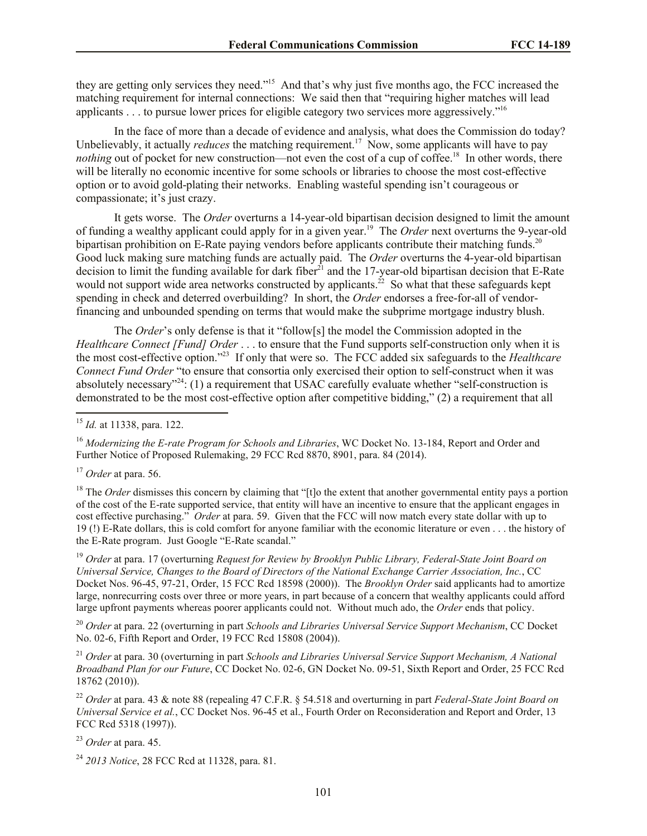they are getting only services they need."<sup>15</sup> And that's why just five months ago, the FCC increased the matching requirement for internal connections: We said then that "requiring higher matches will lead applicants . . . to pursue lower prices for eligible category two services more aggressively."<sup>16</sup>

In the face of more than a decade of evidence and analysis, what does the Commission do today? Unbelievably, it actually *reduces* the matching requirement.<sup>17</sup> Now, some applicants will have to pay nothing out of pocket for new construction—not even the cost of a cup of coffee.<sup>18</sup> In other words, there will be literally no economic incentive for some schools or libraries to choose the most cost-effective option or to avoid gold-plating their networks. Enabling wasteful spending isn't courageous or compassionate; it's just crazy.

It gets worse. The *Order* overturns a 14-year-old bipartisan decision designed to limit the amount of funding a wealthy applicant could apply for in a given year.<sup>19</sup> The *Order* next overturns the 9-year-old bipartisan prohibition on E-Rate paying vendors before applicants contribute their matching funds.<sup>20</sup> Good luck making sure matching funds are actually paid. The *Order* overturns the 4-year-old bipartisan decision to limit the funding available for dark fiber<sup>21</sup> and the 17-year-old bipartisan decision that E-Rate would not support wide area networks constructed by applicants.<sup>22</sup> So what that these safeguards kept spending in check and deterred overbuilding? In short, the *Order* endorses a free-for-all of vendorfinancing and unbounded spending on terms that would make the subprime mortgage industry blush.

The *Order*'s only defense is that it "follow[s] the model the Commission adopted in the *Healthcare Connect [Fund] Order* . . . to ensure that the Fund supports self-construction only when it is the most cost-effective option."<sup>23</sup> If only that were so. The FCC added six safeguards to the *Healthcare Connect Fund Order* "to ensure that consortia only exercised their option to self-construct when it was absolutely necessary"<sup>24</sup>: (1) a requirement that USAC carefully evaluate whether "self-construction is demonstrated to be the most cost-effective option after competitive bidding," (2) a requirement that all

<sup>16</sup> *Modernizing the E-rate Program for Schools and Libraries*, WC Docket No. 13-184, Report and Order and Further Notice of Proposed Rulemaking, 29 FCC Rcd 8870, 8901, para. 84 (2014).

l

<sup>18</sup> The *Order* dismisses this concern by claiming that "[t]o the extent that another governmental entity pays a portion of the cost of the E-rate supported service, that entity will have an incentive to ensure that the applicant engages in cost effective purchasing." *Order* at para. 59. Given that the FCC will now match every state dollar with up to 19 (!) E-Rate dollars, this is cold comfort for anyone familiar with the economic literature or even . . . the history of the E-Rate program. Just Google "E-Rate scandal."

<sup>19</sup> *Order* at para. 17 (overturning *Request for Review by Brooklyn Public Library, Federal-State Joint Board on Universal Service, Changes to the Board of Directors of the National Exchange Carrier Association, Inc.*, CC Docket Nos. 96-45, 97-21, Order, 15 FCC Rcd 18598 (2000)). The *Brooklyn Order* said applicants had to amortize large, nonrecurring costs over three or more years, in part because of a concern that wealthy applicants could afford large upfront payments whereas poorer applicants could not. Without much ado, the *Order* ends that policy.

<sup>20</sup> *Order* at para. 22 (overturning in part *Schools and Libraries Universal Service Support Mechanism*, CC Docket No. 02-6, Fifth Report and Order, 19 FCC Rcd 15808 (2004)).

<sup>21</sup> *Order* at para. 30 (overturning in part *Schools and Libraries Universal Service Support Mechanism, A National Broadband Plan for our Future*, CC Docket No. 02-6, GN Docket No. 09-51, Sixth Report and Order, 25 FCC Rcd 18762 (2010)).

<sup>22</sup> *Order* at para. 43 & note 88 (repealing 47 C.F.R. § 54.518 and overturning in part *Federal-State Joint Board on Universal Service et al.*, CC Docket Nos. 96-45 et al., Fourth Order on Reconsideration and Report and Order, 13 FCC Rcd 5318 (1997)).

<sup>23</sup> *Order* at para. 45.

<sup>24</sup> *2013 Notice*, 28 FCC Rcd at 11328, para. 81.

<sup>15</sup> *Id.* at 11338, para. 122.

<sup>17</sup> *Order* at para. 56.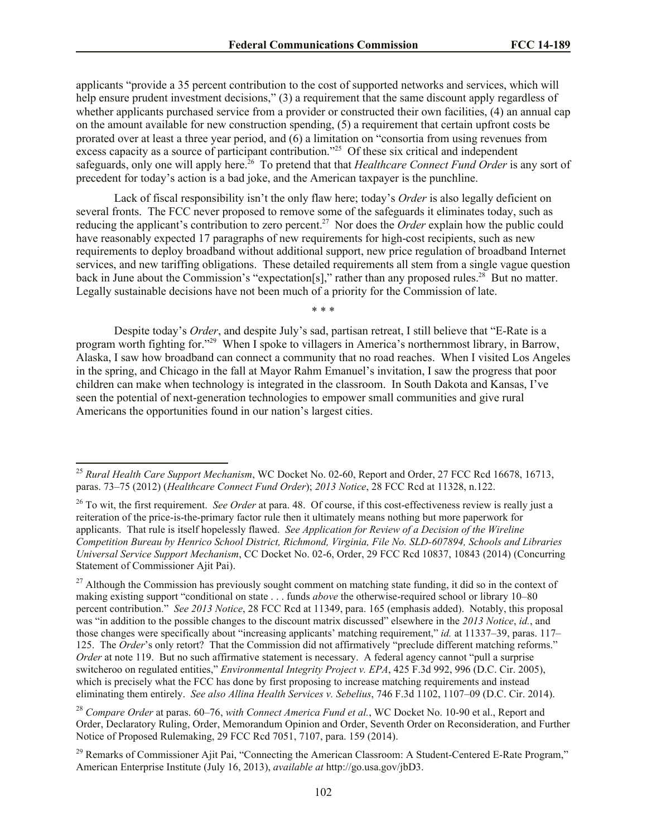applicants "provide a 35 percent contribution to the cost of supported networks and services, which will help ensure prudent investment decisions," (3) a requirement that the same discount apply regardless of whether applicants purchased service from a provider or constructed their own facilities, (4) an annual cap on the amount available for new construction spending, (5) a requirement that certain upfront costs be prorated over at least a three year period, and (6) a limitation on "consortia from using revenues from excess capacity as a source of participant contribution.<sup>225</sup> Of these six critical and independent safeguards, only one will apply here.<sup>26</sup> To pretend that that *Healthcare Connect Fund Order* is any sort of precedent for today's action is a bad joke, and the American taxpayer is the punchline.

Lack of fiscal responsibility isn't the only flaw here; today's *Order* is also legally deficient on several fronts. The FCC never proposed to remove some of the safeguards it eliminates today, such as reducing the applicant's contribution to zero percent.<sup>27</sup> Nor does the *Order* explain how the public could have reasonably expected 17 paragraphs of new requirements for high-cost recipients, such as new requirements to deploy broadband without additional support, new price regulation of broadband Internet services, and new tariffing obligations. These detailed requirements all stem from a single vague question back in June about the Commission's "expectation[s]," rather than any proposed rules.<sup>28</sup> But no matter. Legally sustainable decisions have not been much of a priority for the Commission of late.

\* \* \*

Despite today's *Order*, and despite July's sad, partisan retreat, I still believe that "E-Rate is a program worth fighting for."<sup>29</sup> When I spoke to villagers in America's northernmost library, in Barrow, Alaska, I saw how broadband can connect a community that no road reaches. When I visited Los Angeles in the spring, and Chicago in the fall at Mayor Rahm Emanuel's invitation, I saw the progress that poor children can make when technology is integrated in the classroom. In South Dakota and Kansas, I've seen the potential of next-generation technologies to empower small communities and give rural Americans the opportunities found in our nation's largest cities.

l

<sup>25</sup> *Rural Health Care Support Mechanism*, WC Docket No. 02-60, Report and Order, 27 FCC Rcd 16678, 16713, paras. 73–75 (2012) (*Healthcare Connect Fund Order*); *2013 Notice*, 28 FCC Rcd at 11328, n.122.

<sup>26</sup> To wit, the first requirement. *See Order* at para. 48. Of course, if this cost-effectiveness review is really just a reiteration of the price-is-the-primary factor rule then it ultimately means nothing but more paperwork for applicants. That rule is itself hopelessly flawed. *See Application for Review of a Decision of the Wireline Competition Bureau by Henrico School District, Richmond, Virginia, File No. SLD-607894, Schools and Libraries Universal Service Support Mechanism*, CC Docket No. 02-6, Order, 29 FCC Rcd 10837, 10843 (2014) (Concurring Statement of Commissioner Ajit Pai).

 $^{27}$  Although the Commission has previously sought comment on matching state funding, it did so in the context of making existing support "conditional on state . . . funds *above* the otherwise-required school or library 10–80 percent contribution." *See 2013 Notice*, 28 FCC Rcd at 11349, para. 165 (emphasis added). Notably, this proposal was "in addition to the possible changes to the discount matrix discussed" elsewhere in the *2013 Notice*, *id.*, and those changes were specifically about "increasing applicants' matching requirement," *id.* at 11337–39, paras. 117– 125. The *Order*'s only retort? That the Commission did not affirmatively "preclude different matching reforms." *Order* at note 119. But no such affirmative statement is necessary. A federal agency cannot "pull a surprise" switcheroo on regulated entities," *Environmental Integrity Project v. EPA*, 425 F.3d 992, 996 (D.C. Cir. 2005), which is precisely what the FCC has done by first proposing to increase matching requirements and instead eliminating them entirely. *See also Allina Health Services v. Sebelius*, 746 F.3d 1102, 1107–09 (D.C. Cir. 2014).

<sup>28</sup> *Compare Order* at paras. 60–76, *with Connect America Fund et al.*, WC Docket No. 10-90 et al., Report and Order, Declaratory Ruling, Order, Memorandum Opinion and Order, Seventh Order on Reconsideration, and Further Notice of Proposed Rulemaking, 29 FCC Rcd 7051, 7107, para. 159 (2014).

<sup>&</sup>lt;sup>29</sup> Remarks of Commissioner Ajit Pai, "Connecting the American Classroom: A Student-Centered E-Rate Program," American Enterprise Institute (July 16, 2013), *available at* http://go.usa.gov/jbD3.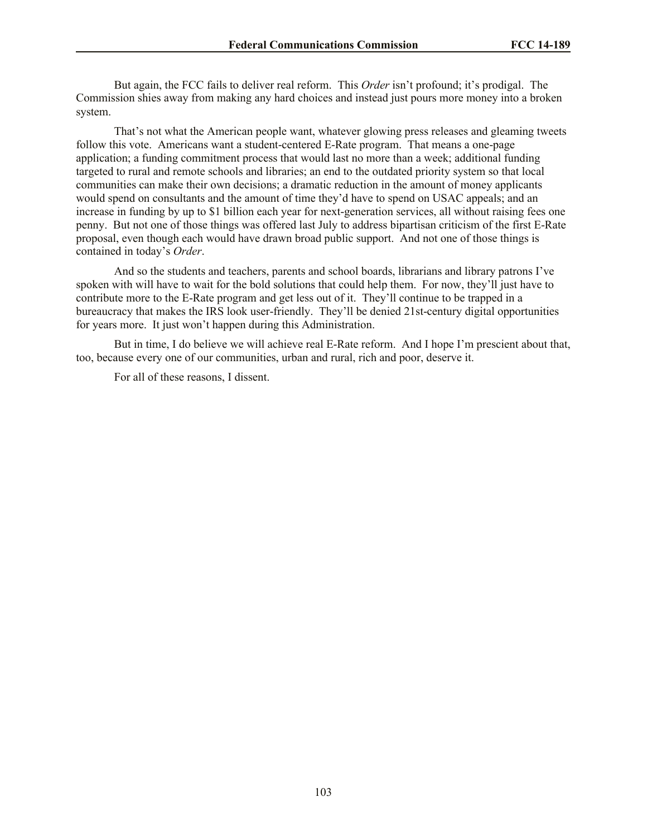But again, the FCC fails to deliver real reform. This *Order* isn't profound; it's prodigal. The Commission shies away from making any hard choices and instead just pours more money into a broken system.

That's not what the American people want, whatever glowing press releases and gleaming tweets follow this vote. Americans want a student-centered E-Rate program. That means a one-page application; a funding commitment process that would last no more than a week; additional funding targeted to rural and remote schools and libraries; an end to the outdated priority system so that local communities can make their own decisions; a dramatic reduction in the amount of money applicants would spend on consultants and the amount of time they'd have to spend on USAC appeals; and an increase in funding by up to \$1 billion each year for next-generation services, all without raising fees one penny. But not one of those things was offered last July to address bipartisan criticism of the first E-Rate proposal, even though each would have drawn broad public support. And not one of those things is contained in today's *Order*.

And so the students and teachers, parents and school boards, librarians and library patrons I've spoken with will have to wait for the bold solutions that could help them. For now, they'll just have to contribute more to the E-Rate program and get less out of it. They'll continue to be trapped in a bureaucracy that makes the IRS look user-friendly. They'll be denied 21st-century digital opportunities for years more. It just won't happen during this Administration.

But in time, I do believe we will achieve real E-Rate reform. And I hope I'm prescient about that, too, because every one of our communities, urban and rural, rich and poor, deserve it.

For all of these reasons, I dissent.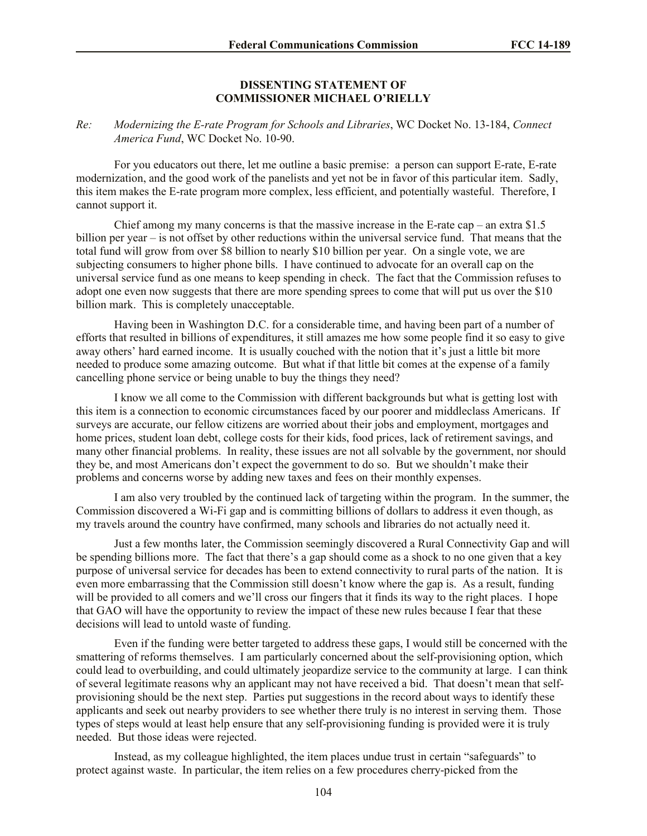#### **DISSENTING STATEMENT OF COMMISSIONER MICHAEL O'RIELLY**

#### *Re: Modernizing the E-rate Program for Schools and Libraries*, WC Docket No. 13-184, *Connect America Fund*, WC Docket No. 10-90.

For you educators out there, let me outline a basic premise: a person can support E-rate, E-rate modernization, and the good work of the panelists and yet not be in favor of this particular item. Sadly, this item makes the E-rate program more complex, less efficient, and potentially wasteful. Therefore, I cannot support it.

Chief among my many concerns is that the massive increase in the E-rate cap – an extra  $$1.5$ billion per year – is not offset by other reductions within the universal service fund. That means that the total fund will grow from over \$8 billion to nearly \$10 billion per year. On a single vote, we are subjecting consumers to higher phone bills. I have continued to advocate for an overall cap on the universal service fund as one means to keep spending in check. The fact that the Commission refuses to adopt one even now suggests that there are more spending sprees to come that will put us over the \$10 billion mark. This is completely unacceptable.

Having been in Washington D.C. for a considerable time, and having been part of a number of efforts that resulted in billions of expenditures, it still amazes me how some people find it so easy to give away others' hard earned income. It is usually couched with the notion that it's just a little bit more needed to produce some amazing outcome. But what if that little bit comes at the expense of a family cancelling phone service or being unable to buy the things they need?

I know we all come to the Commission with different backgrounds but what is getting lost with this item is a connection to economic circumstances faced by our poorer and middleclass Americans. If surveys are accurate, our fellow citizens are worried about their jobs and employment, mortgages and home prices, student loan debt, college costs for their kids, food prices, lack of retirement savings, and many other financial problems. In reality, these issues are not all solvable by the government, nor should they be, and most Americans don't expect the government to do so. But we shouldn't make their problems and concerns worse by adding new taxes and fees on their monthly expenses.

I am also very troubled by the continued lack of targeting within the program. In the summer, the Commission discovered a Wi-Fi gap and is committing billions of dollars to address it even though, as my travels around the country have confirmed, many schools and libraries do not actually need it.

Just a few months later, the Commission seemingly discovered a Rural Connectivity Gap and will be spending billions more. The fact that there's a gap should come as a shock to no one given that a key purpose of universal service for decades has been to extend connectivity to rural parts of the nation. It is even more embarrassing that the Commission still doesn't know where the gap is. As a result, funding will be provided to all comers and we'll cross our fingers that it finds its way to the right places. I hope that GAO will have the opportunity to review the impact of these new rules because I fear that these decisions will lead to untold waste of funding.

Even if the funding were better targeted to address these gaps, I would still be concerned with the smattering of reforms themselves. I am particularly concerned about the self-provisioning option, which could lead to overbuilding, and could ultimately jeopardize service to the community at large. I can think of several legitimate reasons why an applicant may not have received a bid. That doesn't mean that selfprovisioning should be the next step. Parties put suggestions in the record about ways to identify these applicants and seek out nearby providers to see whether there truly is no interest in serving them. Those types of steps would at least help ensure that any self-provisioning funding is provided were it is truly needed. But those ideas were rejected.

Instead, as my colleague highlighted, the item places undue trust in certain "safeguards" to protect against waste. In particular, the item relies on a few procedures cherry-picked from the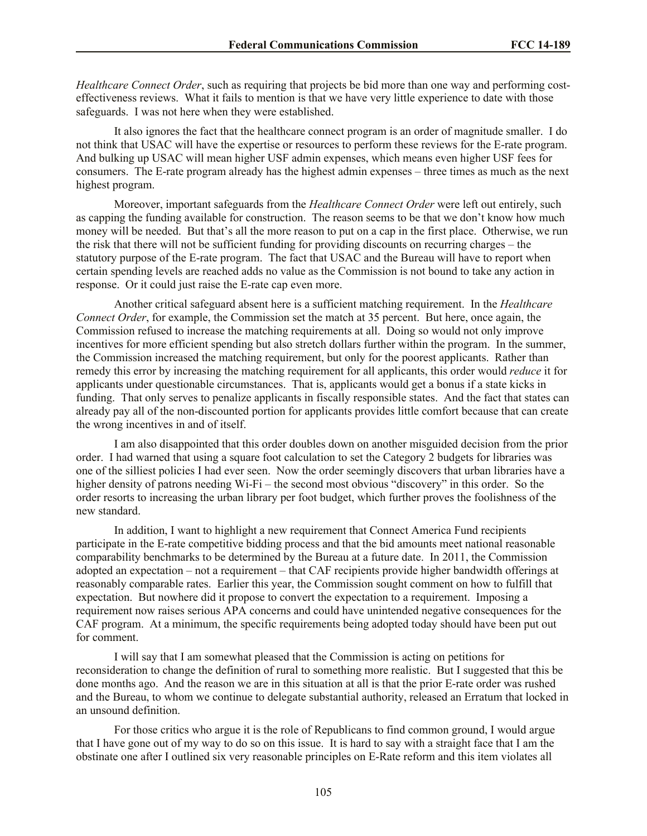*Healthcare Connect Order*, such as requiring that projects be bid more than one way and performing costeffectiveness reviews. What it fails to mention is that we have very little experience to date with those safeguards. I was not here when they were established.

It also ignores the fact that the healthcare connect program is an order of magnitude smaller. I do not think that USAC will have the expertise or resources to perform these reviews for the E-rate program. And bulking up USAC will mean higher USF admin expenses, which means even higher USF fees for consumers. The E-rate program already has the highest admin expenses – three times as much as the next highest program.

Moreover, important safeguards from the *Healthcare Connect Order* were left out entirely, such as capping the funding available for construction. The reason seems to be that we don't know how much money will be needed. But that's all the more reason to put on a cap in the first place. Otherwise, we run the risk that there will not be sufficient funding for providing discounts on recurring charges – the statutory purpose of the E-rate program. The fact that USAC and the Bureau will have to report when certain spending levels are reached adds no value as the Commission is not bound to take any action in response. Or it could just raise the E-rate cap even more.

Another critical safeguard absent here is a sufficient matching requirement. In the *Healthcare Connect Order*, for example, the Commission set the match at 35 percent. But here, once again, the Commission refused to increase the matching requirements at all. Doing so would not only improve incentives for more efficient spending but also stretch dollars further within the program. In the summer, the Commission increased the matching requirement, but only for the poorest applicants. Rather than remedy this error by increasing the matching requirement for all applicants, this order would *reduce* it for applicants under questionable circumstances. That is, applicants would get a bonus if a state kicks in funding. That only serves to penalize applicants in fiscally responsible states. And the fact that states can already pay all of the non-discounted portion for applicants provides little comfort because that can create the wrong incentives in and of itself.

I am also disappointed that this order doubles down on another misguided decision from the prior order. I had warned that using a square foot calculation to set the Category 2 budgets for libraries was one of the silliest policies I had ever seen. Now the order seemingly discovers that urban libraries have a higher density of patrons needing Wi-Fi – the second most obvious "discovery" in this order. So the order resorts to increasing the urban library per foot budget, which further proves the foolishness of the new standard.

In addition, I want to highlight a new requirement that Connect America Fund recipients participate in the E-rate competitive bidding process and that the bid amounts meet national reasonable comparability benchmarks to be determined by the Bureau at a future date. In 2011, the Commission adopted an expectation – not a requirement – that CAF recipients provide higher bandwidth offerings at reasonably comparable rates. Earlier this year, the Commission sought comment on how to fulfill that expectation. But nowhere did it propose to convert the expectation to a requirement. Imposing a requirement now raises serious APA concerns and could have unintended negative consequences for the CAF program. At a minimum, the specific requirements being adopted today should have been put out for comment.

I will say that I am somewhat pleased that the Commission is acting on petitions for reconsideration to change the definition of rural to something more realistic. But I suggested that this be done months ago. And the reason we are in this situation at all is that the prior E-rate order was rushed and the Bureau, to whom we continue to delegate substantial authority, released an Erratum that locked in an unsound definition.

For those critics who argue it is the role of Republicans to find common ground, I would argue that I have gone out of my way to do so on this issue. It is hard to say with a straight face that I am the obstinate one after I outlined six very reasonable principles on E-Rate reform and this item violates all